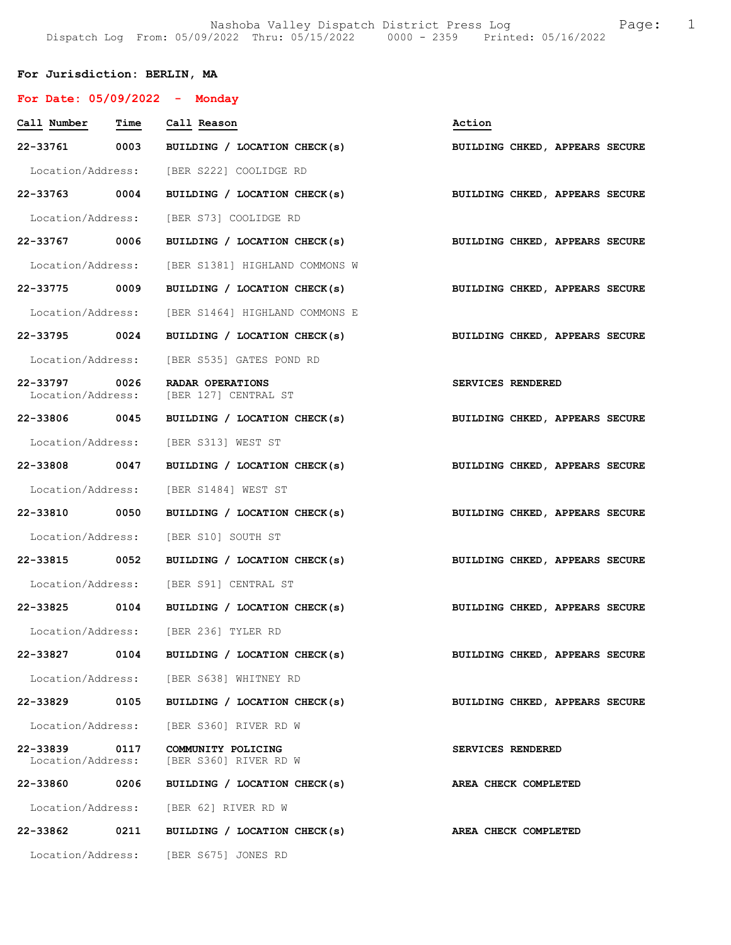# For Jurisdiction: BERLIN, MA

| For Date: $05/09/2022 -$ Monday |      |                                                             |                                |
|---------------------------------|------|-------------------------------------------------------------|--------------------------------|
| Call Number Time                |      | Call Reason                                                 | Action                         |
| 22-33761 0003                   |      | BUILDING / LOCATION CHECK(s)                                | BUILDING CHKED, APPEARS SECURE |
|                                 |      | Location/Address: [BER S222] COOLIDGE RD                    |                                |
| 22-33763 0004                   |      | BUILDING / LOCATION CHECK(s) BUILDING CHKED, APPEARS SECURE |                                |
|                                 |      | Location/Address: [BER S73] COOLIDGE RD                     |                                |
| 22-33767 0006                   |      | BUILDING / LOCATION CHECK(s) BUILDING CHKED, APPEARS SECURE |                                |
| Location/Address:               |      | [BER S1381] HIGHLAND COMMONS W                              |                                |
| 22-33775 0009                   |      | BUILDING / LOCATION CHECK(s)                                | BUILDING CHKED, APPEARS SECURE |
|                                 |      | Location/Address: [BER S1464] HIGHLAND COMMONS E            |                                |
| 22-33795 0024                   |      | BUILDING / LOCATION CHECK(s)                                | BUILDING CHKED, APPEARS SECURE |
|                                 |      | Location/Address: [BER S535] GATES POND RD                  |                                |
| 22-33797 0026                   |      | RADAR OPERATIONS<br>Location/Address: [BER 127] CENTRAL ST  | SERVICES RENDERED              |
| 22-33806 0045                   |      | BUILDING / LOCATION CHECK(s)                                | BUILDING CHKED, APPEARS SECURE |
|                                 |      | Location/Address: [BER S313] WEST ST                        |                                |
| 22-33808 0047                   |      | BUILDING / LOCATION CHECK(s) BUILDING CHKED, APPEARS SECURE |                                |
|                                 |      | Location/Address: [BER S1484] WEST ST                       |                                |
| 22-33810 0050                   |      | BUILDING / LOCATION CHECK(s)                                | BUILDING CHKED, APPEARS SECURE |
|                                 |      | Location/Address: [BER S10] SOUTH ST                        |                                |
| 22-33815 0052                   |      | BUILDING / LOCATION CHECK(s)                                | BUILDING CHKED, APPEARS SECURE |
|                                 |      | Location/Address: [BER S91] CENTRAL ST                      |                                |
| 22-33825 0104                   |      | BUILDING / LOCATION CHECK(s)                                | BUILDING CHKED, APPEARS SECURE |
| Location/Address:               |      | [BER 236] TYLER RD                                          |                                |
| 22-33827                        | 0104 | BUILDING / LOCATION CHECK(s)                                | BUILDING CHKED, APPEARS SECURE |
|                                 |      | Location/Address: [BER S638] WHITNEY RD                     |                                |
| 22-33829                        | 0105 | BUILDING / LOCATION CHECK(s)                                | BUILDING CHKED, APPEARS SECURE |
|                                 |      | Location/Address: [BER S360] RIVER RD W                     |                                |
| 22-33839<br>Location/Address:   | 0117 | COMMUNITY POLICING<br>[BER S360] RIVER RD W                 | <b>SERVICES RENDERED</b>       |
| 22-33860                        | 0206 | BUILDING / LOCATION CHECK(s)                                | AREA CHECK COMPLETED           |
|                                 |      | Location/Address: [BER 62] RIVER RD W                       |                                |
| 22-33862                        | 0211 | BUILDING / LOCATION CHECK(s)                                | AREA CHECK COMPLETED           |
|                                 |      | Location/Address: [BER S675] JONES RD                       |                                |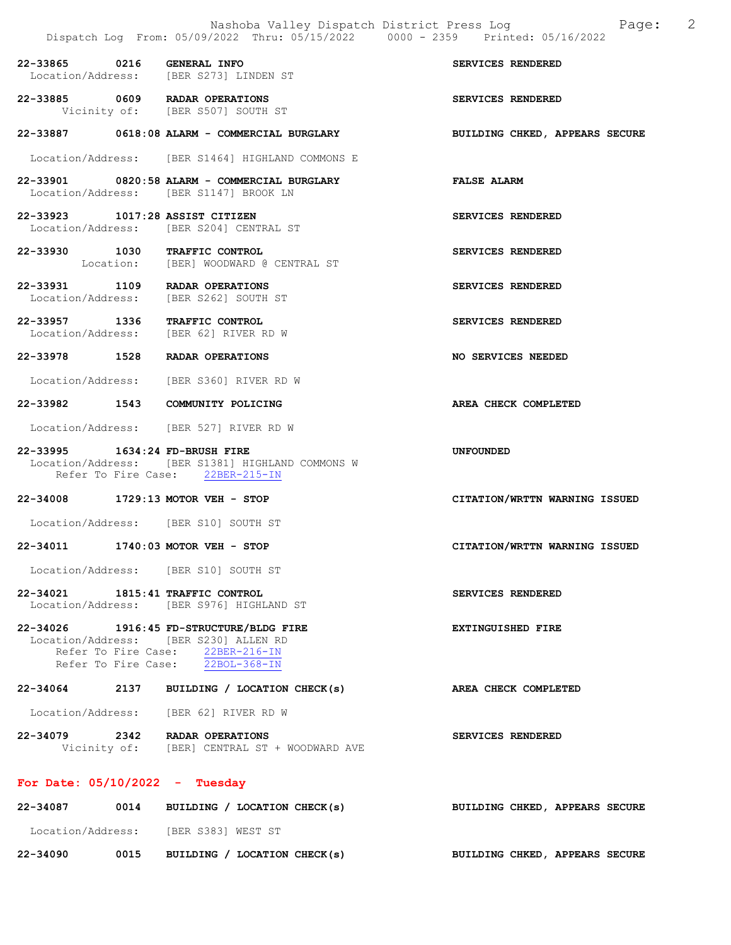|                                  | Nashoba Valley Dispatch District Press Log<br>Dispatch Log From: 05/09/2022 Thru: 05/15/2022 0000 - 2359 Printed: 05/16/2022                             | 2<br>Page:                     |
|----------------------------------|----------------------------------------------------------------------------------------------------------------------------------------------------------|--------------------------------|
| 22-33865 0216 GENERAL INFO       | Location/Address: [BER S273] LINDEN ST                                                                                                                   | SERVICES RENDERED              |
|                                  | 22-33885 0609 RADAR OPERATIONS<br>Vicinity of: [BER S507] SOUTH ST                                                                                       | SERVICES RENDERED              |
|                                  | 22-33887 0618:08 ALARM - COMMERCIAL BURGLARY                                                                                                             | BUILDING CHKED, APPEARS SECURE |
|                                  | Location/Address: [BER S1464] HIGHLAND COMMONS E                                                                                                         |                                |
|                                  | 22-33901 0820:58 ALARM - COMMERCIAL BURGLARY<br>Location/Address: [BER S1147] BROOK LN                                                                   | <b>FALSE ALARM</b>             |
| 22-33923 1017:28 ASSIST CITIZEN  | Location/Address: [BER S204] CENTRAL ST                                                                                                                  | SERVICES RENDERED              |
| 22-33930 1030 TRAFFIC CONTROL    | Location: [BER] WOODWARD @ CENTRAL ST                                                                                                                    | SERVICES RENDERED              |
|                                  | 22-33931 1109 RADAR OPERATIONS<br>Location/Address: [BER S262] SOUTH ST                                                                                  | SERVICES RENDERED              |
| 22-33957 1336 TRAFFIC CONTROL    | Location/Address: [BER 62] RIVER RD W                                                                                                                    | SERVICES RENDERED              |
|                                  | 22-33978 1528 RADAR OPERATIONS                                                                                                                           | NO SERVICES NEEDED             |
|                                  | Location/Address: [BER S360] RIVER RD W                                                                                                                  |                                |
|                                  | 22-33982 1543 COMMUNITY POLICING                                                                                                                         | AREA CHECK COMPLETED           |
|                                  | Location/Address: [BER 527] RIVER RD W                                                                                                                   |                                |
| 22-33995 1634:24 FD-BRUSH FIRE   | Location/Address: [BER S1381] HIGHLAND COMMONS W<br>Refer To Fire Case: 22BER-215-IN                                                                     | <b>UNFOUNDED</b>               |
|                                  | 22-34008 1729:13 MOTOR VEH - STOP                                                                                                                        | CITATION/WRTTN WARNING ISSUED  |
|                                  | Location/Address: [BER S10] SOUTH ST                                                                                                                     |                                |
|                                  | 22-34011 1740:03 MOTOR VEH - STOP                                                                                                                        | CITATION/WRTTN WARNING ISSUED  |
|                                  | Location/Address: [BER S10] SOUTH ST                                                                                                                     |                                |
| 22-34021 1815:41 TRAFFIC CONTROL | Location/Address: [BER S976] HIGHLAND ST                                                                                                                 | SERVICES RENDERED              |
|                                  | 22-34026 1916:45 FD-STRUCTURE/BLDG FIRE<br>Location/Address: [BER S230] ALLEN RD<br>Refer To Fire Case: 22BER-216-IN<br>Refer To Fire Case: 22BOL-368-IN | EXTINGUISHED FIRE              |
|                                  | 22-34064 2137 BUILDING / LOCATION CHECK(s)                                                                                                               | <b>AREA CHECK COMPLETED</b>    |
|                                  | Location/Address: [BER 62] RIVER RD W                                                                                                                    |                                |
|                                  | 22-34079 2342 RADAR OPERATIONS<br>Vicinity of: [BER] CENTRAL ST + WOODWARD AVE                                                                           | SERVICES RENDERED              |
| For Date: $05/10/2022 - Tuesday$ |                                                                                                                                                          |                                |
|                                  | 22-34087 0014 BUILDING / LOCATION CHECK(s)                                                                                                               | BUILDING CHKED, APPEARS SECURE |

Location/Address: [BER S383] WEST ST

22-34090 0015 BUILDING / LOCATION CHECK(s) BUILDING CHKED, APPEARS SECURE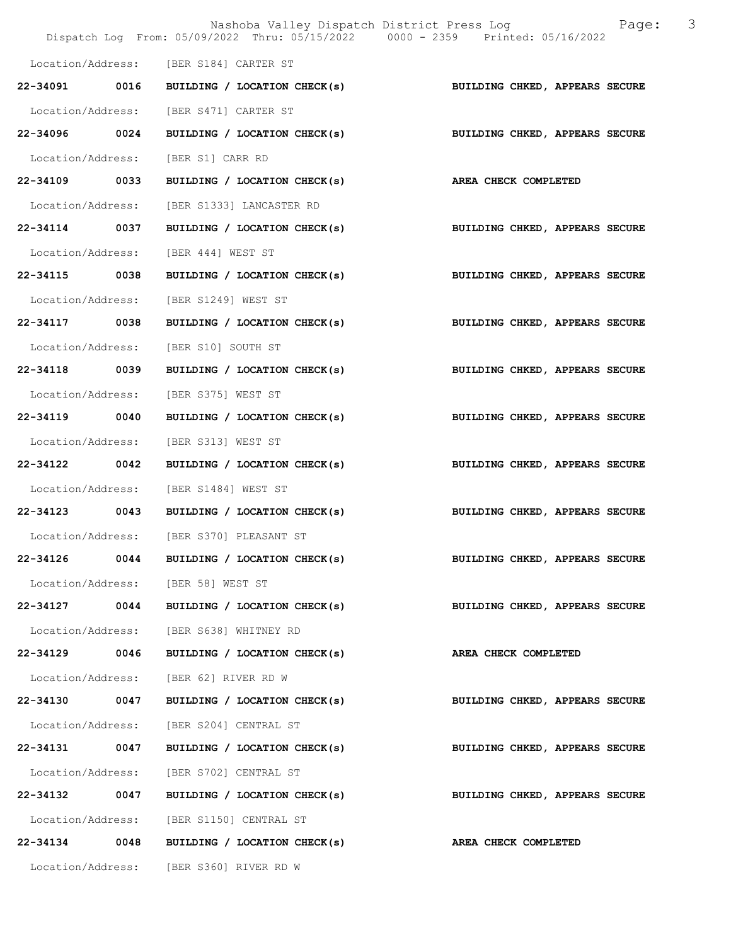|                   |      | Nashoba Valley Dispatch District Press Log<br>Dispatch Log From: 05/09/2022 Thru: 05/15/2022 0000 - 2359 Printed: 05/16/2022 | 3<br>Page:                     |
|-------------------|------|------------------------------------------------------------------------------------------------------------------------------|--------------------------------|
|                   |      |                                                                                                                              |                                |
|                   |      | Location/Address: [BER S184] CARTER ST                                                                                       |                                |
| 22-34091 0016     |      | BUILDING / LOCATION CHECK(s)                                                                                                 | BUILDING CHKED, APPEARS SECURE |
| Location/Address: |      | [BER S471] CARTER ST                                                                                                         |                                |
| 22-34096 0024     |      | BUILDING / LOCATION CHECK(s)                                                                                                 | BUILDING CHKED, APPEARS SECURE |
| Location/Address: |      | [BER S1] CARR RD                                                                                                             |                                |
| 22-34109 0033     |      | BUILDING / LOCATION CHECK(s)                                                                                                 | AREA CHECK COMPLETED           |
| Location/Address: |      | [BER S1333] LANCASTER RD                                                                                                     |                                |
| 22-34114 0037     |      | BUILDING / LOCATION CHECK(s)                                                                                                 | BUILDING CHKED, APPEARS SECURE |
| Location/Address: |      | [BER 444] WEST ST                                                                                                            |                                |
| 22-34115 0038     |      | BUILDING / LOCATION CHECK(s)                                                                                                 | BUILDING CHKED, APPEARS SECURE |
| Location/Address: |      | [BER S1249] WEST ST                                                                                                          |                                |
| 22-34117 0038     |      | BUILDING / LOCATION CHECK(s)                                                                                                 | BUILDING CHKED, APPEARS SECURE |
| Location/Address: |      | [BER S10] SOUTH ST                                                                                                           |                                |
| 22-34118 0039     |      | BUILDING / LOCATION CHECK(s)                                                                                                 | BUILDING CHKED, APPEARS SECURE |
| Location/Address: |      | [BER S375] WEST ST                                                                                                           |                                |
| 22-34119          | 0040 | BUILDING / LOCATION CHECK(s)                                                                                                 | BUILDING CHKED, APPEARS SECURE |
| Location/Address: |      | [BER S313] WEST ST                                                                                                           |                                |
| 22-34122 0042     |      | BUILDING / LOCATION CHECK(s)                                                                                                 | BUILDING CHKED, APPEARS SECURE |
| Location/Address: |      | [BER S1484] WEST ST                                                                                                          |                                |
| 22-34123 0043     |      | BUILDING / LOCATION CHECK(s)                                                                                                 | BUILDING CHKED, APPEARS SECURE |
|                   |      | Location/Address: [BER S370] PLEASANT ST                                                                                     |                                |
| 22-34126          | 0044 | BUILDING / LOCATION CHECK(s)                                                                                                 | BUILDING CHKED, APPEARS SECURE |
| Location/Address: |      | [BER 58] WEST ST                                                                                                             |                                |
| 22-34127 0044     |      | BUILDING / LOCATION CHECK(s)                                                                                                 | BUILDING CHKED, APPEARS SECURE |
| Location/Address: |      | [BER S638] WHITNEY RD                                                                                                        |                                |
| 22-34129          | 0046 | BUILDING / LOCATION CHECK(s)                                                                                                 | AREA CHECK COMPLETED           |
| Location/Address: |      | [BER 62] RIVER RD W                                                                                                          |                                |
| 22-34130 0047     |      | BUILDING / LOCATION CHECK(s)                                                                                                 | BUILDING CHKED, APPEARS SECURE |
| Location/Address: |      | [BER S204] CENTRAL ST                                                                                                        |                                |
| 22-34131 0047     |      | BUILDING / LOCATION CHECK(s)                                                                                                 | BUILDING CHKED, APPEARS SECURE |
| Location/Address: |      | [BER S702] CENTRAL ST                                                                                                        |                                |
| 22-34132          | 0047 | BUILDING / LOCATION CHECK(s)                                                                                                 | BUILDING CHKED, APPEARS SECURE |
| Location/Address: |      | [BER S1150] CENTRAL ST                                                                                                       |                                |
| 22-34134          | 0048 | BUILDING / LOCATION CHECK(s)                                                                                                 | AREA CHECK COMPLETED           |
| Location/Address: |      | [BER S360] RIVER RD W                                                                                                        |                                |
|                   |      |                                                                                                                              |                                |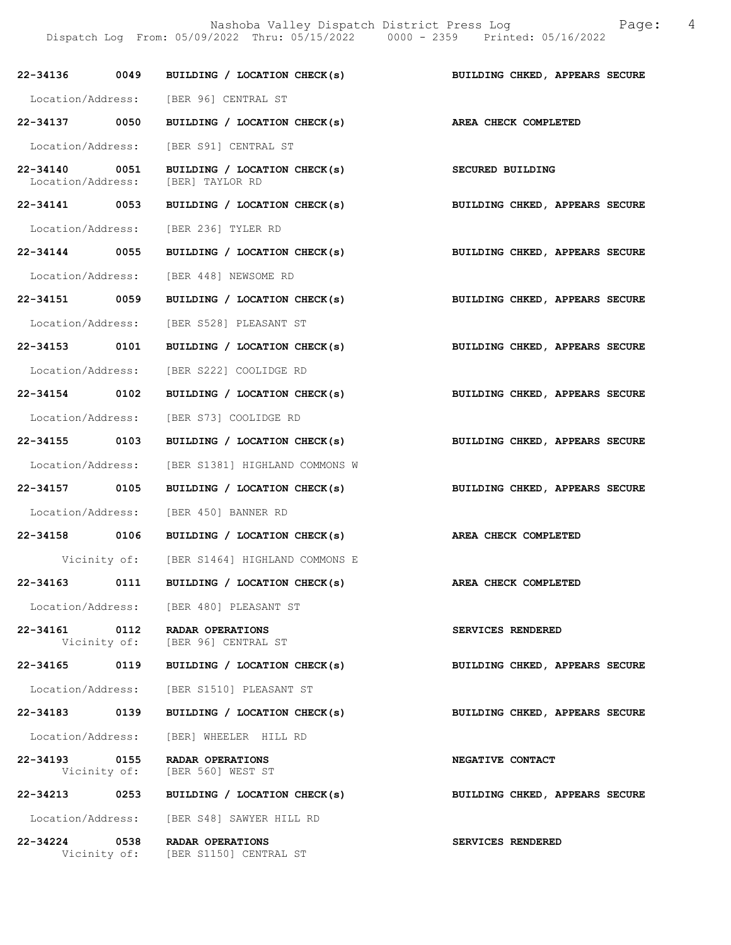Nashoba Valley Dispatch District Press Log Fage: 4 Dispatch Log From: 05/09/2022 Thru: 05/15/2022 0000 - 2359 Printed: 05/16/2022

22-34136 0049 BUILDING / LOCATION CHECK(s) BUILDING CHKED, APPEARS SECURE Location/Address: [BER 96] CENTRAL ST 22-34137 0050 BUILDING / LOCATION CHECK(s) AREA CHECK COMPLETED Location/Address: [BER S91] CENTRAL ST 22-34140 0051 BUILDING / LOCATION CHECK(s) SECURED BUILDING Location/Address: [BER] TAYLOR RD 22-34141 0053 BUILDING / LOCATION CHECK(s) BUILDING CHKED, APPEARS SECURE Location/Address: [BER 236] TYLER RD 22-34144 0055 BUILDING / LOCATION CHECK(s) BUILDING CHKED, APPEARS SECURE Location/Address: [BER 448] NEWSOME RD 22-34151 0059 BUILDING / LOCATION CHECK(s) BUILDING CHKED, APPEARS SECURE Location/Address: [BER S528] PLEASANT ST 22-34153 0101 BUILDING / LOCATION CHECK(s) BUILDING CHKED, APPEARS SECURE Location/Address: [BER S222] COOLIDGE RD 22-34154 0102 BUILDING / LOCATION CHECK(s) BUILDING CHKED, APPEARS SECURE Location/Address: [BER S73] COOLIDGE RD 22-34155 0103 BUILDING / LOCATION CHECK(s) BUILDING CHKED, APPEARS SECURE Location/Address: [BER S1381] HIGHLAND COMMONS W 22-34157 0105 BUILDING / LOCATION CHECK(s) BUILDING CHKED, APPEARS SECURE Location/Address: [BER 450] BANNER RD 22-34158 0106 BUILDING / LOCATION CHECK(s) AREA CHECK COMPLETED Vicinity of: [BER S1464] HIGHLAND COMMONS E 22-34163 0111 BUILDING / LOCATION CHECK(s) AREA CHECK COMPLETED Location/Address: [BER 480] PLEASANT ST 22-34161 0112 RADAR OPERATIONS SERVICES RENDERED<br>Vicinity of: [BER 96] CENTRAL ST [BER 96] CENTRAL ST 22-34165 0119 BUILDING / LOCATION CHECK(s) BUILDING CHKED, APPEARS SECURE Location/Address: [BER S1510] PLEASANT ST 22-34183 0139 BUILDING / LOCATION CHECK(s) BUILDING CHKED, APPEARS SECURE Location/Address: [BER] WHEELER HILL RD 22-34193 0155 RADAR OPERATIONS NEGATIVE CONTACT Vicinity of: [BER 560] WEST ST 22-34213 0253 BUILDING / LOCATION CHECK(s) BUILDING CHKED, APPEARS SECURE Location/Address: [BER S48] SAWYER HILL RD 22-34224 0538 RADAR OPERATIONS SERVICES RENDERED Vicinity of: [BER S1150] CENTRAL ST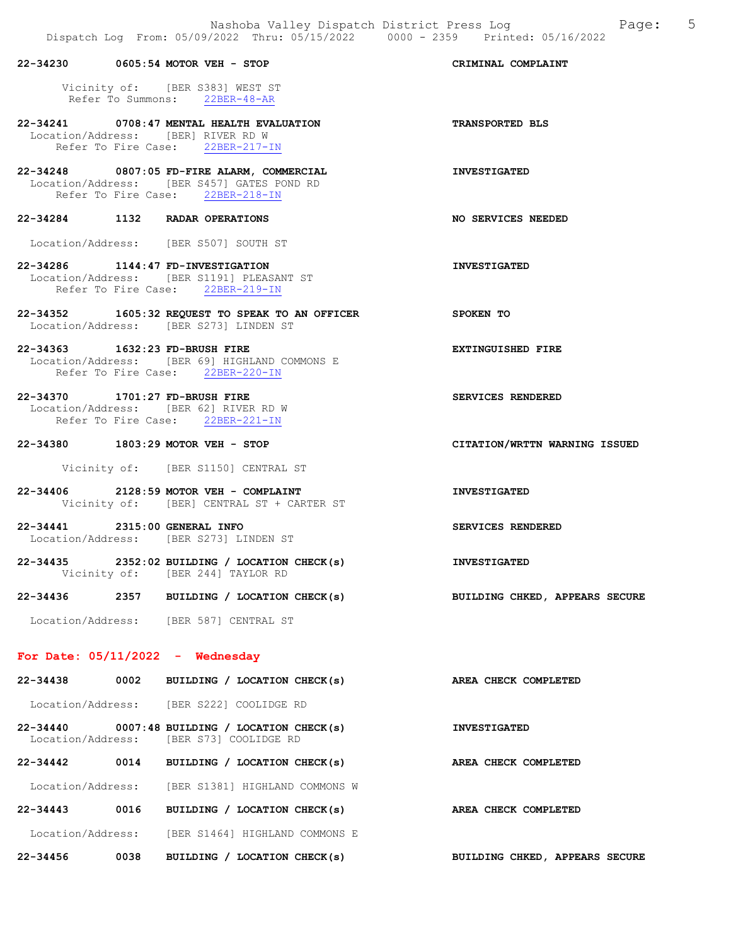|          |      | 22-34230 0605:54 MOTOR VEH - STOP                                                                                            | CRIMINAL COMPLAINT             |
|----------|------|------------------------------------------------------------------------------------------------------------------------------|--------------------------------|
|          |      | Vicinity of: [BER S383] WEST ST<br>Refer To Summons: 22BER-48-AR                                                             |                                |
|          |      | 22-34241 0708:47 MENTAL HEALTH EVALUATION<br>Location/Address: [BER] RIVER RD W<br>Refer To Fire Case: 22BER-217-IN          | <b>TRANSPORTED BLS</b>         |
|          |      | 22-34248 0807:05 FD-FIRE ALARM, COMMERCIAL<br>Location/Address: [BER S457] GATES POND RD<br>Refer To Fire Case: 22BER-218-IN | <b>INVESTIGATED</b>            |
|          |      | 22-34284 1132 RADAR OPERATIONS                                                                                               | NO SERVICES NEEDED             |
|          |      | Location/Address: [BER S507] SOUTH ST                                                                                        |                                |
|          |      | 22-34286 1144:47 FD-INVESTIGATION<br>Location/Address: [BER S1191] PLEASANT ST<br>Refer To Fire Case: 22BER-219-IN           | <b>INVESTIGATED</b>            |
|          |      | 22-34352 1605:32 REQUEST TO SPEAK TO AN OFFICER<br>Location/Address: [BER S273] LINDEN ST                                    | SPOKEN TO                      |
|          |      | 22-34363 1632:23 FD-BRUSH FIRE<br>Location/Address: [BER 69] HIGHLAND COMMONS E<br>Refer To Fire Case: 22BER-220-IN          | <b>EXTINGUISHED FIRE</b>       |
|          |      | 22-34370 1701:27 FD-BRUSH FIRE<br>Location/Address: [BER 62] RIVER RD W<br>Refer To Fire Case: 22BER-221-IN                  | SERVICES RENDERED              |
|          |      | 22-34380 1803:29 MOTOR VEH - STOP                                                                                            | CITATION/WRTTN WARNING ISSUED  |
|          |      | Vicinity of: [BER S1150] CENTRAL ST                                                                                          |                                |
|          |      | 22-34406 2128:59 MOTOR VEH - COMPLAINT<br>Vicinity of: [BER] CENTRAL ST + CARTER ST                                          | <b>INVESTIGATED</b>            |
|          |      | 22-34441 2315:00 GENERAL INFO<br>Location/Address: [BER S273] LINDEN ST                                                      | SERVICES RENDERED              |
|          |      | $22-34435$ 2352:02 BUILDING / LOCATION CHECK(s)<br>Vicinity of: [BER 244] TAYLOR RD                                          | <b>INVESTIGATED</b>            |
| 22-34436 |      | 2357 BUILDING / LOCATION CHECK(s)                                                                                            | BUILDING CHKED, APPEARS SECURE |
|          |      | Location/Address: [BER 587] CENTRAL ST                                                                                       |                                |
|          |      | For Date: $05/11/2022 -$ Wednesday                                                                                           |                                |
| 22-34438 |      | 0002 BUILDING / LOCATION CHECK(s)                                                                                            | AREA CHECK COMPLETED           |
|          |      | Location/Address: [BER S222] COOLIDGE RD                                                                                     |                                |
|          |      | $22-34440$ 0007:48 BUILDING / LOCATION CHECK(s)<br>Location/Address: [BER S73] COOLIDGE RD                                   | <b>INVESTIGATED</b>            |
|          |      | 22-34442 0014 BUILDING / LOCATION CHECK(s)                                                                                   | AREA CHECK COMPLETED           |
|          |      | Location/Address: [BER S1381] HIGHLAND COMMONS W                                                                             |                                |
| 22-34443 | 0016 | BUILDING / LOCATION CHECK(s)                                                                                                 | AREA CHECK COMPLETED           |

Location/Address: [BER S1464] HIGHLAND COMMONS E

22-34456 0038 BUILDING / LOCATION CHECK(s) BUILDING CHKED, APPEARS SECURE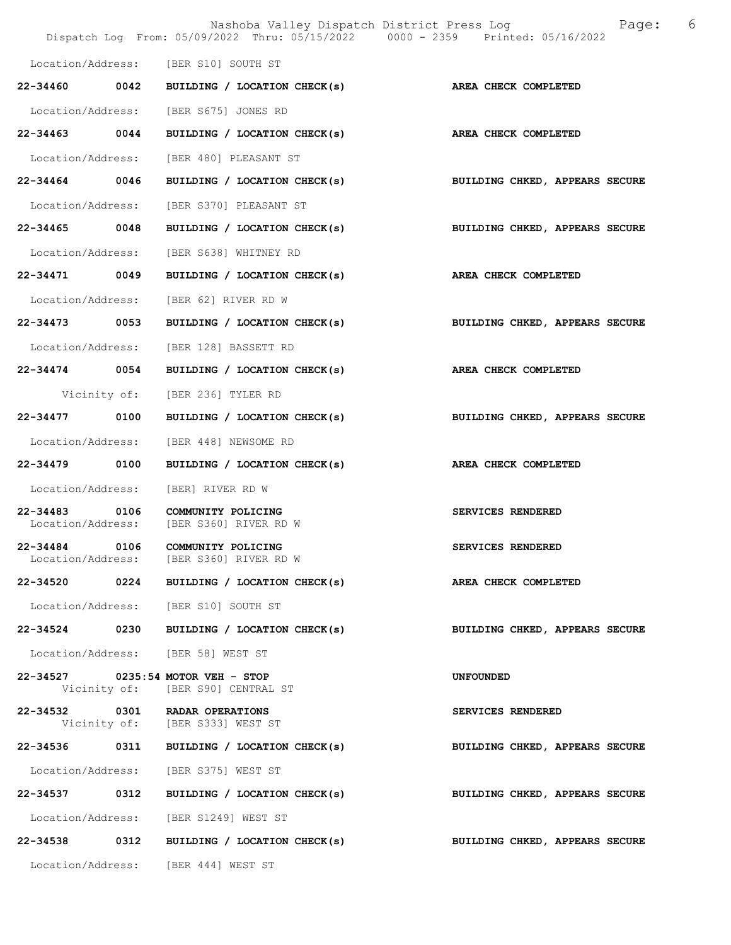|                                    | Nashoba Valley Dispatch District Press Log<br>Dispatch Log From: 05/09/2022 Thru: 05/15/2022 0000 - 2359 Printed: 05/16/2022 | - 6<br>Page:                   |
|------------------------------------|------------------------------------------------------------------------------------------------------------------------------|--------------------------------|
|                                    |                                                                                                                              |                                |
|                                    | Location/Address: [BER S10] SOUTH ST                                                                                         |                                |
|                                    | 22-34460 0042 BUILDING / LOCATION CHECK(s) AREA CHECK COMPLETED                                                              |                                |
|                                    | Location/Address: [BER S675] JONES RD                                                                                        |                                |
| 22-34463 0044                      | BUILDING / LOCATION CHECK(s)                                                                                                 | AREA CHECK COMPLETED           |
|                                    | Location/Address: [BER 480] PLEASANT ST                                                                                      |                                |
| 22-34464 0046                      | BUILDING / LOCATION CHECK(s)                                                                                                 | BUILDING CHKED, APPEARS SECURE |
| Location/Address:                  | [BER S370] PLEASANT ST                                                                                                       |                                |
| 22-34465 0048                      | BUILDING / LOCATION CHECK(s)                                                                                                 | BUILDING CHKED, APPEARS SECURE |
|                                    | Location/Address: [BER S638] WHITNEY RD                                                                                      |                                |
| 22-34471 0049                      | BUILDING / LOCATION CHECK(s)                                                                                                 | AREA CHECK COMPLETED           |
|                                    | Location/Address: [BER 62] RIVER RD W                                                                                        |                                |
|                                    | 22-34473 0053 BUILDING / LOCATION CHECK(s)                                                                                   | BUILDING CHKED, APPEARS SECURE |
|                                    | Location/Address: [BER 128] BASSETT RD                                                                                       |                                |
| 22-34474 0054                      | BUILDING / LOCATION CHECK(s)                                                                                                 | AREA CHECK COMPLETED           |
|                                    | Vicinity of: [BER 236] TYLER RD                                                                                              |                                |
| 22-34477 0100                      | BUILDING / LOCATION CHECK(s)                                                                                                 | BUILDING CHKED, APPEARS SECURE |
|                                    | Location/Address: [BER 448] NEWSOME RD                                                                                       |                                |
| 22-34479 0100                      | BUILDING / LOCATION CHECK(s)                                                                                                 | AREA CHECK COMPLETED           |
|                                    | Location/Address: [BER] RIVER RD W                                                                                           |                                |
| 22-34483 0106<br>Location/Address: | COMMUNITY POLICING<br>[BER S360] RIVER RD W                                                                                  | SERVICES RENDERED              |
| 22-34484 0106                      | COMMUNITY POLICING<br>Location/Address: [BER S360] RIVER RD W                                                                | SERVICES RENDERED              |
| 22-34520                           | 0224 BUILDING / LOCATION CHECK(s)                                                                                            | <b>AREA CHECK COMPLETED</b>    |
|                                    | Location/Address: [BER S10] SOUTH ST                                                                                         |                                |
| 22-34524 0230                      | BUILDING / LOCATION CHECK(s)                                                                                                 | BUILDING CHKED, APPEARS SECURE |
|                                    | Location/Address: [BER 58] WEST ST                                                                                           |                                |
|                                    | 22-34527 0235:54 MOTOR VEH - STOP<br>Vicinity of: [BER S90] CENTRAL ST                                                       | UNFOUNDED                      |
|                                    | 22-34532 0301 RADAR OPERATIONS<br>Vicinity of: [BER S333] WEST ST                                                            | SERVICES RENDERED              |
|                                    | 22-34536 0311 BUILDING / LOCATION CHECK(s)                                                                                   | BUILDING CHKED, APPEARS SECURE |
|                                    | Location/Address: [BER S375] WEST ST                                                                                         |                                |
|                                    | 22-34537 0312 BUILDING / LOCATION CHECK(s)                                                                                   | BUILDING CHKED, APPEARS SECURE |
|                                    | Location/Address: [BER S1249] WEST ST                                                                                        |                                |
| 22-34538                           | 0312 BUILDING / LOCATION CHECK(s)                                                                                            | BUILDING CHKED, APPEARS SECURE |
|                                    | Location/Address: [BER 444] WEST ST                                                                                          |                                |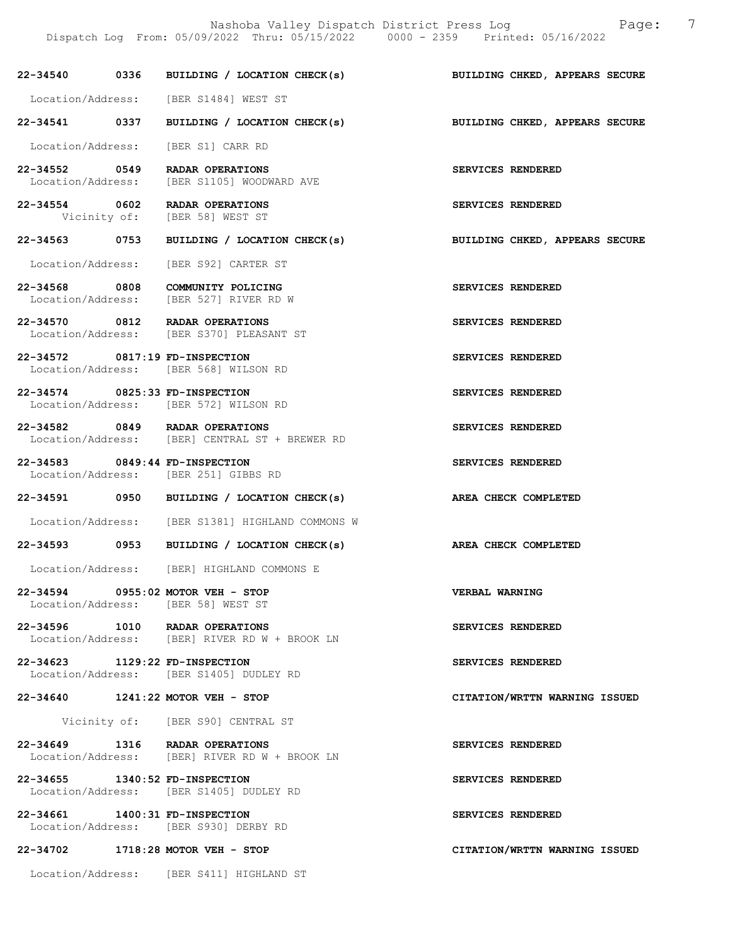22-34540 0336 BUILDING / LOCATION CHECK(s) BUILDING CHKED, APPEARS SECURE Location/Address: [BER S1484] WEST ST 22-34541 0337 BUILDING / LOCATION CHECK(s) BUILDING CHKED, APPEARS SECURE Location/Address: [BER S1] CARR RD 22-34552 0549 RADAR OPERATIONS SERVICES RENDERED Location/Address: [BER S1105] WOODWARD AVE 22-34554 0602 RADAR OPERATIONS SERVICES RENDERED Vicinity of: [BER 58] WEST ST 22-34563 0753 BUILDING / LOCATION CHECK(s) BUILDING CHKED, APPEARS SECURE Location/Address: [BER S92] CARTER ST 22-34568 0808 COMMUNITY POLICING SERVICES RENDERED Location/Address: [BER 527] RIVER RD W 22-34570 0812 RADAR OPERATIONS SERVICES RENDERED Location/Address: [BER S370] PLEASANT ST 22-34572 0817:19 FD-INSPECTION SERVICES RENDERED<br>
Location/Address: [BER 568] WILSON RD [BER 568] WILSON RD 22-34574 0825:33 FD-INSPECTION SERVICES RENDERED Location/Address: [BER 572] WILSON RD 22-34582 0849 RADAR OPERATIONS SERVICES RENDERED<br>Location/Address: [BER] CENTRAL ST + BREWER RD [BER] CENTRAL ST + BREWER RD 22-34583 0849:44 FD-INSPECTION SERVICES RENDERED Location/Address: [BER 251] GIBBS RD 22-34591 0950 BUILDING / LOCATION CHECK(s) AREA CHECK COMPLETED Location/Address: [BER S1381] HIGHLAND COMMONS W 22-34593 0953 BUILDING / LOCATION CHECK(s) AREA CHECK COMPLETED Location/Address: [BER] HIGHLAND COMMONS E 22-34594 0955:02 MOTOR VEH - STOP VERBAL WARNING Location/Address: [BER 58] WEST ST 22-34596 1010 RADAR OPERATIONS SERVICES RENDERED Location/Address: [BER] RIVER RD W + BROOK LN 22-34623 1129:22 FD-INSPECTION SERVICES RENDERED Location/Address: [BER S1405] DUDLEY RD 22-34640 1241:22 MOTOR VEH - STOP CITATION/WRTTN WARNING ISSUED Vicinity of: [BER S90] CENTRAL ST 22-34649 1316 RADAR OPERATIONS SERVICES RENDERED<br>Location/Address: [BER] RIVER RD W + BROOK LN  $[BER]$  RIVER RD W + BROOK LN

22-34655 1340:52 FD-INSPECTION SERVICES RENDERED Location/Address: [BER S1405] DUDLEY RD

22-34661 1400:31 FD-INSPECTION SERVICES RENDERED Location/Address: [BER S930] DERBY RD

22-34702 1718:28 MOTOR VEH - STOP CITATION/WRTTN WARNING ISSUED

Location/Address: [BER S411] HIGHLAND ST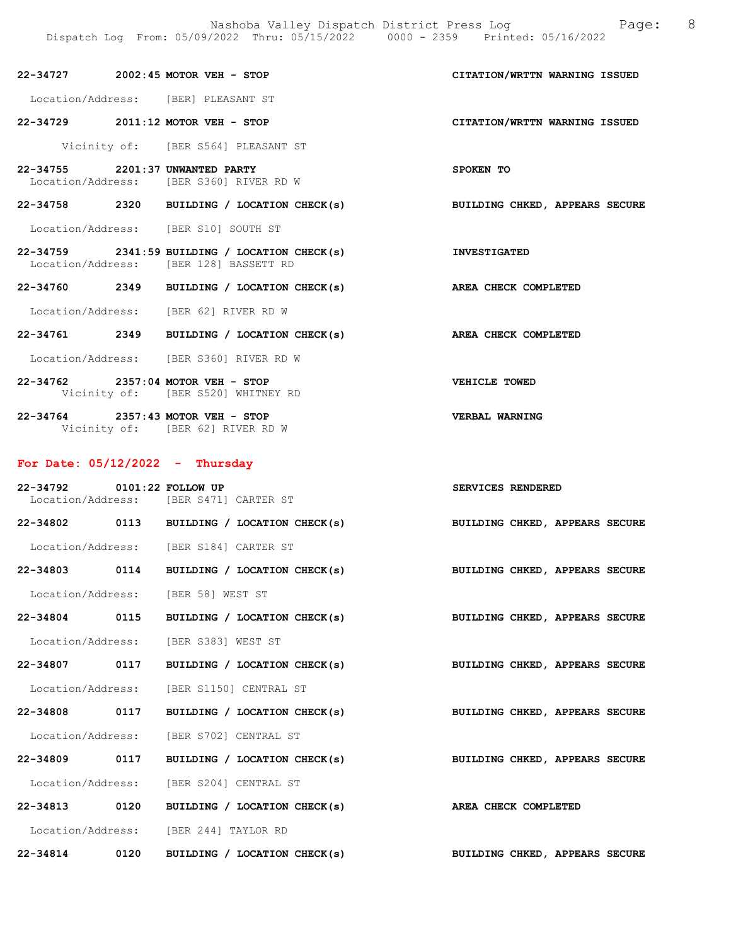| 22-34727                             | $2002:45$ MOTOR VEH - STOP                                                                | CITATION/WRTTN WARNING ISSUED  |
|--------------------------------------|-------------------------------------------------------------------------------------------|--------------------------------|
| Location/Address: [BER] PLEASANT ST  |                                                                                           |                                |
| 22-34729                             | 2011:12 MOTOR VEH - STOP                                                                  | CITATION/WRTTN WARNING ISSUED  |
|                                      | Vicinity of: [BER S564] PLEASANT ST                                                       |                                |
| 22-34755 2201:37 UNWANTED PARTY      | Location/Address: [BER S360] RIVER RD W                                                   | SPOKEN TO                      |
| 22-34758<br>2320                     | BUILDING / LOCATION CHECK(s)                                                              | BUILDING CHKED, APPEARS SECURE |
| Location/Address: [BER S10] SOUTH ST |                                                                                           |                                |
|                                      | $22-34759$ 2341:59 BUILDING / LOCATION CHECK(s)<br>Location/Address: [BER 128] BASSETT RD | <b>INVESTIGATED</b>            |
| 2349<br>22-34760                     | BUILDING / LOCATION CHECK(s)                                                              | AREA CHECK COMPLETED           |

Location/Address: [BER 62] RIVER RD W

- 22-34761 2349 BUILDING / LOCATION CHECK(s) AREA CHECK COMPLETED Location/Address: [BER S360] RIVER RD W
- 22-34762 2357:04 MOTOR VEH STOP VEHICLE TOWED Vicinity of: [BER S520] WHITNEY RD

22-34764 2357:43 MOTOR VEH - STOP VERBAL WARNING Vicinity of: [BER 62] RIVER RD W

## For Date: 05/12/2022 - Thursday

| 22-34792 0101:22 FOLLOW UP<br>Location/Address: [BER S471] CARTER ST |  |                                                                           | SERVICES RENDERED              |  |  |
|----------------------------------------------------------------------|--|---------------------------------------------------------------------------|--------------------------------|--|--|
|                                                                      |  | 22-34802 0113 BUILDING / LOCATION CHECK(s) BUILDING CHKED, APPEARS SECURE |                                |  |  |
| Location/Address: [BER S184] CARTER ST                               |  |                                                                           |                                |  |  |
|                                                                      |  | 22-34803 0114 BUILDING / LOCATION CHECK(s) BUILDING CHKED, APPEARS SECURE |                                |  |  |
| Location/Address: [BER 58] WEST ST                                   |  |                                                                           |                                |  |  |
|                                                                      |  | 22-34804 0115 BUILDING / LOCATION CHECK(s) BUILDING CHKED, APPEARS SECURE |                                |  |  |
| Location/Address: [BER S383] WEST ST                                 |  |                                                                           |                                |  |  |
|                                                                      |  | 22-34807 0117 BUILDING / LOCATION CHECK(s) BUILDING CHKED, APPEARS SECURE |                                |  |  |
| Location/Address: [BER S1150] CENTRAL ST                             |  |                                                                           |                                |  |  |
|                                                                      |  | 22-34808 0117 BUILDING / LOCATION CHECK(s) BUILDING CHKED, APPEARS SECURE |                                |  |  |
| Location/Address: [BER S702] CENTRAL ST                              |  |                                                                           |                                |  |  |
|                                                                      |  | 22-34809 0117 BUILDING / LOCATION CHECK(s) BUILDING CHKED, APPEARS SECURE |                                |  |  |
| Location/Address: [BER S204] CENTRAL ST                              |  |                                                                           |                                |  |  |
| 22-34813 0120                                                        |  | BUILDING / LOCATION CHECK(s) AREA CHECK COMPLETED                         |                                |  |  |
| Location/Address: [BER 244] TAYLOR RD                                |  |                                                                           |                                |  |  |
| 22-34814 0120                                                        |  | BUILDING / LOCATION CHECK(s)                                              | BUILDING CHKED, APPEARS SECURE |  |  |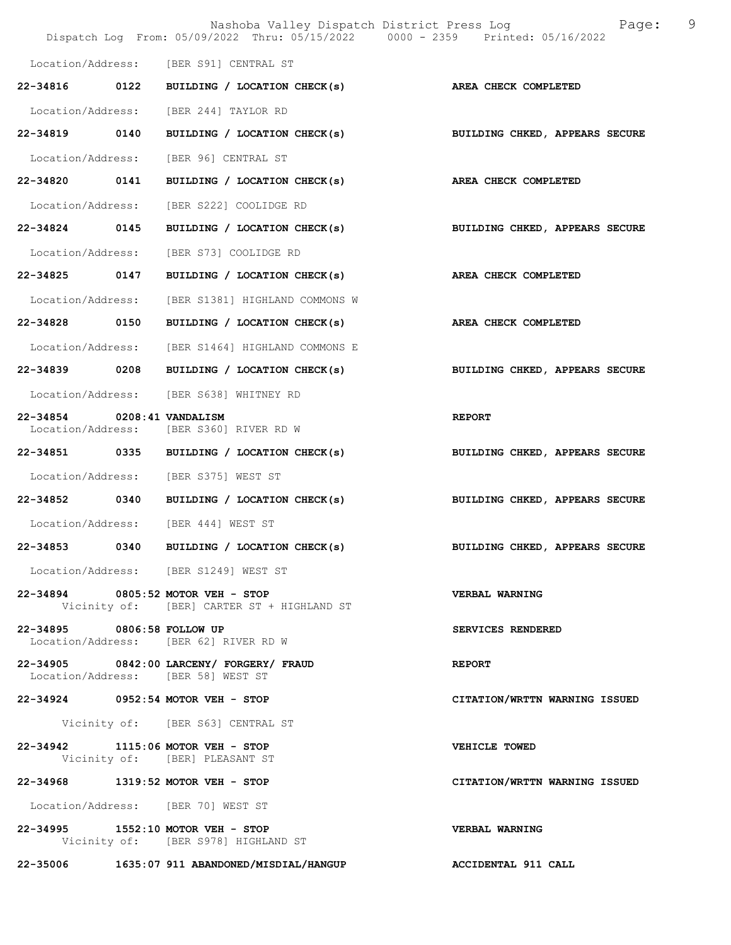|                            | Nashoba Valley Dispatch District Press Log<br>Dispatch Log From: 05/09/2022 Thru: 05/15/2022 0000 - 2359 Printed: 05/16/2022 | 9<br>Page:                     |
|----------------------------|------------------------------------------------------------------------------------------------------------------------------|--------------------------------|
|                            | Location/Address: [BER S91] CENTRAL ST                                                                                       |                                |
| 22-34816 0122              | BUILDING / LOCATION CHECK(s)                                                                                                 | AREA CHECK COMPLETED           |
|                            | Location/Address: [BER 244] TAYLOR RD                                                                                        |                                |
| 22-34819 0140              | BUILDING / LOCATION CHECK(s)                                                                                                 | BUILDING CHKED, APPEARS SECURE |
|                            | Location/Address: [BER 96] CENTRAL ST                                                                                        |                                |
| 22-34820 0141              | BUILDING / LOCATION CHECK(s)                                                                                                 | <b>AREA CHECK COMPLETED</b>    |
| Location/Address:          | [BER S222] COOLIDGE RD                                                                                                       |                                |
| 22-34824 0145              | BUILDING / LOCATION CHECK(s)                                                                                                 | BUILDING CHKED, APPEARS SECURE |
| Location/Address:          | [BER S73] COOLIDGE RD                                                                                                        |                                |
| 22-34825 0147              | BUILDING / LOCATION CHECK(s)                                                                                                 | AREA CHECK COMPLETED           |
| Location/Address:          | [BER S1381] HIGHLAND COMMONS W                                                                                               |                                |
| 22-34828 0150              | BUILDING / LOCATION CHECK(s)                                                                                                 | AREA CHECK COMPLETED           |
|                            | Location/Address: [BER S1464] HIGHLAND COMMONS E                                                                             |                                |
| 22-34839 0208              | BUILDING / LOCATION CHECK(s)                                                                                                 | BUILDING CHKED, APPEARS SECURE |
|                            | Location/Address: [BER S638] WHITNEY RD                                                                                      |                                |
| 22-34854                   | $0208:41$ VANDALISM<br>Location/Address: [BER S360] RIVER RD W                                                               | <b>REPORT</b>                  |
|                            | 22-34851 0335 BUILDING / LOCATION CHECK(s)                                                                                   | BUILDING CHKED, APPEARS SECURE |
|                            | Location/Address: [BER S375] WEST ST                                                                                         |                                |
|                            | 22-34852 0340 BUILDING / LOCATION CHECK(s)                                                                                   | BUILDING CHKED, APPEARS SECURE |
|                            | Location/Address: [BER 444] WEST ST                                                                                          |                                |
| 22-34853                   | 0340 BUILDING / LOCATION CHECK(s)                                                                                            | BUILDING CHKED, APPEARS SECURE |
|                            | Location/Address: [BER S1249] WEST ST                                                                                        |                                |
|                            | 22-34894 0805:52 MOTOR VEH - STOP<br>Vicinity of: [BER] CARTER ST + HIGHLAND ST                                              | VERBAL WARNING                 |
| 22-34895 0806:58 FOLLOW UP | Location/Address: [BER 62] RIVER RD W                                                                                        | SERVICES RENDERED              |
|                            | 22-34905 0842:00 LARCENY/ FORGERY/ FRAUD<br>Location/Address: [BER 58] WEST ST                                               | <b>REPORT</b>                  |
|                            | 22-34924 0952:54 MOTOR VEH - STOP                                                                                            | CITATION/WRTTN WARNING ISSUED  |
|                            | Vicinity of: [BER S63] CENTRAL ST                                                                                            |                                |
|                            | 22-34942 1115:06 MOTOR VEH - STOP<br>Vicinity of: [BER] PLEASANT ST                                                          | VEHICLE TOWED                  |
|                            | 22-34968 1319:52 MOTOR VEH - STOP                                                                                            | CITATION/WRTTN WARNING ISSUED  |
|                            | Location/Address: [BER 70] WEST ST                                                                                           |                                |
|                            | 22-34995 1552:10 MOTOR VEH - STOP<br>Vicinity of: [BER S978] HIGHLAND ST                                                     | VERBAL WARNING                 |
|                            | 22-35006 1635:07 911 ABANDONED/MISDIAL/HANGUP                                                                                | ACCIDENTAL 911 CALL            |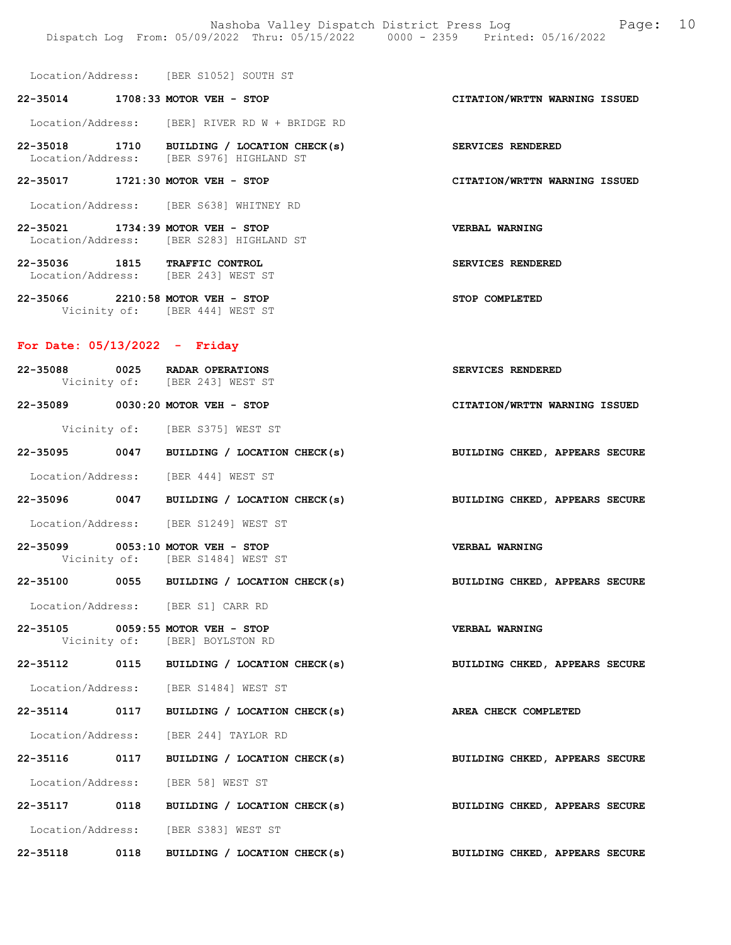Location/Address: [BER S1052] SOUTH ST

## 22-35014 1708:33 MOTOR VEH - STOP CITATION/WRTTN WARNING ISSUED

Location/Address: [BER] RIVER RD W + BRIDGE RD

22-35018 1710 BUILDING / LOCATION CHECK(s) SERVICES RENDERED Location/Address: [BER S976] HIGHLAND ST

## 22-35017 1721:30 MOTOR VEH - STOP CITATION/WRTTN WARNING ISSUED

Location/Address: [BER S638] WHITNEY RD

- 22-35021 1734:39 MOTOR VEH STOP VERBAL WARNING Location/Address: [BER S283] HIGHLAND ST
- 22-35036 1815 TRAFFIC CONTROL SERVICES RENDERED Location/Address: [BER 243] WEST ST
- 22-35066 2210:58 MOTOR VEH STOP STOP COMPLETED Vicinity of: [BER 444] WEST ST

#### For Date: 05/13/2022 - Friday

|  | 22-35088 0025 RADAR OPERATIONS<br>Vicinity of: [BER 243] WEST ST      |                                                                 | SERVICES RENDERED                                                         |
|--|-----------------------------------------------------------------------|-----------------------------------------------------------------|---------------------------------------------------------------------------|
|  | 22-35089 0030:20 MOTOR VEH - STOP                                     |                                                                 | CITATION/WRTTN WARNING ISSUED                                             |
|  | Vicinity of: [BER S375] WEST ST                                       |                                                                 |                                                                           |
|  |                                                                       |                                                                 | 22-35095 0047 BUILDING / LOCATION CHECK(s) BUILDING CHKED, APPEARS SECURE |
|  | Location/Address: [BER 444] WEST ST                                   |                                                                 |                                                                           |
|  |                                                                       |                                                                 | 22-35096 0047 BUILDING / LOCATION CHECK(s) BUILDING CHKED, APPEARS SECURE |
|  | Location/Address: [BER S1249] WEST ST                                 |                                                                 |                                                                           |
|  | 22-35099 0053:10 MOTOR VEH - STOP<br>Vicinity of: [BER S1484] WEST ST |                                                                 | <b>VERBAL WARNING</b>                                                     |
|  |                                                                       |                                                                 | 22-35100 0055 BUILDING / LOCATION CHECK(s) BUILDING CHKED, APPEARS SECURE |
|  | Location/Address: [BER S1] CARR RD                                    |                                                                 |                                                                           |
|  | 22-35105 0059:55 MOTOR VEH - STOP<br>Vicinity of: [BER] BOYLSTON RD   |                                                                 | <b>VERBAL WARNING</b>                                                     |
|  |                                                                       |                                                                 | 22-35112 0115 BUILDING / LOCATION CHECK(s) BUILDING CHKED, APPEARS SECURE |
|  | Location/Address: [BER S1484] WEST ST                                 |                                                                 |                                                                           |
|  |                                                                       | 22-35114 0117 BUILDING / LOCATION CHECK(s) AREA CHECK COMPLETED |                                                                           |
|  | Location/Address: [BER 244] TAYLOR RD                                 |                                                                 |                                                                           |
|  |                                                                       |                                                                 | 22-35116 0117 BUILDING / LOCATION CHECK(s) BUILDING CHKED, APPEARS SECURE |
|  | Location/Address: [BER 58] WEST ST                                    |                                                                 |                                                                           |
|  |                                                                       |                                                                 | 22-35117 0118 BUILDING / LOCATION CHECK(s) BUILDING CHKED, APPEARS SECURE |
|  | Location/Address: [BER S383] WEST ST                                  |                                                                 |                                                                           |
|  |                                                                       |                                                                 | 22-35118 0118 BUILDING / LOCATION CHECK(s) BUILDING CHKED, APPEARS SECURE |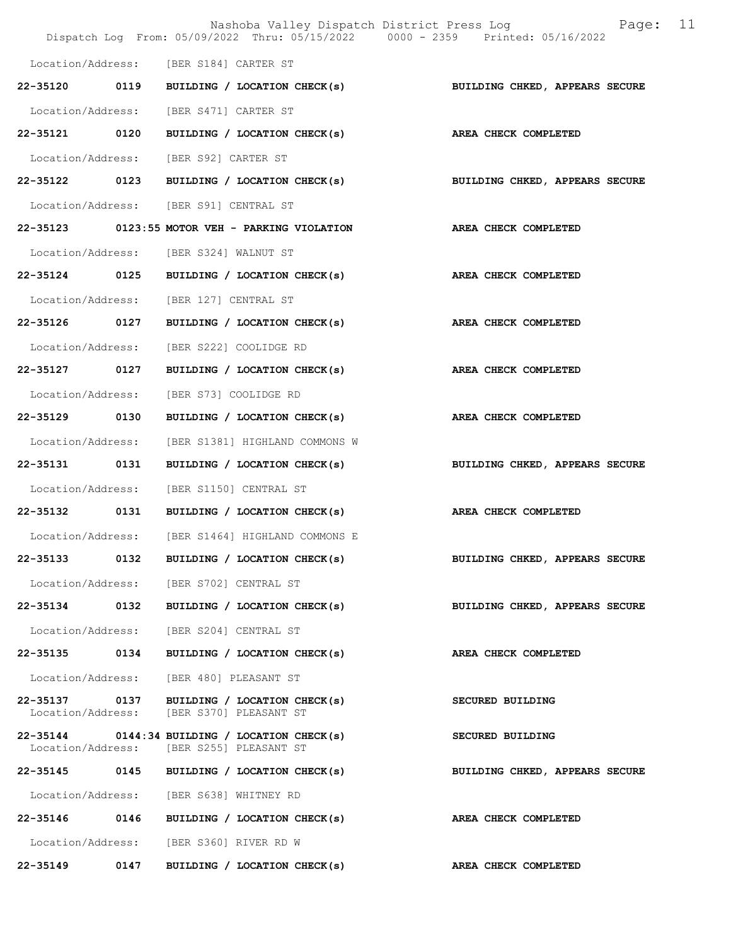|                   |      | Nashoba Valley Dispatch District Press Log Tage:<br>Dispatch Log From: 05/09/2022 Thru: 05/15/2022 0000 - 2359 Printed: 05/16/2022 | 11                             |
|-------------------|------|------------------------------------------------------------------------------------------------------------------------------------|--------------------------------|
|                   |      | Location/Address: [BER S184] CARTER ST                                                                                             |                                |
| 22-35120          | 0119 | BUILDING / LOCATION CHECK(s)                                                                                                       | BUILDING CHKED, APPEARS SECURE |
|                   |      | Location/Address: [BER S471] CARTER ST                                                                                             |                                |
|                   |      | 22-35121 0120 BUILDING / LOCATION CHECK(s) AREA CHECK COMPLETED                                                                    |                                |
|                   |      | Location/Address: [BER S92] CARTER ST                                                                                              |                                |
| 22-35122 0123     |      | BUILDING / LOCATION CHECK(s)                                                                                                       | BUILDING CHKED, APPEARS SECURE |
|                   |      | Location/Address: [BER S91] CENTRAL ST                                                                                             |                                |
|                   |      | 22-35123 0123:55 MOTOR VEH - PARKING VIOLATION                                                                                     | AREA CHECK COMPLETED           |
|                   |      | Location/Address: [BER S324] WALNUT ST                                                                                             |                                |
| 22-35124 0125     |      | BUILDING / LOCATION CHECK(s) AREA CHECK COMPLETED                                                                                  |                                |
|                   |      | Location/Address: [BER 127] CENTRAL ST                                                                                             |                                |
| 22-35126 0127     |      | BUILDING / LOCATION CHECK(s)                                                                                                       | AREA CHECK COMPLETED           |
| Location/Address: |      | [BER S222] COOLIDGE RD                                                                                                             |                                |
| 22-35127 0127     |      | BUILDING / LOCATION CHECK(s)                                                                                                       | AREA CHECK COMPLETED           |
| Location/Address: |      | [BER S73] COOLIDGE RD                                                                                                              |                                |
| 22-35129          | 0130 | BUILDING / LOCATION CHECK(s)                                                                                                       | AREA CHECK COMPLETED           |
| Location/Address: |      | [BER S1381] HIGHLAND COMMONS W                                                                                                     |                                |
| 22-35131 0131     |      | BUILDING / LOCATION CHECK(s)                                                                                                       | BUILDING CHKED, APPEARS SECURE |
| Location/Address: |      | [BER S1150] CENTRAL ST                                                                                                             |                                |
| 22-35132 0131     |      | BUILDING / LOCATION CHECK(s)                                                                                                       | AREA CHECK COMPLETED           |
|                   |      | Location/Address: [BER S1464] HIGHLAND COMMONS E                                                                                   |                                |
| 22-35133          | 0132 | BUILDING / LOCATION CHECK(s)                                                                                                       | BUILDING CHKED, APPEARS SECURE |
|                   |      | Location/Address: [BER S702] CENTRAL ST                                                                                            |                                |
| 22-35134 0132     |      | BUILDING / LOCATION CHECK(s)                                                                                                       | BUILDING CHKED, APPEARS SECURE |
| Location/Address: |      | [BER S204] CENTRAL ST                                                                                                              |                                |
| 22-35135          | 0134 | BUILDING / LOCATION CHECK(s)                                                                                                       | AREA CHECK COMPLETED           |
| Location/Address: |      | [BER 480] PLEASANT ST                                                                                                              |                                |
|                   |      | 22-35137 0137 BUILDING / LOCATION CHECK(s)<br>Location/Address: [BER S370] PLEASANT ST                                             | SECURED BUILDING               |
| Location/Address: |      | $22-35144$ 0144:34 BUILDING / LOCATION CHECK(s)<br>[BER S255] PLEASANT ST                                                          | SECURED BUILDING               |
|                   |      | 22-35145 0145 BUILDING / LOCATION CHECK(s)                                                                                         | BUILDING CHKED, APPEARS SECURE |
|                   |      | Location/Address: [BER S638] WHITNEY RD                                                                                            |                                |
| 22-35146 0146     |      | BUILDING / LOCATION CHECK(s)                                                                                                       | AREA CHECK COMPLETED           |
|                   |      | Location/Address: [BER S360] RIVER RD W                                                                                            |                                |
| 22-35149          | 0147 | BUILDING / LOCATION CHECK(s)                                                                                                       | AREA CHECK COMPLETED           |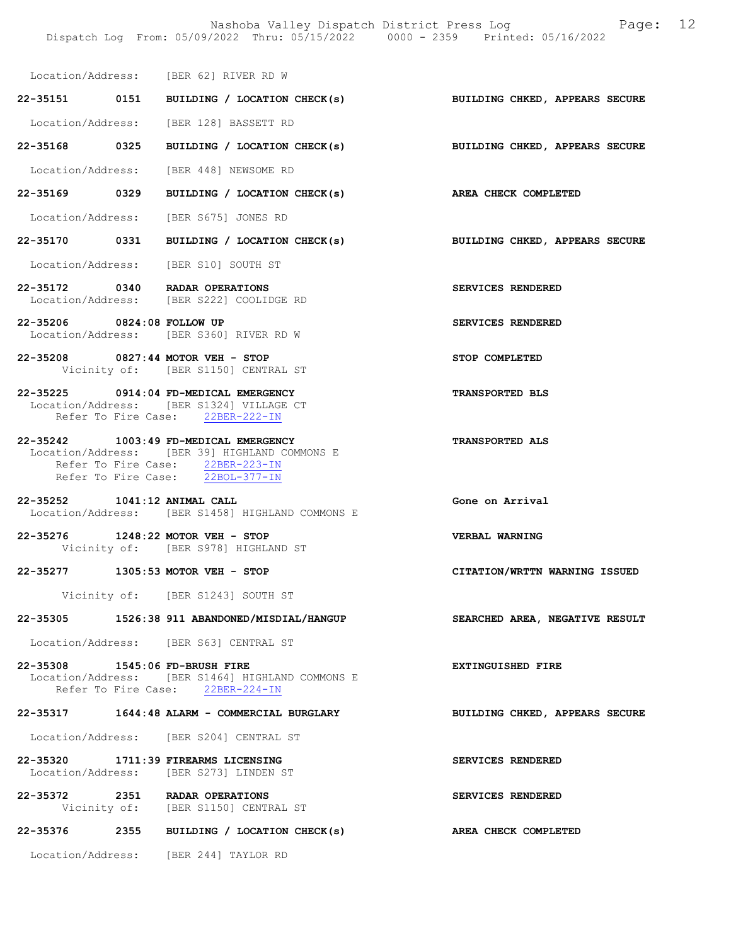Location/Address: [BER 62] RIVER RD W

22-35151 0151 BUILDING / LOCATION CHECK(s) BUILDING CHKED, APPEARS SECURE Location/Address: [BER 128] BASSETT RD

22-35168 0325 BUILDING / LOCATION CHECK(s) BUILDING CHKED, APPEARS SECURE

Location/Address: [BER 448] NEWSOME RD

22-35169 0329 BUILDING / LOCATION CHECK(s) AREA CHECK COMPLETED

Location/Address: [BER S675] JONES RD

22-35170 0331 BUILDING / LOCATION CHECK(s) BUILDING CHKED, APPEARS SECURE

Location/Address: [BER S10] SOUTH ST

- 22-35172 0340 RADAR OPERATIONS SERVICES RENDERED<br>Location/Address: [BER S222] COOLIDGE RD Location/Address: [BER S222] COOLIDGE RD
- 22-35206 0824:08 FOLLOW UP SERVICES RENDERED Location/Address: [BER S360] RIVER RD W
- 22-35208 0827:44 MOTOR VEH STOP STOP COMPLETED Vicinity of: [BER S1150] CENTRAL ST

22-35225 0914:04 FD-MEDICAL EMERGENCY TRANSPORTED BLS Location/Address: [BER S1324] VILLAGE CT Refer To Fire Case: 22BER-222-IN

- 22-35242 1003:49 FD-MEDICAL EMERGENCY TRANSPORTED ALS Location/Address: [BER 39] HIGHLAND COMMONS E Refer To Fire Case: 22BER-223-IN Refer To Fire Case: 22BOL-377-IN
- 22-35252 1041:12 ANIMAL CALL Gone on Arrival Location/Address: [BER S1458] HIGHLAND COMMONS E

22-35276 1248:22 MOTOR VEH - STOP VERBAL WARNING Vicinity of: [BER S978] HIGHLAND ST

22-35277 1305:53 MOTOR VEH - STOP CITATION/WRTTN WARNING ISSUED

Vicinity of: [BER S1243] SOUTH ST

# 22-35305 1526:38 911 ABANDONED/MISDIAL/HANGUP SEARCHED AREA, NEGATIVE RESULT

Location/Address: [BER S63] CENTRAL ST

22-35308 1545:06 FD-BRUSH FIRE EXTINGUISHED FIRE Location/Address: [BER S1464] HIGHLAND COMMONS E Refer To Fire Case: 22BER-224-IN

## 22-35317 1644:48 ALARM - COMMERCIAL BURGLARY BUILDING CHKED, APPEARS SECURE

Location/Address: [BER S204] CENTRAL ST

- 22-35320 1711:39 FIREARMS LICENSING SERVICES RENDERED Location/Address: [BER S273] LINDEN ST
- 22-35372 2351 RADAR OPERATIONS SERVICES RENDERED Vicinity of: [BER S1150] CENTRAL ST
- 22-35376 2355 BUILDING / LOCATION CHECK(s) AREA CHECK COMPLETED

Location/Address: [BER 244] TAYLOR RD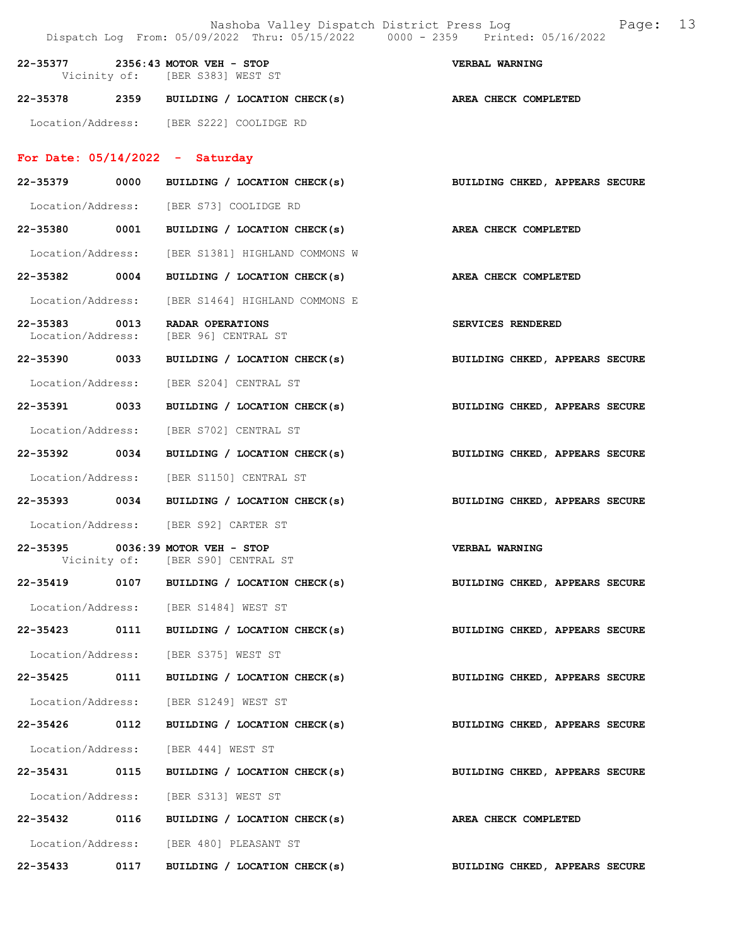|                                    |      | Dispatch Log From: 05/09/2022 Thru: 05/15/2022 0000 - 2359 Printed: 05/16/2022 | 13<br>Page:<br>Nashoba Valley Dispatch District Press Log |  |
|------------------------------------|------|--------------------------------------------------------------------------------|-----------------------------------------------------------|--|
|                                    |      | 22-35377 2356:43 MOTOR VEH - STOP<br>Vicinity of: [BER S383] WEST ST           | <b>VERBAL WARNING</b>                                     |  |
|                                    |      | 22-35378 2359 BUILDING / LOCATION CHECK(s)                                     | AREA CHECK COMPLETED                                      |  |
|                                    |      | Location/Address: [BER S222] COOLIDGE RD                                       |                                                           |  |
|                                    |      | For Date: $05/14/2022 -$ Saturday                                              |                                                           |  |
|                                    |      | 22-35379 0000 BUILDING / LOCATION CHECK(s)                                     | BUILDING CHKED, APPEARS SECURE                            |  |
|                                    |      | Location/Address: [BER S73] COOLIDGE RD                                        |                                                           |  |
|                                    |      | 22-35380 0001 BUILDING / LOCATION CHECK(s)                                     | AREA CHECK COMPLETED                                      |  |
|                                    |      | Location/Address: [BER S1381] HIGHLAND COMMONS W                               |                                                           |  |
| 22-35382 0004                      |      | BUILDING / LOCATION CHECK(s)                                                   | AREA CHECK COMPLETED                                      |  |
| Location/Address:                  |      | [BER S1464] HIGHLAND COMMONS E                                                 |                                                           |  |
| 22-35383 0013<br>Location/Address: |      | RADAR OPERATIONS<br>[BER 96] CENTRAL ST                                        | SERVICES RENDERED                                         |  |
| 22-35390 0033                      |      | BUILDING / LOCATION CHECK(s)                                                   | BUILDING CHKED, APPEARS SECURE                            |  |
|                                    |      | Location/Address: [BER S204] CENTRAL ST                                        |                                                           |  |
|                                    |      | 22-35391 0033 BUILDING / LOCATION CHECK(s)                                     | BUILDING CHKED, APPEARS SECURE                            |  |
| Location/Address:                  |      | [BER S702] CENTRAL ST                                                          |                                                           |  |
| 22-35392 0034                      |      | BUILDING / LOCATION CHECK(s)                                                   | BUILDING CHKED, APPEARS SECURE                            |  |
| Location/Address:                  |      | [BER S1150] CENTRAL ST                                                         |                                                           |  |
|                                    |      | 22-35393 0034 BUILDING / LOCATION CHECK(s)                                     | BUILDING CHKED, APPEARS SECURE                            |  |
|                                    |      | Location/Address: [BER S92] CARTER ST                                          |                                                           |  |
|                                    |      | 22-35395 0036:39 MOTOR VEH - STOP<br>Vicinity of: [BER S90] CENTRAL ST         | VERBAL WARNING                                            |  |
| 22-35419                           |      | 0107 BUILDING / LOCATION CHECK(s)                                              | BUILDING CHKED, APPEARS SECURE                            |  |
|                                    |      | Location/Address: [BER S1484] WEST ST                                          |                                                           |  |
|                                    |      | 22-35423 0111 BUILDING / LOCATION CHECK(s)                                     | BUILDING CHKED, APPEARS SECURE                            |  |
|                                    |      | Location/Address: [BER S375] WEST ST                                           |                                                           |  |
| 22-35425 0111                      |      | BUILDING / LOCATION CHECK(s)                                                   | BUILDING CHKED, APPEARS SECURE                            |  |
|                                    |      | Location/Address: [BER S1249] WEST ST                                          |                                                           |  |
| 22-35426                           | 0112 | BUILDING / LOCATION CHECK(s)                                                   | BUILDING CHKED, APPEARS SECURE                            |  |
|                                    |      | Location/Address: [BER 444] WEST ST                                            |                                                           |  |
| 22-35431 0115                      |      | BUILDING / LOCATION CHECK(s)                                                   | BUILDING CHKED, APPEARS SECURE                            |  |
|                                    |      | Location/Address: [BER S313] WEST ST                                           |                                                           |  |
|                                    |      | 22-35432 0116 BUILDING / LOCATION CHECK(s)                                     | AREA CHECK COMPLETED                                      |  |
|                                    |      | Location/Address: [BER 480] PLEASANT ST                                        |                                                           |  |
| 22-35433                           | 0117 | BUILDING / LOCATION CHECK(s)                                                   | BUILDING CHKED, APPEARS SECURE                            |  |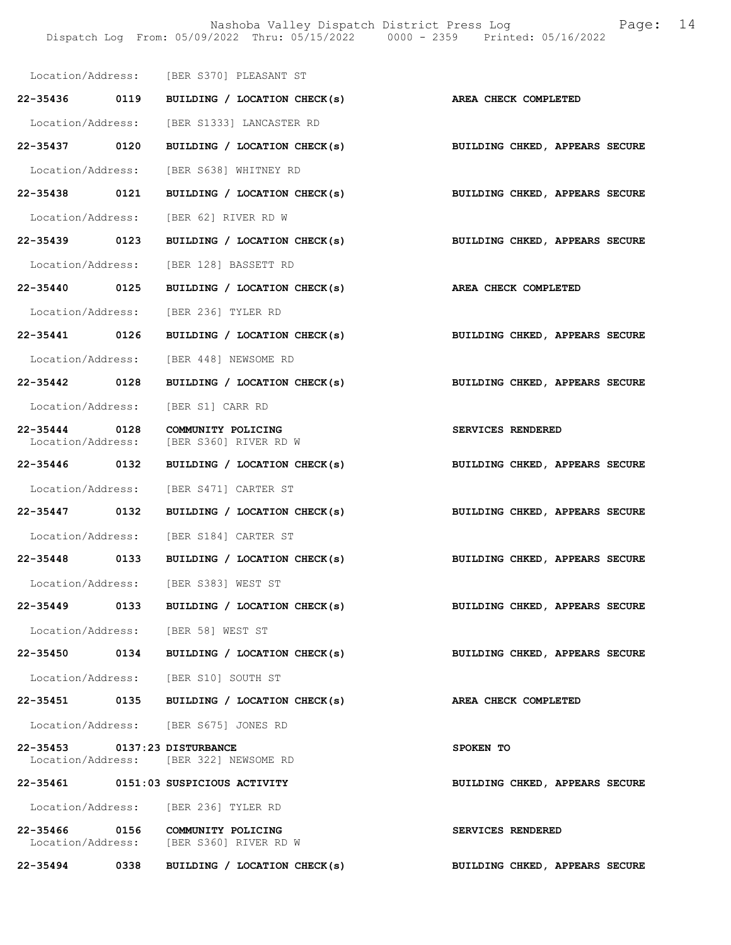Nashoba Valley Dispatch District Press Log Fage: 14 Dispatch Log From: 05/09/2022 Thru: 05/15/2022 0000 - 2359 Printed: 05/16/2022

|                              | Location/Address: [BER S370] PLEASANT ST                                    |                                |
|------------------------------|-----------------------------------------------------------------------------|--------------------------------|
|                              | 22-35436 0119 BUILDING / LOCATION CHECK(s) AREA CHECK COMPLETED             |                                |
|                              | Location/Address: [BER S1333] LANCASTER RD                                  |                                |
| 22-35437 0120                | BUILDING / LOCATION CHECK(s)                                                | BUILDING CHKED, APPEARS SECURE |
|                              | Location/Address: [BER S638] WHITNEY RD                                     |                                |
| 22-35438 0121                | BUILDING / LOCATION CHECK(s)                                                | BUILDING CHKED, APPEARS SECURE |
|                              | Location/Address: [BER 62] RIVER RD W                                       |                                |
| 22-35439 0123                | BUILDING / LOCATION CHECK(s) BUILDING CHKED, APPEARS SECURE                 |                                |
|                              | Location/Address: [BER 128] BASSETT RD                                      |                                |
| 22-35440 0125                | BUILDING / LOCATION CHECK(s) AREA CHECK COMPLETED                           |                                |
|                              | Location/Address: [BER 236] TYLER RD                                        |                                |
| 22-35441 0126                | BUILDING / LOCATION CHECK(s)                                                | BUILDING CHKED, APPEARS SECURE |
|                              | Location/Address: [BER 448] NEWSOME RD                                      |                                |
| 22-35442 0128                | BUILDING / LOCATION CHECK(s)                                                | BUILDING CHKED, APPEARS SECURE |
|                              | Location/Address: [BER S1] CARR RD                                          |                                |
| 22-35444 0128                | COMMUNITY POLICING                                                          | SERVICES RENDERED              |
|                              | Location/Address: [BER S360] RIVER RD W                                     |                                |
| 22-35446 0132                | BUILDING / LOCATION CHECK(s)                                                | BUILDING CHKED, APPEARS SECURE |
|                              | Location/Address: [BER S471] CARTER ST                                      |                                |
| 22-35447 0132                | BUILDING / LOCATION CHECK(s)                                                | BUILDING CHKED, APPEARS SECURE |
|                              | Location/Address: [BER S184] CARTER ST                                      |                                |
| 22-35448 0133                | BUILDING / LOCATION CHECK(s)                                                | BUILDING CHKED, APPEARS SECURE |
|                              | Location/Address: [BER S383] WEST ST                                        |                                |
|                              | 22-35449 0133 BUILDING / LOCATION CHECK(s)                                  | BUILDING CHKED, APPEARS SECURE |
|                              | Location/Address: [BER 58] WEST ST                                          |                                |
|                              | 22-35450 0134 BUILDING / LOCATION CHECK(s)                                  | BUILDING CHKED, APPEARS SECURE |
|                              | Location/Address: [BER S10] SOUTH ST                                        |                                |
|                              | 22-35451 0135 BUILDING / LOCATION CHECK(s)                                  | AREA CHECK COMPLETED           |
|                              | Location/Address: [BER S675] JONES RD                                       |                                |
| 22-35453 0137:23 DISTURBANCE | Location/Address: [BER 322] NEWSOME RD                                      | SPOKEN TO                      |
|                              | 22-35461 0151:03 SUSPICIOUS ACTIVITY                                        | BUILDING CHKED, APPEARS SECURE |
|                              | Location/Address: [BER 236] TYLER RD                                        |                                |
|                              | 22-35466 0156 COMMUNITY POLICING<br>Location/Address: [BER S360] RIVER RD W | SERVICES RENDERED              |
| 22-35494 0338                | BUILDING / LOCATION CHECK(s)                                                | BUILDING CHKED, APPEARS SECURE |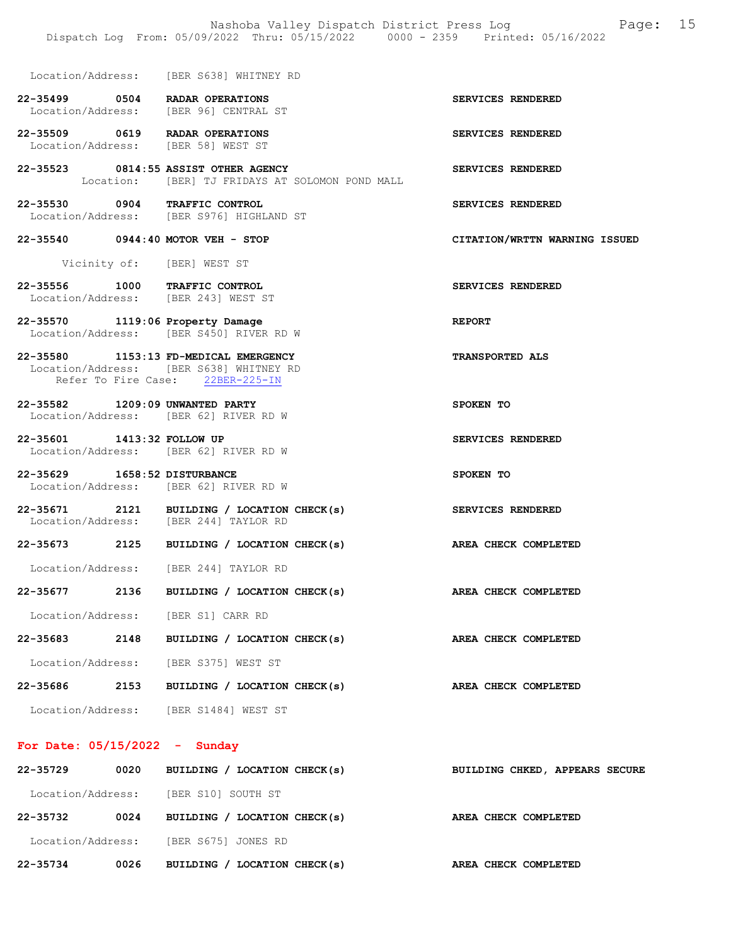|                                 | Location/Address: [BER S638] WHITNEY RD                                                                              |                                                                 |
|---------------------------------|----------------------------------------------------------------------------------------------------------------------|-----------------------------------------------------------------|
|                                 | 22-35499 0504 RADAR OPERATIONS<br>Location/Address: [BER 96] CENTRAL ST                                              | SERVICES RENDERED                                               |
|                                 | 22-35509 0619 RADAR OPERATIONS<br>Location/Address: [BER 58] WEST ST                                                 | SERVICES RENDERED                                               |
|                                 | 22-35523 0814:55 ASSIST OTHER AGENCY<br>Location: [BER] TJ FRIDAYS AT SOLOMON POND MALL                              | SERVICES RENDERED                                               |
|                                 | 22-35530 0904 TRAFFIC CONTROL<br>Location/Address: [BER S976] HIGHLAND ST                                            | SERVICES RENDERED                                               |
|                                 | 22-35540 0944:40 MOTOR VEH - STOP                                                                                    | CITATION/WRTTN WARNING ISSUED                                   |
|                                 | Vicinity of: [BER] WEST ST                                                                                           |                                                                 |
|                                 | 22-35556 1000 TRAFFIC CONTROL<br>Location/Address: [BER 243] WEST ST                                                 | SERVICES RENDERED                                               |
|                                 | 22-35570 1119:06 Property Damage<br>Location/Address: [BER S450] RIVER RD W                                          | <b>REPORT</b>                                                   |
|                                 | 22-35580 1153:13 FD-MEDICAL EMERGENCY<br>Location/Address: [BER S638] WHITNEY RD<br>Refer To Fire Case: 22BER-225-IN | TRANSPORTED ALS                                                 |
|                                 | 22-35582 1209:09 UNWANTED PARTY<br>Location/Address: [BER 62] RIVER RD W                                             | SPOKEN TO                                                       |
| 22-35601 1413:32 FOLLOW UP      | Location/Address: [BER 62] RIVER RD W                                                                                | SERVICES RENDERED                                               |
| 22-35629 1658:52 DISTURBANCE    | Location/Address: [BER 62] RIVER RD W                                                                                | SPOKEN TO                                                       |
|                                 | 22-35671 2121 BUILDING / LOCATION CHECK(s)<br>Location/Address: [BER 244] TAYLOR RD                                  | SERVICES RENDERED                                               |
|                                 |                                                                                                                      | 22-35673 2125 BUILDING / LOCATION CHECK(s) AREA CHECK COMPLETED |
|                                 | Location/Address: [BER 244] TAYLOR RD                                                                                |                                                                 |
| 22-35677                        | 2136<br>BUILDING / LOCATION CHECK(s)                                                                                 | <b>AREA CHECK COMPLETED</b>                                     |
|                                 | Location/Address: [BER S1] CARR RD                                                                                   |                                                                 |
| 22-35683                        | 2148 BUILDING / LOCATION CHECK(s)                                                                                    | AREA CHECK COMPLETED                                            |
|                                 | Location/Address: [BER S375] WEST ST                                                                                 |                                                                 |
| 22-35686                        | 2153<br>BUILDING / LOCATION CHECK(s)                                                                                 | AREA CHECK COMPLETED                                            |
|                                 | Location/Address: [BER S1484] WEST ST                                                                                |                                                                 |
| For Date: $05/15/2022 -$ Sunday |                                                                                                                      |                                                                 |

| 22-35729          | 0020 | BUILDING / LOCATION CHECK(s)  | BUILDING CHKED, APPEARS SECURE |
|-------------------|------|-------------------------------|--------------------------------|
| Location/Address: |      | [BER S10] SOUTH ST            |                                |
| 22-35732          | 0024 | BUILDING / LOCATION CHECK(s)  | AREA CHECK COMPLETED           |
| Location/Address: |      | [BER S675] JONES RD           |                                |
| 22-35734          | 0026 | LOCATION CHECK(s)<br>BUILDING | AREA CHECK COMPLETED           |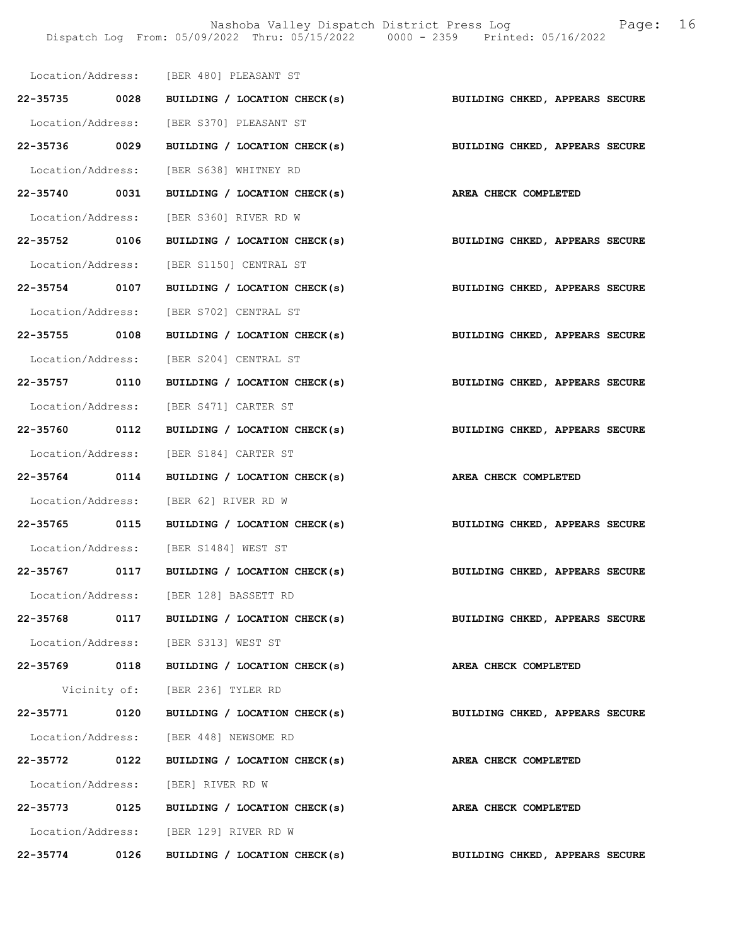Nashoba Valley Dispatch District Press Log Fage: 16 Dispatch Log From: 05/09/2022 Thru: 05/15/2022 0000 - 2359 Printed: 05/16/2022

|               |      | Location/Address: [BER 480] PLEASANT ST                                   |                                |
|---------------|------|---------------------------------------------------------------------------|--------------------------------|
|               |      | 22-35735 0028 BUILDING / LOCATION CHECK(s) BUILDING CHKED, APPEARS SECURE |                                |
|               |      | Location/Address: [BER S370] PLEASANT ST                                  |                                |
| 22-35736 0029 |      | BUILDING / LOCATION CHECK(s)                                              | BUILDING CHKED, APPEARS SECURE |
|               |      | Location/Address: [BER S638] WHITNEY RD                                   |                                |
|               |      | 22-35740 0031 BUILDING / LOCATION CHECK(s) AREA CHECK COMPLETED           |                                |
|               |      | Location/Address: [BER S360] RIVER RD W                                   |                                |
|               |      | 22-35752 0106 BUILDING / LOCATION CHECK(s) BUILDING CHKED, APPEARS SECURE |                                |
|               |      | Location/Address: [BER S1150] CENTRAL ST                                  |                                |
|               |      | 22-35754 0107 BUILDING / LOCATION CHECK(s)                                | BUILDING CHKED, APPEARS SECURE |
|               |      | Location/Address: [BER S702] CENTRAL ST                                   |                                |
| 22-35755 0108 |      | BUILDING / LOCATION CHECK(s) BUILDING CHKED, APPEARS SECURE               |                                |
|               |      | Location/Address: [BER S204] CENTRAL ST                                   |                                |
|               |      | 22-35757 0110 BUILDING / LOCATION CHECK(s)                                | BUILDING CHKED, APPEARS SECURE |
|               |      | Location/Address: [BER S471] CARTER ST                                    |                                |
|               |      | $22-35760$ 0112 BUILDING / LOCATION CHECK(s)                              | BUILDING CHKED, APPEARS SECURE |
|               |      | Location/Address: [BER S184] CARTER ST                                    |                                |
| 22-35764 0114 |      | BUILDING / LOCATION CHECK(s) AREA CHECK COMPLETED                         |                                |
|               |      | Location/Address: [BER 62] RIVER RD W                                     |                                |
|               |      | 22-35765 0115 BUILDING / LOCATION CHECK(s)                                | BUILDING CHKED, APPEARS SECURE |
|               |      | Location/Address: [BER S1484] WEST ST                                     |                                |
|               |      | 22-35767 0117 BUILDING / LOCATION CHECK(s)                                | BUILDING CHKED, APPEARS SECURE |
|               |      | Location/Address: [BER 128] BASSETT RD                                    |                                |
|               |      | 22-35768 0117 BUILDING / LOCATION CHECK(s)                                | BUILDING CHKED, APPEARS SECURE |
|               |      | Location/Address: [BER S313] WEST ST                                      |                                |
|               |      | 22-35769 0118 BUILDING / LOCATION CHECK(s)                                | AREA CHECK COMPLETED           |
|               |      | Vicinity of: [BER 236] TYLER RD                                           |                                |
| 22-35771      | 0120 | BUILDING / LOCATION CHECK(s)                                              | BUILDING CHKED, APPEARS SECURE |
|               |      | Location/Address: [BER 448] NEWSOME RD                                    |                                |
| 22-35772 0122 |      | BUILDING / LOCATION CHECK(s)                                              | AREA CHECK COMPLETED           |
|               |      | Location/Address: [BER] RIVER RD W                                        |                                |
| 22-35773 0125 |      | BUILDING / LOCATION CHECK(s)                                              | AREA CHECK COMPLETED           |
|               |      | Location/Address: [BER 129] RIVER RD W                                    |                                |
| 22-35774      | 0126 | BUILDING / LOCATION CHECK(s)                                              | BUILDING CHKED, APPEARS SECURE |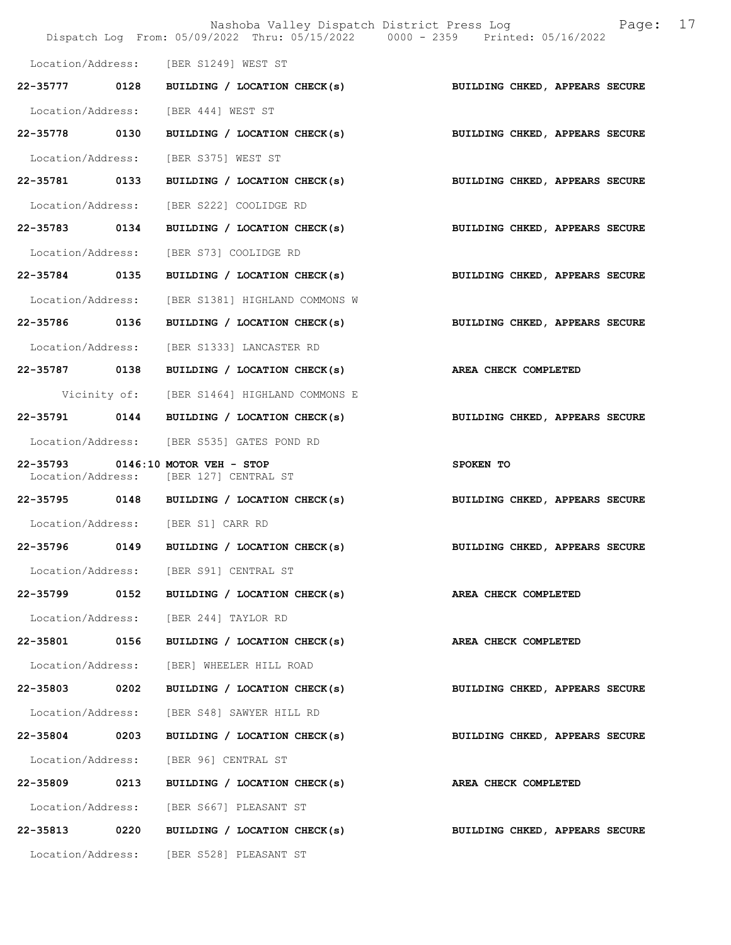|                   |      | Nashoba Valley Dispatch District Press Log<br>Dispatch Log From: 05/09/2022 Thru: 05/15/2022 0000 - 2359 Printed: 05/16/2022 |                                | 17<br>Page: |
|-------------------|------|------------------------------------------------------------------------------------------------------------------------------|--------------------------------|-------------|
|                   |      | Location/Address: [BER S1249] WEST ST                                                                                        |                                |             |
| 22-35777 0128     |      | BUILDING / LOCATION CHECK(s)                                                                                                 | BUILDING CHKED, APPEARS SECURE |             |
| Location/Address: |      | [BER 444] WEST ST                                                                                                            |                                |             |
| 22-35778 0130     |      | BUILDING / LOCATION CHECK(s)                                                                                                 | BUILDING CHKED, APPEARS SECURE |             |
| Location/Address: |      | [BER S375] WEST ST                                                                                                           |                                |             |
| 22-35781 0133     |      | BUILDING / LOCATION CHECK(s)                                                                                                 | BUILDING CHKED, APPEARS SECURE |             |
| Location/Address: |      | [BER S222] COOLIDGE RD                                                                                                       |                                |             |
| 22-35783 0134     |      | BUILDING / LOCATION CHECK(s)                                                                                                 | BUILDING CHKED, APPEARS SECURE |             |
| Location/Address: |      | [BER S73] COOLIDGE RD                                                                                                        |                                |             |
| 22-35784 0135     |      | BUILDING / LOCATION CHECK(s)                                                                                                 | BUILDING CHKED, APPEARS SECURE |             |
| Location/Address: |      | [BER S1381] HIGHLAND COMMONS W                                                                                               |                                |             |
| 22-35786 0136     |      | BUILDING / LOCATION CHECK(s)                                                                                                 | BUILDING CHKED, APPEARS SECURE |             |
| Location/Address: |      | [BER S1333] LANCASTER RD                                                                                                     |                                |             |
| 22-35787 0138     |      | BUILDING / LOCATION CHECK(s)                                                                                                 | AREA CHECK COMPLETED           |             |
|                   |      | Vicinity of: [BER S1464] HIGHLAND COMMONS E                                                                                  |                                |             |
| 22-35791          | 0144 | BUILDING / LOCATION CHECK(s)                                                                                                 | BUILDING CHKED, APPEARS SECURE |             |
|                   |      | Location/Address: [BER S535] GATES POND RD                                                                                   |                                |             |
|                   |      | 22-35793 0146:10 MOTOR VEH - STOP<br>Location/Address: [BER 127] CENTRAL ST                                                  | SPOKEN TO                      |             |
|                   |      | 22-35795 0148 BUILDING / LOCATION CHECK(s)                                                                                   | BUILDING CHKED, APPEARS SECURE |             |
|                   |      | Location/Address: [BER S1] CARR RD                                                                                           |                                |             |
| 22-35796          | 0149 | BUILDING / LOCATION CHECK(s)                                                                                                 | BUILDING CHKED, APPEARS SECURE |             |
|                   |      | Location/Address: [BER S91] CENTRAL ST                                                                                       |                                |             |
|                   |      | 22-35799 0152 BUILDING / LOCATION CHECK(s)                                                                                   | AREA CHECK COMPLETED           |             |
|                   |      | Location/Address: [BER 244] TAYLOR RD                                                                                        |                                |             |
| 22-35801 0156     |      | BUILDING / LOCATION CHECK(s)                                                                                                 | AREA CHECK COMPLETED           |             |
|                   |      | Location/Address: [BER] WHEELER HILL ROAD                                                                                    |                                |             |
| 22-35803 0202     |      | BUILDING / LOCATION CHECK(s)                                                                                                 | BUILDING CHKED, APPEARS SECURE |             |
|                   |      | Location/Address: [BER S48] SAWYER HILL RD                                                                                   |                                |             |
| 22-35804 0203     |      | BUILDING / LOCATION CHECK(s)                                                                                                 | BUILDING CHKED, APPEARS SECURE |             |
|                   |      | Location/Address: [BER 96] CENTRAL ST                                                                                        |                                |             |
| 22-35809          | 0213 | BUILDING / LOCATION CHECK(s)                                                                                                 | AREA CHECK COMPLETED           |             |
|                   |      | Location/Address: [BER S667] PLEASANT ST                                                                                     |                                |             |
|                   |      | 22-35813 0220 BUILDING / LOCATION CHECK(s)                                                                                   | BUILDING CHKED, APPEARS SECURE |             |
|                   |      | Location/Address: [BER S528] PLEASANT ST                                                                                     |                                |             |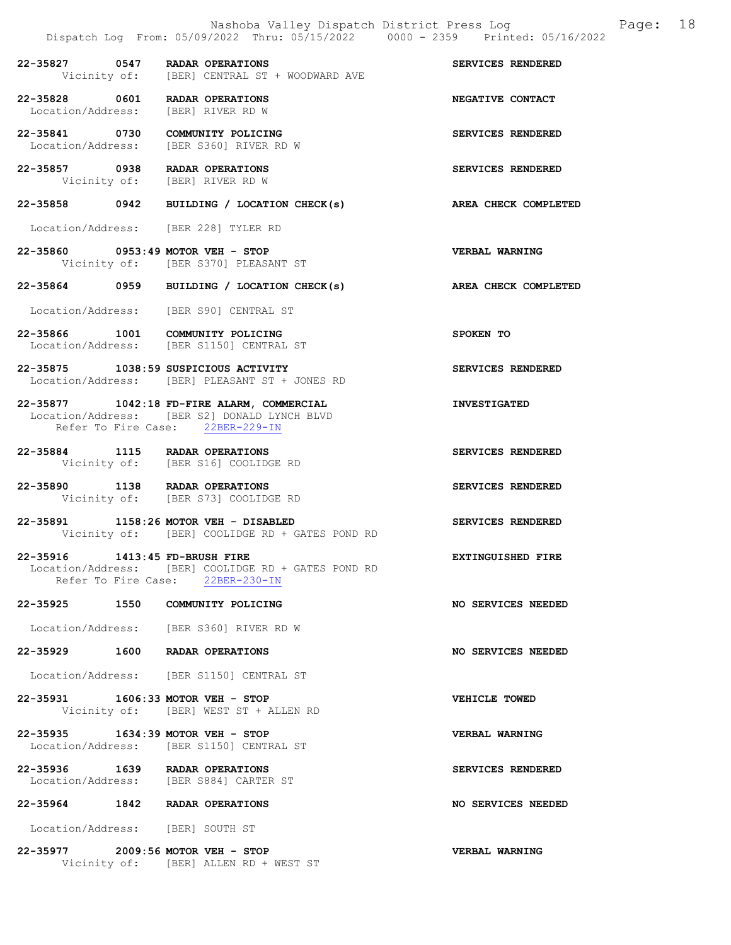# 22-35827 0547 RADAR OPERATIONS SERVICES RENDERED<br>Vicinity of: [BER] CENTRAL ST + WOODWARD AVE [BER] CENTRAL ST + WOODWARD AVE

22-35828 0601 RADAR OPERATIONS NEGATIVE CONTACT Location/Address: [BER] RIVER RD W Location/Address:

22-35841 0730 COMMUNITY POLICING SERVICES RENDERED Location/Address: [BER S360] RIVER RD W

22-35857 0938 RADAR OPERATIONS SERVICES RENDERED Vicinity of: [BER] RIVER RD W

# 22-35858 0942 BUILDING / LOCATION CHECK(s) AREA CHECK COMPLETED

Location/Address: [BER 228] TYLER RD

22-35860 0953:49 MOTOR VEH - STOP VERBAL WARNING Vicinity of: [BER S370] PLEASANT ST

### 22-35864 0959 BUILDING / LOCATION CHECK(s) AREA CHECK COMPLETED

Location/Address: [BER S90] CENTRAL ST

- 22-35866 1001 COMMUNITY POLICING SPOKEN TO Location/Address: [BER S1150] CENTRAL ST
- 22-35875 1038:59 SUSPICIOUS ACTIVITY SERVICES RENDERED Location/Address: [BER] PLEASANT ST + JONES RD

#### 22-35877 1042:18 FD-FIRE ALARM, COMMERCIAL INVESTIGATED Location/Address: [BER S2] DONALD LYNCH BLVD<br>Refer To Fire Case: 22BER-229-IN Refer To Fire Case:

22-35884 1115 RADAR OPERATIONS SERVICES RENDERED Vicinity of: [BER S16] COOLIDGE RD

22-35890 1138 RADAR OPERATIONS SERVICES RENDERED Vicinity of: [BER S73] COOLIDGE RD

#### 22-35891 1158:26 MOTOR VEH - DISABLED SERVICES RENDERED Vicinity of: [BER] COOLIDGE RD + GATES POND RD

22-35916 1413:45 FD-BRUSH FIRE EXTINGUISHED FIRE Location/Address: [BER] COOLIDGE RD + GATES POND RD Refer To Fire Case: 22BER-230-IN

#### 22-35925 1550 COMMUNITY POLICING 1999 122-35925 NO SERVICES NEEDED

Location/Address: [BER S360] RIVER RD W

#### 22-35929 1600 RADAR OPERATIONS NO SERVICES NEEDED

Location/Address: [BER S1150] CENTRAL ST

#### 22-35931 1606:33 MOTOR VEH - STOP VEHICLE TOWED Vicinity of: [BER] WEST ST + ALLEN RD

22-35935 1634:39 MOTOR VEH - STOP<br>
Location/Address: [BER S1150] CENTRAL ST [BER S1150] CENTRAL ST

22-35936 1639 RADAR OPERATIONS SERVICES RENDERED Location/Address: [BER S884] CARTER ST

# 22-35964 1842 RADAR OPERATIONS NO SERVICES NEEDED

Location/Address: [BER] SOUTH ST

#### 22-35977 2009:56 MOTOR VEH - STOP VERBAL WARNING Vicinity of: [BER] ALLEN RD + WEST ST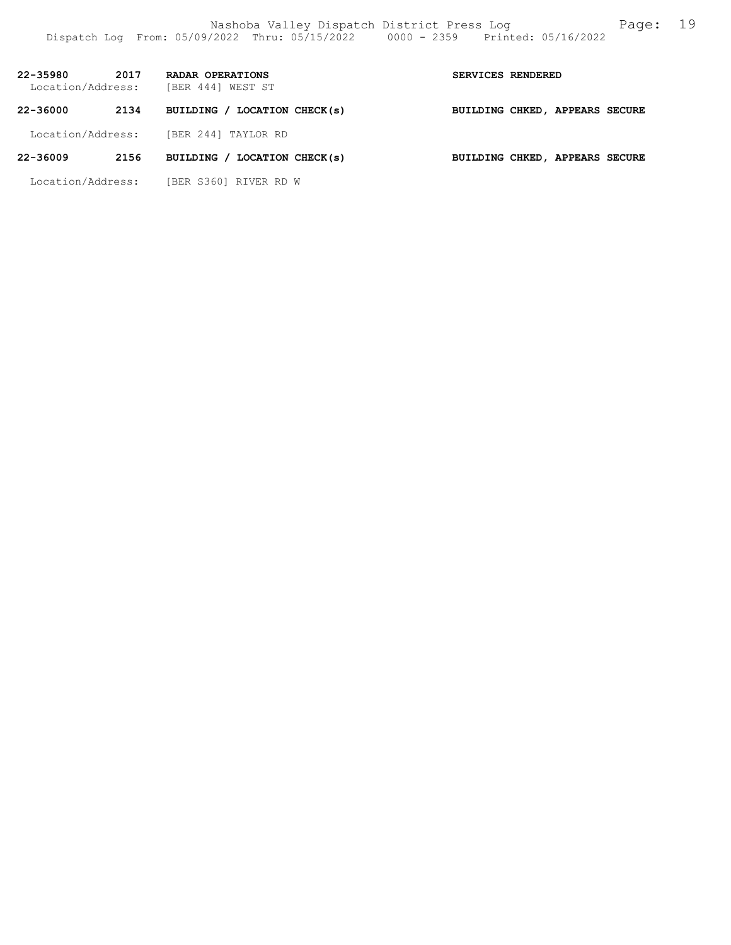| 22-35980<br>Location/Address: | 2017 | RADAR OPERATIONS<br>[BER 444] WEST ST | SERVICES RENDERED                     |  |  |
|-------------------------------|------|---------------------------------------|---------------------------------------|--|--|
| 22-36000                      | 2134 | BUILDING / LOCATION CHECK(s)          | <b>BUILDING CHKED, APPEARS SECURE</b> |  |  |
| Location/Address:             |      | [BER 244] TAYLOR RD                   |                                       |  |  |
| 22-36009                      | 2156 | BUILDING / LOCATION CHECK(s)          | BUILDING CHKED, APPEARS SECURE        |  |  |

Location/Address: [BER S360] RIVER RD W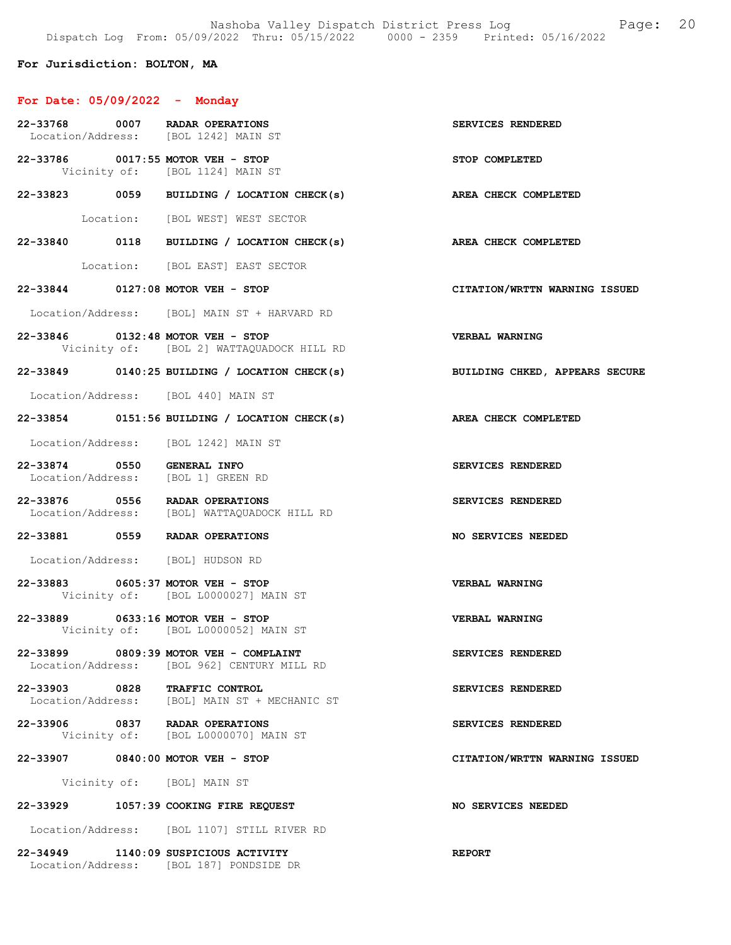Nashoba Valley Dispatch District Press Log Fage: 20 Dispatch Log From: 05/09/2022 Thru: 05/15/2022 0000 - 2359 Printed: 05/16/2022

# For Jurisdiction: BOLTON, MA

# For Date: 05/09/2022 - Monday

Location/Address: [BOL 187] PONDSIDE DR

|                            | 22-33768 0007 RADAR OPERATIONS<br>Location/Address: [BOL 1242] MAIN ST                | SERVICES RENDERED              |
|----------------------------|---------------------------------------------------------------------------------------|--------------------------------|
|                            | 22-33786 0017:55 MOTOR VEH - STOP<br>Vicinity of: [BOL 1124] MAIN ST                  | STOP COMPLETED                 |
|                            | 22-33823 0059 BUILDING / LOCATION CHECK(s) AREA CHECK COMPLETED                       |                                |
|                            | Location: [BOL WEST] WEST SECTOR                                                      |                                |
|                            | 22-33840 0118 BUILDING / LOCATION CHECK(s) AREA CHECK COMPLETED                       |                                |
|                            | Location: [BOL EAST] EAST SECTOR                                                      |                                |
|                            | 22-33844 0127:08 MOTOR VEH - STOP                                                     | CITATION/WRTTN WARNING ISSUED  |
|                            | Location/Address: [BOL] MAIN ST + HARVARD RD                                          |                                |
|                            | 22-33846 0132:48 MOTOR VEH - STOP<br>Vicinity of: [BOL 2] WATTAQUADOCK HILL RD        | <b>VERBAL WARNING</b>          |
|                            | 22-33849 0140:25 BUILDING / LOCATION CHECK(s)                                         | BUILDING CHKED, APPEARS SECURE |
|                            | Location/Address: [BOL 440] MAIN ST                                                   |                                |
|                            | $22-33854$ 0151:56 BUILDING / LOCATION CHECK(s)                                       | AREA CHECK COMPLETED           |
|                            | Location/Address: [BOL 1242] MAIN ST                                                  |                                |
| 22-33874 0550 GENERAL INFO | Location/Address: [BOL 1] GREEN RD                                                    | SERVICES RENDERED              |
|                            | 22-33876 0556 RADAR OPERATIONS<br>Location/Address: [BOL] WATTAQUADOCK HILL RD        | SERVICES RENDERED              |
|                            | 22-33881 0559 RADAR OPERATIONS                                                        | NO SERVICES NEEDED             |
|                            | Location/Address: [BOL] HUDSON RD                                                     |                                |
|                            | 22-33883 0605:37 MOTOR VEH - STOP<br>Vicinity of: [BOL L0000027] MAIN ST              | <b>VERBAL WARNING</b>          |
|                            | 22-33889 0633:16 MOTOR VEH - STOP<br>Vicinity of: [BOL L0000052] MAIN ST              | <b>VERBAL WARNING</b>          |
|                            | 22-33899 0809:39 MOTOR VEH - COMPLAINT<br>Location/Address: [BOL 962] CENTURY MILL RD | SERVICES RENDERED              |
|                            | 22-33903 0828 TRAFFIC CONTROL<br>Location/Address: [BOL] MAIN ST + MECHANIC ST        | SERVICES RENDERED              |
|                            | 22-33906 0837 RADAR OPERATIONS<br>Vicinity of: [BOL L0000070] MAIN ST                 | SERVICES RENDERED              |
|                            | 22-33907 0840:00 MOTOR VEH - STOP                                                     | CITATION/WRTTN WARNING ISSUED  |
|                            | Vicinity of: [BOL] MAIN ST                                                            |                                |
|                            | 22-33929 1057:39 COOKING FIRE REQUEST                                                 | NO SERVICES NEEDED             |
|                            | Location/Address: [BOL 1107] STILL RIVER RD                                           |                                |
|                            | 22-34949 1140:09 SUSPICIOUS ACTIVITY                                                  | <b>REPORT</b>                  |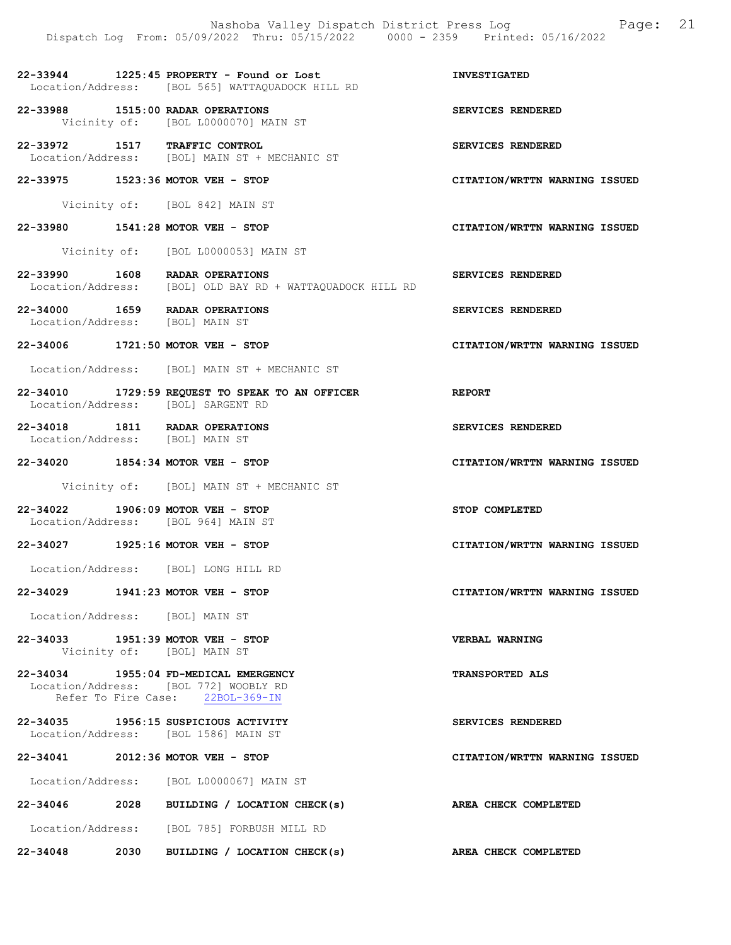Nashoba Valley Dispatch District Press Log Page: 21 Dispatch Log From: 05/09/2022 Thru: 05/15/2022 0000 - 2359 Printed: 05/16/2022 22-33944 1225:45 PROPERTY - Found or Lost INVESTIGATED Location/Address: [BOL 565] WATTAQUADOCK HILL RD 22-33988 1515:00 RADAR OPERATIONS SERVICES RENDERED Vicinity of: [BOL L0000070] MAIN ST 22-33972 1517 TRAFFIC CONTROL SERVICES RENDERED Location/Address: [BOL] MAIN ST + MECHANIC ST 22-33975 1523:36 MOTOR VEH - STOP CITATION/WRTTN WARNING ISSUED Vicinity of: [BOL 842] MAIN ST 22-33980 1541:28 MOTOR VEH - STOP CITATION/WRTTN WARNING ISSUED Vicinity of: [BOL L0000053] MAIN ST 22-33990 1608 RADAR OPERATIONS SERVICES RENDERED<br>Location/Address: [BOL] OLD BAY RD + WATTAOUADOCK HILL RD Location/Address: [BOL] OLD BAY RD + WATTAQUADOCK HILL RD 22-34000 1659 RADAR OPERATIONS SERVICES RENDERED Location/Address: [BOL] MAIN ST Location/Address: 22-34006 1721:50 MOTOR VEH - STOP CITATION/WRTTN WARNING ISSUED Location/Address: [BOL] MAIN ST + MECHANIC ST 22-34010 1729:59 REQUEST TO SPEAK TO AN OFFICER REPORT Location/Address: [BOL] SARGENT RD 22-34018 1811 RADAR OPERATIONS SERVICES RENDERED Location/Address: [BOL] MAIN ST Location/Address: 22-34020 1854:34 MOTOR VEH - STOP CITATION/WRTTN WARNING ISSUED Vicinity of: [BOL] MAIN ST + MECHANIC ST 22-34022 1906:09 MOTOR VEH - STOP STOP COMPLETED Location/Address: [BOL 964] MAIN ST 22-34027 1925:16 MOTOR VEH - STOP CITATION/WRTTN WARNING ISSUED Location/Address: [BOL] LONG HILL RD 22-34029 1941:23 MOTOR VEH - STOP CITATION/WRTTN WARNING ISSUED Location/Address: [BOL] MAIN ST 22-34033 1951:39 MOTOR VEH - STOP VERBAL WARNING Vicinity of: [BOL] MAIN ST 22-34034 1955:04 FD-MEDICAL EMERGENCY TRANSPORTED ALS Location/Address: [BOL 772] WOOBLY RD Refer To Fire Case: 22BOL-369-IN 22-34035 1956:15 SUSPICIOUS ACTIVITY SERVICES RENDERED Location/Address: [BOL 1586] MAIN ST 22-34041 2012:36 MOTOR VEH - STOP CITATION/WRTTN WARNING ISSUED Location/Address: [BOL L0000067] MAIN ST 22-34046 2028 BUILDING / LOCATION CHECK(s) AREA CHECK COMPLETED Location/Address: [BOL 785] FORBUSH MILL RD 22-34048 2030 BUILDING / LOCATION CHECK(s) AREA CHECK COMPLETED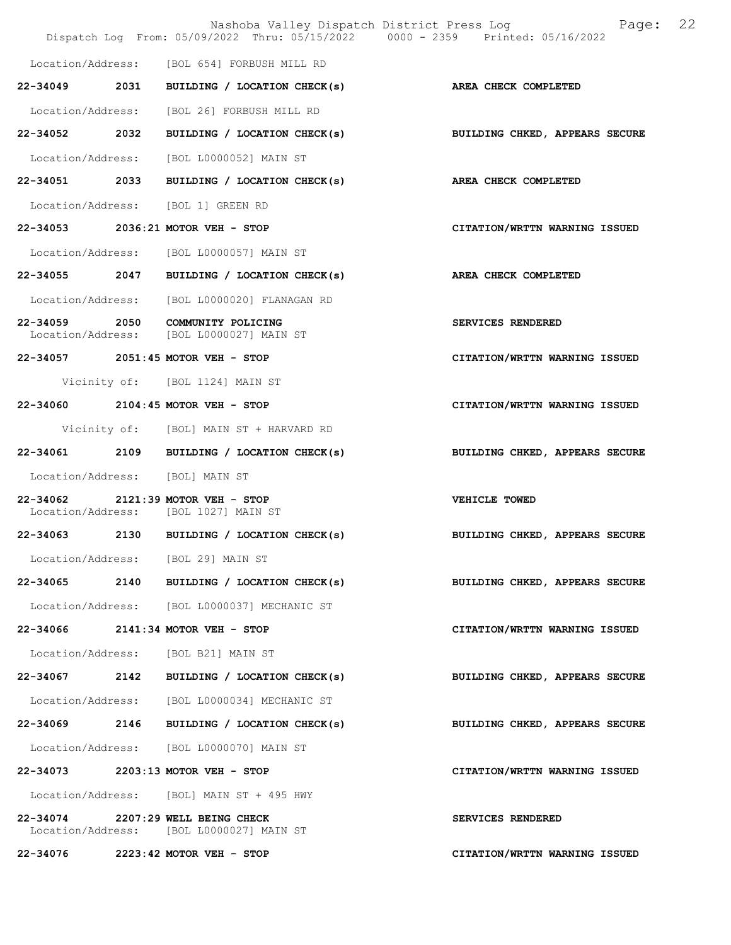|               | Nashoba Valley Dispatch District Press Log<br>Dispatch Log From: 05/09/2022 Thru: 05/15/2022 0000 - 2359 Printed: 05/16/2022 | 22<br>Page:                    |
|---------------|------------------------------------------------------------------------------------------------------------------------------|--------------------------------|
|               | Location/Address: [BOL 654] FORBUSH MILL RD                                                                                  |                                |
|               | 22-34049 2031 BUILDING / LOCATION CHECK(s)                                                                                   | AREA CHECK COMPLETED           |
|               | Location/Address: [BOL 26] FORBUSH MILL RD                                                                                   |                                |
| 22-34052 2032 | BUILDING / LOCATION CHECK(s)                                                                                                 | BUILDING CHKED, APPEARS SECURE |
|               | Location/Address: [BOL L0000052] MAIN ST                                                                                     |                                |
|               | 22-34051 2033 BUILDING / LOCATION CHECK(s)                                                                                   | AREA CHECK COMPLETED           |
|               | Location/Address: [BOL 1] GREEN RD                                                                                           |                                |
|               | 22-34053 2036:21 MOTOR VEH - STOP                                                                                            | CITATION/WRTTN WARNING ISSUED  |
|               | Location/Address: [BOL L0000057] MAIN ST                                                                                     |                                |
| 22-34055 2047 | BUILDING / LOCATION CHECK(s)                                                                                                 | AREA CHECK COMPLETED           |
|               | Location/Address: [BOL L0000020] FLANAGAN RD                                                                                 |                                |
|               | 22-34059 2050 COMMUNITY POLICING<br>Location/Address: [BOL L0000027] MAIN ST                                                 | SERVICES RENDERED              |
|               | 22-34057 2051:45 MOTOR VEH - STOP                                                                                            | CITATION/WRTTN WARNING ISSUED  |
|               | Vicinity of: [BOL 1124] MAIN ST                                                                                              |                                |
|               | 22-34060 2104:45 MOTOR VEH - STOP                                                                                            | CITATION/WRTTN WARNING ISSUED  |
|               | Vicinity of: [BOL] MAIN ST + HARVARD RD                                                                                      |                                |
|               | 22-34061 2109 BUILDING / LOCATION CHECK(s)                                                                                   | BUILDING CHKED, APPEARS SECURE |
|               | Location/Address: [BOL] MAIN ST                                                                                              |                                |
|               | 22-34062 2121:39 MOTOR VEH - STOP<br>Location/Address: [BOL 1027] MAIN ST                                                    | VEHICLE TOWED                  |
|               | 22-34063 2130 BUILDING / LOCATION CHECK(s)                                                                                   | BUILDING CHKED, APPEARS SECURE |
|               | Location/Address: [BOL 29] MAIN ST                                                                                           |                                |
| 22-34065      | 2140 BUILDING / LOCATION CHECK(s)                                                                                            | BUILDING CHKED, APPEARS SECURE |
|               | Location/Address: [BOL L0000037] MECHANIC ST                                                                                 |                                |
|               | 22-34066 2141:34 MOTOR VEH - STOP                                                                                            | CITATION/WRTTN WARNING ISSUED  |
|               | Location/Address: [BOL B21] MAIN ST                                                                                          |                                |
|               | 22-34067 2142 BUILDING / LOCATION CHECK(s)                                                                                   | BUILDING CHKED, APPEARS SECURE |
|               | Location/Address: [BOL L0000034] MECHANIC ST                                                                                 |                                |
|               | 22-34069 2146 BUILDING / LOCATION CHECK(s)                                                                                   | BUILDING CHKED, APPEARS SECURE |
|               | Location/Address: [BOL L0000070] MAIN ST                                                                                     |                                |
|               | 22-34073 2203:13 MOTOR VEH - STOP                                                                                            | CITATION/WRTTN WARNING ISSUED  |
|               | Location/Address: [BOL] MAIN ST + 495 HWY                                                                                    |                                |
|               | 22-34074 2207:29 WELL BEING CHECK<br>Location/Address: [BOL L0000027] MAIN ST                                                | SERVICES RENDERED              |
|               | $22-34076$ 2223:42 MOTOR VEH - STOP                                                                                          | CITATION/WRTTN WARNING ISSUED  |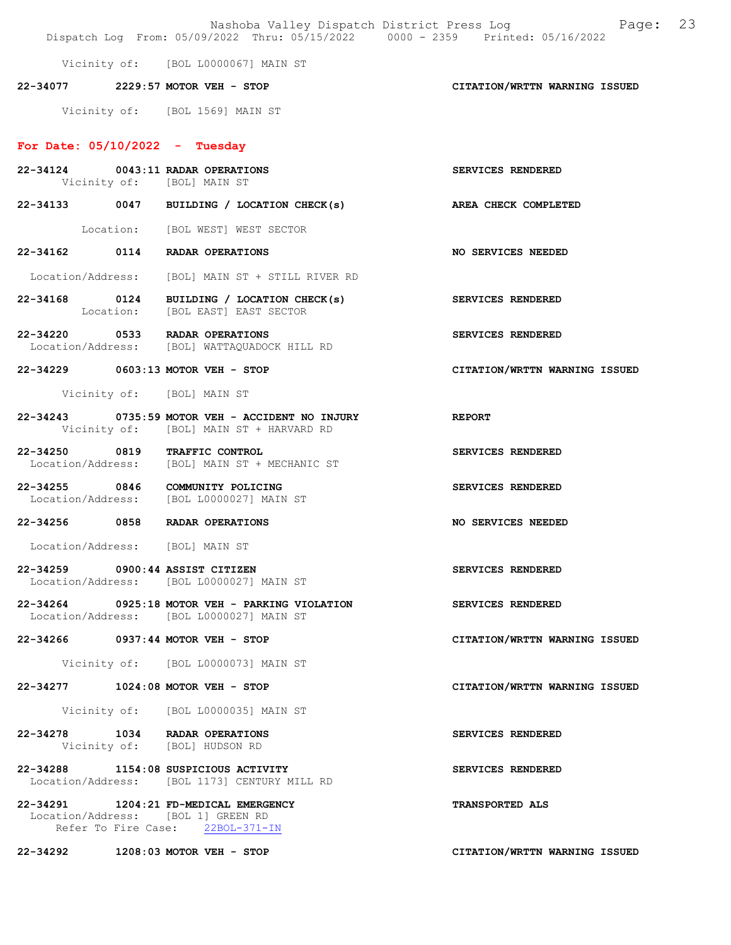Nashoba Valley Dispatch District Press Log Fage: 23 Dispatch Log From: 05/09/2022 Thru: 05/15/2022 0000 - 2359 Printed: 05/16/2022 Vicinity of: [BOL L0000067] MAIN ST 22-34077 2229:57 MOTOR VEH - STOP CITATION/WRTTN WARNING ISSUED Vicinity of: [BOL 1569] MAIN ST For Date:  $05/10/2022 -$  Tuesday 22-34124 0043:11 RADAR OPERATIONS SERVICES RENDERED Vicinity of: [BOL] MAIN ST 22-34133 0047 BUILDING / LOCATION CHECK(s) AREA CHECK COMPLETED Location: [BOL WEST] WEST SECTOR 22-34162 0114 RADAR OPERATIONS NO SERVICES NEEDED Location/Address: [BOL] MAIN ST + STILL RIVER RD 22-34168 0124 BUILDING / LOCATION CHECK(s) SERVICES RENDERED Location: [BOL EAST] EAST SECTOR 22-34220 0533 RADAR OPERATIONS SERVICES RENDERED<br>Location/Address: [BOL] WATTAQUADOCK HILL RD Location/Address: [BOL] WATTAQUADOCK HILL RD 22-34229 0603:13 MOTOR VEH - STOP CITATION/WRTTN WARNING ISSUED Vicinity of: [BOL] MAIN ST 22-34243 0735:59 MOTOR VEH - ACCIDENT NO INJURY REPORT Vicinity of: [BOL] MAIN ST + HARVARD RD 22-34250 0819 TRAFFIC CONTROL SERVICES RENDERED<br>Location/Address: [BOL] MAIN ST + MECHANIC ST [BOL] MAIN ST + MECHANIC ST 22-34255 0846 COMMUNITY POLICING SERVICES RENDERED Location/Address: [BOL L0000027] MAIN ST 22-34256 0858 RADAR OPERATIONS NO SERVICES NEEDED Location/Address: [BOL] MAIN ST 22-34259 0900:44 ASSIST CITIZEN SERVICES RENDERED Location/Address: [BOL L0000027] MAIN ST 22-34264 0925:18 MOTOR VEH - PARKING VIOLATION SERVICES RENDERED Location/Address: [BOL L0000027] MAIN ST 22-34266 0937:44 MOTOR VEH - STOP CITATION/WRTTN WARNING ISSUED Vicinity of: [BOL L0000073] MAIN ST 22-34277 1024:08 MOTOR VEH - STOP CITATION/WRTTN WARNING ISSUED Vicinity of: [BOL L0000035] MAIN ST 22-34278 1034 RADAR OPERATIONS SERVICES RENDERED<br>Vicinity of: [BOL] HUDSON RD Vicinity of: [BOL] HUDSON RD 22-34288 1154:08 SUSPICIOUS ACTIVITY SERVICES RENDERED Location/Address: [BOL 1173] CENTURY MILL RD 22-34291 1204:21 FD-MEDICAL EMERGENCY TRANSPORTED ALS Location/Address: [BOL 1] GREEN RD<br>Refer To Fire Case: 22BOL-371-IN Refer To Fire Case: 22-34292 1208:03 MOTOR VEH - STOP CITATION/WRTTN WARNING ISSUED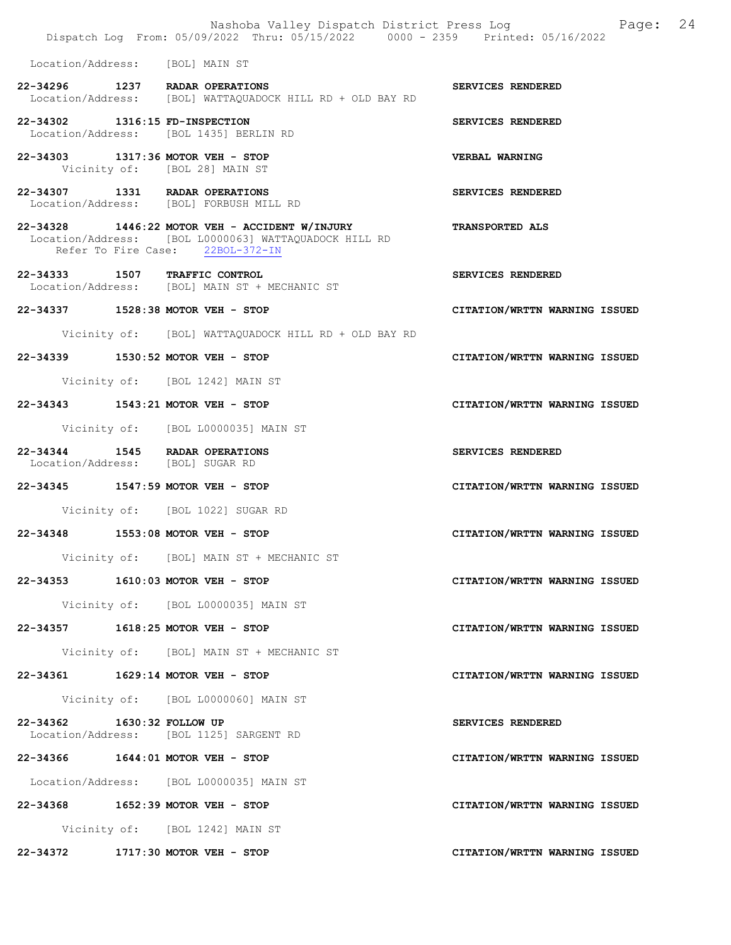|                                  | Nashoba Valley Dispatch District Press Log<br>Dispatch Log From: 05/09/2022 Thru: 05/15/2022 0000 - 2359 Printed: 05/16/2022                | Page:                         | 24 |
|----------------------------------|---------------------------------------------------------------------------------------------------------------------------------------------|-------------------------------|----|
|                                  | Location/Address: [BOL] MAIN ST                                                                                                             |                               |    |
|                                  | 22-34296 1237 RADAR OPERATIONS<br>Location/Address: [BOL] WATTAQUADOCK HILL RD + OLD BAY RD                                                 | SERVICES RENDERED             |    |
| 22-34302 1316:15 FD-INSPECTION   | Location/Address: [BOL 1435] BERLIN RD                                                                                                      | SERVICES RENDERED             |    |
|                                  | 22-34303 1317:36 MOTOR VEH - STOP<br>Vicinity of: [BOL 28] MAIN ST                                                                          | <b>VERBAL WARNING</b>         |    |
|                                  | 22-34307 1331 RADAR OPERATIONS<br>Location/Address: [BOL] FORBUSH MILL RD                                                                   | SERVICES RENDERED             |    |
|                                  | 22-34328 1446:22 MOTOR VEH - ACCIDENT W/INJURY<br>Location/Address: [BOL L0000063] WATTAQUADOCK HILL RD<br>Refer To Fire Case: 22BOL-372-IN | TRANSPORTED ALS               |    |
|                                  | 22-34333 1507 TRAFFIC CONTROL<br>Location/Address: [BOL] MAIN ST + MECHANIC ST                                                              | SERVICES RENDERED             |    |
|                                  | 22-34337 1528:38 MOTOR VEH - STOP                                                                                                           | CITATION/WRTTN WARNING ISSUED |    |
|                                  | Vicinity of: [BOL] WATTAQUADOCK HILL RD + OLD BAY RD                                                                                        |                               |    |
|                                  | 22-34339 1530:52 MOTOR VEH - STOP                                                                                                           | CITATION/WRTTN WARNING ISSUED |    |
|                                  | Vicinity of: [BOL 1242] MAIN ST                                                                                                             |                               |    |
|                                  | 22-34343 1543:21 MOTOR VEH - STOP                                                                                                           | CITATION/WRTTN WARNING ISSUED |    |
|                                  | Vicinity of: [BOL L0000035] MAIN ST                                                                                                         |                               |    |
| Location/Address: [BOL] SUGAR RD | 22-34344 1545 RADAR OPERATIONS                                                                                                              | SERVICES RENDERED             |    |
|                                  | 22-34345 1547:59 MOTOR VEH - STOP                                                                                                           | CITATION/WRTTN WARNING ISSUED |    |
|                                  | Vicinity of: [BOL 1022] SUGAR RD                                                                                                            |                               |    |
|                                  | 22-34348 1553:08 MOTOR VEH - STOP                                                                                                           | CITATION/WRTTN WARNING ISSUED |    |
|                                  | Vicinity of: [BOL] MAIN ST + MECHANIC ST                                                                                                    |                               |    |
|                                  | 22-34353 1610:03 MOTOR VEH - STOP                                                                                                           | CITATION/WRTTN WARNING ISSUED |    |
|                                  | Vicinity of: [BOL L0000035] MAIN ST                                                                                                         |                               |    |
|                                  | 22-34357 1618:25 MOTOR VEH - STOP                                                                                                           | CITATION/WRTTN WARNING ISSUED |    |
|                                  | Vicinity of: [BOL] MAIN ST + MECHANIC ST                                                                                                    |                               |    |
|                                  | 22-34361 1629:14 MOTOR VEH - STOP                                                                                                           | CITATION/WRTTN WARNING ISSUED |    |
|                                  | Vicinity of: [BOL L0000060] MAIN ST                                                                                                         |                               |    |
| 22-34362 1630:32 FOLLOW UP       | Location/Address: [BOL 1125] SARGENT RD                                                                                                     | SERVICES RENDERED             |    |
|                                  | 22-34366 1644:01 MOTOR VEH - STOP                                                                                                           | CITATION/WRTTN WARNING ISSUED |    |
|                                  | Location/Address: [BOL L0000035] MAIN ST                                                                                                    |                               |    |
|                                  | 22-34368 1652:39 MOTOR VEH - STOP                                                                                                           | CITATION/WRTTN WARNING ISSUED |    |
|                                  | Vicinity of: [BOL 1242] MAIN ST                                                                                                             |                               |    |
|                                  | 22-34372 1717:30 MOTOR VEH - STOP                                                                                                           | CITATION/WRTTN WARNING ISSUED |    |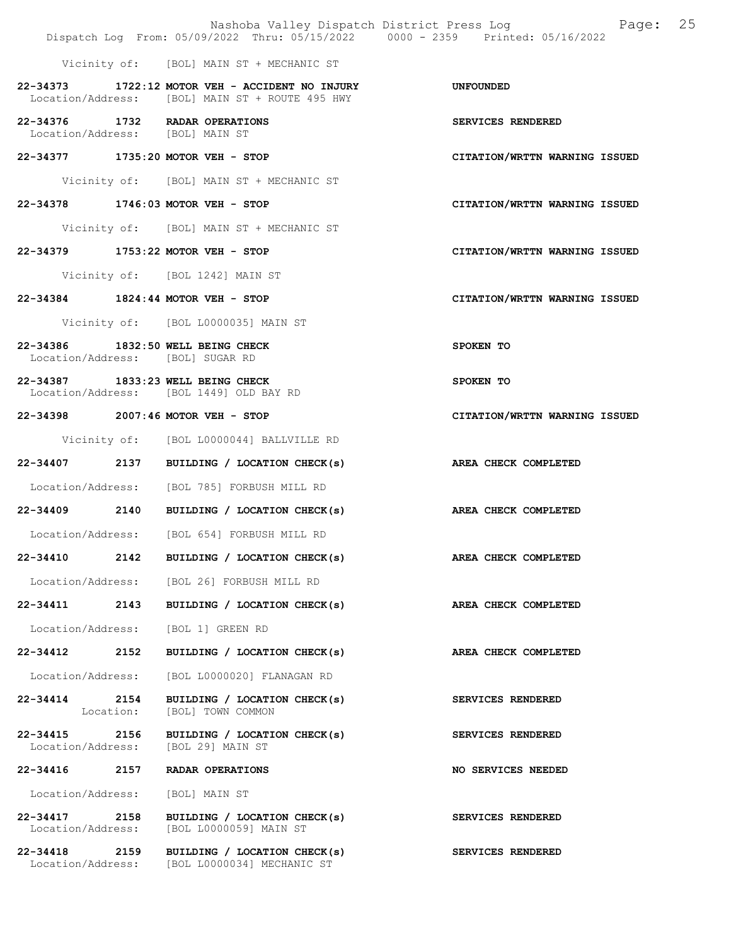|                                                                       |                                                                                                      | 25<br>Nashoba Valley Dispatch District Press Log Nashoba Valley Dispatch District Press Log<br>Dispatch Log From: 05/09/2022 Thru: 05/15/2022 0000 - 2359 Printed: 05/16/2022 |
|-----------------------------------------------------------------------|------------------------------------------------------------------------------------------------------|-------------------------------------------------------------------------------------------------------------------------------------------------------------------------------|
|                                                                       | Vicinity of: [BOL] MAIN ST + MECHANIC ST                                                             |                                                                                                                                                                               |
|                                                                       | $22-34373$ 1722:12 MOTOR VEH - ACCIDENT NO INJURY<br>Location/Address: [BOL] MAIN ST + ROUTE 495 HWY | UNFOUNDED                                                                                                                                                                     |
| 22-34376 1732 RADAR OPERATIONS<br>Location/Address: [BOL] MAIN ST     |                                                                                                      | SERVICES RENDERED                                                                                                                                                             |
| 22-34377 1735:20 MOTOR VEH - STOP                                     |                                                                                                      | CITATION/WRTTN WARNING ISSUED                                                                                                                                                 |
|                                                                       | Vicinity of: [BOL] MAIN ST + MECHANIC ST                                                             |                                                                                                                                                                               |
| 22-34378 1746:03 MOTOR VEH - STOP                                     |                                                                                                      | CITATION/WRTTN WARNING ISSUED                                                                                                                                                 |
|                                                                       | Vicinity of: [BOL] MAIN ST + MECHANIC ST                                                             |                                                                                                                                                                               |
| 22-34379 1753:22 MOTOR VEH - STOP                                     |                                                                                                      | CITATION/WRTTN WARNING ISSUED                                                                                                                                                 |
|                                                                       | Vicinity of: [BOL 1242] MAIN ST                                                                      |                                                                                                                                                                               |
| 22-34384 1824:44 MOTOR VEH - STOP                                     |                                                                                                      | CITATION/WRTTN WARNING ISSUED                                                                                                                                                 |
|                                                                       | Vicinity of: [BOL L0000035] MAIN ST                                                                  |                                                                                                                                                                               |
| 22-34386 1832:50 WELL BEING CHECK<br>Location/Address: [BOL] SUGAR RD |                                                                                                      | SPOKEN TO                                                                                                                                                                     |
| 22-34387 1833:23 WELL BEING CHECK                                     | Location/Address: [BOL 1449] OLD BAY RD                                                              | SPOKEN TO                                                                                                                                                                     |
| 22-34398 2007:46 MOTOR VEH - STOP                                     |                                                                                                      | CITATION/WRTTN WARNING ISSUED                                                                                                                                                 |
|                                                                       | Vicinity of: [BOL L0000044] BALLVILLE RD                                                             |                                                                                                                                                                               |
|                                                                       | 22-34407 2137 BUILDING / LOCATION CHECK(s)                                                           | AREA CHECK COMPLETED                                                                                                                                                          |
|                                                                       | Location/Address: [BOL 785] FORBUSH MILL RD                                                          |                                                                                                                                                                               |
|                                                                       | 22-34409 2140 BUILDING / LOCATION CHECK(s)                                                           | AREA CHECK COMPLETED                                                                                                                                                          |
|                                                                       | Location/Address: [BOL 654] FORBUSH MILL RD                                                          |                                                                                                                                                                               |
| 22-34410<br>2142                                                      | BUILDING / LOCATION CHECK(s)                                                                         | AREA CHECK COMPLETED                                                                                                                                                          |
|                                                                       | Location/Address: [BOL 26] FORBUSH MILL RD                                                           |                                                                                                                                                                               |
| 22-34411 2143                                                         | BUILDING / LOCATION CHECK(s)                                                                         | AREA CHECK COMPLETED                                                                                                                                                          |
| Location/Address:                                                     | [BOL 1] GREEN RD                                                                                     |                                                                                                                                                                               |
| 22-34412 2152                                                         | BUILDING / LOCATION CHECK(s)                                                                         | AREA CHECK COMPLETED                                                                                                                                                          |
| Location/Address:                                                     | [BOL L0000020] FLANAGAN RD                                                                           |                                                                                                                                                                               |
| 22-34414 2154<br>Location:                                            | BUILDING / LOCATION CHECK(s)<br>[BOL] TOWN COMMON                                                    | SERVICES RENDERED                                                                                                                                                             |
| Location/Address:                                                     | 22-34415 2156 BUILDING / LOCATION CHECK(s)<br>[BOL 29] MAIN ST                                       | SERVICES RENDERED                                                                                                                                                             |
| 22-34416<br>2157                                                      | RADAR OPERATIONS                                                                                     | NO SERVICES NEEDED                                                                                                                                                            |
| Location/Address:                                                     | [BOL] MAIN ST                                                                                        |                                                                                                                                                                               |
| 22-34417 2158<br>Location/Address:                                    | BUILDING / LOCATION CHECK(s)<br>[BOL L0000059] MAIN ST                                               | SERVICES RENDERED                                                                                                                                                             |
|                                                                       | 22-34418 2159 BUILDING / LOCATION CHECK(s)<br>Location/Address: [BOL L0000034] MECHANIC ST           | SERVICES RENDERED                                                                                                                                                             |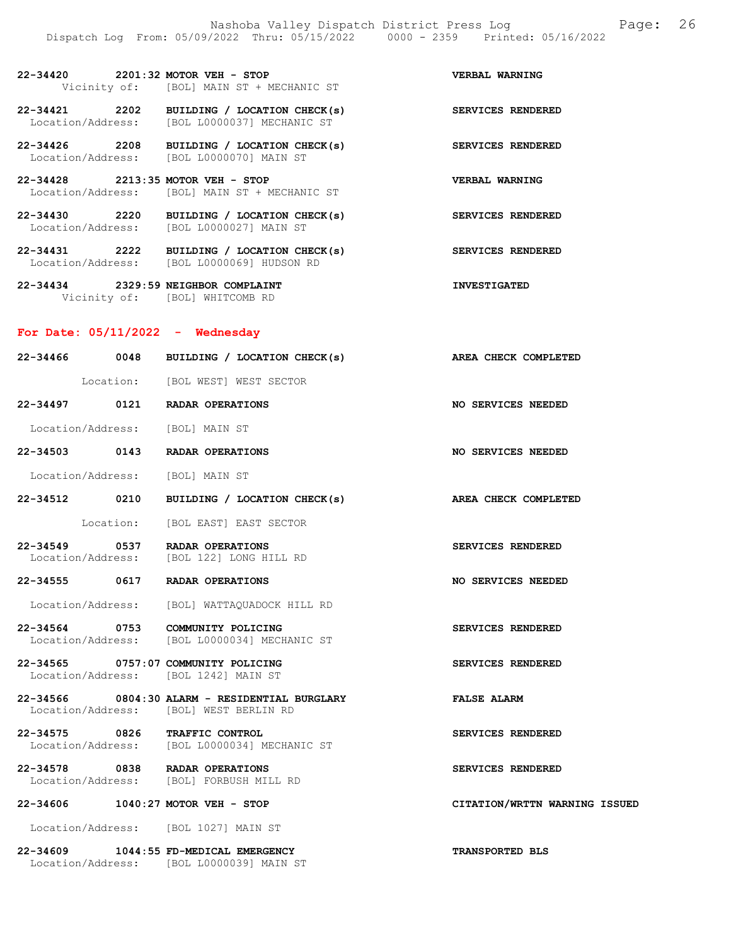22-34420 2201:32 MOTOR VEH - STOP VERBAL WARNING Vicinity of: [BOL] MAIN ST + MECHANIC ST

22-34421 2202 BUILDING / LOCATION CHECK(s) SERVICES RENDERED Location/Address: [BOL L0000037] MECHANIC ST

22-34426 2208 BUILDING / LOCATION CHECK(s) SERVICES RENDERED Location/Address: [BOL L0000070] MAIN ST

22-34428 2213:35 MOTOR VEH - STOP VERBAL WARNING<br>Location/Address: [BOL] MAIN ST + MECHANIC ST Location/Address: [BOL] MAIN ST + MECHANIC ST

22-34430 2220 BUILDING / LOCATION CHECK(s) SERVICES RENDERED Location/Address: [BOL L0000027] MAIN ST

22-34431 2222 BUILDING / LOCATION CHECK(s) SERVICES RENDERED Location/Address: [BOL L0000069] HUDSON RD

22-34434 2329:59 NEIGHBOR COMPLAINT INVESTIGATED Vicinity of: [BOL] WHITCOMB RD

Location/Address: [BOL L0000039] MAIN ST

#### For Date: 05/11/2022 - Wednesday

| 22-34466 0048                   | BUILDING / LOCATION CHECK(s)                                                            | AREA CHECK COMPLETED          |
|---------------------------------|-----------------------------------------------------------------------------------------|-------------------------------|
|                                 | Location: [BOL WEST] WEST SECTOR                                                        |                               |
|                                 | 22-34497 0121 RADAR OPERATIONS                                                          | NO SERVICES NEEDED            |
| Location/Address: [BOL] MAIN ST |                                                                                         |                               |
|                                 | 22-34503 0143 RADAR OPERATIONS                                                          | <b>NO SERVICES NEEDED</b>     |
|                                 | Location/Address: [BOL] MAIN ST                                                         |                               |
|                                 | 22-34512 0210 BUILDING / LOCATION CHECK(s)                                              | AREA CHECK COMPLETED          |
|                                 | Location: [BOL EAST] EAST SECTOR                                                        |                               |
|                                 | 22-34549 0537 RADAR OPERATIONS<br>Location/Address: [BOL 122] LONG HILL RD              | SERVICES RENDERED             |
|                                 | 22-34555 0617 RADAR OPERATIONS                                                          | <b>NO SERVICES NEEDED</b>     |
|                                 | Location/Address: [BOL] WATTAQUADOCK HILL RD                                            |                               |
|                                 | 22-34564 0753 COMMUNITY POLICING<br>Location/Address: [BOL L0000034] MECHANIC ST        | SERVICES RENDERED             |
|                                 | 22-34565 0757:07 COMMUNITY POLICING<br>Location/Address: [BOL 1242] MAIN ST             | SERVICES RENDERED             |
|                                 | 22-34566 0804:30 ALARM - RESIDENTIAL BURGLARY<br>Location/Address: [BOL] WEST BERLIN RD | <b>FALSE ALARM</b>            |
|                                 | 22-34575 0826 TRAFFIC CONTROL<br>Location/Address: [BOL L0000034] MECHANIC ST           | SERVICES RENDERED             |
|                                 | 22-34578 0838 RADAR OPERATIONS<br>Location/Address: [BOL] FORBUSH MILL RD               | SERVICES RENDERED             |
|                                 | 22-34606 1040:27 MOTOR VEH - STOP                                                       | CITATION/WRTTN WARNING ISSUED |
|                                 | Location/Address: [BOL 1027] MAIN ST                                                    |                               |
|                                 | 22-34609 1044:55 FD-MEDICAL EMERGENCY                                                   | <b>TRANSPORTED BLS</b>        |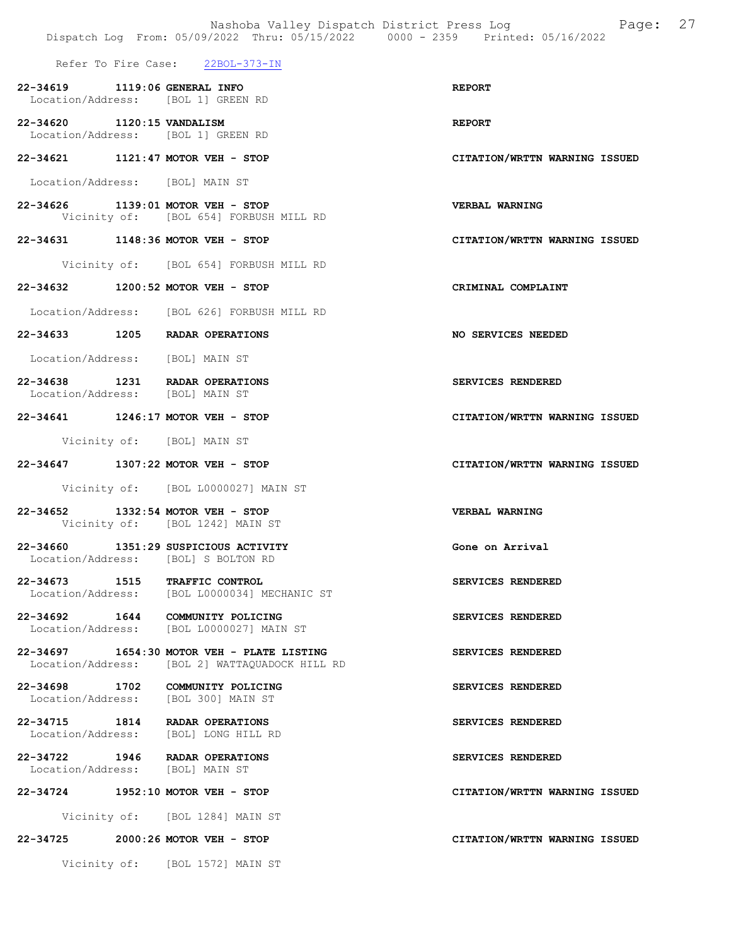Refer To Fire Case: 22BOL-373-IN

- 22-34619 1119:06 GENERAL INFO REPORT Location/Address: [BOL 1] GREEN RD 22-34620 1120:15 VANDALISM REPORT
- Location/Address: [BOL 1] GREEN RD
- 22-34621 1121:47 MOTOR VEH STOP CITATION/WRTTN WARNING ISSUED
- Location/Address: [BOL] MAIN ST
- 22-34626 1139:01 MOTOR VEH STOP VERBAL WARNING<br>Vicinity of: [BOL 654] FORBUSH MILL RD [BOL 654] FORBUSH MILL RD
- 22-34631 1148:36 MOTOR VEH STOP CITATION/WRTTN WARNING ISSUED
	- Vicinity of: [BOL 654] FORBUSH MILL RD
- 22-34632 1200:52 MOTOR VEH STOP CRIMINAL COMPLAINT
- Location/Address: [BOL 626] FORBUSH MILL RD
- 22-34633 1205 RADAR OPERATIONS NO SERVICES NEEDED
- Location/Address: [BOL] MAIN ST
- 22-34638 1231 RADAR OPERATIONS SERVICES RENDERED Location/Address: [BOL] MAIN ST
- 22-34641 1246:17 MOTOR VEH STOP CITATION/WRTTN WARNING ISSUED
	- Vicinity of: [BOL] MAIN ST
- 22-34647 1307:22 MOTOR VEH STOP CITATION/WRTTN WARNING ISSUED
	- Vicinity of: [BOL L0000027] MAIN ST
- 22-34652 1332:54 MOTOR VEH STOP VERBAL WARNING Vicinity of: [BOL 1242] MAIN ST
- 22-34660 1351:29 SUSPICIOUS ACTIVITY Gone on Arrival Location/Address: [BOL] S BOLTON RD
- 22-34673 1515 TRAFFIC CONTROL SERVICES RENDERED<br>Location/Address: [BOL L0000034] MECHANIC ST Location/Address: [BOL L0000034] MECHANIC ST
- 22-34692 1644 COMMUNITY POLICING SERVICES RENDERED Location/Address: [BOL L0000027] MAIN ST
- 22-34697 1654:30 MOTOR VEH PLATE LISTING SERVICES RENDERED Location/Address: [BOL 2] WATTAQUADOCK HILL RD
- 22-34698 1702 COMMUNITY POLICING SERVICES RENDERED Location/Address: [BOL 300] MAIN ST
- 22-34715 1814 RADAR OPERATIONS SERVICES RENDERED<br>Location/Address: [BOL] LONG HILL RD [BOL] LONG HILL RD
- 22-34722 1946 RADAR OPERATIONS SERVICES RENDERED<br>Location/Address: [BOL] MAIN ST Location/Address:
- 22-34724 1952:10 MOTOR VEH STOP CITATION/WRTTN WARNING ISSUED

Vicinity of: [BOL 1284] MAIN ST

#### 22-34725 2000:26 MOTOR VEH - STOP CITATION/WRTTN WARNING ISSUED

Vicinity of: [BOL 1572] MAIN ST

- 
- 

- 
- 
-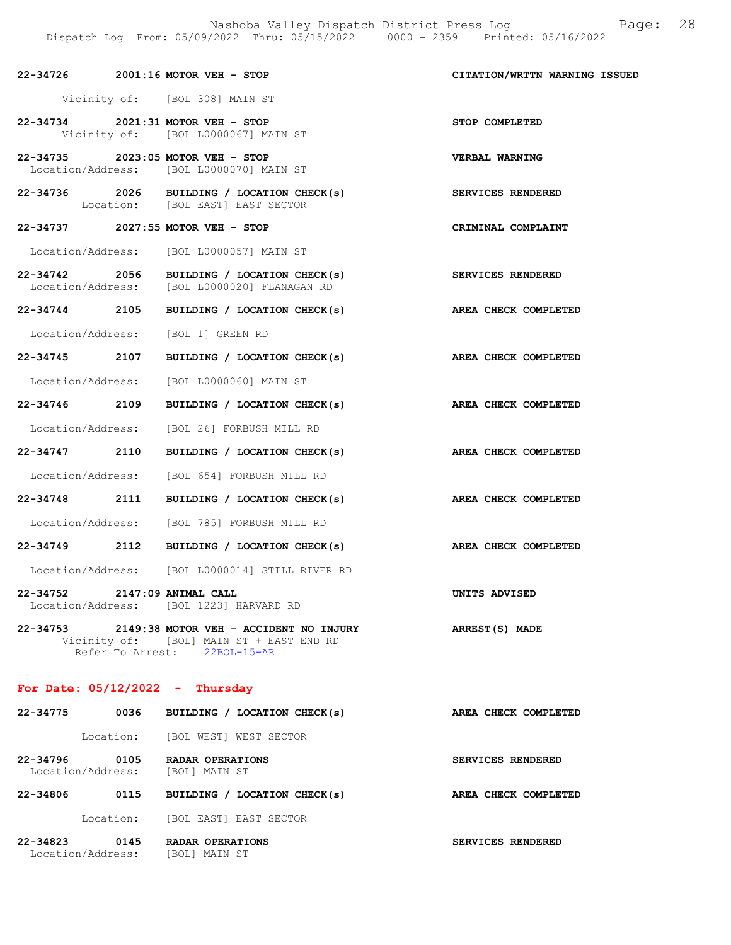|                                   | 22-34726 2001:16 MOTOR VEH - STOP                                                                                           | CITATION/WRTTN WARNING ISSUED |
|-----------------------------------|-----------------------------------------------------------------------------------------------------------------------------|-------------------------------|
|                                   | Vicinity of: [BOL 308] MAIN ST                                                                                              |                               |
|                                   | 22-34734 2021:31 MOTOR VEH - STOP<br>Vicinity of: [BOL L0000067] MAIN ST                                                    | STOP COMPLETED                |
|                                   | 22-34735 2023:05 MOTOR VEH - STOP<br>Location/Address: [BOL L0000070] MAIN ST                                               | <b>VERBAL WARNING</b>         |
|                                   | 22-34736 2026 BUILDING / LOCATION CHECK(s)<br>Location: [BOL EAST] EAST SECTOR                                              | SERVICES RENDERED             |
|                                   | 22-34737 2027:55 MOTOR VEH - STOP                                                                                           | CRIMINAL COMPLAINT            |
|                                   | Location/Address: [BOL L0000057] MAIN ST                                                                                    |                               |
| 22-34742 2056                     | BUILDING / LOCATION CHECK(s)<br>Location/Address: [BOL L0000020] FLANAGAN RD                                                | <b>SERVICES RENDERED</b>      |
| 22-34744 2105                     | BUILDING / LOCATION CHECK(s)                                                                                                | AREA CHECK COMPLETED          |
|                                   | Location/Address: [BOL 1] GREEN RD                                                                                          |                               |
| 22-34745 2107                     | BUILDING / LOCATION CHECK(s) AREA CHECK COMPLETED                                                                           |                               |
| Location/Address:                 | [BOL L0000060] MAIN ST                                                                                                      |                               |
| 22-34746 2109                     | BUILDING / LOCATION CHECK(s)                                                                                                | AREA CHECK COMPLETED          |
|                                   | Location/Address: [BOL 26] FORBUSH MILL RD                                                                                  |                               |
| 22-34747 2110                     | BUILDING / LOCATION CHECK(s)                                                                                                | AREA CHECK COMPLETED          |
|                                   | Location/Address: [BOL 654] FORBUSH MILL RD                                                                                 |                               |
|                                   | 22-34748 2111 BUILDING / LOCATION CHECK(s)                                                                                  | AREA CHECK COMPLETED          |
|                                   | Location/Address: [BOL 785] FORBUSH MILL RD                                                                                 |                               |
| 22-34749 2112                     | BUILDING / LOCATION CHECK(s)                                                                                                | AREA CHECK COMPLETED          |
|                                   | Location/Address: [BOL L0000014] STILL RIVER RD                                                                             |                               |
| 22-34752                          | $2147:09$ ANIMAL CALL<br>Location/Address: [BOL 1223] HARVARD RD                                                            | UNITS ADVISED                 |
|                                   | 22-34753 2149:38 MOTOR VEH - ACCIDENT NO INJURY<br>Vicinity of: [BOL] MAIN ST + EAST END RD<br>Refer To Arrest: 22BOL-15-AR | ARREST(S) MADE                |
| For Date: $05/12/2022 -$ Thursday |                                                                                                                             |                               |
|                                   | $22-34775$ 0036 BIITIDING / LOCATION CHECK(s)                                                                               | AREA CHECK COMPLETED          |

-34775 0036 BUILDING / LOCATION CHECK(s) AREA CHECK COM Location: [BOL WEST] WEST SECTOR 22-34796 0105 RADAR OPERATIONS SERVICES RENDERED Location/Address: [BOL] MAIN ST 22-34806 0115 BUILDING / LOCATION CHECK(s) AREA CHECK COMPLETED Location: [BOL EAST] EAST SECTOR

22-34823 0145 RADAR OPERATIONS SERVICES RENDERED Location/Address: [BOL] MAIN ST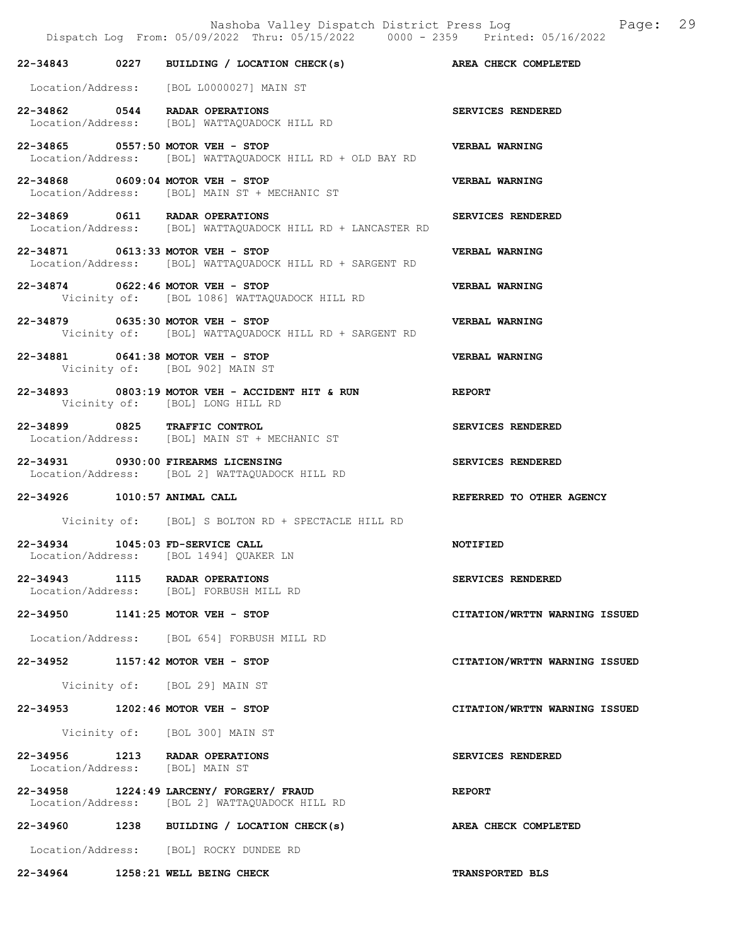Dispatch Log From: 05/09/2022 Thru: 05/15/2022 0000 - 2359 Printed: 05/16/2022 22-34843 0227 BUILDING / LOCATION CHECK(s) AREA CHECK COMPLETED Location/Address: [BOL L0000027] MAIN ST 22-34862 0544 RADAR OPERATIONS SERVICES RENDERED<br>Location/Address: [BOL] WATTAQUADOCK HILL RD Location/Address: [BOL] WATTAQUADOCK HILL RD 22-34865 0557:50 MOTOR VEH - STOP VERBAL WARNING Location/Address: [BOL] WATTAQUADOCK HILL RD + OLD BAY RD 22-34868 0609:04 MOTOR VEH - STOP VERBAL WARNING Location/Address: [BOL] MAIN ST + MECHANIC ST 22-34869 0611 RADAR OPERATIONS SERVICES RENDERED Location/Address: [BOL] WATTAQUADOCK HILL RD + LANCASTER RD 22-34871 0613:33 MOTOR VEH - STOP VERBAL WARNING Location/Address: [BOL] WATTAQUADOCK HILL RD + SARGENT RD 22-34874 0622:46 MOTOR VEH - STOP<br>Vicinity of: [BOL 1086] WATTAQUADOCK HILL RD<br>Vicinity of: [BOL 1086] WATTAQUADOCK HILL RD Vicinity of: [BOL 1086] WATTAQUADOCK HILL RD 22-34879 0635:30 MOTOR VEH - STOP VERBAL WARNING Vicinity of: [BOL] WATTAQUADOCK HILL RD + SARGENT RD 22-34881 0641:38 MOTOR VEH - STOP VERBAL WARNING Vicinity of: [BOL 902] MAIN ST 22-34893 0803:19 MOTOR VEH - ACCIDENT HIT & RUN REPORT Vicinity of: [BOL] LONG HILL RD 22-34899 0825 TRAFFIC CONTROL SERVICES RENDERED Location/Address: [BOL] MAIN ST + MECHANIC ST 22-34931 0930:00 FIREARMS LICENSING SERVICES RENDERED Location/Address: [BOL 2] WATTAQUADOCK HILL RD 22-34926 1010:57 ANIMAL CALL REFERRED TO OTHER AGENCY Vicinity of: [BOL] S BOLTON RD + SPECTACLE HILL RD 22-34934 1045:03 FD-SERVICE CALL NOTIFIED Location/Address: [BOL 1494] QUAKER LN 22-34943 1115 RADAR OPERATIONS SERVICES RENDERED Location/Address: [BOL] FORBUSH MILL RD 22-34950 1141:25 MOTOR VEH - STOP CITATION/WRTTN WARNING ISSUED Location/Address: [BOL 654] FORBUSH MILL RD 22-34952 1157:42 MOTOR VEH - STOP CITATION/WRTTN WARNING ISSUED Vicinity of: [BOL 29] MAIN ST 22-34953 1202:46 MOTOR VEH - STOP CITATION/WRTTN WARNING ISSUED Vicinity of: [BOL 300] MAIN ST 22-34956 1213 RADAR OPERATIONS SERVICES RENDERED Location/Address: [BOL] MAIN ST 22-34958 1224:49 LARCENY/ FORGERY/ FRAUD<br>Location/Address: [BOL 2] WATTAQUADOCK HILL RD [BOL 2] WATTAQUADOCK HILL RD 22-34960 1238 BUILDING / LOCATION CHECK(s) AREA CHECK COMPLETED Location/Address: [BOL] ROCKY DUNDEE RD

Nashoba Valley Dispatch District Press Log Page: 29

22-34964 1258:21 WELL BEING CHECK TRANSPORTED BLS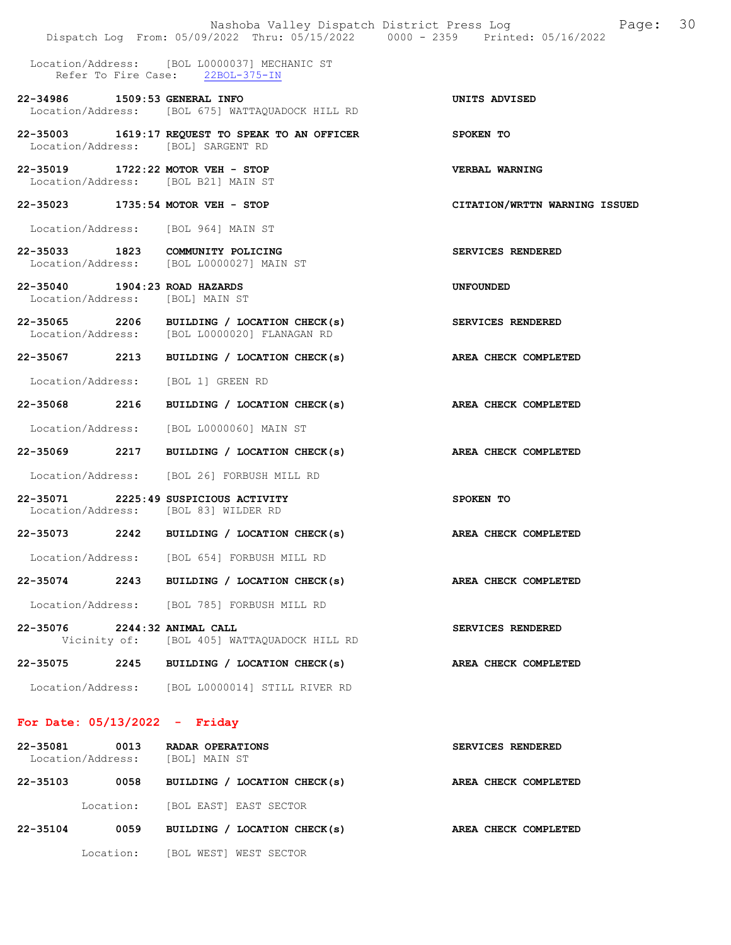|                                                                              | Nashoba Valley Dispatch District Press Log<br>Dispatch Log From: 05/09/2022 Thru: 05/15/2022 0000 - 2359 Printed: 05/16/2022 | Page: 30                      |
|------------------------------------------------------------------------------|------------------------------------------------------------------------------------------------------------------------------|-------------------------------|
|                                                                              | Location/Address: [BOL L0000037] MECHANIC ST<br>Refer To Fire Case: 22BOL-375-IN                                             |                               |
| 22-34986 1509:53 GENERAL INFO                                                | Location/Address: [BOL 675] WATTAQUADOCK HILL RD                                                                             | UNITS ADVISED                 |
| Location/Address: [BOL] SARGENT RD                                           | 22-35003 1619:17 REQUEST TO SPEAK TO AN OFFICER                                                                              | SPOKEN TO                     |
| 22-35019 1722:22 MOTOR VEH - STOP<br>Location/Address: [BOL B21] MAIN ST     |                                                                                                                              | VERBAL WARNING                |
| 22-35023 1735:54 MOTOR VEH - STOP                                            |                                                                                                                              | CITATION/WRTTN WARNING ISSUED |
| Location/Address: [BOL 964] MAIN ST                                          |                                                                                                                              |                               |
| 22-35033 1823 COMMUNITY POLICING                                             | Location/Address: [BOL L0000027] MAIN ST                                                                                     | SERVICES RENDERED             |
| 22-35040 1904:23 ROAD HAZARDS<br>Location/Address: [BOL] MAIN ST             |                                                                                                                              | <b>UNFOUNDED</b>              |
|                                                                              | 22-35065 2206 BUILDING / LOCATION CHECK(s)<br>Location/Address: [BOL L0000020] FLANAGAN RD                                   | SERVICES RENDERED             |
|                                                                              | 22-35067 2213 BUILDING / LOCATION CHECK(s)                                                                                   | AREA CHECK COMPLETED          |
| Location/Address: [BOL 1] GREEN RD                                           |                                                                                                                              |                               |
|                                                                              | $22-35068$ 2216 BUILDING / LOCATION CHECK(s)                                                                                 | AREA CHECK COMPLETED          |
|                                                                              | Location/Address: [BOL L0000060] MAIN ST                                                                                     |                               |
| 22-35069 2217                                                                | BUILDING / LOCATION CHECK(s) AREA CHECK COMPLETED                                                                            |                               |
|                                                                              | Location/Address: [BOL 26] FORBUSH MILL RD                                                                                   |                               |
| 22-35071 2225:49 SUSPICIOUS ACTIVITY<br>Location/Address: [BOL 83] WILDER RD |                                                                                                                              | SPOKEN TO                     |
|                                                                              | 22-35073 2242 BUILDING / LOCATION CHECK(s)                                                                                   | AREA CHECK COMPLETED          |
|                                                                              | Location/Address: [BOL 654] FORBUSH MILL RD                                                                                  |                               |
|                                                                              | 22-35074 2243 BUILDING / LOCATION CHECK(s)                                                                                   | AREA CHECK COMPLETED          |
|                                                                              | Location/Address: [BOL 785] FORBUSH MILL RD                                                                                  |                               |
| 22-35076 2244:32 ANIMAL CALL                                                 | Vicinity of: [BOL 405] WATTAQUADOCK HILL RD                                                                                  | SERVICES RENDERED             |
|                                                                              | 22-35075 2245 BUILDING / LOCATION CHECK(s)                                                                                   | AREA CHECK COMPLETED          |
|                                                                              | Location/Address: [BOL L0000014] STILL RIVER RD                                                                              |                               |
| For Date: $05/13/2022 -$ Friday                                              |                                                                                                                              |                               |
| 22-35081<br>0013<br>Location/Address: [BOL] MAIN ST                          | RADAR OPERATIONS                                                                                                             | SERVICES RENDERED             |
|                                                                              | 22-35103 0058 BUILDING / LOCATION CHECK(s)                                                                                   | AREA CHECK COMPLETED          |
|                                                                              | Location: [BOL EAST] EAST SECTOR                                                                                             |                               |
| $22 - 35104$<br>0059                                                         | BUILDING / LOCATION CHECK(s)                                                                                                 | AREA CHECK COMPLETED          |

Location: [BOL WEST] WEST SECTOR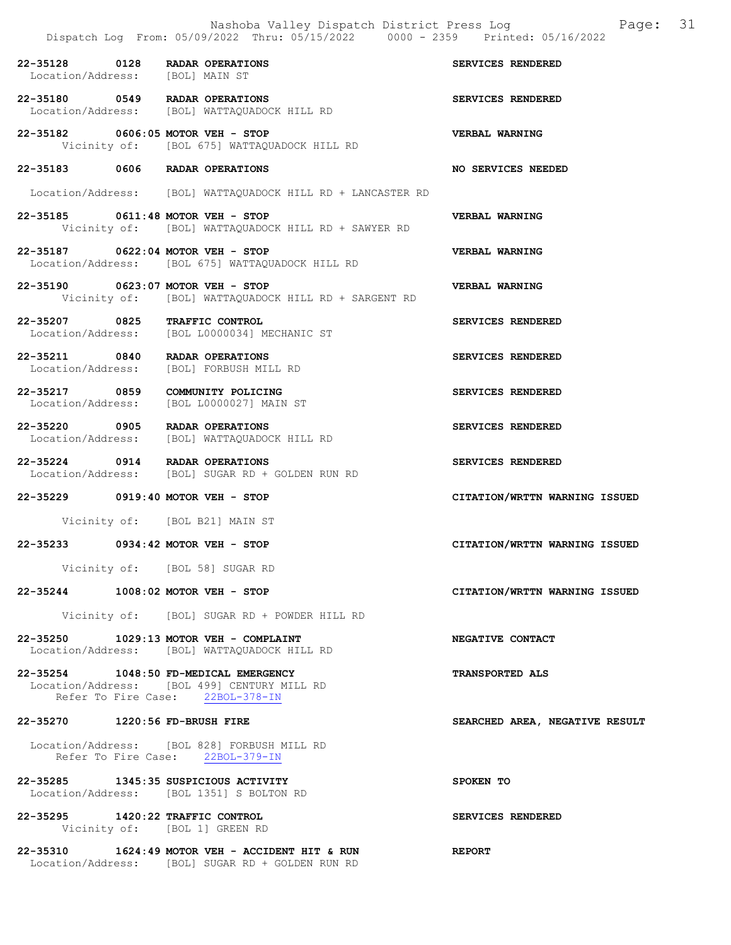|                                                                   | Nashoba Valley Dispatch District Press Log Fage: 31<br>Dispatch Log From: 05/09/2022 Thru: 05/15/2022 0000 - 2359 Printed: 05/16/2022 |                                |  |
|-------------------------------------------------------------------|---------------------------------------------------------------------------------------------------------------------------------------|--------------------------------|--|
| 22-35128 0128 RADAR OPERATIONS<br>Location/Address: [BOL] MAIN ST |                                                                                                                                       | SERVICES RENDERED              |  |
| 22-35180 0549 RADAR OPERATIONS                                    | Location/Address: [BOL] WATTAQUADOCK HILL RD                                                                                          | SERVICES RENDERED              |  |
| 22-35182 0606:05 MOTOR VEH - STOP                                 | Vicinity of: [BOL 675] WATTAQUADOCK HILL RD                                                                                           | <b>VERBAL WARNING</b>          |  |
| 22-35183 0606 RADAR OPERATIONS                                    |                                                                                                                                       | NO SERVICES NEEDED             |  |
|                                                                   | Location/Address: [BOL] WATTAQUADOCK HILL RD + LANCASTER RD                                                                           |                                |  |
| 22-35185 0611:48 MOTOR VEH - STOP                                 | Vicinity of: [BOL] WATTAQUADOCK HILL RD + SAWYER RD                                                                                   | VERBAL WARNING                 |  |
| 22-35187 0622:04 MOTOR VEH - STOP                                 | Location/Address: [BOL 675] WATTAQUADOCK HILL RD                                                                                      | <b>VERBAL WARNING</b>          |  |
| 22-35190 0623:07 MOTOR VEH - STOP                                 | Vicinity of: [BOL] WATTAQUADOCK HILL RD + SARGENT RD                                                                                  | VERBAL WARNING                 |  |
| 22-35207 0825 TRAFFIC CONTROL                                     | Location/Address: [BOL L0000034] MECHANIC ST                                                                                          | SERVICES RENDERED              |  |
|                                                                   | 22-35211 0840 RADAR OPERATIONS<br>Location/Address: [BOL] FORBUSH MILL RD                                                             | SERVICES RENDERED              |  |
| 22-35217 0859 COMMUNITY POLICING                                  | Location/Address: [BOL L0000027] MAIN ST                                                                                              | SERVICES RENDERED              |  |
| 22-35220 0905 RADAR OPERATIONS                                    | Location/Address: [BOL] WATTAQUADOCK HILL RD                                                                                          | SERVICES RENDERED              |  |
|                                                                   | 22-35224 0914 RADAR OPERATIONS<br>Location/Address: [BOL] SUGAR RD + GOLDEN RUN RD                                                    | SERVICES RENDERED              |  |
| 22-35229 0919:40 MOTOR VEH - STOP                                 |                                                                                                                                       | CITATION/WRTTN WARNING ISSUED  |  |
|                                                                   | Vicinity of: [BOL B21] MAIN ST                                                                                                        |                                |  |
| 22-35233 0934:42 MOTOR VEH - STOP                                 |                                                                                                                                       | CITATION/WRTTN WARNING ISSUED  |  |
|                                                                   | Vicinity of: [BOL 58] SUGAR RD                                                                                                        |                                |  |
| 22-35244 1008:02 MOTOR VEH - STOP                                 |                                                                                                                                       | CITATION/WRTTN WARNING ISSUED  |  |
|                                                                   | Vicinity of: [BOL] SUGAR RD + POWDER HILL RD                                                                                          |                                |  |
|                                                                   | 22-35250 1029:13 MOTOR VEH - COMPLAINT<br>Location/Address: [BOL] WATTAQUADOCK HILL RD                                                | NEGATIVE CONTACT               |  |
|                                                                   | 22-35254 1048:50 FD-MEDICAL EMERGENCY                                                                                                 | <b>TRANSPORTED ALS</b>         |  |
|                                                                   | Location/Address: [BOL 499] CENTURY MILL RD<br>Refer To Fire Case: 22BOL-378-IN                                                       |                                |  |
| 22-35270 1220:56 FD-BRUSH FIRE                                    |                                                                                                                                       | SEARCHED AREA, NEGATIVE RESULT |  |
|                                                                   | Location/Address: [BOL 828] FORBUSH MILL RD<br>Refer To Fire Case: 22BOL-379-IN                                                       |                                |  |
|                                                                   | 22-35285 1345:35 SUSPICIOUS ACTIVITY<br>Location/Address: [BOL 1351] S BOLTON RD                                                      | SPOKEN TO                      |  |
| 22-35295 1420:22 TRAFFIC CONTROL<br>Vicinity of: [BOL 1] GREEN RD |                                                                                                                                       | SERVICES RENDERED              |  |
|                                                                   | 22-35310 1624:49 MOTOR VEH - ACCIDENT HIT & RUN<br>Location/Address: [BOL] SUGAR RD + GOLDEN RUN RD                                   | <b>REPORT</b>                  |  |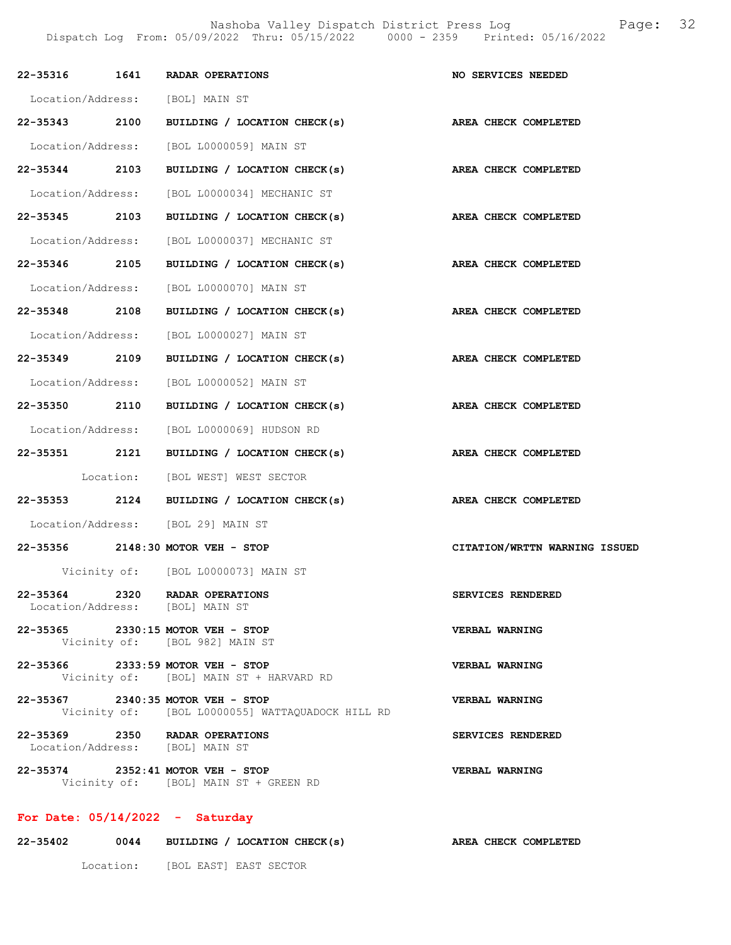|               | 22-35316 1641 RADAR OPERATIONS                                                        | NO SERVICES NEEDED            |
|---------------|---------------------------------------------------------------------------------------|-------------------------------|
|               | Location/Address: [BOL] MAIN ST                                                       |                               |
| 22-35343 2100 | BUILDING / LOCATION CHECK(s)                                                          | AREA CHECK COMPLETED          |
|               | Location/Address: [BOL L0000059] MAIN ST                                              |                               |
| 22-35344 2103 | BUILDING / LOCATION CHECK(s)                                                          | AREA CHECK COMPLETED          |
|               | Location/Address: [BOL L0000034] MECHANIC ST                                          |                               |
| 22-35345 2103 | BUILDING / LOCATION CHECK(s)                                                          | AREA CHECK COMPLETED          |
|               | Location/Address: [BOL L0000037] MECHANIC ST                                          |                               |
| 22-35346 2105 | BUILDING / LOCATION CHECK(s)                                                          | AREA CHECK COMPLETED          |
|               | Location/Address: [BOL L0000070] MAIN ST                                              |                               |
| 22-35348 2108 | BUILDING / LOCATION CHECK(s)                                                          | AREA CHECK COMPLETED          |
|               | Location/Address: [BOL L0000027] MAIN ST                                              |                               |
| 22-35349 2109 | BUILDING / LOCATION CHECK(s)                                                          | AREA CHECK COMPLETED          |
|               | Location/Address: [BOL L0000052] MAIN ST                                              |                               |
| 22-35350 2110 | BUILDING / LOCATION CHECK(s)                                                          | AREA CHECK COMPLETED          |
|               | Location/Address: [BOL L0000069] HUDSON RD                                            |                               |
| 22-35351 2121 | BUILDING / LOCATION CHECK(s)                                                          | AREA CHECK COMPLETED          |
|               | Location: [BOL WEST] WEST SECTOR                                                      |                               |
|               | 22-35353 2124 BUILDING / LOCATION CHECK(s)                                            | AREA CHECK COMPLETED          |
|               | Location/Address: [BOL 29] MAIN ST                                                    |                               |
|               | 22-35356 2148:30 MOTOR VEH - STOP                                                     | CITATION/WRTTN WARNING ISSUED |
|               | Vicinity of: [BOL L0000073] MAIN ST                                                   |                               |
|               | 22-35364 2320 RADAR OPERATIONS<br>Location/Address: [BOL] MAIN ST                     | SERVICES RENDERED             |
|               | 22-35365 2330:15 MOTOR VEH - STOP<br>Vicinity of: [BOL 982] MAIN ST                   | VERBAL WARNING                |
|               | 22-35366 2333:59 MOTOR VEH - STOP<br>Vicinity of: [BOL] MAIN ST + HARVARD RD          | VERBAL WARNING                |
|               | 22-35367 2340:35 MOTOR VEH - STOP<br>Vicinity of: [BOL L0000055] WATTAQUADOCK HILL RD | VERBAL WARNING                |
|               | 22-35369 2350 RADAR OPERATIONS<br>Location/Address: [BOL] MAIN ST                     | SERVICES RENDERED             |
|               | 22-35374 2352:41 MOTOR VEH - STOP<br>Vicinity of: [BOL] MAIN ST + GREEN RD            | VERBAL WARNING                |
|               | For Date: $05/14/2022 -$ Saturday                                                     |                               |

| 22-35402 | 0044      | BUILDING / LOCATION CHECK(s) | AREA CHECK COMPLETED |
|----------|-----------|------------------------------|----------------------|
|          | Location: | [BOL EAST] EAST SECTOR       |                      |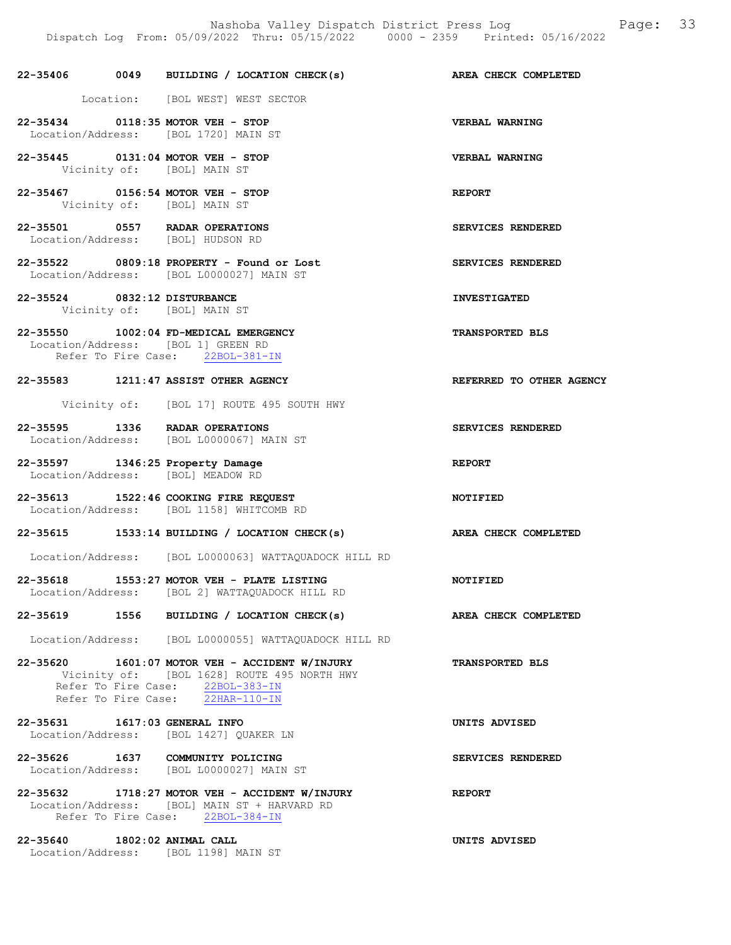# 22-35406 0049 BUILDING / LOCATION CHECK(s) AREA CHECK COMPLETED Location: [BOL WEST] WEST SECTOR 22-35434 0118:35 MOTOR VEH - STOP VERBAL WARNING Location/Address: [BOL 1720] MAIN ST 22-35445 0131:04 MOTOR VEH - STOP VERBAL WARNING<br>Vicinity of: [BOL] MAIN ST Vicinity of: 22-35467 0156:54 MOTOR VEH - STOP<br>Vicinity of: [BOL] MAIN ST [BOL] MAIN ST 22-35501 0557 RADAR OPERATIONS SERVICES RENDERED Location/Address: [BOL] HUDSON RD 22-35522 0809:18 PROPERTY - Found or Lost SERVICES RENDERED Location/Address: [BOL L0000027] MAIN ST 22-35524 0832:12 DISTURBANCE INVESTIGATED Vicinity of: [BOL] MAIN ST 22-35550 1002:04 FD-MEDICAL EMERGENCY TRANSPORTED BLS Location/Address: [BOL 1] GREEN RD Refer To Fire Case: 22BOL-381-IN 22-35583 1211:47 ASSIST OTHER AGENCY REFERRED TO OTHER AGENCY Vicinity of: [BOL 17] ROUTE 495 SOUTH HWY 22-35595 1336 RADAR OPERATIONS SERVICES RENDERED Location/Address: [BOL L0000067] MAIN ST 22-35597 1346:25 Property Damage REPORT Location/Address: [BOL] MEADOW RD 22-35613 1522:46 COOKING FIRE REQUEST NOTIFIED Location/Address: [BOL 1158] WHITCOMB RD 22-35615 1533:14 BUILDING / LOCATION CHECK(s) AREA CHECK COMPLETED Location/Address: [BOL L0000063] WATTAQUADOCK HILL RD 22-35618 1553:27 MOTOR VEH - PLATE LISTING NOTIFIED Location/Address: [BOL 2] WATTAQUADOCK HILL RD 22-35619 1556 BUILDING / LOCATION CHECK(s) AREA CHECK COMPLETED Location/Address: [BOL L0000055] WATTAQUADOCK HILL RD 22-35620 1601:07 MOTOR VEH - ACCIDENT W/INJURY TRANSPORTED BLS Vicinity of: [BOL 1628] ROUTE 495 NORTH HWY Refer To Fire Case: 22BOL-383-IN Refer To Fire Case: 22HAR-110-IN 22-35631 1617:03 GENERAL INFO UNITS ADVISED Location/Address: [BOL 1427] QUAKER LN 22-35626 1637 COMMUNITY POLICING SERVICES RENDERED Location/Address: [BOL L0000027] MAIN ST 22-35632 1718:27 MOTOR VEH - ACCIDENT W/INJURY REPORT Location/Address: [BOL] MAIN ST + HARVARD RD Refer To Fire Case: 22BOL-384-IN

22-35640 1802:02 ANIMAL CALL UNITS ADVISED Location/Address: [BOL 1198] MAIN ST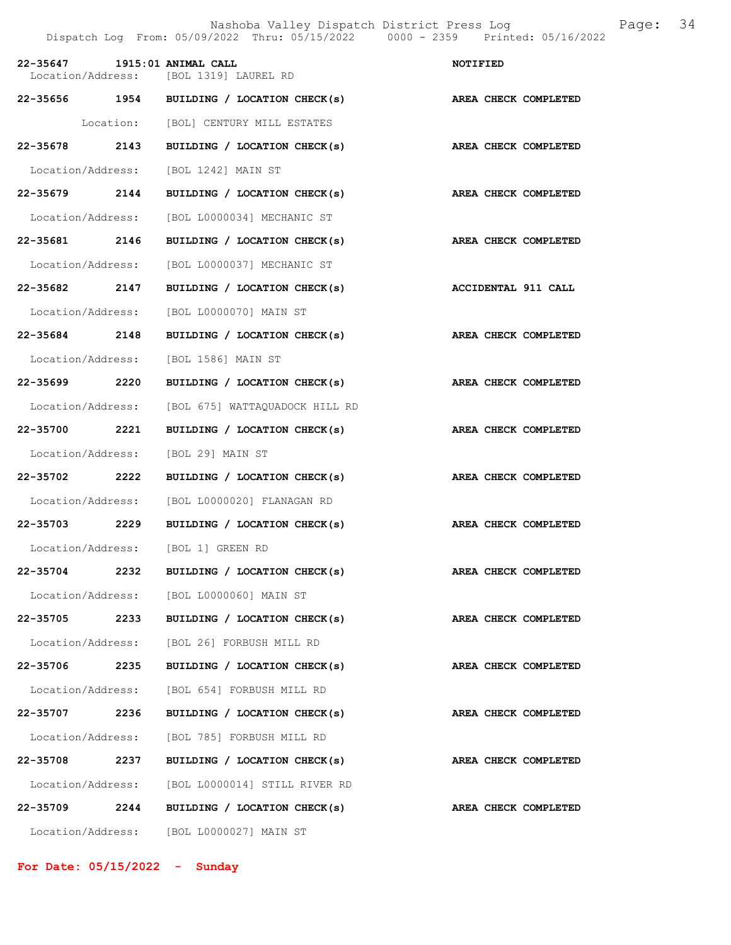22-35656 1954 BUILDING / LOCATION CHECK(s) AREA CHECK COMPLETED Location: [BOL] CENTURY MILL ESTATES 22-35678 2143 BUILDING / LOCATION CHECK(s) AREA CHECK COMPLETED Location/Address: [BOL 1242] MAIN ST 22-35679 2144 BUILDING / LOCATION CHECK(s) AREA CHECK COMPLETED Location/Address: [BOL L0000034] MECHANIC ST 22-35681 2146 BUILDING / LOCATION CHECK(s) AREA CHECK COMPLETED Location/Address: [BOL L0000037] MECHANIC ST 22-35682 2147 BUILDING / LOCATION CHECK(s) ACCIDENTAL 911 CALL Location/Address: [BOL L0000070] MAIN ST 22-35684 2148 BUILDING / LOCATION CHECK(s) AREA CHECK COMPLETED Location/Address: [BOL 1586] MAIN ST 22-35699 2220 BUILDING / LOCATION CHECK(s) AREA CHECK COMPLETED Location/Address: [BOL 675] WATTAQUADOCK HILL RD 22-35700 2221 BUILDING / LOCATION CHECK(s) AREA CHECK COMPLETED Location/Address: [BOL 29] MAIN ST 22-35702 2222 BUILDING / LOCATION CHECK(s) AREA CHECK COMPLETED Location/Address: [BOL L0000020] FLANAGAN RD 22-35703 2229 BUILDING / LOCATION CHECK(s) AREA CHECK COMPLETED

 Location/Address: [BOL 1] GREEN RD 22-35704 2232 BUILDING / LOCATION CHECK(s) AREA CHECK COMPLETED

Location/Address: [BOL L0000060] MAIN ST

Location/Address: [BOL 26] FORBUSH MILL RD

 Location/Address: [BOL 654] FORBUSH MILL RD 22-35707 2236 BUILDING / LOCATION CHECK(s) AREA CHECK COMPLETED Location/Address: [BOL 785] FORBUSH MILL RD

22-35708 2237 BUILDING / LOCATION CHECK(s) AREA CHECK COMPLETED Location/Address: [BOL L0000014] STILL RIVER RD 22-35709 2244 BUILDING / LOCATION CHECK(s) AREA CHECK COMPLETED Location/Address: [BOL L0000027] MAIN ST

22-35705 2233 BUILDING / LOCATION CHECK(s) AREA CHECK COMPLETED

22-35706 2235 BUILDING / LOCATION CHECK(s) AREA CHECK COMPLETED

For Date: 05/15/2022 - Sunday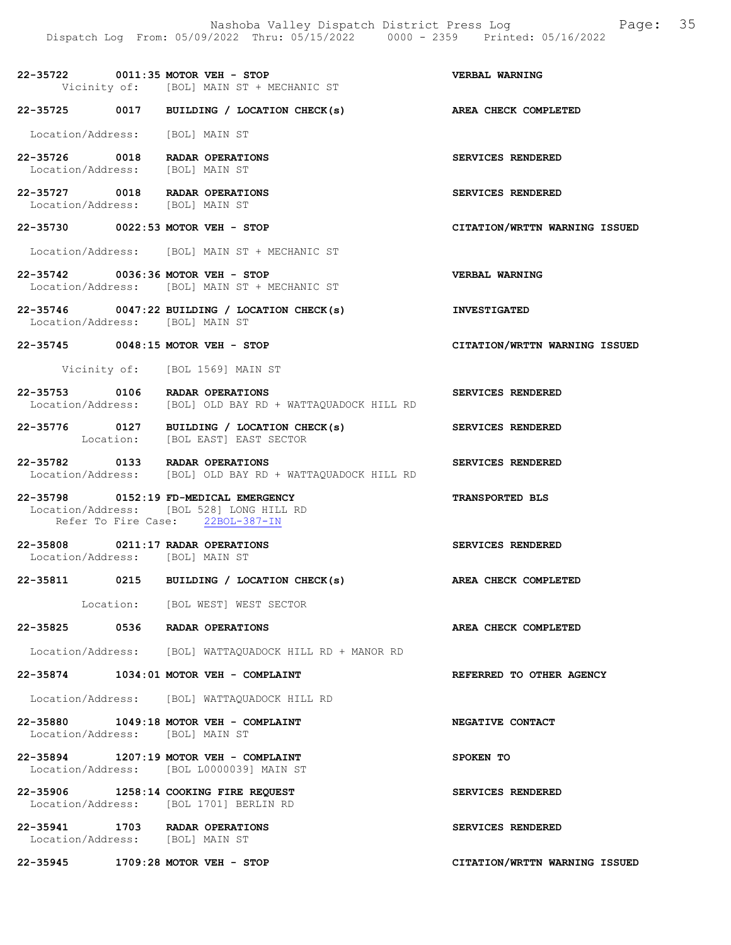22-35722 0011:35 MOTOR VEH - STOP VERBAL WARNING Vicinity of: [BOL] MAIN ST + MECHANIC ST

22-35725 0017 BUILDING / LOCATION CHECK(s) AREA CHECK COMPLETED

Location/Address: [BOL] MAIN ST

22-35726 0018 RADAR OPERATIONS SERVICES RENDERED<br>Location/Address: [BOL] MAIN ST Location/Address:

22-35727 0018 RADAR OPERATIONS SERVICES RENDERED<br>
Location/Address: [BOL] MAIN ST Location/Address:

22-35730 0022:53 MOTOR VEH - STOP CITATION/WRTTN WARNING ISSUED

Location/Address: [BOL] MAIN ST + MECHANIC ST

22-35742 0036:36 MOTOR VEH - STOP VERBAL WARNING Location/Address: [BOL] MAIN ST + MECHANIC ST

22-35746 0047:22 BUILDING / LOCATION CHECK(s) INVESTIGATED Location/Address: [BOL] MAIN ST

22-35745 0048:15 MOTOR VEH - STOP CITATION/WRTTN WARNING ISSUED

Vicinity of: [BOL 1569] MAIN ST

#### 22-35753 0106 RADAR OPERATIONS SERVICES RENDERED Location/Address: [BOL] OLD BAY RD + WATTAQUADOCK HILL RD

22-35776 0127 BUILDING / LOCATION CHECK(s) SERVICES RENDERED<br>Location: [BOL EAST] EAST SECTOR [BOL EAST] EAST SECTOR

22-35782 0133 RADAR OPERATIONS SERVICES RENDERED Location/Address: [BOL] OLD BAY RD + WATTAQUADOCK HILL RD

22-35798 0152:19 FD-MEDICAL EMERGENCY TRANSPORTED BLS Location/Address: [BOL 528] LONG HILL RD Refer To Fire Case: 22BOL-387-IN

22-35808 0211:17 RADAR OPERATIONS SERVICES RENDERED<br>
Location/Address: [BOL] MAIN ST Location/Address:

22-35811 0215 BUILDING / LOCATION CHECK(s) AREA CHECK COMPLETED

Location: [BOL WEST] WEST SECTOR

22-35825 0536 RADAR OPERATIONS AREA CHECK COMPLETED

Location/Address: [BOL] WATTAQUADOCK HILL RD + MANOR RD

22-35874 1034:01 MOTOR VEH - COMPLAINT REFERRED TO OTHER AGENCY

Location/Address: [BOL] WATTAQUADOCK HILL RD

22-35880 1049:18 MOTOR VEH - COMPLAINT NEGATIVE CONTACT Location/Address: [BOL] MAIN ST

22-35894 1207:19 MOTOR VEH - COMPLAINT SPOKEN TO Location/Address: [BOL L0000039] MAIN ST

22-35906 1258:14 COOKING FIRE REQUEST SERVICES RENDERED Location/Address: [BOL 1701] BERLIN RD

22-35941 1703 RADAR OPERATIONS SERVICES RENDERED Location/Address: [BOL] MAIN ST

22-35945 1709:28 MOTOR VEH - STOP CITATION/WRTTN WARNING ISSUED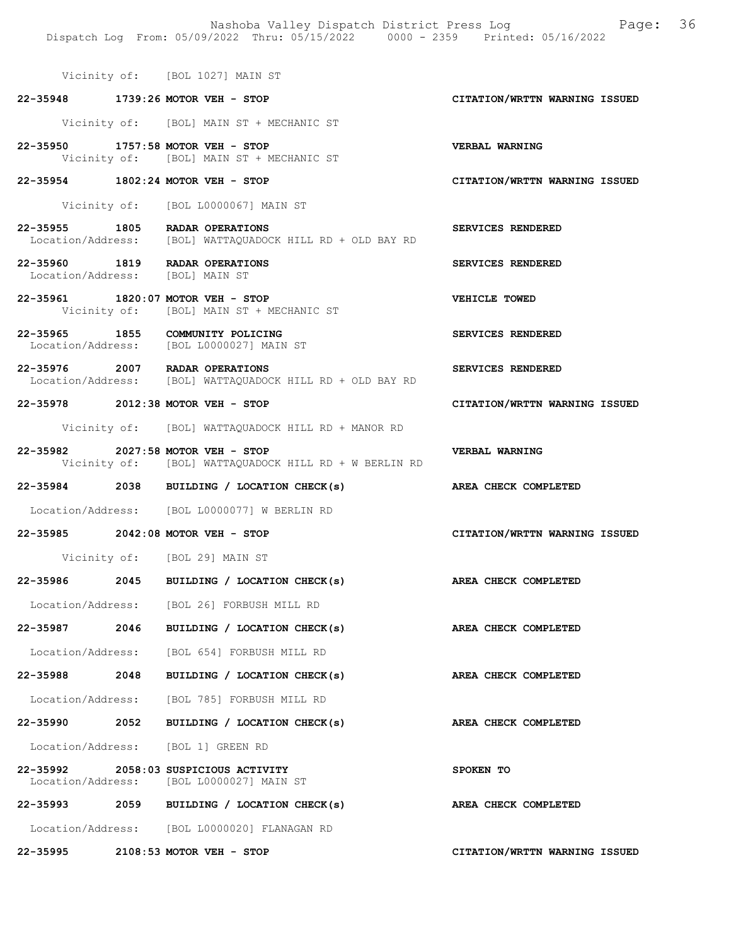Vicinity of: [BOL 1027] MAIN ST 22-35948 1739:26 MOTOR VEH - STOP CITATION/WRTTN WARNING ISSUED Vicinity of: [BOL] MAIN ST + MECHANIC ST 22-35950 1757:58 MOTOR VEH - STOP VERBAL WARNING Vicinity of: [BOL] MAIN ST + MECHANIC ST 22-35954 1802:24 MOTOR VEH - STOP CITATION/WRTTN WARNING ISSUED Vicinity of: [BOL L0000067] MAIN ST 22-35955 1805 RADAR OPERATIONS SERVICES RENDERED<br>Location/Address: [BOL] WATTAQUADOCK HILL RD + OLD BAY RD Location/Address: [BOL] WATTAQUADOCK HILL RD + OLD BAY RD 22-35960 1819 RADAR OPERATIONS SERVICES RENDERED<br>Location/Address: [BOL] MAIN ST Location/Address: 22-35961 1820:07 MOTOR VEH - STOP VEHICLE TOWED Vicinity of: [BOL] MAIN ST + MECHANIC ST 22-35965 1855 COMMUNITY POLICING SERVICES RENDERED Location/Address: [BOL L0000027] MAIN ST 22-35976 2007 RADAR OPERATIONS SERVICES RENDERED<br>Location/Address: [BOL] WATTAQUADOCK HILL RD + OLD BAY RD Location/Address: [BOL] WATTAQUADOCK HILL RD + OLD BAY RD 22-35978 2012:38 MOTOR VEH - STOP CITATION/WRTTN WARNING ISSUED Vicinity of: [BOL] WATTAQUADOCK HILL RD + MANOR RD 22-35982 2027:58 MOTOR VEH - STOP VERBAL WARNING<br>Vicinity of: [BOL] WATTAQUADOCK HILL RD + W BERLIN RD [BOL] WATTAQUADOCK HILL RD + W BERLIN RD 22-35984 2038 BUILDING / LOCATION CHECK(s) AREA CHECK COMPLETED Location/Address: [BOL L0000077] W BERLIN RD 22-35985 2042:08 MOTOR VEH - STOP CITATION/WRTTN WARNING ISSUED Vicinity of: [BOL 29] MAIN ST 22-35986 2045 BUILDING / LOCATION CHECK(s) AREA CHECK COMPLETED Location/Address: [BOL 26] FORBUSH MILL RD 22-35987 2046 BUILDING / LOCATION CHECK(s) AREA CHECK COMPLETED Location/Address: [BOL 654] FORBUSH MILL RD 22-35988 2048 BUILDING / LOCATION CHECK(s) AREA CHECK COMPLETED Location/Address: [BOL 785] FORBUSH MILL RD 22-35990 2052 BUILDING / LOCATION CHECK(s) AREA CHECK COMPLETED Location/Address: [BOL 1] GREEN RD 22-35992 2058:03 SUSPICIOUS ACTIVITY SPOKEN TO Location/Address: [BOL L0000027] MAIN ST 22-35993 2059 BUILDING / LOCATION CHECK(s) AREA CHECK COMPLETED

Dispatch Log From: 05/09/2022 Thru: 05/15/2022 0000 - 2359 Printed: 05/16/2022

Location/Address: [BOL L0000020] FLANAGAN RD

22-35995 2108:53 MOTOR VEH - STOP CITATION/WRTTN WARNING ISSUED

Nashoba Valley Dispatch District Press Log Page: 36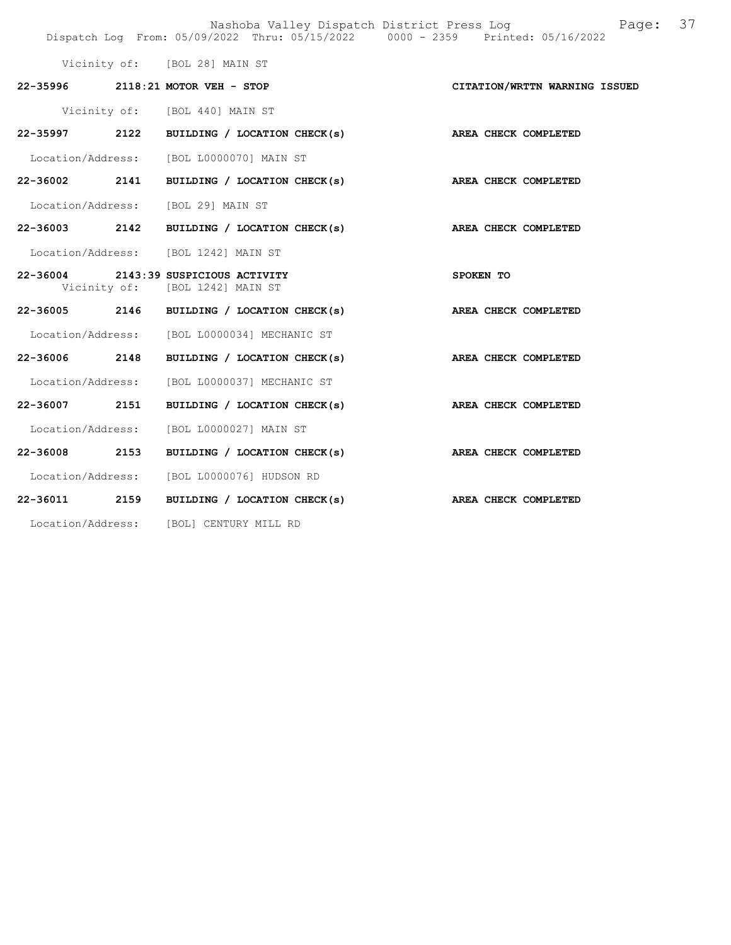|  |                                                                         | Nashoba Valley Dispatch District Press Log Fage: 37<br>Dispatch Log From: 05/09/2022 Thru: 05/15/2022 0000 - 2359 Printed: 05/16/2022 |  |
|--|-------------------------------------------------------------------------|---------------------------------------------------------------------------------------------------------------------------------------|--|
|  | Vicinity of: [BOL 28] MAIN ST                                           |                                                                                                                                       |  |
|  | 22-35996 2118:21 MOTOR VEH - STOP                                       | CITATION/WRTTN WARNING ISSUED                                                                                                         |  |
|  | Vicinity of: [BOL 440] MAIN ST                                          |                                                                                                                                       |  |
|  | 22-35997 2122 BUILDING / LOCATION CHECK(s) AREA CHECK COMPLETED         |                                                                                                                                       |  |
|  | Location/Address: [BOL L0000070] MAIN ST                                |                                                                                                                                       |  |
|  | 22-36002 2141 BUILDING / LOCATION CHECK(s) AREA CHECK COMPLETED         |                                                                                                                                       |  |
|  | Location/Address: [BOL 29] MAIN ST                                      |                                                                                                                                       |  |
|  | 22-36003 2142 BUILDING / LOCATION CHECK(s) AREA CHECK COMPLETED         |                                                                                                                                       |  |
|  | Location/Address: [BOL 1242] MAIN ST                                    |                                                                                                                                       |  |
|  | 22-36004 2143:39 SUSPICIOUS ACTIVITY<br>Vicinity of: [BOL 1242] MAIN ST | SPOKEN TO                                                                                                                             |  |
|  | 22-36005 2146 BUILDING / LOCATION CHECK(s) AREA CHECK COMPLETED         |                                                                                                                                       |  |
|  | Location/Address: [BOL L0000034] MECHANIC ST                            |                                                                                                                                       |  |
|  | 22-36006 2148 BUILDING / LOCATION CHECK(s)                              | AREA CHECK COMPLETED                                                                                                                  |  |
|  | Location/Address: [BOL L0000037] MECHANIC ST                            |                                                                                                                                       |  |
|  | 22-36007 2151 BUILDING / LOCATION CHECK(s) AREA CHECK COMPLETED         |                                                                                                                                       |  |
|  | Location/Address: [BOL L0000027] MAIN ST                                |                                                                                                                                       |  |
|  | 22-36008 2153 BUILDING / LOCATION CHECK(s) AREA CHECK COMPLETED         |                                                                                                                                       |  |
|  | Location/Address: [BOL L0000076] HUDSON RD                              |                                                                                                                                       |  |
|  | 22-36011 2159 BUILDING / LOCATION CHECK(s) AREA CHECK COMPLETED         |                                                                                                                                       |  |
|  | Location/Address: [BOL] CENTURY MILL RD                                 |                                                                                                                                       |  |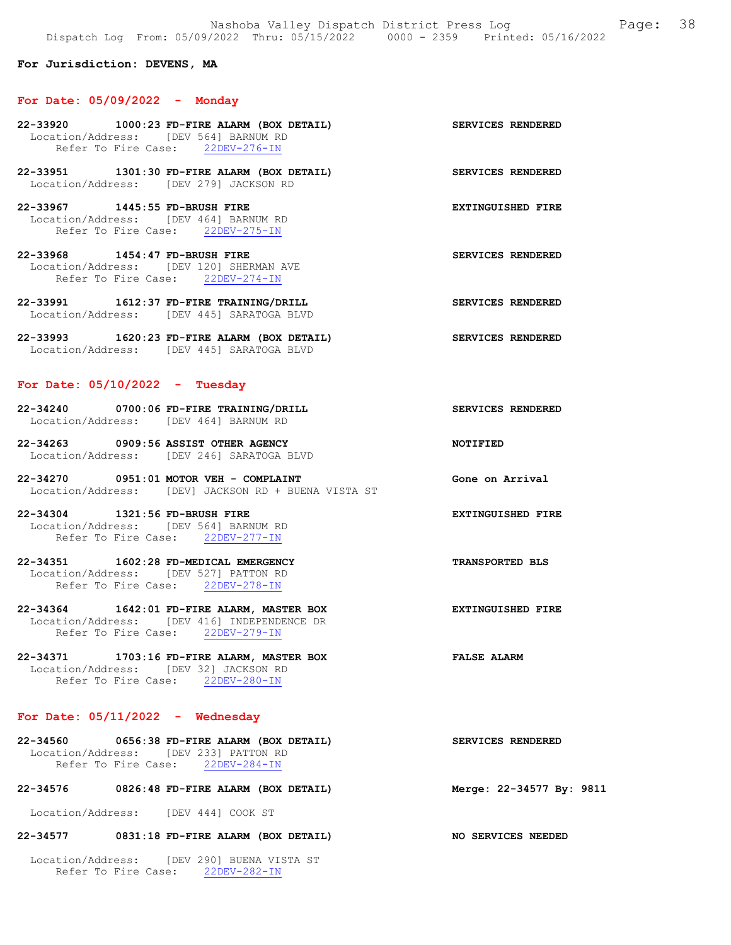#### For Jurisdiction: DEVENS, MA

#### For Date: 05/09/2022 - Monday

- 22-33920 1000:23 FD-FIRE ALARM (BOX DETAIL) SERVICES RENDERED Location/Address: [DEV 564] BARNUM RD<br>Refer To Fire Case: 22DEV-276-IN Refer To Fire Case:
- 22-33951 1301:30 FD-FIRE ALARM (BOX DETAIL) SERVICES RENDERED Location/Address: [DEV 279] JACKSON RD
- 22-33967 1445:55 FD-BRUSH FIRE EXTINGUISHED FIRE Location/Address: [DEV 464] BARNUM RD Refer To Fire Case: 22DEV-275-IN
- 22-33968 1454:47 FD-BRUSH FIRE SERVICES RENDERED Location/Address: [DEV 120] SHERMAN AVE Refer To Fire Case: 22DEV-274-IN
- 22-33991 1612:37 FD-FIRE TRAINING/DRILL SERVICES RENDERED Location/Address: [DEV 445] SARATOGA BLVD
- 22-33993 1620:23 FD-FIRE ALARM (BOX DETAIL) SERVICES RENDERED Location/Address: [DEV 445] SARATOGA BLVD

#### For Date:  $05/10/2022 -$  Tuesday

- 22-34240 0700:06 FD-FIRE TRAINING/DRILL SERVICES RENDERED Location/Address: [DEV 464] BARNUM RD
- 22-34263 0909:56 ASSIST OTHER AGENCY NOTIFIED Location/Address: [DEV 246] SARATOGA BLVD
- 22-34270 0951:01 MOTOR VEH COMPLAINT COMPONE CONE Gone on Arrival Location/Address: [DEV] JACKSON RD + BUENA VISTA ST
- 22-34304 1321:56 FD-BRUSH FIRE EXTINGUISHED FIRE Location/Address: [DEV 564] BARNUM RD Refer To Fire Case: 22DEV-277-IN
- 22-34351 1602:28 FD-MEDICAL EMERGENCY TRANSPORTED BLS Location/Address: [DEV 527] PATTON RD Refer To Fire Case: 22DEV-278-IN
- 22-34364 1642:01 FD-FIRE ALARM, MASTER BOX EXTINGUISHED FIRE Location/Address: [DEV 416] INDEPENDENCE DR Refer To Fire Case: 22DEV-279-IN
- 22-34371 1703:16 FD-FIRE ALARM, MASTER BOX FALSE ALARM Location/Address: [DEV 32] JACKSON RD Refer To Fire Case: 22DEV-280-IN

### For Date:  $05/11/2022 -$  Wednesday

22-34560 0656:38 FD-FIRE ALARM (BOX DETAIL) SERVICES RENDERED Location/Address: [DEV 233] PATTON RD Refer To Fire Case: 22DEV-284-IN

# 22-34576 0826:48 FD-FIRE ALARM (BOX DETAIL) Merge: 22-34577 By: 9811

Location/Address: [DEV 444] COOK ST

### 22-34577 0831:18 FD-FIRE ALARM (BOX DETAIL) NO SERVICES NEEDED

 Location/Address: [DEV 290] BUENA VISTA ST Refer To Fire Case: 22DEV-282-IN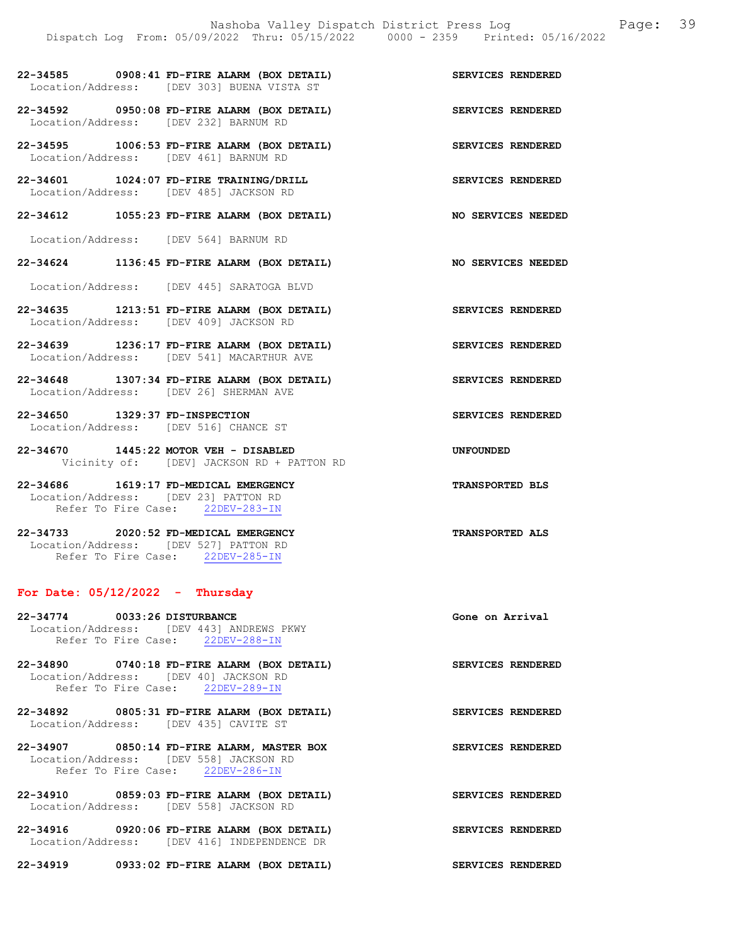| 22-34585          | 0908:41 FD-FIRE ALARM (BOX DETAIL) |  |                          | SERVICES RENDERED |  |
|-------------------|------------------------------------|--|--------------------------|-------------------|--|
| Location/Address: |                                    |  | TDEV 3031 BUENA VISTA ST |                   |  |

- 22-34592 0950:08 FD-FIRE ALARM (BOX DETAIL) SERVICES RENDERED Location/Address: [DEV 232] BARNUM RD
- 22-34595 1006:53 FD-FIRE ALARM (BOX DETAIL) SERVICES RENDERED Location/Address: [DEV 461] BARNUM RD
- 22-34601 1024:07 FD-FIRE TRAINING/DRILL SERVICES RENDERED Location/Address: [DEV 485] JACKSON RD
- 22-34612 1055:23 FD-FIRE ALARM (BOX DETAIL) NO SERVICES NEEDED

Location/Address: [DEV 564] BARNUM RD

22-34624 1136:45 FD-FIRE ALARM (BOX DETAIL) NO SERVICES NEEDED

Location/Address: [DEV 445] SARATOGA BLVD

- 22-34635 1213:51 FD-FIRE ALARM (BOX DETAIL) SERVICES RENDERED Location/Address: [DEV 409] JACKSON RD
- 22-34639 1236:17 FD-FIRE ALARM (BOX DETAIL) SERVICES RENDERED Location/Address: [DEV 541] MACARTHUR AVE
- 22-34648 1307:34 FD-FIRE ALARM (BOX DETAIL) SERVICES RENDERED Location/Address: [DEV 26] SHERMAN AVE
- 22-34650 1329:37 FD-INSPECTION SERVICES RENDERED Location/Address: [DEV 516] CHANCE ST
- 22-34670 1445:22 MOTOR VEH DISABLED UNFOUNDED Vicinity of: [DEV] JACKSON RD + PATTON RD

22-34686 1619:17 FD-MEDICAL EMERGENCY TRANSPORTED BLS Location/Address: [DEV 23] PATTON RD Refer To Fire Case: 22DEV-283-IN

22-34733 2020:52 FD-MEDICAL EMERGENCY TRANSPORTED ALS Location/Address: [DEV 527] PATTON RD Refer To Fire Case: 22DEV-285-IN

#### For Date:  $05/12/2022 -$  Thursday

- 22-34774 0033:26 DISTURBANCE Gone on Arrival Location/Address: [DEV 443] ANDREWS PKWY Refer To Fire Case: 22DEV-288-IN
- 22-34890 0740:18 FD-FIRE ALARM (BOX DETAIL) SERVICES RENDERED Location/Address: [DEV 40] JACKSON RD Refer To Fire Case: 22DEV-289-IN
- 22-34892 0805:31 FD-FIRE ALARM (BOX DETAIL) SERVICES RENDERED Location/Address: [DEV 435] CAVITE ST
- 22-34907 0850:14 FD-FIRE ALARM, MASTER BOX SERVICES RENDERED Location/Address: [DEV 558] JACKSON RD<br>Refer To Fire Case: 22DEV-286-IN Refer To Fire Case:
- 22-34910 0859:03 FD-FIRE ALARM (BOX DETAIL) SERVICES RENDERED Location/Address: [DEV 558] JACKSON RD
- 22-34916 0920:06 FD-FIRE ALARM (BOX DETAIL) SERVICES RENDERED Location/Address: [DEV 416] INDEPENDENCE DR

22-34919 0933:02 FD-FIRE ALARM (BOX DETAIL) SERVICES RENDERED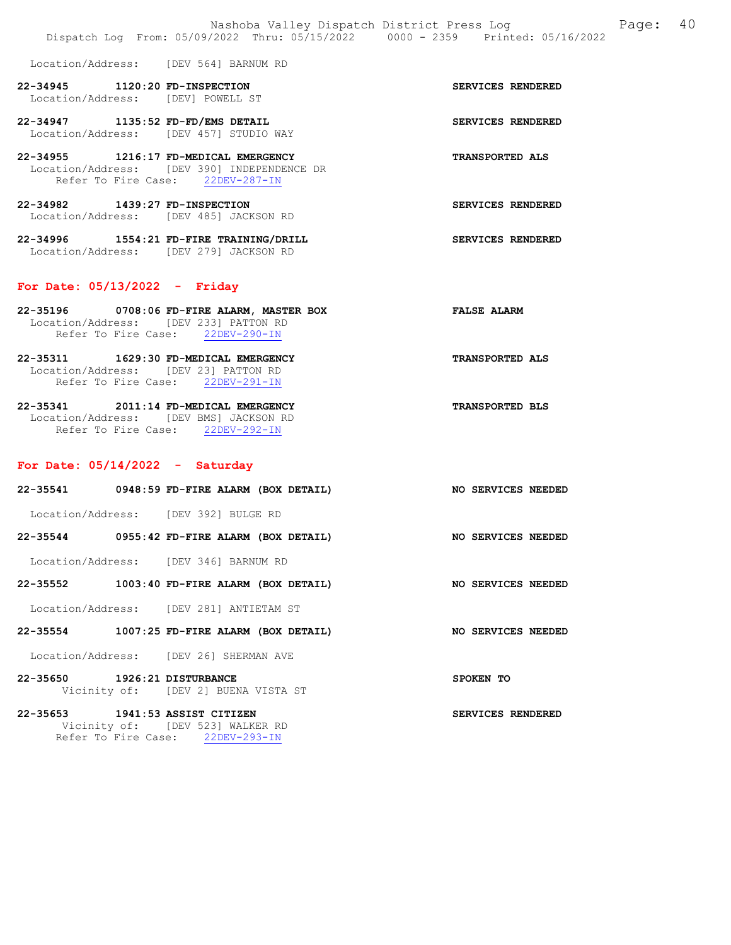Location/Address: [DEV 564] BARNUM RD 22-34945 1120:20 FD-INSPECTION SERVICES RENDERED Location/Address: [DEV] POWELL ST 22-34947 1135:52 FD-FD/EMS DETAIL SERVICES RENDERED Location/Address: [DEV 457] STUDIO WAY 22-34955 1216:17 FD-MEDICAL EMERGENCY TRANSPORTED ALS Location/Address: [DEV 390] INDEPENDENCE DR

Refer To Fire Case: 22DEV-287-IN 22-34982 1439:27 FD-INSPECTION SERVICES RENDERED Location/Address: [DEV 485] JACKSON RD

22-34996 1554:21 FD-FIRE TRAINING/DRILL SERVICES RENDERED Location/Address: [DEV 279] JACKSON RD

#### For Date: 05/13/2022 - Friday

| 22-35196 | 0708:06 FD-FIRE ALARM, MASTER BOX     | <b>FALSE ALARM</b>     |  |
|----------|---------------------------------------|------------------------|--|
|          | Location/Address: [DEV 233] PATTON RD |                        |  |
|          | Refer To Fire Case: 22DEV-290-IN      |                        |  |
| 22-35311 | 1629:30 FD-MEDICAL EMERGENCY          | <b>TRANSPORTED ALS</b> |  |

 Location/Address: [DEV 23] PATTON RD Refer To Fire Case: 22DEV-291-IN

22-35341 2011:14 FD-MEDICAL EMERGENCY TRANSPORTED BLS Location/Address: [DEV BMS] JACKSON RD Refer To Fire Case: 22DEV-292-IN

#### For Date: 05/14/2022 - Saturday

| 22-35541          | 0948:59 FD-FIRE ALARM (BOX DETAIL) | NO SERVICES NEEDED |
|-------------------|------------------------------------|--------------------|
| Location/Address: | [DEV 392] BULGE RD                 |                    |
| 22-35544          | 0955:42 FD-FIRE ALARM (BOX DETAIL) | NO SERVICES NEEDED |

Location/Address: [DEV 346] BARNUM RD

#### 22-35552 1003:40 FD-FIRE ALARM (BOX DETAIL) NO SERVICES NEEDED

Location/Address: [DEV 281] ANTIETAM ST

22-35554 1007:25 FD-FIRE ALARM (BOX DETAIL) NO SERVICES NEEDED

Location/Address: [DEV 26] SHERMAN AVE

22-35650 1926:21 DISTURBANCE SPOKEN TO Vicinity of: [DEV 2] BUENA VISTA ST

22-35653 1941:53 ASSIST CITIZEN SERVICES RENDERED Vicinity of: [DEV 523] WALKER RD Refer To Fire Case: 22DEV-293-IN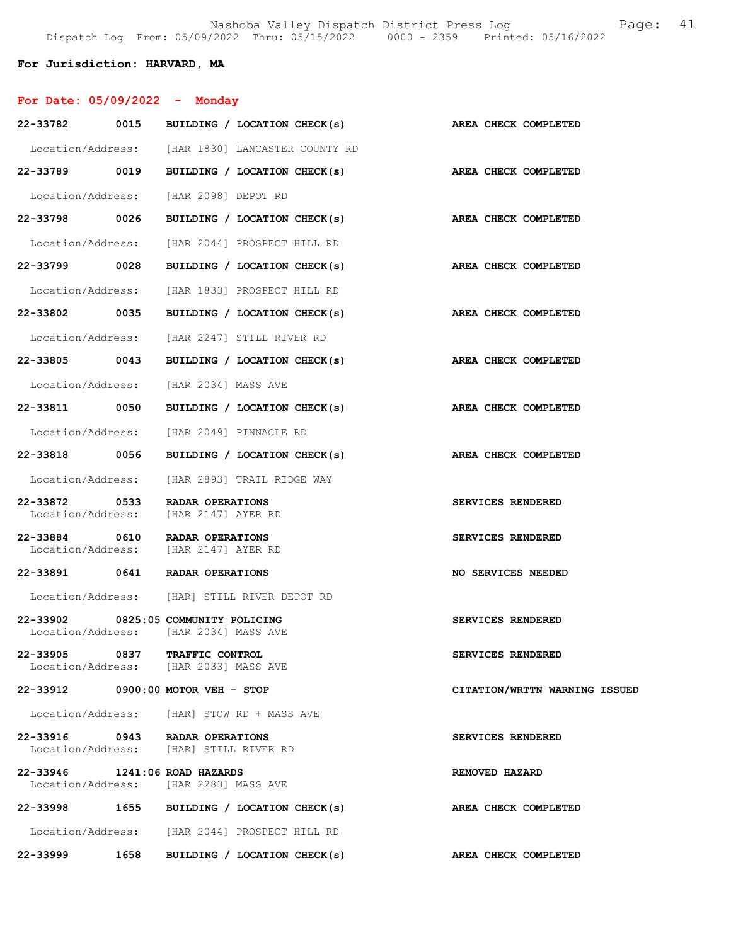# For Jurisdiction: HARVARD, MA

| For Date: $05/09/2022 -$ Monday                                        |                                                                     |                               |
|------------------------------------------------------------------------|---------------------------------------------------------------------|-------------------------------|
| 22-33782 0015                                                          | BUILDING / LOCATION CHECK(s) AREA CHECK COMPLETED                   |                               |
|                                                                        | Location/Address: [HAR 1830] LANCASTER COUNTY RD                    |                               |
| 22-33789 0019                                                          | BUILDING / LOCATION CHECK(s)                                        | AREA CHECK COMPLETED          |
|                                                                        | Location/Address: [HAR 2098] DEPOT RD                               |                               |
| 22-33798 0026                                                          | BUILDING / LOCATION CHECK(s)                                        | AREA CHECK COMPLETED          |
| Location/Address:                                                      | [HAR 2044] PROSPECT HILL RD                                         |                               |
| 22-33799 0028                                                          | BUILDING / LOCATION CHECK(s)                                        | AREA CHECK COMPLETED          |
| Location/Address:                                                      | [HAR 1833] PROSPECT HILL RD                                         |                               |
| 22-33802 0035                                                          | BUILDING / LOCATION CHECK(s)                                        | <b>AREA CHECK COMPLETED</b>   |
| Location/Address:                                                      | [HAR 2247] STILL RIVER RD                                           |                               |
| 22-33805 0043                                                          | BUILDING / LOCATION CHECK(s)                                        | AREA CHECK COMPLETED          |
|                                                                        | Location/Address: [HAR 2034] MASS AVE                               |                               |
| 22-33811 0050                                                          | BUILDING / LOCATION CHECK(s)                                        | AREA CHECK COMPLETED          |
|                                                                        | Location/Address: [HAR 2049] PINNACLE RD                            |                               |
| 22-33818 0056                                                          | BUILDING / LOCATION CHECK(s)                                        | AREA CHECK COMPLETED          |
| Location/Address:                                                      | [HAR 2893] TRAIL RIDGE WAY                                          |                               |
| 22-33872 0533<br>Location/Address:                                     | RADAR OPERATIONS<br>[HAR 2147] AYER RD                              | SERVICES RENDERED             |
| 22-33884 0610 RADAR OPERATIONS<br>Location/Address: [HAR 2147] AYER RD |                                                                     | SERVICES RENDERED             |
| 22-33891 0641 RADAR OPERATIONS                                         |                                                                     | NO SERVICES NEEDED            |
|                                                                        | Location/Address: [HAR] STILL RIVER DEPOT RD                        |                               |
| 22-33902                                                               | 0825:05 COMMUNITY POLICING<br>Location/Address: [HAR 2034] MASS AVE | SERVICES RENDERED             |
| 22-33905 0837 TRAFFIC CONTROL                                          | Location/Address: [HAR 2033] MASS AVE                               | SERVICES RENDERED             |
| 22-33912 0900:00 MOTOR VEH - STOP                                      |                                                                     | CITATION/WRTTN WARNING ISSUED |
|                                                                        | Location/Address: [HAR] STOW RD + MASS AVE                          |                               |
| 22-33916 0943 RADAR OPERATIONS                                         | Location/Address: [HAR] STILL RIVER RD                              | SERVICES RENDERED             |
| 22-33946 1241:06 ROAD HAZARDS                                          | Location/Address: [HAR 2283] MASS AVE                               | REMOVED HAZARD                |
|                                                                        | 22-33998 1655 BUILDING / LOCATION CHECK(s)                          | AREA CHECK COMPLETED          |
|                                                                        | Location/Address: [HAR 2044] PROSPECT HILL RD                       |                               |
| 22-33999<br>1658                                                       | BUILDING / LOCATION CHECK(s)                                        | AREA CHECK COMPLETED          |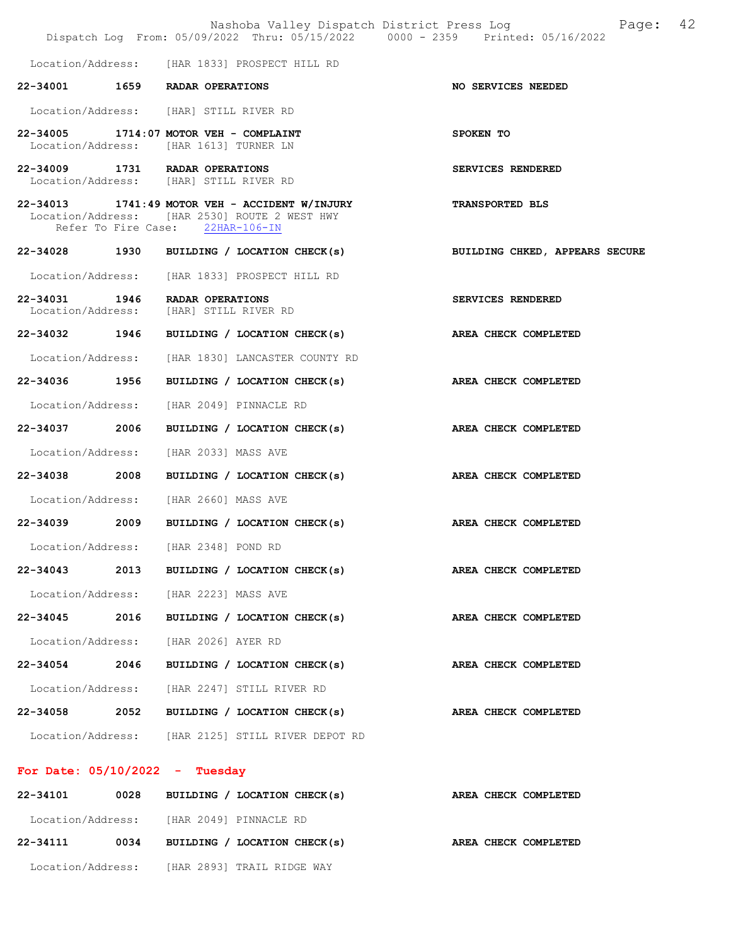|                   | Dispatch Log From: 05/09/2022 Thru: 05/15/2022 0000 - 2359 Printed: 05/16/2022                                                      | Nashoba Valley Dispatch District Press Log<br>Page: 42                    |  |
|-------------------|-------------------------------------------------------------------------------------------------------------------------------------|---------------------------------------------------------------------------|--|
|                   | Location/Address: [HAR 1833] PROSPECT HILL RD                                                                                       |                                                                           |  |
|                   | 22-34001 1659 RADAR OPERATIONS                                                                                                      | NO SERVICES NEEDED                                                        |  |
|                   | Location/Address: [HAR] STILL RIVER RD                                                                                              |                                                                           |  |
|                   | 22-34005 1714:07 MOTOR VEH - COMPLAINT<br>Location/Address: [HAR 1613] TURNER LN                                                    | SPOKEN TO                                                                 |  |
|                   | 22-34009 1731 RADAR OPERATIONS<br>Location/Address: [HAR] STILL RIVER RD                                                            | SERVICES RENDERED                                                         |  |
|                   | 22-34013 1741:49 MOTOR VEH - ACCIDENT W/INJURY<br>Location/Address: [HAR 2530] ROUTE 2 WEST HWY<br>Refer To Fire Case: 22HAR-106-IN | <b>TRANSPORTED BLS</b>                                                    |  |
|                   |                                                                                                                                     | 22-34028 1930 BUILDING / LOCATION CHECK(s) BUILDING CHKED, APPEARS SECURE |  |
|                   | Location/Address: [HAR 1833] PROSPECT HILL RD                                                                                       |                                                                           |  |
|                   | 22-34031 1946 RADAR OPERATIONS<br>Location/Address: [HAR] STILL RIVER RD                                                            | SERVICES RENDERED                                                         |  |
|                   | 22-34032 1946 BUILDING / LOCATION CHECK(s)                                                                                          | AREA CHECK COMPLETED                                                      |  |
|                   | Location/Address: [HAR 1830] LANCASTER COUNTY RD                                                                                    |                                                                           |  |
|                   | 22-34036 1956 BUILDING / LOCATION CHECK(s) AREA CHECK COMPLETED                                                                     |                                                                           |  |
|                   | Location/Address: [HAR 2049] PINNACLE RD                                                                                            |                                                                           |  |
| 22-34037 2006     | BUILDING / LOCATION CHECK(s)                                                                                                        | AREA CHECK COMPLETED                                                      |  |
| Location/Address: | [HAR 2033] MASS AVE                                                                                                                 |                                                                           |  |
| 22-34038 2008     | BUILDING / LOCATION CHECK(s) AREA CHECK COMPLETED                                                                                   |                                                                           |  |
|                   | Location/Address: [HAR 2660] MASS AVE                                                                                               |                                                                           |  |
|                   | 22-34039 2009 BUILDING / LOCATION CHECK(s)                                                                                          | AREA CHECK COMPLETED                                                      |  |
|                   | Location/Address: [HAR 2348] POND RD                                                                                                |                                                                           |  |
| 22-34043          | 2013 BUILDING / LOCATION CHECK(s)                                                                                                   | AREA CHECK COMPLETED                                                      |  |
|                   | Location/Address: [HAR 2223] MASS AVE                                                                                               |                                                                           |  |
| 22-34045 2016     | BUILDING / LOCATION CHECK(s)                                                                                                        | AREA CHECK COMPLETED                                                      |  |
|                   | Location/Address: [HAR 2026] AYER RD                                                                                                |                                                                           |  |
| 22-34054 2046     | BUILDING / LOCATION CHECK(s)                                                                                                        | AREA CHECK COMPLETED                                                      |  |
|                   | Location/Address: [HAR 2247] STILL RIVER RD                                                                                         |                                                                           |  |
| 22-34058          | 2052 BUILDING / LOCATION CHECK(s)                                                                                                   | AREA CHECK COMPLETED                                                      |  |
|                   | Location/Address: [HAR 2125] STILL RIVER DEPOT RD                                                                                   |                                                                           |  |
|                   |                                                                                                                                     |                                                                           |  |

# For Date: 05/10/2022 - Tuesday

| 22-34101          | 0028 | BUILDING / LOCATION CHECK(s) | AREA CHECK COMPLETED |
|-------------------|------|------------------------------|----------------------|
| Location/Address: |      | [HAR 2049] PINNACLE RD       |                      |
| 22-34111          | 0034 | BUILDING / LOCATION CHECK(s) | AREA CHECK COMPLETED |
| Location/Address: |      | [HAR 2893] TRAIL RIDGE WAY   |                      |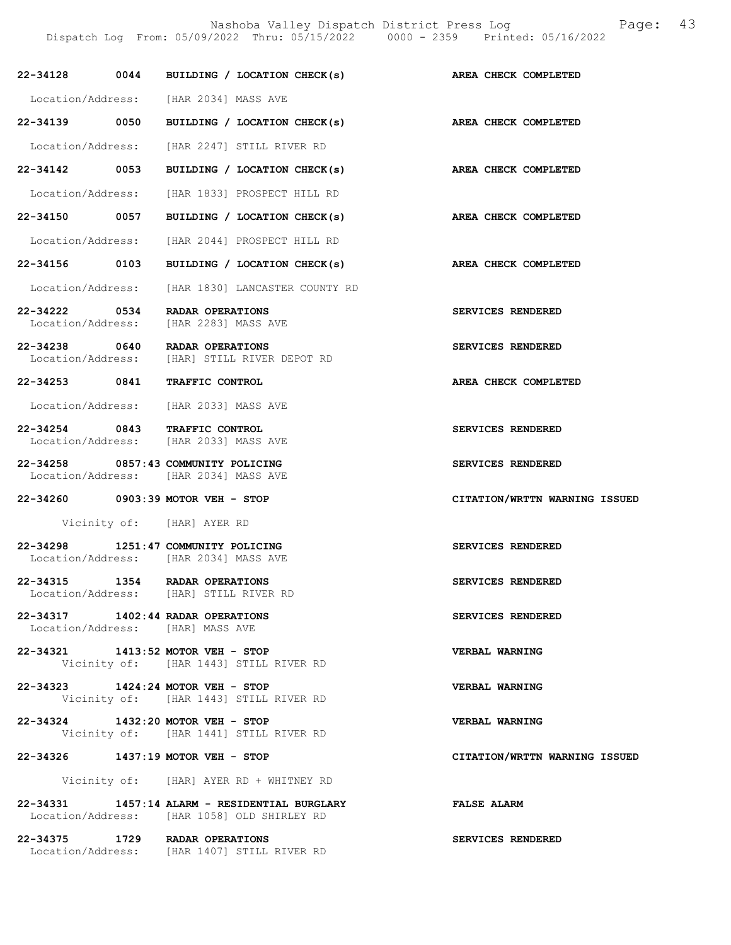|               |      | 22-34128 0044 BUILDING / LOCATION CHECK(s) AREA CHECK COMPLETED                              |                               |
|---------------|------|----------------------------------------------------------------------------------------------|-------------------------------|
|               |      | Location/Address: [HAR 2034] MASS AVE                                                        |                               |
| 22-34139 0050 |      | BUILDING / LOCATION CHECK(s)                                                                 | AREA CHECK COMPLETED          |
|               |      | Location/Address: [HAR 2247] STILL RIVER RD                                                  |                               |
| 22-34142 0053 |      | BUILDING / LOCATION CHECK(s)                                                                 | AREA CHECK COMPLETED          |
|               |      | Location/Address: [HAR 1833] PROSPECT HILL RD                                                |                               |
| 22-34150 0057 |      | BUILDING / LOCATION CHECK(s) AREA CHECK COMPLETED                                            |                               |
|               |      | Location/Address: [HAR 2044] PROSPECT HILL RD                                                |                               |
| 22-34156 0103 |      | BUILDING / LOCATION CHECK(s)                                                                 | AREA CHECK COMPLETED          |
|               |      | Location/Address: [HAR 1830] LANCASTER COUNTY RD                                             |                               |
| 22-34222 0534 |      | RADAR OPERATIONS<br>Location/Address: [HAR 2283] MASS AVE                                    | SERVICES RENDERED             |
|               |      | 22-34238 0640 RADAR OPERATIONS<br>Location/Address: [HAR] STILL RIVER DEPOT RD               | SERVICES RENDERED             |
| 22-34253 0841 |      | TRAFFIC CONTROL                                                                              | AREA CHECK COMPLETED          |
|               |      | Location/Address: [HAR 2033] MASS AVE                                                        |                               |
|               |      | 22-34254 0843 TRAFFIC CONTROL<br>Location/Address: [HAR 2033] MASS AVE                       | SERVICES RENDERED             |
|               |      | 22-34258 0857:43 COMMUNITY POLICING<br>Location/Address: [HAR 2034] MASS AVE                 | SERVICES RENDERED             |
|               |      | 22-34260 0903:39 MOTOR VEH - STOP                                                            | CITATION/WRTTN WARNING ISSUED |
|               |      | Vicinity of: [HAR] AYER RD                                                                   |                               |
|               |      |                                                                                              |                               |
|               |      | 22-34298 1251:47 COMMUNITY POLICING<br>Location/Address: [HAR 2034] MASS AVE                 | SERVICES RENDERED             |
| 22-34315      | 1354 | RADAR OPERATIONS<br>Location/Address: [HAR] STILL RIVER RD                                   | SERVICES RENDERED             |
|               |      | 22-34317 1402:44 RADAR OPERATIONS<br>Location/Address: [HAR] MASS AVE                        | SERVICES RENDERED             |
|               |      | 22-34321 1413:52 MOTOR VEH - STOP<br>Vicinity of: [HAR 1443] STILL RIVER RD                  | <b>VERBAL WARNING</b>         |
|               |      | 22-34323 1424:24 MOTOR VEH - STOP<br>Vicinity of: [HAR 1443] STILL RIVER RD                  | VERBAL WARNING                |
|               |      | 22-34324 1432:20 MOTOR VEH - STOP<br>Vicinity of: [HAR 1441] STILL RIVER RD                  | <b>VERBAL WARNING</b>         |
|               |      | 22-34326 1437:19 MOTOR VEH - STOP                                                            | CITATION/WRTTN WARNING ISSUED |
|               |      | Vicinity of: [HAR] AYER RD + WHITNEY RD                                                      |                               |
|               |      | 22-34331 1457:14 ALARM - RESIDENTIAL BURGLARY<br>Location/Address: [HAR 1058] OLD SHIRLEY RD | <b>FALSE ALARM</b>            |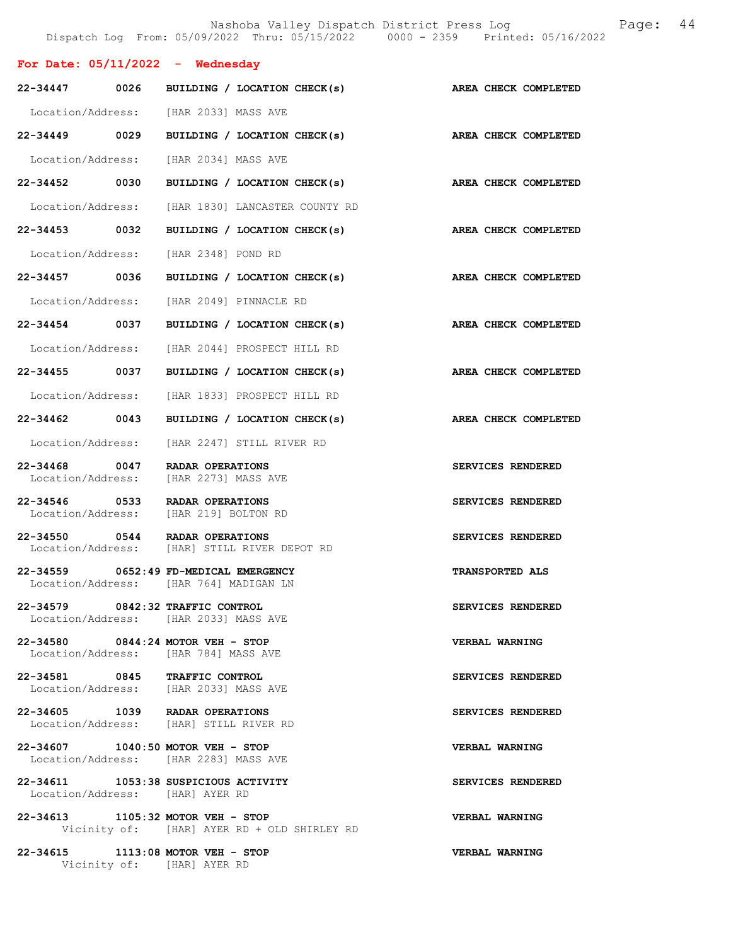|                                       |                                                                                 | Nashoba Valley Dispatch District Press Log<br>Dispatch Log From: 05/09/2022 Thru: 05/15/2022 0000 - 2359 Printed: 05/16/2022 | 44<br>Page: |  |
|---------------------------------------|---------------------------------------------------------------------------------|------------------------------------------------------------------------------------------------------------------------------|-------------|--|
| For Date: $05/11/2022 -$ Wednesday    |                                                                                 |                                                                                                                              |             |  |
| 0026<br>22-34447                      | BUILDING / LOCATION CHECK(s)                                                    | AREA CHECK COMPLETED                                                                                                         |             |  |
|                                       | Location/Address: [HAR 2033] MASS AVE                                           |                                                                                                                              |             |  |
| 22-34449 0029                         | BUILDING / LOCATION CHECK(s)                                                    | AREA CHECK COMPLETED                                                                                                         |             |  |
| Location/Address:                     | [HAR 2034] MASS AVE                                                             |                                                                                                                              |             |  |
| 22-34452 0030                         | BUILDING / LOCATION CHECK(s)                                                    | AREA CHECK COMPLETED                                                                                                         |             |  |
| Location/Address:                     | [HAR 1830] LANCASTER COUNTY RD                                                  |                                                                                                                              |             |  |
| 0032<br>22-34453                      | BUILDING / LOCATION CHECK(s)                                                    | AREA CHECK COMPLETED                                                                                                         |             |  |
| Location/Address:                     | [HAR 2348] POND RD                                                              |                                                                                                                              |             |  |
| 22-34457 0036                         | BUILDING / LOCATION CHECK(s)                                                    | AREA CHECK COMPLETED                                                                                                         |             |  |
| Location/Address:                     | [HAR 2049] PINNACLE RD                                                          |                                                                                                                              |             |  |
| 22-34454 0037                         | BUILDING / LOCATION CHECK(s)                                                    | AREA CHECK COMPLETED                                                                                                         |             |  |
| Location/Address:                     | [HAR 2044] PROSPECT HILL RD                                                     |                                                                                                                              |             |  |
| 22-34455<br>0037                      | BUILDING / LOCATION CHECK(s)                                                    | AREA CHECK COMPLETED                                                                                                         |             |  |
| Location/Address:                     | [HAR 1833] PROSPECT HILL RD                                                     |                                                                                                                              |             |  |
| 22-34462 0043                         | BUILDING / LOCATION CHECK(s)                                                    | AREA CHECK COMPLETED                                                                                                         |             |  |
| Location/Address:                     | [HAR 2247] STILL RIVER RD                                                       |                                                                                                                              |             |  |
| 22-34468<br>0047<br>Location/Address: | RADAR OPERATIONS<br>[HAR 2273] MASS AVE                                         | SERVICES RENDERED                                                                                                            |             |  |
| 22-34546 0533<br>Location/Address:    | RADAR OPERATIONS<br>[HAR 219] BOLTON RD                                         | SERVICES RENDERED                                                                                                            |             |  |
| 22-34550 0544                         | RADAR OPERATIONS<br>Location/Address: [HAR] STILL RIVER DEPOT RD                | SERVICES RENDERED                                                                                                            |             |  |
|                                       | 22-34559 0652:49 FD-MEDICAL EMERGENCY<br>Location/Address: [HAR 764] MADIGAN LN | <b>TRANSPORTED ALS</b>                                                                                                       |             |  |
| 22-34579 0842:32 TRAFFIC CONTROL      | Location/Address: [HAR 2033] MASS AVE                                           | SERVICES RENDERED                                                                                                            |             |  |
| 22-34580 0844:24 MOTOR VEH - STOP     | Location/Address: [HAR 784] MASS AVE                                            | VERBAL WARNING                                                                                                               |             |  |
| 22-34581 0845 TRAFFIC CONTROL         | Location/Address: [HAR 2033] MASS AVE                                           | SERVICES RENDERED                                                                                                            |             |  |
| 22-34605 1039 RADAR OPERATIONS        | Location/Address: [HAR] STILL RIVER RD                                          | SERVICES RENDERED                                                                                                            |             |  |
| 22-34607 1040:50 MOTOR VEH - STOP     | Location/Address: [HAR 2283] MASS AVE                                           | VERBAL WARNING                                                                                                               |             |  |
| Location/Address: [HAR] AYER RD       | 22-34611 1053:38 SUSPICIOUS ACTIVITY                                            | SERVICES RENDERED                                                                                                            |             |  |
| 22-34613 1105:32 MOTOR VEH - STOP     | Vicinity of: [HAR] AYER RD + OLD SHIRLEY RD                                     | VERBAL WARNING                                                                                                               |             |  |
| 22-34615 1113:08 MOTOR VEH - STOP     | Vicinity of: [HAR] AYER RD                                                      | VERBAL WARNING                                                                                                               |             |  |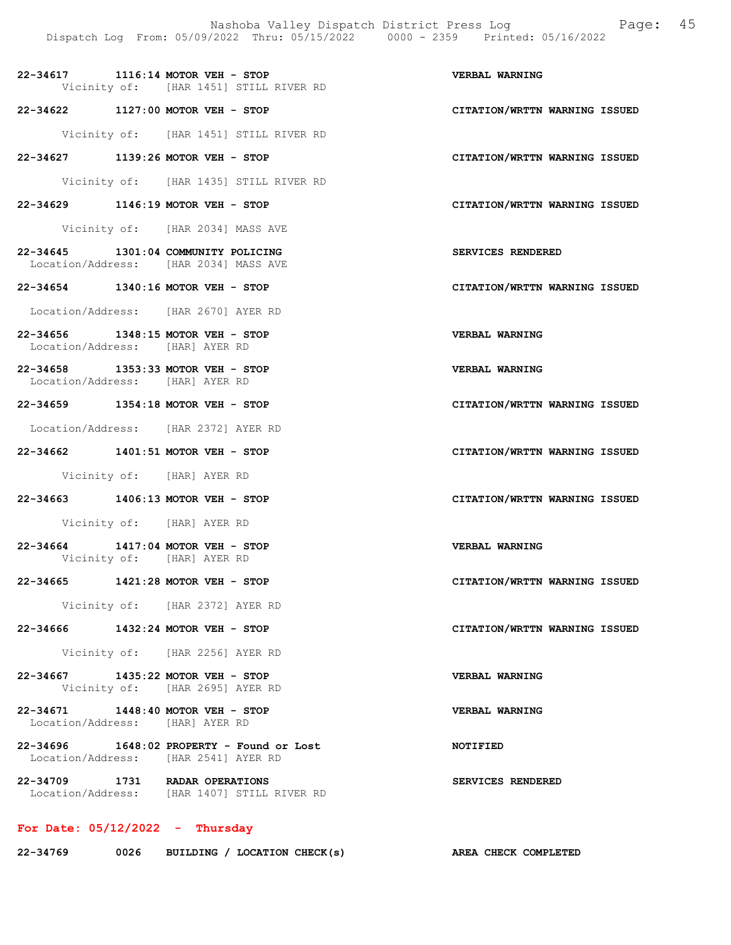- 22-34617 1116:14 MOTOR VEH STOP VERBAL WARNING Vicinity of: [HAR 1451] STILL RIVER RD
- 22-34622 1127:00 MOTOR VEH STOP CITATION/WRTTN WARNING ISSUED
	- Vicinity of: [HAR 1451] STILL RIVER RD
- 22-34627 1139:26 MOTOR VEH STOP CITATION/WRTTN WARNING ISSUED
	- Vicinity of: [HAR 1435] STILL RIVER RD
- 22-34629 1146:19 MOTOR VEH STOP CITATION/WRTTN WARNING ISSUED
	- Vicinity of: [HAR 2034] MASS AVE
- 22-34645 1301:04 COMMUNITY POLICING SERVICES RENDERED Location/Address: [HAR 2034] MASS AVE
- 22-34654 1340:16 MOTOR VEH STOP CITATION/WRTTN WARNING ISSUED
- Location/Address: [HAR 2670] AYER RD
- 22-34656 1348:15 MOTOR VEH STOP VERBAL WARNING Location/Address: [HAR] AYER RD
- 22-34658 1353:33 MOTOR VEH STOP VERBAL WARNING Location/Address: [HAR] AYER RD
- 22-34659 1354:18 MOTOR VEH STOP CITATION/WRTTN WARNING ISSUED
- Location/Address: [HAR 2372] AYER RD
- 22-34662 1401:51 MOTOR VEH STOP CITATION/WRTTN WARNING ISSUED
	- Vicinity of: [HAR] AYER RD
- 22-34663 1406:13 MOTOR VEH STOP CITATION/WRTTN WARNING ISSUED
	- Vicinity of: [HAR] AYER RD
- 22-34664 1417:04 MOTOR VEH STOP VERBAL WARNING Vicinity of: [HAR] AYER RD
- 22-34665 1421:28 MOTOR VEH STOP CITATION/WRTTN WARNING ISSUED
	- Vicinity of: [HAR 2372] AYER RD
- 22-34666 1432:24 MOTOR VEH STOP CITATION/WRTTN WARNING ISSUED
	- Vicinity of: [HAR 2256] AYER RD
- 22-34667 1435:22 MOTOR VEH STOP VERBAL WARNING Vicinity of: [HAR 2695] AYER RD
- 22-34671 1448:40 MOTOR VEH STOP VERBAL WARNING Location/Address: [HAR] AYER RD
- 22-34696 1648:02 PROPERTY Found or Lost NOTIFIED Location/Address: [HAR 2541] AYER RD
- 22-34709 1731 RADAR OPERATIONS SERVICES RENDERED Location/Address: [HAR 1407] STILL RIVER RD

## For Date:  $05/12/2022 -$  Thursday

| 22-34769 | 0026 | BUILDING / LOCATION CHECK(s) |  |  |  |  | AREA CHECK COMPLETED |
|----------|------|------------------------------|--|--|--|--|----------------------|
|----------|------|------------------------------|--|--|--|--|----------------------|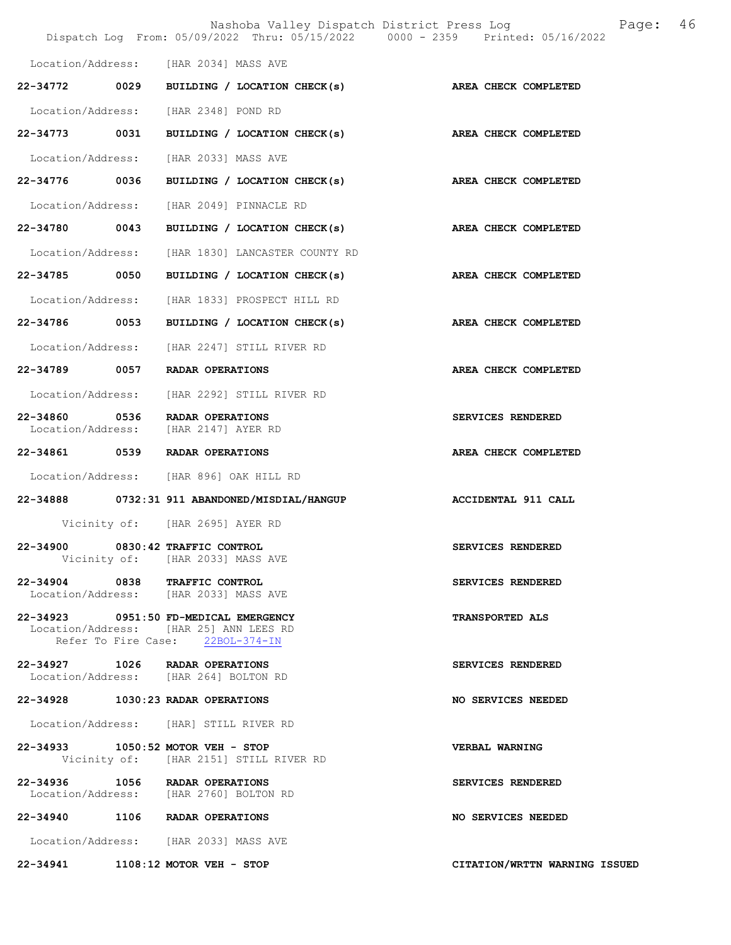|                                    |      | Nashoba Valley Dispatch District Press Log<br>Dispatch Log From: 05/09/2022 Thru: 05/15/2022 0000 - 2359 Printed: 05/16/2022 | 46<br>Page:                   |
|------------------------------------|------|------------------------------------------------------------------------------------------------------------------------------|-------------------------------|
|                                    |      | Location/Address: [HAR 2034] MASS AVE                                                                                        |                               |
| $22 - 34772$                       | 0029 | BUILDING / LOCATION CHECK(s)                                                                                                 | <b>AREA CHECK COMPLETED</b>   |
| Location/Address:                  |      | [HAR 2348] POND RD                                                                                                           |                               |
| 22-34773                           | 0031 | BUILDING / LOCATION CHECK(s)                                                                                                 | AREA CHECK COMPLETED          |
| Location/Address:                  |      | [HAR 2033] MASS AVE                                                                                                          |                               |
| 22-34776 0036                      |      | BUILDING / LOCATION CHECK(s)                                                                                                 | AREA CHECK COMPLETED          |
| Location/Address:                  |      | [HAR 2049] PINNACLE RD                                                                                                       |                               |
| 22-34780                           | 0043 | BUILDING / LOCATION CHECK(s)                                                                                                 | AREA CHECK COMPLETED          |
| Location/Address:                  |      | [HAR 1830] LANCASTER COUNTY RD                                                                                               |                               |
| 22-34785                           | 0050 | BUILDING / LOCATION CHECK(s)                                                                                                 | AREA CHECK COMPLETED          |
| Location/Address:                  |      | [HAR 1833] PROSPECT HILL RD                                                                                                  |                               |
| 22-34786 0053                      |      | BUILDING / LOCATION CHECK(s)                                                                                                 | AREA CHECK COMPLETED          |
| Location/Address:                  |      | [HAR 2247] STILL RIVER RD                                                                                                    |                               |
|                                    |      | 22-34789 0057 RADAR OPERATIONS                                                                                               | AREA CHECK COMPLETED          |
|                                    |      | Location/Address: [HAR 2292] STILL RIVER RD                                                                                  |                               |
| 22-34860 0536<br>Location/Address: |      | RADAR OPERATIONS<br>[HAR 2147] AYER RD                                                                                       | SERVICES RENDERED             |
| 22-34861 0539                      |      | RADAR OPERATIONS                                                                                                             | AREA CHECK COMPLETED          |
|                                    |      | Location/Address: [HAR 896] OAK HILL RD                                                                                      |                               |
|                                    |      | 22-34888 0732:31 911 ABANDONED/MISDIAL/HANGUP                                                                                | <b>ACCIDENTAL 911 CALL</b>    |
|                                    |      | Vicinity of: [HAR 2695] AYER RD                                                                                              |                               |
| 22-34900                           |      | 0830:42 TRAFFIC CONTROL<br>Vicinity of: [HAR 2033] MASS AVE                                                                  | SERVICES RENDERED             |
|                                    |      | 22-34904 0838 TRAFFIC CONTROL<br>Location/Address: [HAR 2033] MASS AVE                                                       | SERVICES RENDERED             |
|                                    |      | 22-34923 0951:50 FD-MEDICAL EMERGENCY<br>Location/Address: [HAR 25] ANN LEES RD<br>Refer To Fire Case: 22BOL-374-IN          | <b>TRANSPORTED ALS</b>        |
|                                    |      | 22-34927 1026 RADAR OPERATIONS<br>Location/Address: [HAR 264] BOLTON RD                                                      | SERVICES RENDERED             |
|                                    |      | 22-34928 1030:23 RADAR OPERATIONS                                                                                            | NO SERVICES NEEDED            |
|                                    |      | Location/Address: [HAR] STILL RIVER RD                                                                                       |                               |
|                                    |      | 22-34933 1050:52 MOTOR VEH - STOP<br>Vicinity of: [HAR 2151] STILL RIVER RD                                                  | VERBAL WARNING                |
|                                    |      | 22-34936 1056 RADAR OPERATIONS<br>Location/Address: [HAR 2760] BOLTON RD                                                     | SERVICES RENDERED             |
|                                    |      | 22-34940 1106 RADAR OPERATIONS                                                                                               | NO SERVICES NEEDED            |
|                                    |      | Location/Address: [HAR 2033] MASS AVE                                                                                        |                               |
|                                    |      | 22-34941 1108:12 MOTOR VEH - STOP                                                                                            | CITATION/WRTTN WARNING ISSUED |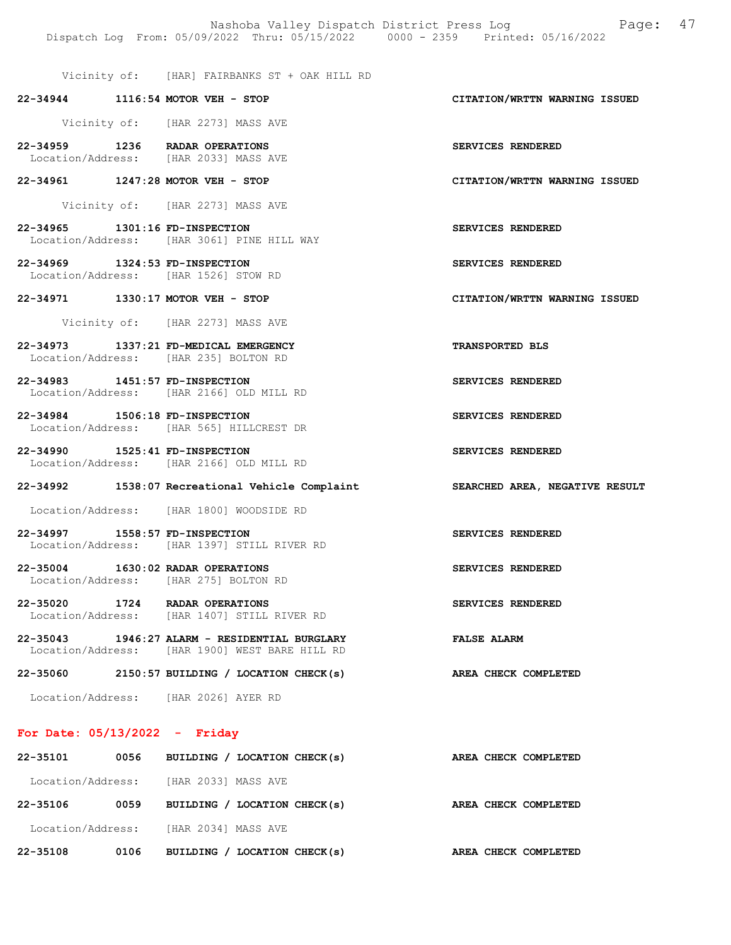Vicinity of: [HAR] FAIRBANKS ST + OAK HILL RD

22-34944 1116:54 MOTOR VEH - STOP CITATION/WRTTN WARNING ISSUED

Vicinity of: [HAR 2273] MASS AVE

- 22-34959 1236 RADAR OPERATIONS SERVICES RENDERED Location/Address: [HAR 2033] MASS AVE
- 22-34961 1247:28 MOTOR VEH STOP CITATION/WRTTN WARNING ISSUED

Vicinity of: [HAR 2273] MASS AVE

- 22-34965 1301:16 FD-INSPECTION SERVICES RENDERED Location/Address: [HAR 3061] PINE HILL WAY
- 22-34969 1324:53 FD-INSPECTION SERVICES RENDERED Location/Address: [HAR 1526] STOW RD
- 22-34971 1330:17 MOTOR VEH STOP CITATION/WRTTN WARNING ISSUED

Vicinity of: [HAR 2273] MASS AVE

- 22-34973 1337:21 FD-MEDICAL EMERGENCY TRANSPORTED BLS Location/Address: [HAR 235] BOLTON RD
- 22-34983 1451:57 FD-INSPECTION SERVICES RENDERED Location/Address: [HAR 2166] OLD MILL RD
- 22-34984 1506:18 FD-INSPECTION SERVICES RENDERED Location/Address: [HAR 565] HILLCREST DR
- 22-34990 1525:41 FD-INSPECTION SERVICES RENDERED Location/Address: [HAR 2166] OLD MILL RD

#### 22-34992 1538:07 Recreational Vehicle Complaint SEARCHED AREA, NEGATIVE RESULT

Location/Address: [HAR 1800] WOODSIDE RD

- 22-34997 1558:57 FD-INSPECTION SERVICES RENDERED Location/Address: [HAR 1397] STILL RIVER RD
- 22-35004 1630:02 RADAR OPERATIONS SERVICES RENDERED Location/Address: [HAR 275] BOLTON RD
- 22-35020 1724 RADAR OPERATIONS SERVICES RENDERED Location/Address: [HAR 1407] STILL RIVER RD [HAR 1407] STILL RIVER RD
- 22-35043 1946:27 ALARM RESIDENTIAL BURGLARY FALSE ALARM Location/Address: [HAR 1900] WEST BARE HILL RD

22-35060 2150:57 BUILDING / LOCATION CHECK(s) AREA CHECK COMPLETED

Location/Address: [HAR 2026] AYER RD

#### For Date: 05/13/2022 - Friday

| 22-35101 | 0056 | BUILDING / LOCATION CHECK(s)          | AREA CHECK COMPLETED |
|----------|------|---------------------------------------|----------------------|
|          |      | Location/Address: [HAR 2033] MASS AVE |                      |
| 22-35106 | 0059 | BUILDING / LOCATION CHECK(s)          | AREA CHECK COMPLETED |
|          |      | Location/Address: [HAR 2034] MASS AVE |                      |
| 22-35108 | 0106 | BUILDING / LOCATION CHECK(s)          | AREA CHECK COMPLETED |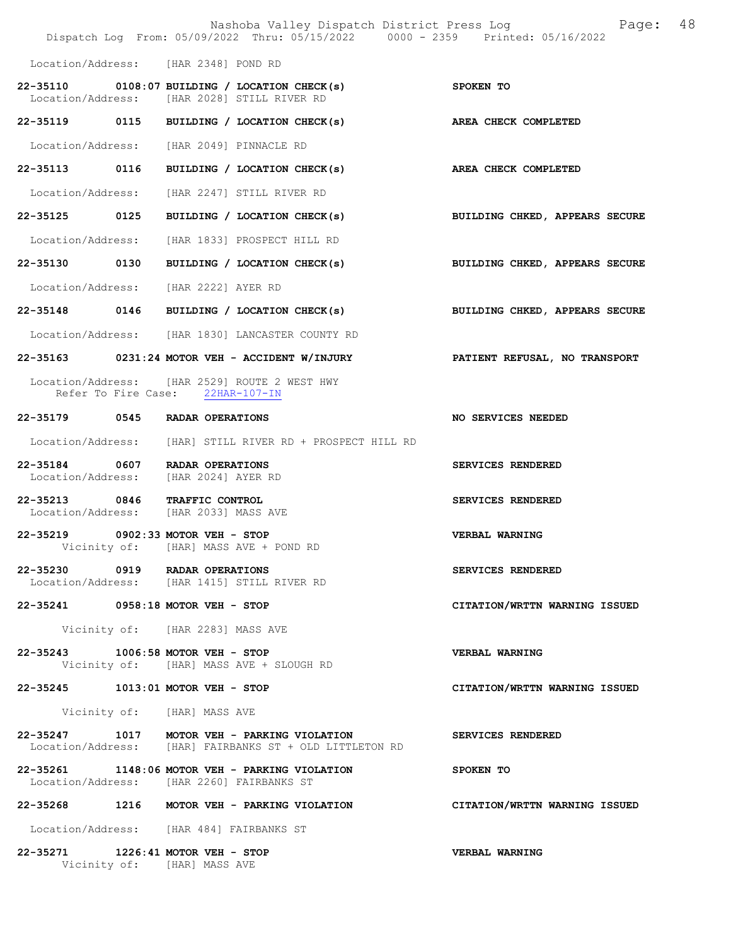|                                                                        | Dispatch Log From: 05/09/2022 Thru: 05/15/2022 0000 - 2359 Printed: 05/16/2022                         | Nashoba Valley Dispatch District Press Log Mashoba Valley Dispatch District Press Log |
|------------------------------------------------------------------------|--------------------------------------------------------------------------------------------------------|---------------------------------------------------------------------------------------|
| Location/Address: [HAR 2348] POND RD                                   |                                                                                                        |                                                                                       |
|                                                                        | 22-35110 0108:07 BUILDING / LOCATION CHECK(s)<br>Location/Address: [HAR 2028] STILL RIVER RD           | SPOKEN TO                                                                             |
|                                                                        | 22-35119 0115 BUILDING / LOCATION CHECK(s)                                                             | AREA CHECK COMPLETED                                                                  |
|                                                                        | Location/Address: [HAR 2049] PINNACLE RD                                                               |                                                                                       |
| 22-35113 0116                                                          | BUILDING / LOCATION CHECK(s)                                                                           | AREA CHECK COMPLETED                                                                  |
|                                                                        | Location/Address: [HAR 2247] STILL RIVER RD                                                            |                                                                                       |
| 22-35125 0125                                                          | BUILDING / LOCATION CHECK(s)                                                                           | BUILDING CHKED, APPEARS SECURE                                                        |
| Location/Address:                                                      | [HAR 1833] PROSPECT HILL RD                                                                            |                                                                                       |
| 22-35130 0130                                                          | BUILDING / LOCATION CHECK(s)                                                                           | BUILDING CHKED, APPEARS SECURE                                                        |
| Location/Address: [HAR 2222] AYER RD                                   |                                                                                                        |                                                                                       |
|                                                                        | 22-35148 0146 BUILDING / LOCATION CHECK(s)                                                             | BUILDING CHKED, APPEARS SECURE                                                        |
|                                                                        | Location/Address: [HAR 1830] LANCASTER COUNTY RD                                                       |                                                                                       |
|                                                                        | 22-35163 0231:24 MOTOR VEH - ACCIDENT W/INJURY PATIENT REFUSAL, NO TRANSPORT                           |                                                                                       |
|                                                                        | Location/Address: [HAR 2529] ROUTE 2 WEST HWY<br>Refer To Fire Case: 22HAR-107-IN                      |                                                                                       |
| 22-35179 0545 RADAR OPERATIONS                                         |                                                                                                        | NO SERVICES NEEDED                                                                    |
|                                                                        | Location/Address: [HAR] STILL RIVER RD + PROSPECT HILL RD                                              |                                                                                       |
| 22-35184 0607 RADAR OPERATIONS<br>Location/Address:                    | [HAR 2024] AYER RD                                                                                     | SERVICES RENDERED                                                                     |
| 22-35213 0846 TRAFFIC CONTROL<br>Location/Address: [HAR 2033] MASS AVE |                                                                                                        | SERVICES RENDERED                                                                     |
| 22-35219 0902:33 MOTOR VEH - STOP                                      | Vicinity of: [HAR] MASS AVE + POND RD                                                                  | VERBAL WARNING                                                                        |
| 22-35230 0919 RADAR OPERATIONS                                         | Location/Address: [HAR 1415] STILL RIVER RD                                                            | SERVICES RENDERED                                                                     |
| 22-35241 0958:18 MOTOR VEH - STOP                                      |                                                                                                        | CITATION/WRTTN WARNING ISSUED                                                         |
|                                                                        | Vicinity of: [HAR 2283] MASS AVE                                                                       |                                                                                       |
| 22-35243 1006:58 MOTOR VEH - STOP                                      | Vicinity of: [HAR] MASS AVE + SLOUGH RD                                                                | VERBAL WARNING                                                                        |
| 22-35245 1013:01 MOTOR VEH - STOP                                      |                                                                                                        | CITATION/WRTTN WARNING ISSUED                                                         |
| Vicinity of: [HAR] MASS AVE                                            |                                                                                                        |                                                                                       |
|                                                                        | 22-35247 1017 MOTOR VEH - PARKING VIOLATION<br>Location/Address: [HAR] FAIRBANKS ST + OLD LITTLETON RD | SERVICES RENDERED                                                                     |
|                                                                        | 22-35261 1148:06 MOTOR VEH - PARKING VIOLATION<br>Location/Address: [HAR 2260] FAIRBANKS ST            | SPOKEN TO                                                                             |
|                                                                        | 22-35268 1216 MOTOR VEH - PARKING VIOLATION                                                            | CITATION/WRTTN WARNING ISSUED                                                         |
|                                                                        | Location/Address: [HAR 484] FAIRBANKS ST                                                               |                                                                                       |
| 22-35271 1226:41 MOTOR VEH - STOP<br>Vicinity of: [HAR] MASS AVE       |                                                                                                        | <b>VERBAL WARNING</b>                                                                 |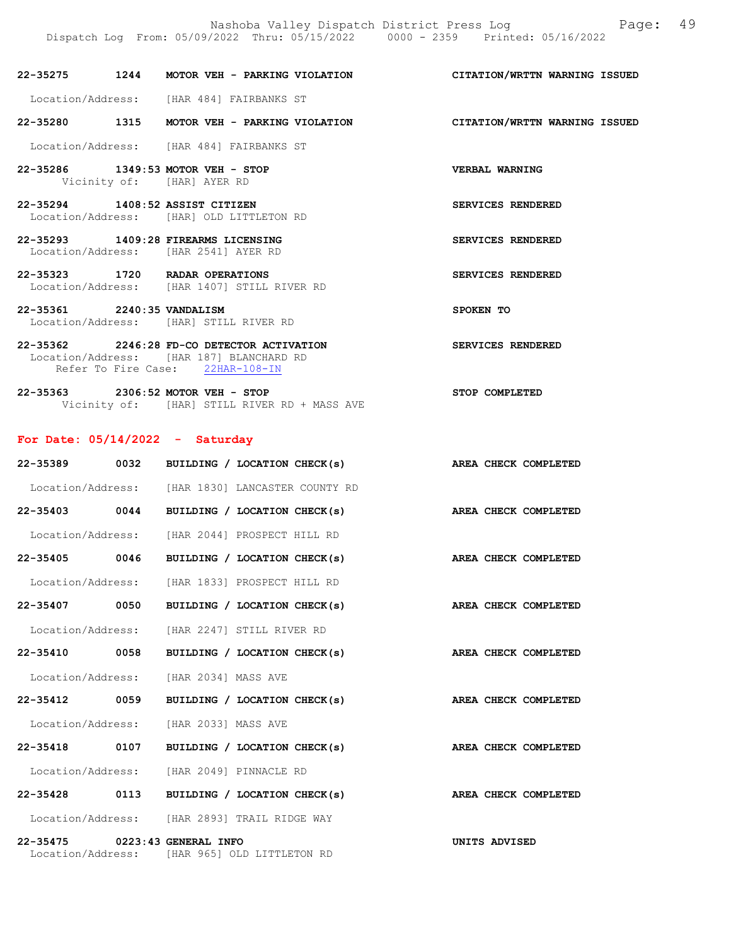22-35275 1244 MOTOR VEH - PARKING VIOLATION CITATION/WRTTN WARNING ISSUED Location/Address: [HAR 484] FAIRBANKS ST 22-35280 1315 MOTOR VEH - PARKING VIOLATION CITATION/WRTTN WARNING ISSUED Location/Address: [HAR 484] FAIRBANKS ST 22-35286 1349:53 MOTOR VEH - STOP VERBAL WARNING Vicinity of: [HAR] AYER RD

22-35294 1408:52 ASSIST CITIZEN SERVICES RENDERED Location/Address: [HAR] OLD LITTLETON RD

22-35293 1409:28 FIREARMS LICENSING SERVICES RENDERED Location/Address: [HAR 2541] AYER RD

22-35323 1720 RADAR OPERATIONS SERVICES RENDERED Location/Address: [HAR 1407] STILL RIVER RD

22-35361 2240:35 VANDALISM SPOKEN TO Location/Address: [HAR] STILL RIVER RD

22-35362 2246:28 FD-CO DETECTOR ACTIVATION SERVICES RENDERED Location/Address: [HAR 187] BLANCHARD RD Refer To Fire Case: 22HAR-108-IN

22-35363 2306:52 MOTOR VEH - STOP STOP COMPLETED Vicinity of: [HAR] STILL RIVER RD + MASS AVE

#### For Date: 05/14/2022 - Saturday

| 22-35389                                           | 0032 | BUILDING / LOCATION CHECK(s)                     |                      | AREA CHECK COMPLETED |
|----------------------------------------------------|------|--------------------------------------------------|----------------------|----------------------|
|                                                    |      | Location/Address: [HAR 1830] LANCASTER COUNTY RD |                      |                      |
| $22 - 35403$                                       | 0044 | BUILDING / LOCATION CHECK(s)                     |                      | AREA CHECK COMPLETED |
| Location/Address:                                  |      | [HAR 2044] PROSPECT HILL RD                      |                      |                      |
| 22-35405 0046                                      |      | BUILDING / LOCATION CHECK(s)                     | AREA CHECK COMPLETED |                      |
| Location/Address:                                  |      | [HAR 1833] PROSPECT HILL RD                      |                      |                      |
| 22-35407 0050                                      |      | BUILDING / LOCATION CHECK(s)                     | AREA CHECK COMPLETED |                      |
| Location/Address:                                  |      | [HAR 2247] STILL RIVER RD                        |                      |                      |
| 22-35410 0058                                      |      | BUILDING / LOCATION CHECK(s)                     | AREA CHECK COMPLETED |                      |
| Location/Address:                                  |      | [HAR 2034] MASS AVE                              |                      |                      |
| 22-35412 0059                                      |      | BUILDING / LOCATION CHECK(s)                     | AREA CHECK COMPLETED |                      |
| Location/Address:                                  |      | [HAR 2033] MASS AVE                              |                      |                      |
| $22 - 35418$                                       | 0107 | BUILDING / LOCATION CHECK(s)                     |                      | AREA CHECK COMPLETED |
| Location/Address:                                  |      | [HAR 2049] PINNACLE RD                           |                      |                      |
| 22-35428 0113                                      |      | BUILDING / LOCATION CHECK(s)                     | AREA CHECK COMPLETED |                      |
| Location/Address:                                  |      | [HAR 2893] TRAIL RIDGE WAY                       |                      |                      |
| 22-35475 0223:43 GENERAL INFO<br>Location/Address: |      | [HAR 965] OLD LITTLETON RD                       | UNITS ADVISED        |                      |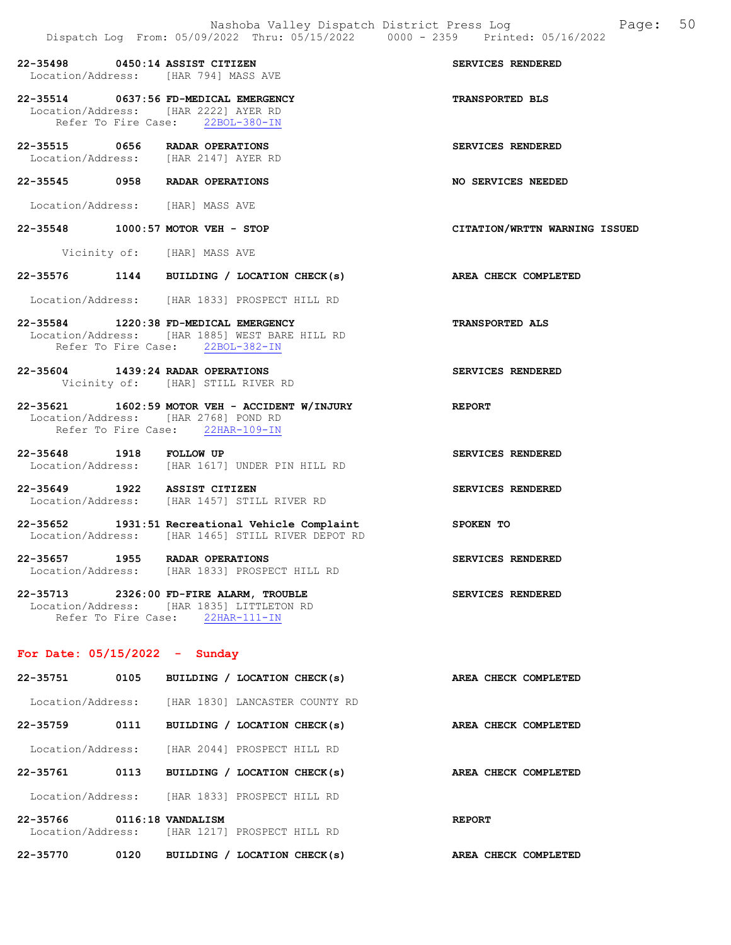22-35498 0450:14 ASSIST CITIZEN SERVICES RENDERED Location/Address: [HAR 794] MASS AVE

22-35514 0637:56 FD-MEDICAL EMERGENCY TRANSPORTED BLS Location/Address: [HAR 2222] AYER RD Refer To Fire Case: 22BOL-380-IN

- 22-35515 0656 RADAR OPERATIONS SERVICES RENDERED Location/Address: [HAR 2147] AYER RD
- 22-35545 0958 RADAR OPERATIONS NO SERVICES NEEDED
- Location/Address: [HAR] MASS AVE
- 22-35548 1000:57 MOTOR VEH STOP CITATION/WRTTN WARNING ISSUED
	- Vicinity of: [HAR] MASS AVE
- 22-35576 1144 BUILDING / LOCATION CHECK(s) AREA CHECK COMPLETED
- Location/Address: [HAR 1833] PROSPECT HILL RD
- 22-35584 1220:38 FD-MEDICAL EMERGENCY TRANSPORTED ALS Location/Address: [HAR 1885] WEST BARE HILL RD Refer To Fire Case: 22BOL-382-IN
- 22-35604 1439:24 RADAR OPERATIONS SERVICES RENDERED Vicinity of: [HAR] STILL RIVER RD
- 22-35621 1602:59 MOTOR VEH ACCIDENT W/INJURY REPORT Location/Address: [HAR 2768] POND RD Refer To Fire Case: 22HAR-109-IN
- 22-35648 1918 FOLLOW UP SERVICES RENDERED Location/Address: [HAR 1617] UNDER PIN HILL RD
- 22-35649 1922 ASSIST CITIZEN SERVICES RENDERED Location/Address: [HAR 1457] STILL RIVER RD
- 22-35652 1931:51 Recreational Vehicle Complaint SPOKEN TO Location/Address: [HAR 1465] STILL RIVER DEPOT RD
- 22-35657 1955 RADAR OPERATIONS SERVICES RENDERED Location/Address: [HAR 1833] PROSPECT HILL RD
- 22-35713 2326:00 FD-FIRE ALARM, TROUBLE SERVICES RENDERED Location/Address: [HAR 1835] LITTLETON RD Refer To Fire Case: 22HAR-111-IN

#### For Date: 05/15/2022 - Sunday

| 22-35751                      | 0105 | BUILDING                                         | LOCATION CHECK(s) |                                | AREA CHECK COMPLETED |                      |
|-------------------------------|------|--------------------------------------------------|-------------------|--------------------------------|----------------------|----------------------|
| Location/Address:             |      |                                                  |                   | [HAR 1830] LANCASTER COUNTY RD |                      |                      |
| $22 - 35759$                  | 0111 | BUILDING / LOCATION CHECK(s)                     |                   |                                |                      | AREA CHECK COMPLETED |
| Location/Address:             |      | [HAR 2044] PROSPECT HILL RD                      |                   |                                |                      |                      |
| 22-35761                      | 0113 | BUILDING / LOCATION CHECK(s)                     |                   |                                |                      | AREA CHECK COMPLETED |
| Location/Address:             |      | THAR 18331 PROSPECT HILL RD                      |                   |                                |                      |                      |
| 22-35766<br>Location/Address: |      | 0116:18 VANDALISM<br>THAR 12171 PROSPECT HILL RD |                   |                                | <b>REPORT</b>        |                      |
| 22-35770                      | 0120 | <b>BUILDING</b>                                  | LOCATION CHECK(s) |                                | AREA CHECK COMPLETED |                      |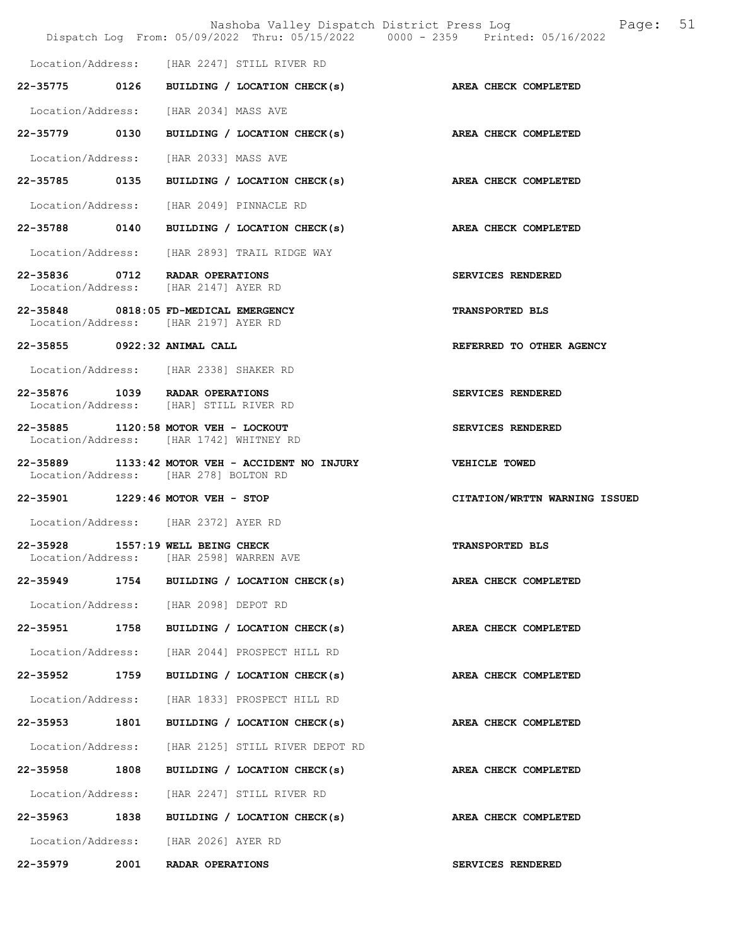|                              |      | Nashoba Valley Dispatch District Press Log<br>Dispatch Log From: 05/09/2022 Thru: 05/15/2022 0000 - 2359 Printed: 05/16/2022 | 51<br>Page:                   |
|------------------------------|------|------------------------------------------------------------------------------------------------------------------------------|-------------------------------|
|                              |      | Location/Address: [HAR 2247] STILL RIVER RD                                                                                  |                               |
|                              |      | 22-35775 0126 BUILDING / LOCATION CHECK(s)                                                                                   | AREA CHECK COMPLETED          |
|                              |      | Location/Address: [HAR 2034] MASS AVE                                                                                        |                               |
| 22-35779 0130                |      | BUILDING / LOCATION CHECK(s) AREA CHECK COMPLETED                                                                            |                               |
|                              |      | Location/Address: [HAR 2033] MASS AVE                                                                                        |                               |
|                              |      | 22-35785 0135 BUILDING / LOCATION CHECK(s)                                                                                   | AREA CHECK COMPLETED          |
|                              |      | Location/Address: [HAR 2049] PINNACLE RD                                                                                     |                               |
|                              |      | 22-35788 0140 BUILDING / LOCATION CHECK(s) AREA CHECK COMPLETED                                                              |                               |
|                              |      | Location/Address: [HAR 2893] TRAIL RIDGE WAY                                                                                 |                               |
|                              |      | 22-35836 0712 RADAR OPERATIONS<br>Location/Address: [HAR 2147] AYER RD                                                       | SERVICES RENDERED             |
|                              |      | 22-35848 0818:05 FD-MEDICAL EMERGENCY<br>Location/Address: [HAR 2197] AYER RD                                                | <b>TRANSPORTED BLS</b>        |
| 22-35855 0922:32 ANIMAL CALL |      |                                                                                                                              | REFERRED TO OTHER AGENCY      |
|                              |      | Location/Address: [HAR 2338] SHAKER RD                                                                                       |                               |
|                              |      | 22-35876 1039 RADAR OPERATIONS<br>Location/Address: [HAR] STILL RIVER RD                                                     | SERVICES RENDERED             |
|                              |      | 22-35885 1120:58 MOTOR VEH - LOCKOUT<br>Location/Address: [HAR 1742] WHITNEY RD                                              | SERVICES RENDERED             |
|                              |      | 22-35889 1133:42 MOTOR VEH - ACCIDENT NO INJURY<br>Location/Address: [HAR 278] BOLTON RD                                     | VEHICLE TOWED                 |
|                              |      | 22-35901 1229:46 MOTOR VEH - STOP                                                                                            | CITATION/WRTTN WARNING ISSUED |
|                              |      | Location/Address: [HAR 2372] AYER RD                                                                                         |                               |
| Location/Address:            |      | 22-35928 1557:19 WELL BEING CHECK<br>[HAR 2598] WARREN AVE                                                                   | <b>TRANSPORTED BLS</b>        |
|                              |      | 22-35949 1754 BUILDING / LOCATION CHECK(s)                                                                                   | AREA CHECK COMPLETED          |
|                              |      | Location/Address: [HAR 2098] DEPOT RD                                                                                        |                               |
| 22-35951                     | 1758 | BUILDING / LOCATION CHECK(s)                                                                                                 | AREA CHECK COMPLETED          |
|                              |      | Location/Address: [HAR 2044] PROSPECT HILL RD                                                                                |                               |
| 22-35952 1759                |      | BUILDING / LOCATION CHECK(s)                                                                                                 | <b>AREA CHECK COMPLETED</b>   |
| Location/Address:            |      | [HAR 1833] PROSPECT HILL RD                                                                                                  |                               |
| 22-35953 1801                |      | BUILDING / LOCATION CHECK(s)                                                                                                 | AREA CHECK COMPLETED          |
| Location/Address:            |      | [HAR 2125] STILL RIVER DEPOT RD                                                                                              |                               |
| 22-35958                     | 1808 | BUILDING / LOCATION CHECK(s)                                                                                                 | AREA CHECK COMPLETED          |
|                              |      | Location/Address: [HAR 2247] STILL RIVER RD                                                                                  |                               |
| 22-35963 1838                |      | BUILDING / LOCATION CHECK(s)                                                                                                 | AREA CHECK COMPLETED          |
|                              |      | Location/Address: [HAR 2026] AYER RD                                                                                         |                               |
| 22-35979                     | 2001 | RADAR OPERATIONS                                                                                                             | SERVICES RENDERED             |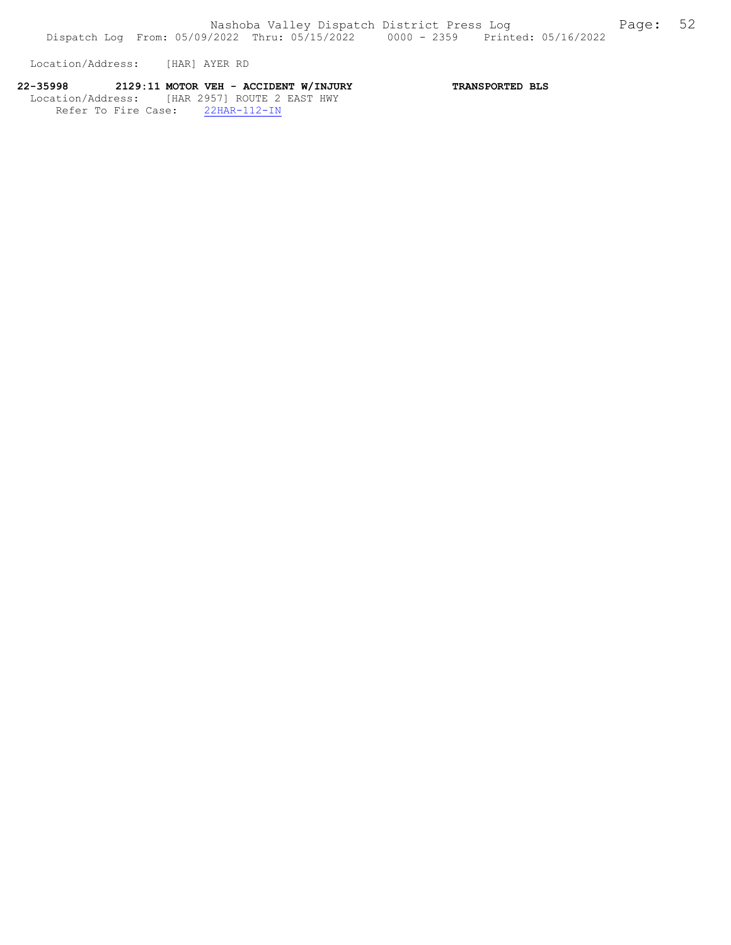Location/Address: [HAR] AYER RD

# 22-35998 2129:11 MOTOR VEH - ACCIDENT W/INJURY TRANSPORTED BLS Location/Address: [HAR 2957] ROUTE 2 EAST HWY

Refer To Fire Case: 22HAR-112-IN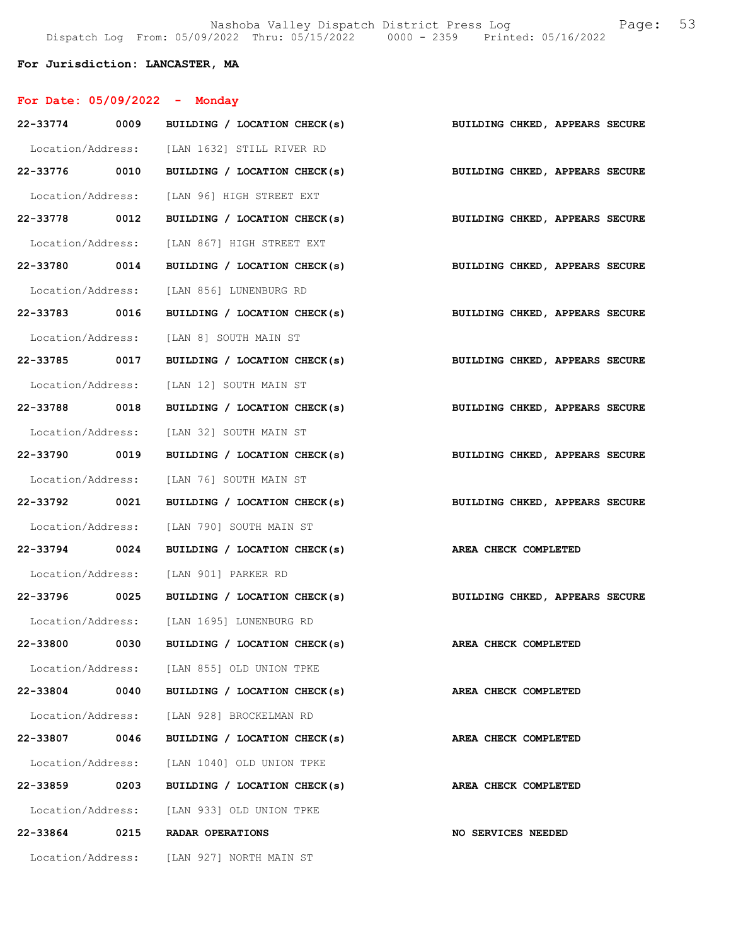# For Jurisdiction: LANCASTER, MA

| For Date: $05/09/2022 -$ Monday |      |                                                                           |                                |
|---------------------------------|------|---------------------------------------------------------------------------|--------------------------------|
|                                 |      | 22-33774 0009 BUILDING / LOCATION CHECK(s) BUILDING CHKED, APPEARS SECURE |                                |
|                                 |      | Location/Address: [LAN 1632] STILL RIVER RD                               |                                |
|                                 |      | 22-33776 0010 BUILDING / LOCATION CHECK(s)                                | BUILDING CHKED, APPEARS SECURE |
|                                 |      | Location/Address: [LAN 96] HIGH STREET EXT                                |                                |
| 22-33778 0012                   |      | BUILDING / LOCATION CHECK(s)                                              | BUILDING CHKED, APPEARS SECURE |
|                                 |      | Location/Address: [LAN 867] HIGH STREET EXT                               |                                |
|                                 |      | 22-33780 0014 BUILDING / LOCATION CHECK(s)                                | BUILDING CHKED, APPEARS SECURE |
|                                 |      | Location/Address: [LAN 856] LUNENBURG RD                                  |                                |
|                                 |      | 22-33783 0016 BUILDING / LOCATION CHECK(s)                                | BUILDING CHKED, APPEARS SECURE |
|                                 |      | Location/Address: [LAN 8] SOUTH MAIN ST                                   |                                |
|                                 |      | 22-33785 0017 BUILDING / LOCATION CHECK(s) BUILDING CHKED, APPEARS SECURE |                                |
|                                 |      | Location/Address: [LAN 12] SOUTH MAIN ST                                  |                                |
|                                 |      | 22-33788 0018 BUILDING / LOCATION CHECK(s) BUILDING CHKED, APPEARS SECURE |                                |
|                                 |      | Location/Address: [LAN 32] SOUTH MAIN ST                                  |                                |
| 22-33790 0019                   |      | BUILDING / LOCATION CHECK(s)                                              | BUILDING CHKED, APPEARS SECURE |
|                                 |      | Location/Address: [LAN 76] SOUTH MAIN ST                                  |                                |
|                                 |      | 22-33792 0021 BUILDING / LOCATION CHECK(s)                                | BUILDING CHKED, APPEARS SECURE |
|                                 |      | Location/Address: [LAN 790] SOUTH MAIN ST                                 |                                |
|                                 |      | 22-33794 0024 BUILDING / LOCATION CHECK(s)                                | AREA CHECK COMPLETED           |
|                                 |      | Location/Address: [LAN 901] PARKER RD                                     |                                |
|                                 |      | 22-33796 0025 BUILDING / LOCATION CHECK(s)                                | BUILDING CHKED, APPEARS SECURE |
|                                 |      | Location/Address: [LAN 1695] LUNENBURG RD                                 |                                |
| 22-33800                        | 0030 | BUILDING / LOCATION CHECK(s)                                              | AREA CHECK COMPLETED           |
|                                 |      | Location/Address: [LAN 855] OLD UNION TPKE                                |                                |
|                                 |      | $22-33804$ 0040 BUILDING / LOCATION CHECK(s)                              | AREA CHECK COMPLETED           |
|                                 |      | Location/Address: [LAN 928] BROCKELMAN RD                                 |                                |
|                                 |      | 22-33807 0046 BUILDING / LOCATION CHECK(s)                                | AREA CHECK COMPLETED           |
|                                 |      | Location/Address: [LAN 1040] OLD UNION TPKE                               |                                |
| 22-33859 0203                   |      | BUILDING / LOCATION CHECK(s)                                              | AREA CHECK COMPLETED           |
|                                 |      | Location/Address: [LAN 933] OLD UNION TPKE                                |                                |
|                                 |      | 22-33864 0215 RADAR OPERATIONS                                            | NO SERVICES NEEDED             |
|                                 |      | Location/Address: [LAN 927] NORTH MAIN ST                                 |                                |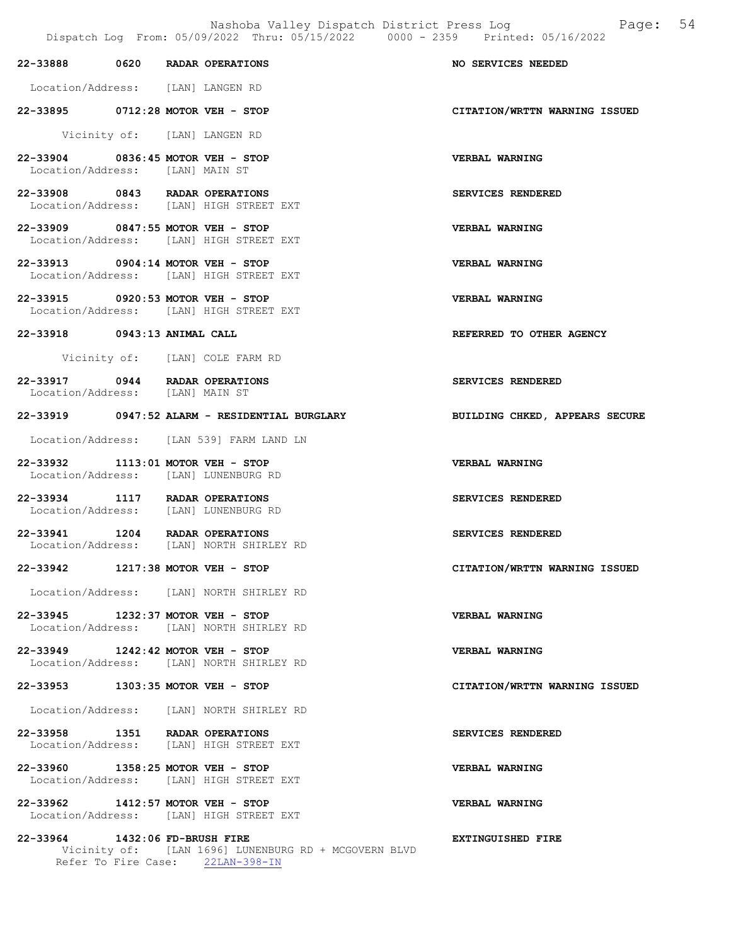Nashoba Valley Dispatch District Press Log Fage: 54

| 22-33888 0620 RADAR OPERATIONS                                            |  |                                                                                          | <b>NO SERVICES NEEDED</b>      |
|---------------------------------------------------------------------------|--|------------------------------------------------------------------------------------------|--------------------------------|
| Location/Address: [LAN] LANGEN RD                                         |  |                                                                                          |                                |
| 22-33895 0712:28 MOTOR VEH - STOP                                         |  |                                                                                          | CITATION/WRTTN WARNING ISSUED  |
|                                                                           |  | Vicinity of: [LAN] LANGEN RD                                                             |                                |
| 22-33904 0836:45 MOTOR VEH - STOP<br>Location/Address: [LAN] MAIN ST      |  |                                                                                          | VERBAL WARNING                 |
| 22-33908 0843 RADAR OPERATIONS                                            |  | Location/Address: [LAN] HIGH STREET EXT                                                  | <b>SERVICES RENDERED</b>       |
| 22-33909 0847:55 MOTOR VEH - STOP                                         |  | Location/Address: [LAN] HIGH STREET EXT                                                  | VERBAL WARNING                 |
| 22-33913 0904:14 MOTOR VEH - STOP                                         |  | Location/Address: [LAN] HIGH STREET EXT                                                  | VERBAL WARNING                 |
| 22-33915 0920:53 MOTOR VEH - STOP                                         |  | Location/Address: [LAN] HIGH STREET EXT                                                  | VERBAL WARNING                 |
| 22-33918 0943:13 ANIMAL CALL                                              |  |                                                                                          | REFERRED TO OTHER AGENCY       |
|                                                                           |  | Vicinity of: [LAN] COLE FARM RD                                                          |                                |
| 22-33917 0944 RADAR OPERATIONS<br>Location/Address: [LAN] MAIN ST         |  |                                                                                          | <b>SERVICES RENDERED</b>       |
|                                                                           |  | 22-33919 0947:52 ALARM - RESIDENTIAL BURGLARY                                            | BUILDING CHKED, APPEARS SECURE |
|                                                                           |  | Location/Address: [LAN 539] FARM LAND LN                                                 |                                |
| 22-33932 1113:01 MOTOR VEH - STOP<br>Location/Address: [LAN] LUNENBURG RD |  |                                                                                          | <b>VERBAL WARNING</b>          |
| 22-33934 1117 RADAR OPERATIONS<br>Location/Address: [LAN] LUNENBURG RD    |  |                                                                                          | SERVICES RENDERED              |
| 22-33941 1204 RADAR OPERATIONS                                            |  | Location/Address: [LAN] NORTH SHIRLEY RD                                                 | <b>SERVICES RENDERED</b>       |
| 22-33942 1217:38 MOTOR VEH - STOP                                         |  |                                                                                          | CITATION/WRTTN WARNING ISSUED  |
|                                                                           |  | Location/Address: [LAN] NORTH SHIRLEY RD                                                 |                                |
| 22-33945 1232:37 MOTOR VEH - STOP                                         |  | Location/Address: [LAN] NORTH SHIRLEY RD                                                 | <b>VERBAL WARNING</b>          |
| 22-33949 1242:42 MOTOR VEH - STOP                                         |  | Location/Address: [LAN] NORTH SHIRLEY RD                                                 | VERBAL WARNING                 |
| 22-33953 1303:35 MOTOR VEH - STOP                                         |  |                                                                                          | CITATION/WRTTN WARNING ISSUED  |
|                                                                           |  | Location/Address: [LAN] NORTH SHIRLEY RD                                                 |                                |
| 22-33958 1351 RADAR OPERATIONS                                            |  | Location/Address: [LAN] HIGH STREET EXT                                                  | SERVICES RENDERED              |
| 22-33960 1358:25 MOTOR VEH - STOP                                         |  | Location/Address: [LAN] HIGH STREET EXT                                                  | <b>VERBAL WARNING</b>          |
| 22-33962 1412:57 MOTOR VEH - STOP                                         |  | Location/Address: [LAN] HIGH STREET EXT                                                  | <b>VERBAL WARNING</b>          |
| 22-33964 1432:06 FD-BRUSH FIRE                                            |  | Vicinity of: [LAN 1696] LUNENBURG RD + MCGOVERN BLVD<br>Refer To Fire Case: 22LAN-398-IN | EXTINGUISHED FIRE              |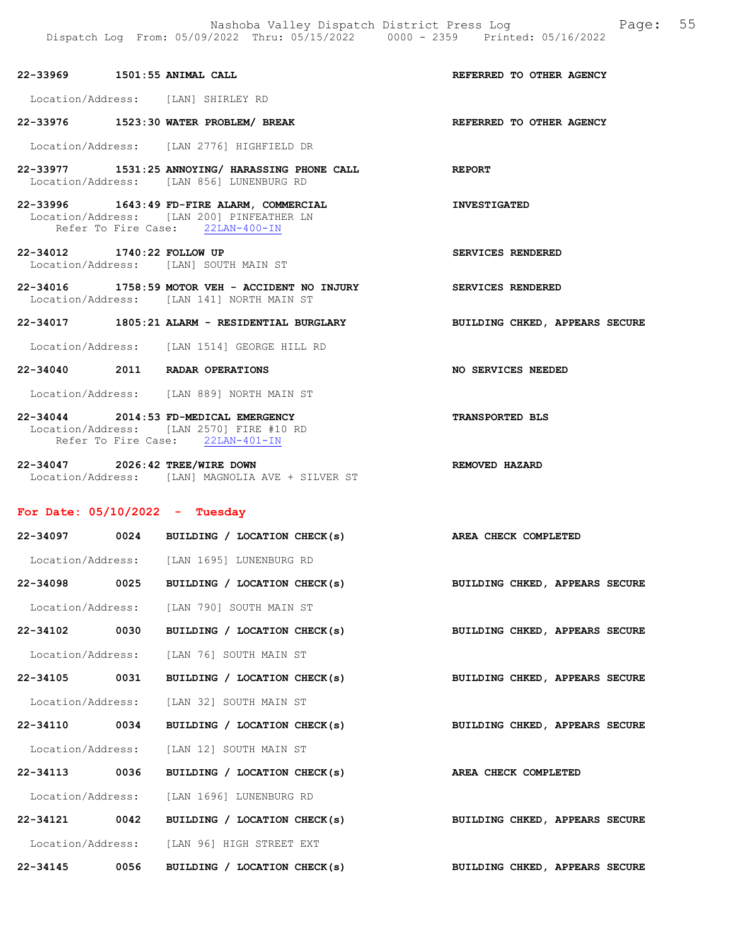22-33969 1501:55 ANIMAL CALL REFERRED TO OTHER AGENCY

Location/Address: [LAN] SHIRLEY RD

22-33976 1523:30 WATER PROBLEM/ BREAK REFERRED TO OTHER AGENCY

Location/Address: [LAN 2776] HIGHFIELD DR

- 22-33977 1531:25 ANNOYING/ HARASSING PHONE CALL REPORT Location/Address: [LAN 856] LUNENBURG RD
- 22-33996 1643:49 FD-FIRE ALARM, COMMERCIAL INVESTIGATED Location/Address: [LAN 200] PINFEATHER LN Refer To Fire Case: 22LAN-400-IN

22-34012 1740:22 FOLLOW UP SERVICES RENDERED Location/Address: [LAN] SOUTH MAIN ST

- 22-34016 1758:59 MOTOR VEH ACCIDENT NO INJURY SERVICES RENDERED Location/Address: [LAN 141] NORTH MAIN ST
- 22-34017 1805:21 ALARM RESIDENTIAL BURGLARY BUILDING CHKED, APPEARS SECURE
- Location/Address: [LAN 1514] GEORGE HILL RD
- 22-34040 2011 RADAR OPERATIONS NO SERVICES NEEDED

Location/Address: [LAN 889] NORTH MAIN ST

- 22-34044 2014:53 FD-MEDICAL EMERGENCY TRANSPORTED BLS Location/Address: [LAN 2570] FIRE #10 RD Refer To Fire Case: 22LAN-401-IN
- 22-34047 2026:42 TREE/WIRE DOWN REMOVED HAZARD Location/Address: [LAN] MAGNOLIA AVE + SILVER ST

#### For Date: 05/10/2022 - Tuesday

|               | 22-34097 0024 BUILDING / LOCATION CHECK(s) AREA CHECK COMPLETED |                                |
|---------------|-----------------------------------------------------------------|--------------------------------|
|               | Location/Address: [LAN 1695] LUNENBURG RD                       |                                |
| 22-34098 0025 | BUILDING / LOCATION CHECK(s)                                    | BUILDING CHKED, APPEARS SECURE |
|               | Location/Address: [LAN 790] SOUTH MAIN ST                       |                                |
| 22-34102 0030 | BUILDING / LOCATION CHECK(s)                                    | BUILDING CHKED, APPEARS SECURE |
|               | Location/Address: [LAN 76] SOUTH MAIN ST                        |                                |
| 22-34105 0031 | BUILDING / LOCATION CHECK(s)                                    | BUILDING CHKED, APPEARS SECURE |
|               | Location/Address: [LAN 32] SOUTH MAIN ST                        |                                |
| 22-34110 0034 | BUILDING / LOCATION CHECK(s)                                    | BUILDING CHKED, APPEARS SECURE |
|               | Location/Address: [LAN 12] SOUTH MAIN ST                        |                                |
| 22-34113 0036 | BUILDING / LOCATION CHECK(s) AREA CHECK COMPLETED               |                                |
|               | Location/Address: [LAN 1696] LUNENBURG RD                       |                                |
| 22-34121 0042 | BUILDING / LOCATION CHECK(s)                                    | BUILDING CHKED, APPEARS SECURE |
|               | Location/Address: [LAN 96] HIGH STREET EXT                      |                                |
| 22-34145 0056 | BUILDING / LOCATION CHECK(s)                                    | BUILDING CHKED, APPEARS SECURE |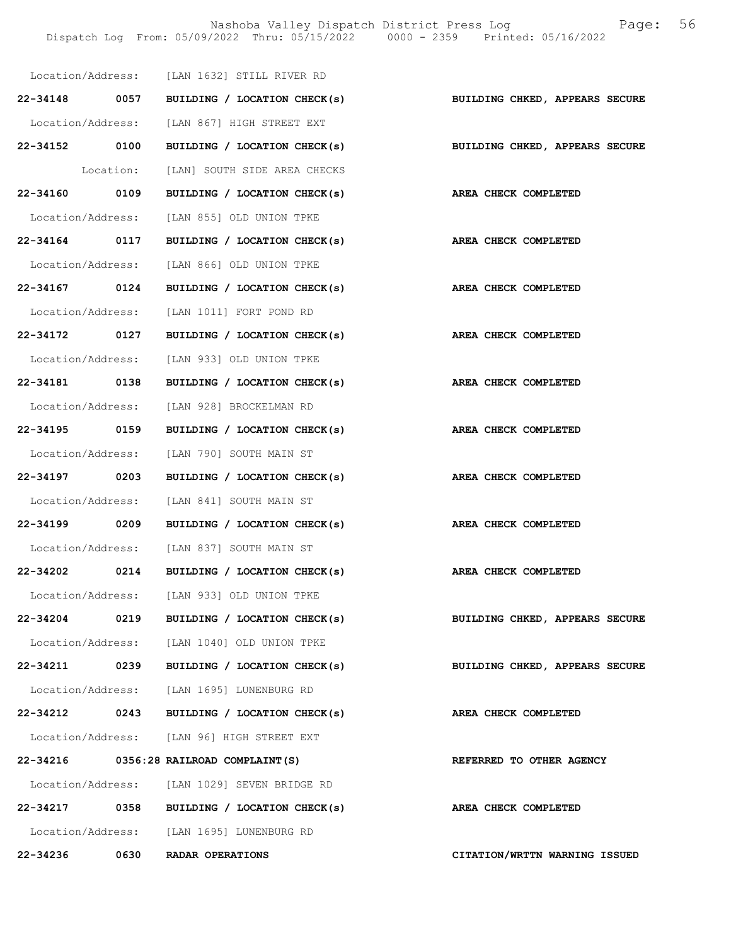Nashoba Valley Dispatch District Press Log Fage: 56 Dispatch Log From: 05/09/2022 Thru: 05/15/2022 0000 - 2359 Printed: 05/16/2022

|                   |      | Location/Address: [LAN 1632] STILL RIVER RD                               |                                |
|-------------------|------|---------------------------------------------------------------------------|--------------------------------|
|                   |      | 22-34148 0057 BUILDING / LOCATION CHECK(s) BUILDING CHKED, APPEARS SECURE |                                |
|                   |      | Location/Address: [LAN 867] HIGH STREET EXT                               |                                |
|                   |      | 22-34152 0100 BUILDING / LOCATION CHECK(s) BUILDING CHKED, APPEARS SECURE |                                |
|                   |      | Location: [LAN] SOUTH SIDE AREA CHECKS                                    |                                |
| 22-34160 0109     |      | BUILDING / LOCATION CHECK(s) AREA CHECK COMPLETED                         |                                |
|                   |      | Location/Address: [LAN 855] OLD UNION TPKE                                |                                |
|                   |      | 22-34164 0117 BUILDING / LOCATION CHECK(s)                                | AREA CHECK COMPLETED           |
|                   |      | Location/Address: [LAN 866] OLD UNION TPKE                                |                                |
|                   |      | 22-34167 0124 BUILDING / LOCATION CHECK(s) AREA CHECK COMPLETED           |                                |
|                   |      | Location/Address: [LAN 1011] FORT POND RD                                 |                                |
| 22-34172 0127     |      | BUILDING / LOCATION CHECK(s)                                              | AREA CHECK COMPLETED           |
|                   |      | Location/Address: [LAN 933] OLD UNION TPKE                                |                                |
|                   |      | 22-34181 0138 BUILDING / LOCATION CHECK(s) AREA CHECK COMPLETED           |                                |
|                   |      | Location/Address: [LAN 928] BROCKELMAN RD                                 |                                |
|                   |      | 22-34195 0159 BUILDING / LOCATION CHECK(s) AREA CHECK COMPLETED           |                                |
|                   |      | Location/Address: [LAN 790] SOUTH MAIN ST                                 |                                |
| 22-34197 0203     |      | BUILDING / LOCATION CHECK(s)                                              | AREA CHECK COMPLETED           |
|                   |      | Location/Address: [LAN 841] SOUTH MAIN ST                                 |                                |
| 22-34199 0209     |      | BUILDING / LOCATION CHECK(s) AREA CHECK COMPLETED                         |                                |
|                   |      | Location/Address: [LAN 837] SOUTH MAIN ST                                 |                                |
|                   |      | 22-34202 0214 BUILDING / LOCATION CHECK(s) AREA CHECK COMPLETED           |                                |
| Location/Address: |      | [LAN 933] OLD UNION TPKE                                                  |                                |
|                   |      | 22-34204 0219 BUILDING / LOCATION CHECK(s)                                | BUILDING CHKED, APPEARS SECURE |
|                   |      | Location/Address: [LAN 1040] OLD UNION TPKE                               |                                |
| 22-34211 0239     |      | BUILDING / LOCATION CHECK(s)                                              | BUILDING CHKED, APPEARS SECURE |
|                   |      | Location/Address: [LAN 1695] LUNENBURG RD                                 |                                |
|                   |      | 22-34212 0243 BUILDING / LOCATION CHECK(s)                                | AREA CHECK COMPLETED           |
|                   |      | Location/Address: [LAN 96] HIGH STREET EXT                                |                                |
|                   |      | 22-34216 0356:28 RAILROAD COMPLAINT (S)                                   | REFERRED TO OTHER AGENCY       |
|                   |      | Location/Address: [LAN 1029] SEVEN BRIDGE RD                              |                                |
| 22-34217          |      | 0358 BUILDING / LOCATION CHECK(s)                                         | AREA CHECK COMPLETED           |
|                   |      | Location/Address: [LAN 1695] LUNENBURG RD                                 |                                |
| 22-34236          | 0630 | RADAR OPERATIONS                                                          | CITATION/WRTTN WARNING ISSUED  |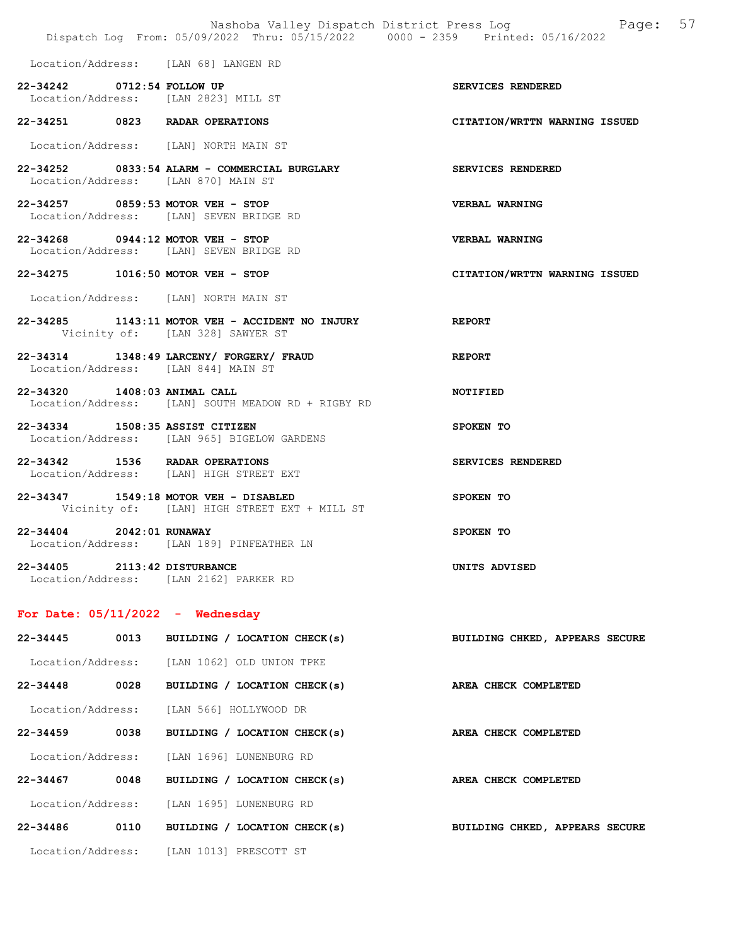Location/Address: [LAN 68] LANGEN RD

- 22-34242 0712:54 FOLLOW UP SERVICES RENDERED Location/Address: [LAN 2823] MILL ST
- 22-34251 0823 RADAR OPERATIONS CITATION/WRTTN WARNING ISSUED

Location/Address: [LAN] NORTH MAIN ST

- 22-34252 0833:54 ALARM COMMERCIAL BURGLARY SERVICES RENDERED Location/Address: [LAN 870] MAIN ST
- 22-34257 0859:53 MOTOR VEH STOP VERBAL WARNING Location/Address: [LAN] SEVEN BRIDGE RD
- 22-34268 0944:12 MOTOR VEH STOP VERBAL WARNING Location/Address: [LAN] SEVEN BRIDGE RD
- 22-34275 1016:50 MOTOR VEH STOP CITATION/WRTTN WARNING ISSUED

Location/Address: [LAN] NORTH MAIN ST

- 22-34285 1143:11 MOTOR VEH ACCIDENT NO INJURY REPORT Vicinity of: [LAN 328] SAWYER ST
- 22-34314 1348:49 LARCENY/ FORGERY/ FRAUD REPORT Location/Address: [LAN 844] MAIN ST
- 22-34320 1408:03 ANIMAL CALL NOTIFIED Location/Address: [LAN] SOUTH MEADOW RD + RIGBY RD
- 22-34334 1508:35 ASSIST CITIZEN SPOKEN TO Location/Address: [LAN 965] BIGELOW GARDENS
- 22-34342 1536 RADAR OPERATIONS SERVICES RENDERED Location/Address: [LAN] HIGH STREET EXT
- 22-34347 1549:18 MOTOR VEH DISABLED SPOKEN TO Vicinity of: [LAN] HIGH STREET EXT + MILL ST
- 22-34404 2042:01 RUNAWAY SPOKEN TO Location/Address: [LAN 189] PINFEATHER LN
- 22-34405 2113:42 DISTURBANCE UNITS ADVISED Location/Address: [LAN 2162] PARKER RD

#### For Date:  $05/11/2022 -$  Wednesday

| $22 - 34445$      | 0013 | BUILDING / LOCATION CHECK(s) | BUILDING CHKED, APPEARS SECURE |
|-------------------|------|------------------------------|--------------------------------|
| Location/Address: |      | [LAN 1062] OLD UNION TPKE    |                                |
| $22 - 34448$      | 0028 | BUILDING / LOCATION CHECK(s) | AREA CHECK COMPLETED           |
| Location/Address: |      | [LAN 566] HOLLYWOOD DR       |                                |
| $22 - 34459$      | 0038 | BUILDING / LOCATION CHECK(s) | AREA CHECK COMPLETED           |
| Location/Address: |      | [LAN 1696] LUNENBURG RD      |                                |
| $22 - 34467$      | 0048 | BUILDING / LOCATION CHECK(s) | AREA CHECK COMPLETED           |
| Location/Address: |      | [LAN 1695] LUNENBURG RD      |                                |
| 22-34486          | 0110 | BUILDING / LOCATION CHECK(s) | BUILDING CHKED, APPEARS SECURE |
| Location/Address: |      | (LAN 1013) PRESCOTT ST       |                                |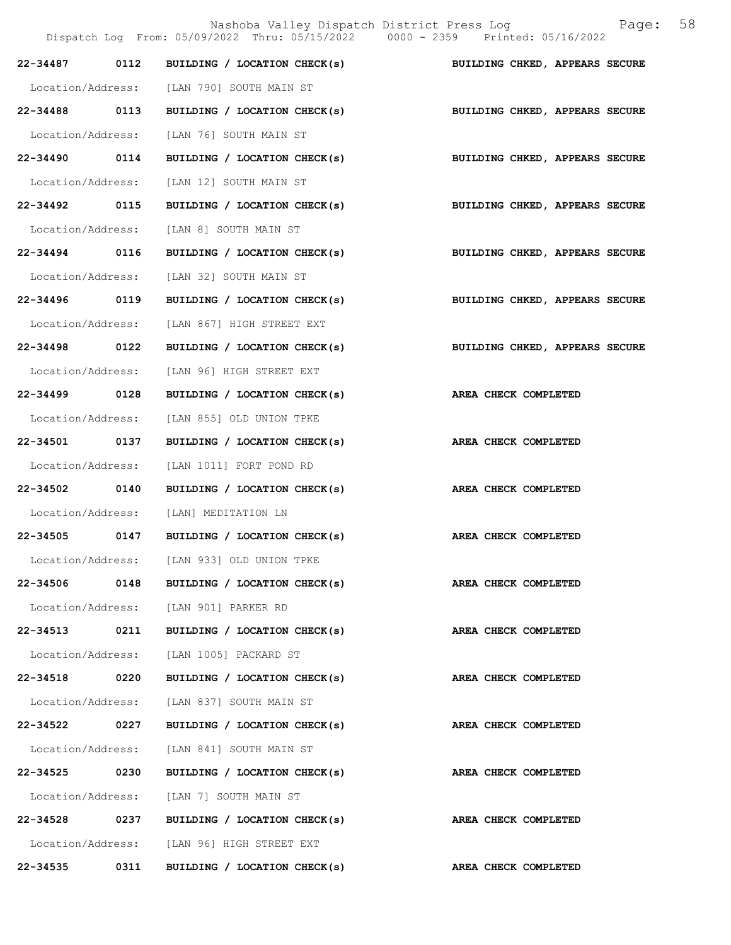|                   |      | Nashoba Valley Dispatch District Press Log<br>Dispatch Log From: 05/09/2022 Thru: 05/15/2022 0000 - 2359 Printed: 05/16/2022 | 58<br>Page:                    |
|-------------------|------|------------------------------------------------------------------------------------------------------------------------------|--------------------------------|
| 22-34487          | 0112 | BUILDING / LOCATION CHECK(s)                                                                                                 | BUILDING CHKED, APPEARS SECURE |
| Location/Address: |      | [LAN 790] SOUTH MAIN ST                                                                                                      |                                |
| 22-34488 0113     |      | BUILDING / LOCATION CHECK(s)                                                                                                 | BUILDING CHKED, APPEARS SECURE |
| Location/Address: |      | [LAN 76] SOUTH MAIN ST                                                                                                       |                                |
| 22-34490          | 0114 | BUILDING / LOCATION CHECK(s)                                                                                                 | BUILDING CHKED, APPEARS SECURE |
| Location/Address: |      | [LAN 12] SOUTH MAIN ST                                                                                                       |                                |
| 22-34492          | 0115 | BUILDING / LOCATION CHECK(s)                                                                                                 | BUILDING CHKED, APPEARS SECURE |
| Location/Address: |      | [LAN 8] SOUTH MAIN ST                                                                                                        |                                |
| 22-34494 0116     |      | BUILDING / LOCATION CHECK(s)                                                                                                 | BUILDING CHKED, APPEARS SECURE |
| Location/Address: |      | [LAN 32] SOUTH MAIN ST                                                                                                       |                                |
| 22-34496 0119     |      | BUILDING / LOCATION CHECK(s)                                                                                                 | BUILDING CHKED, APPEARS SECURE |
| Location/Address: |      | [LAN 867] HIGH STREET EXT                                                                                                    |                                |
| 22-34498          | 0122 | BUILDING / LOCATION CHECK(s)                                                                                                 | BUILDING CHKED, APPEARS SECURE |
| Location/Address: |      | [LAN 96] HIGH STREET EXT                                                                                                     |                                |
| 22-34499 0128     |      | BUILDING / LOCATION CHECK(s)                                                                                                 | AREA CHECK COMPLETED           |
| Location/Address: |      | [LAN 855] OLD UNION TPKE                                                                                                     |                                |
| 22-34501 0137     |      | BUILDING / LOCATION CHECK(s)                                                                                                 | AREA CHECK COMPLETED           |
| Location/Address: |      | [LAN 1011] FORT POND RD                                                                                                      |                                |
| 22-34502          | 0140 | BUILDING / LOCATION CHECK(s)                                                                                                 | AREA CHECK COMPLETED           |
| Location/Address: |      | [LAN] MEDITATION LN                                                                                                          |                                |
| $22 - 34505$      | 0147 | BUILDING / LOCATION CHECK(s)                                                                                                 | AREA CHECK COMPLETED           |
|                   |      | Location/Address: [LAN 933] OLD UNION TPKE                                                                                   |                                |
| 22-34506          | 0148 | BUILDING / LOCATION CHECK(s)                                                                                                 | AREA CHECK COMPLETED           |
|                   |      | Location/Address: [LAN 901] PARKER RD                                                                                        |                                |
| 22-34513          | 0211 | BUILDING / LOCATION CHECK(s)                                                                                                 | AREA CHECK COMPLETED           |
| Location/Address: |      | [LAN 1005] PACKARD ST                                                                                                        |                                |
| 22-34518 0220     |      | BUILDING / LOCATION CHECK(s)                                                                                                 | AREA CHECK COMPLETED           |
| Location/Address: |      | [LAN 837] SOUTH MAIN ST                                                                                                      |                                |
| 22-34522          | 0227 | BUILDING / LOCATION CHECK(s)                                                                                                 | AREA CHECK COMPLETED           |
| Location/Address: |      | [LAN 841] SOUTH MAIN ST                                                                                                      |                                |
| 22-34525          | 0230 | BUILDING / LOCATION CHECK(s)                                                                                                 | AREA CHECK COMPLETED           |
| Location/Address: |      | [LAN 7] SOUTH MAIN ST                                                                                                        |                                |
| 22-34528 0237     |      | BUILDING / LOCATION CHECK(s)                                                                                                 | AREA CHECK COMPLETED           |
|                   |      | Location/Address: [LAN 96] HIGH STREET EXT                                                                                   |                                |
| 22-34535          | 0311 | BUILDING / LOCATION CHECK(s)                                                                                                 | <b>AREA CHECK COMPLETED</b>    |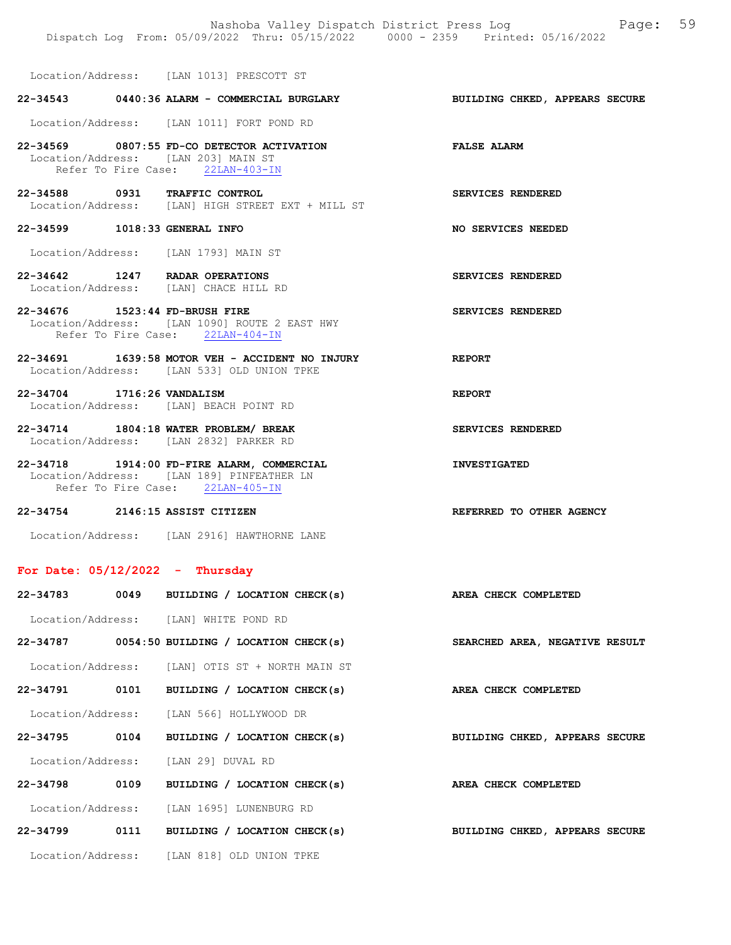Nashoba Valley Dispatch District Press Log Page: 59 Dispatch Log From: 05/09/2022 Thru: 05/15/2022 0000 - 2359 Printed: 05/16/2022

Location/Address: [LAN 1013] PRESCOTT ST

### 22-34543 0440:36 ALARM - COMMERCIAL BURGLARY BUILDING CHKED, APPEARS SECURE

Location/Address: [LAN 1011] FORT POND RD

22-34569 0807:55 FD-CO DETECTOR ACTIVATION FALSE ALARM Location/Address: [LAN 203] MAIN ST Refer To Fire Case: 22LAN-403-IN

22-34588 0931 TRAFFIC CONTROL SERVICES RENDERED Location/Address: [LAN] HIGH STREET EXT + MILL ST

22-34599 1018:33 GENERAL INFO NO SERVICES NEEDED

Location/Address: [LAN 1793] MAIN ST

- 22-34642 1247 RADAR OPERATIONS SERVICES RENDERED Location/Address: [LAN] CHACE HILL RD Location/Address:
- 22-34676 1523:44 FD-BRUSH FIRE SERVICES RENDERED Location/Address: [LAN 1090] ROUTE 2 EAST HWY Refer To Fire Case: 22LAN-404-IN
- 22-34691 1639:58 MOTOR VEH ACCIDENT NO INJURY REPORT Location/Address: [LAN 533] OLD UNION TPKE

22-34704 1716:26 VANDALISM REPORT Location/Address: [LAN] BEACH POINT RD

22-34714 1804:18 WATER PROBLEM/ BREAK SERVICES RENDERED Location/Address: [LAN 2832] PARKER RD

22-34718 1914:00 FD-FIRE ALARM, COMMERCIAL INVESTIGATED Location/Address: [LAN 189] PINFEATHER LN Refer To Fire Case: 22LAN-405-IN

#### 22-34754 2146:15 ASSIST CITIZEN REFERRED TO OTHER AGENCY

Location/Address: [LAN 2916] HAWTHORNE LANE

#### For Date: 05/12/2022 - Thursday

| 22-34783          |      | 0049 BUILDING / LOCATION CHECK(s)               | AREA CHECK COMPLETED           |
|-------------------|------|-------------------------------------------------|--------------------------------|
|                   |      | Location/Address: [LAN] WHITE POND RD           |                                |
|                   |      | $22-34787$ 0054:50 BUILDING / LOCATION CHECK(s) | SEARCHED AREA, NEGATIVE RESULT |
|                   |      | Location/Address: [LAN] OTIS ST + NORTH MAIN ST |                                |
| 22-34791          | 0101 | BUILDING / LOCATION CHECK(s)                    | AREA CHECK COMPLETED           |
| Location/Address: |      | [LAN 566] HOLLYWOOD DR                          |                                |
| 22-34795          | 0104 | BUILDING / LOCATION CHECK(s)                    | BUILDING CHKED, APPEARS SECURE |
|                   |      | Location/Address: [LAN 29] DUVAL RD             |                                |
| 22-34798          | 0109 | BUILDING / LOCATION CHECK(s)                    | AREA CHECK COMPLETED           |
| Location/Address: |      | [LAN 1695] LUNENBURG RD                         |                                |
| 22-34799          | 0111 | BUILDING / LOCATION CHECK(s)                    | BUILDING CHKED, APPEARS SECURE |
| Location/Address: |      | [LAN 818] OLD UNION TPKE                        |                                |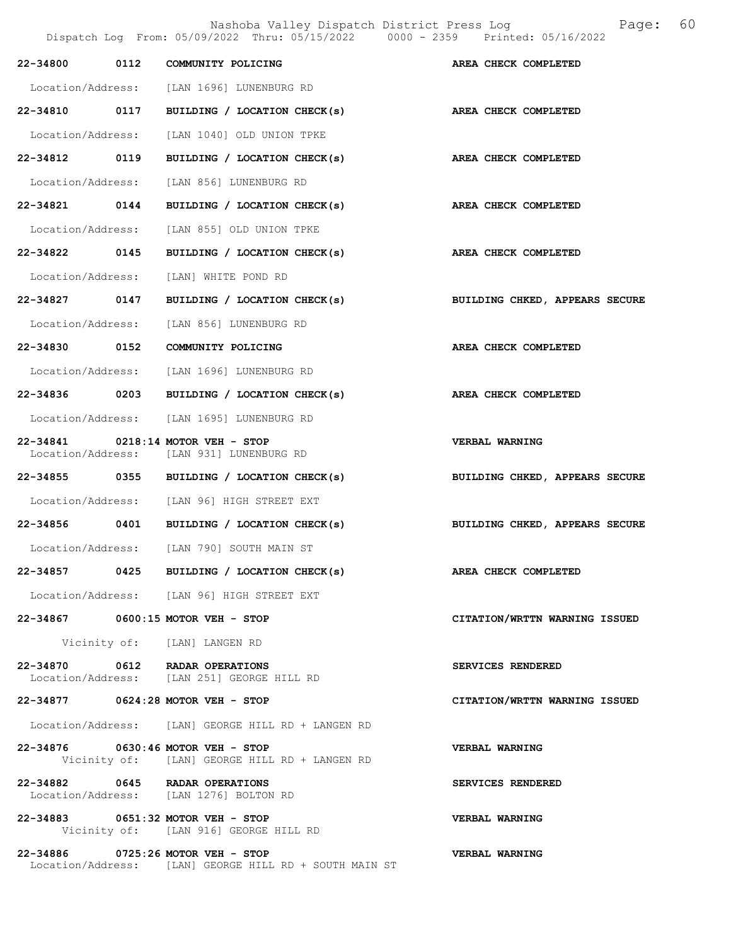Nashoba Valley Dispatch District Press Log Fage: 60

Dispatch Log From: 05/09/2022 Thru: 05/15/2022 0000 - 2359 Printed: 05/16/2022

|               | 22-34800 0112 COMMUNITY POLICING                                                            | AREA CHECK COMPLETED           |
|---------------|---------------------------------------------------------------------------------------------|--------------------------------|
|               | Location/Address: [LAN 1696] LUNENBURG RD                                                   |                                |
|               | 22-34810 0117 BUILDING / LOCATION CHECK(s) AREA CHECK COMPLETED                             |                                |
|               | Location/Address: [LAN 1040] OLD UNION TPKE                                                 |                                |
| 22-34812 0119 | BUILDING / LOCATION CHECK(s)                                                                | <b>AREA CHECK COMPLETED</b>    |
|               | Location/Address: [LAN 856] LUNENBURG RD                                                    |                                |
|               | 22-34821 0144 BUILDING / LOCATION CHECK(s) AREA CHECK COMPLETED                             |                                |
|               | Location/Address: [LAN 855] OLD UNION TPKE                                                  |                                |
|               | 22-34822 0145 BUILDING / LOCATION CHECK(s)                                                  | AREA CHECK COMPLETED           |
|               | Location/Address: [LAN] WHITE POND RD                                                       |                                |
|               | 22-34827 0147 BUILDING / LOCATION CHECK(s)                                                  | BUILDING CHKED, APPEARS SECURE |
|               | Location/Address: [LAN 856] LUNENBURG RD                                                    |                                |
|               | 22-34830 0152 COMMUNITY POLICING                                                            | AREA CHECK COMPLETED           |
|               | Location/Address: [LAN 1696] LUNENBURG RD                                                   |                                |
|               | 22-34836 0203 BUILDING / LOCATION CHECK(s)                                                  | AREA CHECK COMPLETED           |
|               | Location/Address: [LAN 1695] LUNENBURG RD                                                   |                                |
|               | 22-34841 0218:14 MOTOR VEH - STOP<br>Location/Address: [LAN 931] LUNENBURG RD               | VERBAL WARNING                 |
|               | 22-34855 0355 BUILDING / LOCATION CHECK(s)                                                  | BUILDING CHKED, APPEARS SECURE |
|               | Location/Address: [LAN 96] HIGH STREET EXT                                                  |                                |
|               | 22-34856 0401 BUILDING / LOCATION CHECK(s)                                                  | BUILDING CHKED, APPEARS SECURE |
|               | Location/Address: [LAN 790] SOUTH MAIN ST                                                   |                                |
|               | 22-34857 0425 BUILDING / LOCATION CHECK(s) AREA CHECK COMPLETED                             |                                |
|               | Location/Address: [LAN 96] HIGH STREET EXT                                                  |                                |
|               | 22-34867 0600:15 MOTOR VEH - STOP                                                           | CITATION/WRTTN WARNING ISSUED  |
|               | Vicinity of: [LAN] LANGEN RD                                                                |                                |
|               | 22-34870 0612 RADAR OPERATIONS<br>Location/Address: [LAN 251] GEORGE HILL RD                | SERVICES RENDERED              |
|               | 22-34877 0624:28 MOTOR VEH - STOP                                                           | CITATION/WRTTN WARNING ISSUED  |
|               | Location/Address: [LAN] GEORGE HILL RD + LANGEN RD                                          |                                |
|               | 22-34876 0630:46 MOTOR VEH - STOP<br>Vicinity of: [LAN] GEORGE HILL RD + LANGEN RD          | <b>VERBAL WARNING</b>          |
|               | 22-34882 0645 RADAR OPERATIONS<br>Location/Address: [LAN 1276] BOLTON RD                    | SERVICES RENDERED              |
|               | 22-34883 0651:32 MOTOR VEH - STOP<br>Vicinity of: [LAN 916] GEORGE HILL RD                  | <b>VERBAL WARNING</b>          |
|               | 22-34886 0725:26 MOTOR VEH - STOP<br>Location/Address: [LAN] GEORGE HILL RD + SOUTH MAIN ST | VERBAL WARNING                 |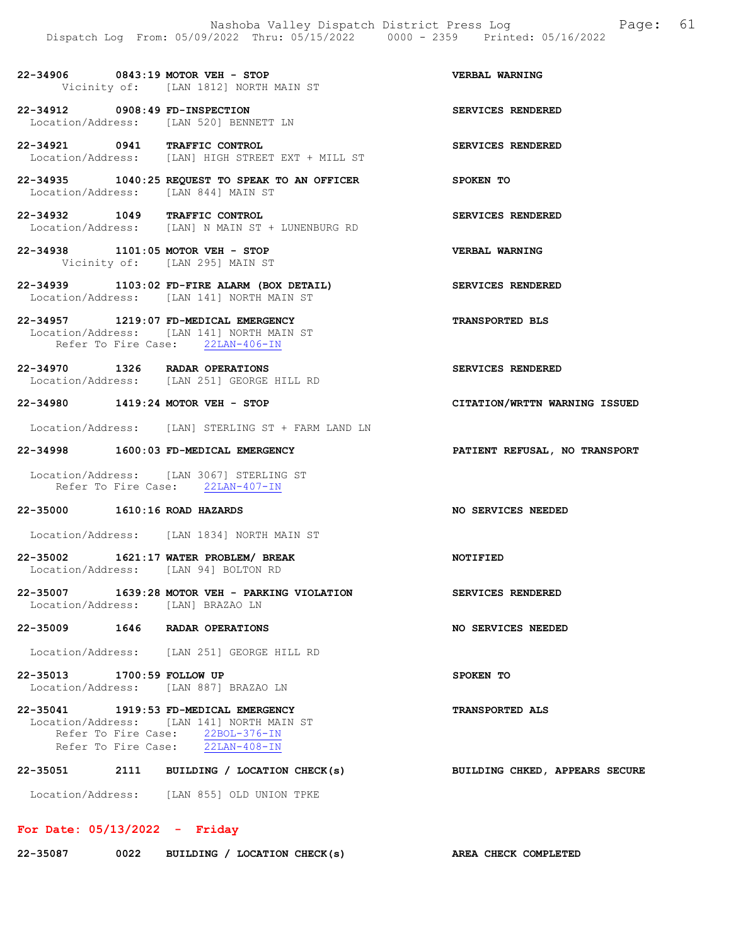#### 22-34906 0843:19 MOTOR VEH - STOP VERBAL WARNING Vicinity of: [LAN 1812] NORTH MAIN ST

22-34912 0908:49 FD-INSPECTION SERVICES RENDERED Location/Address: [LAN 520] BENNETT LN

22-34921 0941 TRAFFIC CONTROL SERVICES RENDERED Location/Address: [LAN] HIGH STREET EXT + MILL ST

22-34935 1040:25 REQUEST TO SPEAK TO AN OFFICER SPOKEN TO Location/Address: [LAN 844] MAIN ST

22-34932 1049 TRAFFIC CONTROL SERVICES RENDERED Location/Address: [LAN] N MAIN ST + LUNENBURG RD

22-34938 1101:05 MOTOR VEH - STOP VERBAL WARNING Vicinity of: [LAN 295] MAIN ST

22-34939 1103:02 FD-FIRE ALARM (BOX DETAIL) SERVICES RENDERED Location/Address: [LAN 141] NORTH MAIN ST

#### 22-34957 1219:07 FD-MEDICAL EMERGENCY TRANSPORTED BLS Location/Address: [LAN 141] NORTH MAIN ST Refer To Fire Case: 22LAN-406-IN

22-34970 1326 RADAR OPERATIONS SERVICES RENDERED Location/Address: [LAN 251] GEORGE HILL RD

#### 22-34980 1419:24 MOTOR VEH - STOP CITATION/WRTTN WARNING ISSUED

Location/Address: [LAN] STERLING ST + FARM LAND LN

#### 22-34998 1600:03 FD-MEDICAL EMERGENCY PATIENT REFUSAL, NO TRANSPORT

Location/Address: [LAN 3067] STERLING ST Refer To Fire Case: 22LAN-407-IN

#### 22-35000 1610:16 ROAD HAZARDS NO SERVICES NEEDED

Location/Address: [LAN 1834] NORTH MAIN ST

#### 22-35002 1621:17 WATER PROBLEM/ BREAK NOTIFIED<br>
Location/Address: [LAN 94] BOLTON RD [LAN 94] BOLTON RD

22-35007 1639:28 MOTOR VEH - PARKING VIOLATION SERVICES RENDERED Location/Address: [LAN] BRAZAO LN

#### 22-35009 1646 RADAR OPERATIONS NO SERVICES NEEDED

Location/Address: [LAN 251] GEORGE HILL RD

### 22-35013 1700:59 FOLLOW UP SPOKEN TO Location/Address: [LAN 887] BRAZAO LN

22-35041 1919:53 FD-MEDICAL EMERGENCY TRANSPORTED ALS Location/Address: [LAN 141] NORTH MAIN ST Refer To Fire Case: 22BOL-376-IN Refer To Fire Case: 22LAN-408-IN

# 22-35051 2111 BUILDING / LOCATION CHECK(s) BUILDING CHKED, APPEARS SECURE

Location/Address: [LAN 855] OLD UNION TPKE

# For Date: 05/13/2022 - Friday

| 22-35087 | 0022 | BUILDING / LOCATION CHECK(s) |  |  |  | AREA CHECK COMPLETED |  |
|----------|------|------------------------------|--|--|--|----------------------|--|
|----------|------|------------------------------|--|--|--|----------------------|--|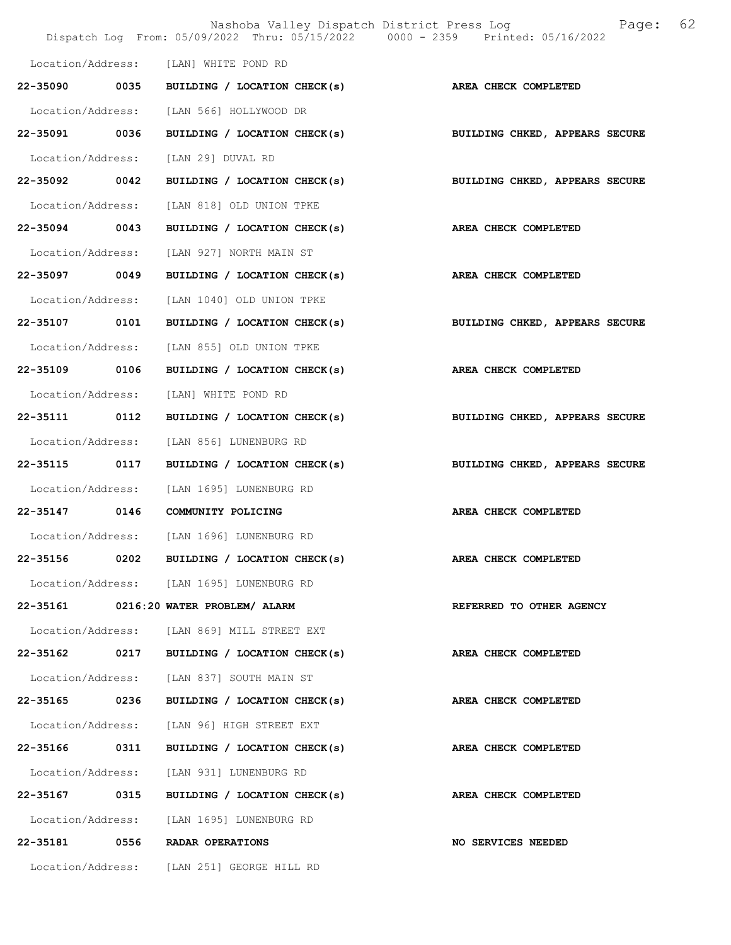|                   |      | Dispatch Log From: 05/09/2022 Thru: 05/15/2022 0000 - 2359 Printed: 05/16/2022 | Nashoba Valley Dispatch District Press Log<br>Page: | 62 |
|-------------------|------|--------------------------------------------------------------------------------|-----------------------------------------------------|----|
|                   |      | Location/Address: [LAN] WHITE POND RD                                          |                                                     |    |
|                   |      | 22-35090 0035 BUILDING / LOCATION CHECK(s)                                     | <b>AREA CHECK COMPLETED</b>                         |    |
| Location/Address: |      | [LAN 566] HOLLYWOOD DR                                                         |                                                     |    |
| 22-35091 0036     |      | BUILDING / LOCATION CHECK(s)                                                   | BUILDING CHKED, APPEARS SECURE                      |    |
|                   |      | Location/Address: [LAN 29] DUVAL RD                                            |                                                     |    |
| 22-35092 0042     |      | BUILDING / LOCATION CHECK(s)                                                   | BUILDING CHKED, APPEARS SECURE                      |    |
| Location/Address: |      | [LAN 818] OLD UNION TPKE                                                       |                                                     |    |
| 22-35094 0043     |      | BUILDING / LOCATION CHECK(s)                                                   | AREA CHECK COMPLETED                                |    |
| Location/Address: |      | [LAN 927] NORTH MAIN ST                                                        |                                                     |    |
| 22-35097 0049     |      | BUILDING / LOCATION CHECK(s)                                                   | AREA CHECK COMPLETED                                |    |
| Location/Address: |      | [LAN 1040] OLD UNION TPKE                                                      |                                                     |    |
|                   |      | 22-35107 0101 BUILDING / LOCATION CHECK(s)                                     | BUILDING CHKED, APPEARS SECURE                      |    |
| Location/Address: |      | [LAN 855] OLD UNION TPKE                                                       |                                                     |    |
| 22-35109 0106     |      | BUILDING / LOCATION CHECK(s)                                                   | AREA CHECK COMPLETED                                |    |
| Location/Address: |      | [LAN] WHITE POND RD                                                            |                                                     |    |
| 22-35111          | 0112 | BUILDING / LOCATION CHECK(s)                                                   | BUILDING CHKED, APPEARS SECURE                      |    |
| Location/Address: |      | [LAN 856] LUNENBURG RD                                                         |                                                     |    |
| 22-35115 0117     |      | BUILDING / LOCATION CHECK(s)                                                   | BUILDING CHKED, APPEARS SECURE                      |    |
| Location/Address: |      | [LAN 1695] LUNENBURG RD                                                        |                                                     |    |
| 22-35147 0146     |      | COMMUNITY POLICING                                                             | AREA CHECK COMPLETED                                |    |
|                   |      | Location/Address: [LAN 1696] LUNENBURG RD                                      |                                                     |    |
|                   |      | 22-35156 0202 BUILDING / LOCATION CHECK(s)                                     | AREA CHECK COMPLETED                                |    |
|                   |      | Location/Address: [LAN 1695] LUNENBURG RD                                      |                                                     |    |
|                   |      | 22-35161 0216:20 WATER PROBLEM/ ALARM                                          | REFERRED TO OTHER AGENCY                            |    |
|                   |      | Location/Address: [LAN 869] MILL STREET EXT                                    |                                                     |    |
|                   |      | 22-35162 0217 BUILDING / LOCATION CHECK(s)                                     | <b>AREA CHECK COMPLETED</b>                         |    |
|                   |      | Location/Address: [LAN 837] SOUTH MAIN ST                                      |                                                     |    |
|                   |      | 22-35165 0236 BUILDING / LOCATION CHECK(s)                                     | AREA CHECK COMPLETED                                |    |
|                   |      | Location/Address: [LAN 96] HIGH STREET EXT                                     |                                                     |    |
|                   |      | 22-35166 0311 BUILDING / LOCATION CHECK(s) AREA CHECK COMPLETED                |                                                     |    |
|                   |      | Location/Address: [LAN 931] LUNENBURG RD                                       |                                                     |    |
|                   |      | 22-35167 0315 BUILDING / LOCATION CHECK(s)                                     | <b>AREA CHECK COMPLETED</b>                         |    |
|                   |      | Location/Address: [LAN 1695] LUNENBURG RD                                      |                                                     |    |
|                   |      | 22-35181 0556 RADAR OPERATIONS                                                 | <b>NO SERVICES NEEDED</b>                           |    |
|                   |      | Location/Address: [LAN 251] GEORGE HILL RD                                     |                                                     |    |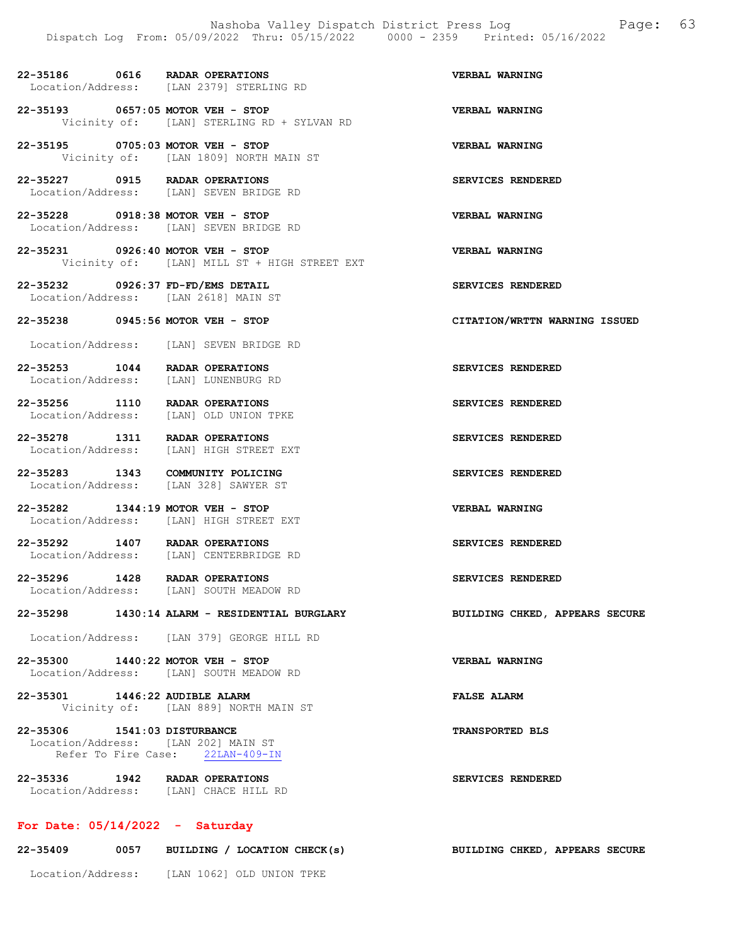22-35186 0616 RADAR OPERATIONS VERBAL WARNING Location/Address: [LAN 2379] STERLING RD

22-35193 0657:05 MOTOR VEH - STOP VERBAL WARNING<br>Vicinity of: [LAN] STERLING RD + SYLVAN RD [LAN] STERLING RD + SYLVAN RD

22-35195 0705:03 MOTOR VEH - STOP VERBAL WARNING Vicinity of: [LAN 1809] NORTH MAIN ST

22-35227 0915 RADAR OPERATIONS SERVICES RENDERED Location/Address: [LAN] SEVEN BRIDGE RD

22-35228 0918:38 MOTOR VEH - STOP VERBAL WARNING Location/Address: [LAN] SEVEN BRIDGE RD

22-35231 0926:40 MOTOR VEH - STOP VERBAL WARNING Vicinity of: [LAN] MILL ST + HIGH STREET EXT

22-35232 0926:37 FD-FD/EMS DETAIL SERVICES RENDERED Location/Address: [LAN 2618] MAIN ST

22-35238 0945:56 MOTOR VEH - STOP CITATION/WRTTN WARNING ISSUED

Location/Address: [LAN] SEVEN BRIDGE RD

22-35253 1044 RADAR OPERATIONS SERVICES RENDERED<br>
Location/Address: [LAN] LUNENBURG RD [LAN] LUNENBURG RD

22-35256 1110 RADAR OPERATIONS SERVICES RENDERED Location/Address: [LAN] OLD UNION TPKE

22-35278 1311 RADAR OPERATIONS SERVICES RENDERED Location/Address: [LAN] HIGH STREET EXT

22-35283 1343 COMMUNITY POLICING SERVICES RENDERED Location/Address: [LAN 328] SAWYER ST

22-35282 1344:19 MOTOR VEH - STOP VERBAL WARNING Location/Address: [LAN] HIGH STREET EXT

22-35292 1407 RADAR OPERATIONS<br>
Location/Address: [LAN] CENTERBRIDGE RD [LAN] CENTERBRIDGE RD

22-35296 1428 RADAR OPERATIONS SERVICES RENDERED<br>Location/Address: [LAN] SOUTH MEADOW RD [LAN] SOUTH MEADOW RD

22-35298 1430:14 ALARM - RESIDENTIAL BURGLARY BUILDING CHKED, APPEARS SECURE

Location/Address: [LAN 379] GEORGE HILL RD

22-35300 1440:22 MOTOR VEH - STOP VERBAL WARNING Location/Address: [LAN] SOUTH MEADOW RD

22-35301 1446:22 AUDIBLE ALARM FALSE ALARM Vicinity of: [LAN 889] NORTH MAIN ST

22-35306 1541:03 DISTURBANCE TRANSPORTED BLS Location/Address: [LAN 202] MAIN ST<br>Refer To Fire Case: 22LAN-409-IN Refer To Fire Case:

22-35336 1942 RADAR OPERATIONS SERVICES RENDERED Location/Address: [LAN] CHACE HILL RD

# For Date: 05/14/2022 - Saturday

| 22-35409          | 0057 | BUILDING / LOCATION CHECK(s) | BUILDING CHKED, APPEARS SECURE |  |
|-------------------|------|------------------------------|--------------------------------|--|
| Location/Address: |      | [LAN 1062] OLD UNION TPKE    |                                |  |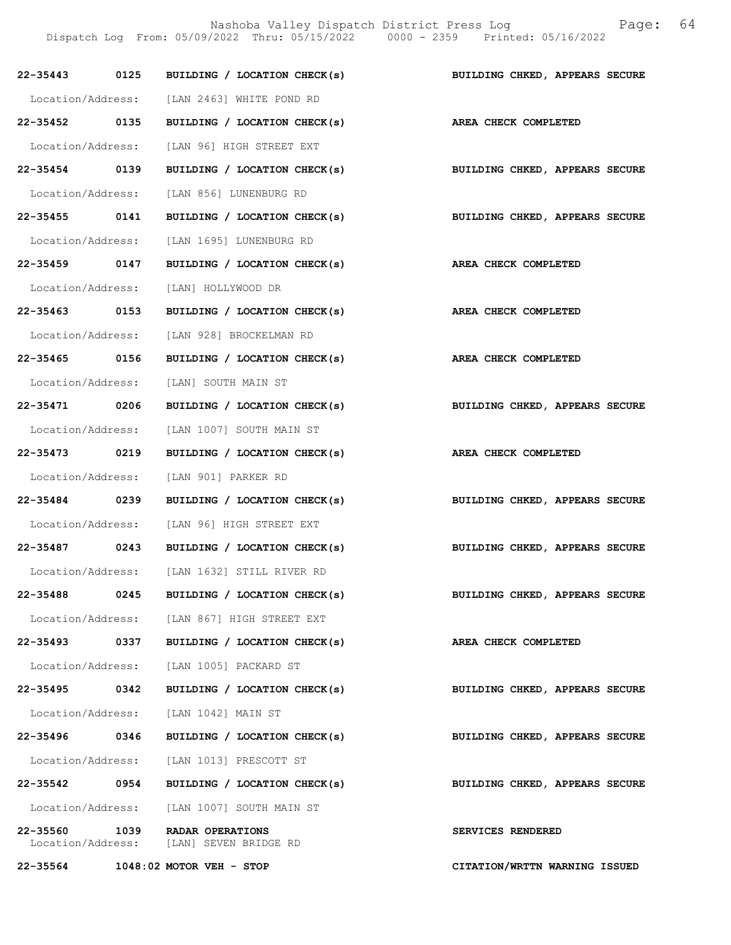Nashoba Valley Dispatch District Press Log Fage: 64 Dispatch Log From: 05/09/2022 Thru: 05/15/2022 0000 - 2359 Printed: 05/16/2022

|               |      | 22-35443 0125 BUILDING / LOCATION CHECK(s)                       | BUILDING CHKED, APPEARS SECURE                                            |
|---------------|------|------------------------------------------------------------------|---------------------------------------------------------------------------|
|               |      | Location/Address: [LAN 2463] WHITE POND RD                       |                                                                           |
|               |      | 22-35452 0135 BUILDING / LOCATION CHECK(s) AREA CHECK COMPLETED  |                                                                           |
|               |      | Location/Address: [LAN 96] HIGH STREET EXT                       |                                                                           |
|               |      | 22-35454 0139 BUILDING / LOCATION CHECK(s)                       | BUILDING CHKED, APPEARS SECURE                                            |
|               |      | Location/Address: [LAN 856] LUNENBURG RD                         |                                                                           |
|               |      |                                                                  | 22-35455 0141 BUILDING / LOCATION CHECK(s) BUILDING CHKED, APPEARS SECURE |
|               |      | Location/Address: [LAN 1695] LUNENBURG RD                        |                                                                           |
|               |      | 22-35459 0147 BUILDING / LOCATION CHECK(s) AREA CHECK COMPLETED  |                                                                           |
|               |      | Location/Address: [LAN] HOLLYWOOD DR                             |                                                                           |
| 22-35463 0153 |      | BUILDING / LOCATION CHECK(s)                                     | AREA CHECK COMPLETED                                                      |
|               |      | Location/Address: [LAN 928] BROCKELMAN RD                        |                                                                           |
|               |      | 22-35465 0156 BUILDING / LOCATION CHECK(s) AREA CHECK COMPLETED  |                                                                           |
|               |      | Location/Address: [LAN] SOUTH MAIN ST                            |                                                                           |
|               |      | 22-35471 0206 BUILDING / LOCATION CHECK(s)                       | BUILDING CHKED, APPEARS SECURE                                            |
|               |      | Location/Address: [LAN 1007] SOUTH MAIN ST                       |                                                                           |
| 22-35473 0219 |      | BUILDING / LOCATION CHECK(s) AREA CHECK COMPLETED                |                                                                           |
|               |      | Location/Address: [LAN 901] PARKER RD                            |                                                                           |
| 22-35484 0239 |      |                                                                  | BUILDING / LOCATION CHECK(s) BUILDING CHKED, APPEARS SECURE               |
|               |      | Location/Address: [LAN 96] HIGH STREET EXT                       |                                                                           |
|               |      | 22-35487 0243 BUILDING / LOCATION CHECK(s)                       | BUILDING CHKED, APPEARS SECURE                                            |
|               |      | Location/Address: [LAN 1632] STILL RIVER RD                      |                                                                           |
| 22-35488      | 0245 | BUILDING / LOCATION CHECK(s)                                     | BUILDING CHKED, APPEARS SECURE                                            |
|               |      | Location/Address: [LAN 867] HIGH STREET EXT                      |                                                                           |
|               |      | 22-35493 0337 BUILDING / LOCATION CHECK(s)                       | AREA CHECK COMPLETED                                                      |
|               |      | Location/Address: [LAN 1005] PACKARD ST                          |                                                                           |
| 22-35495 0342 |      | BUILDING / LOCATION CHECK(s)                                     | BUILDING CHKED, APPEARS SECURE                                            |
|               |      | Location/Address: [LAN 1042] MAIN ST                             |                                                                           |
| 22-35496 0346 |      | BUILDING / LOCATION CHECK(s)                                     | BUILDING CHKED, APPEARS SECURE                                            |
|               |      | Location/Address: [LAN 1013] PRESCOTT ST                         |                                                                           |
|               |      | 22-35542 0954 BUILDING / LOCATION CHECK(s)                       | BUILDING CHKED, APPEARS SECURE                                            |
|               |      | Location/Address: [LAN 1007] SOUTH MAIN ST                       |                                                                           |
| 22-35560      |      | 1039 RADAR OPERATIONS<br>Location/Address: [LAN] SEVEN BRIDGE RD | SERVICES RENDERED                                                         |
|               |      | 22-35564 1048:02 MOTOR VEH - STOP                                | CITATION/WRTTN WARNING ISSUED                                             |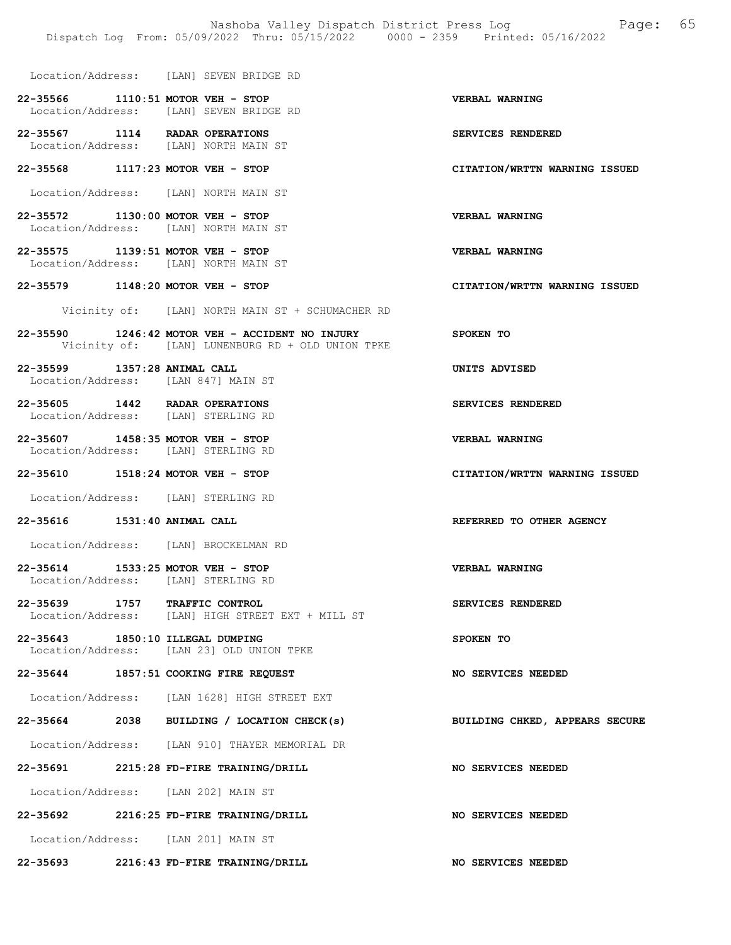- Location/Address: [LAN] SEVEN BRIDGE RD
- 22-35566 1110:51 MOTOR VEH STOP USE VERBAL WARNING<br>
Location/Address: [LAN] SEVEN BRIDGE RD [LAN] SEVEN BRIDGE RD
- 22-35567 1114 RADAR OPERATIONS SERVICES RENDERED Location/Address: [LAN] NORTH MAIN ST
- 22-35568 1117:23 MOTOR VEH STOP CITATION/WRTTN WARNING ISSUED
- Location/Address: [LAN] NORTH MAIN ST
- 22-35572 1130:00 MOTOR VEH STOP VERBAL WARNING Location/Address: [LAN] NORTH MAIN ST
- 22-35575 1139:51 MOTOR VEH STOP VERBAL WARNING Location/Address: [LAN] NORTH MAIN ST
- 22-35579 1148:20 MOTOR VEH STOP CITATION/WRTTN WARNING ISSUED
	- Vicinity of: [LAN] NORTH MAIN ST + SCHUMACHER RD
- 22-35590 1246:42 MOTOR VEH ACCIDENT NO INJURY SPOKEN TO Vicinity of: [LAN] LUNENBURG RD + OLD UNION TPKE
- 22-35599 1357:28 ANIMAL CALL UNITS ADVISED Location/Address: [LAN 847] MAIN ST
- 22-35605 1442 RADAR OPERATIONS SERVICES RENDERED Location/Address: [LAN] STERLING RD
- 22-35607 1458:35 MOTOR VEH STOP 100 VERBAL WARNING<br>
Location/Address: [LAN] STERLING RD Location/Address:
- 22-35610 1518:24 MOTOR VEH STOP CITATION/WRTTN WARNING ISSUED
- Location/Address: [LAN] STERLING RD
- 22-35616 1531:40 ANIMAL CALL REFERRED TO OTHER AGENCY
- Location/Address: [LAN] BROCKELMAN RD
- 22-35614 1533:25 MOTOR VEH STOP VERBAL WARNING Location/Address: [LAN] STERLING RD
- 22-35639 1757 TRAFFIC CONTROL SERVICES RENDERED Location/Address: [LAN] HIGH STREET EXT + MILL ST [LAN] HIGH STREET EXT + MILL ST
- 22-35643 1850:10 ILLEGAL DUMPING SPOKEN TO Location/Address: [LAN 23] OLD UNION TPKE
- 22-35644 1857:51 COOKING FIRE REQUEST NO SERVICES NEEDED
- Location/Address: [LAN 1628] HIGH STREET EXT
- 22-35664 2038 BUILDING / LOCATION CHECK(s) BUILDING CHKED, APPEARS SECURE
- Location/Address: [LAN 910] THAYER MEMORIAL DR
- 22-35691 2215:28 FD-FIRE TRAINING/DRILL NO SERVICES NEEDED
- Location/Address: [LAN 202] MAIN ST
- 22-35692 2216:25 FD-FIRE TRAINING/DRILL NO SERVICES NEEDED Location/Address: [LAN 201] MAIN ST
- 
- 22-35693 2216:43 FD-FIRE TRAINING/DRILL NO SERVICES NEEDED
- 
- 
- 
- 
- 
- 
- 
- 
- 
- 
- 
- 
- 
- 
- 
- 
- 
- 
- 
-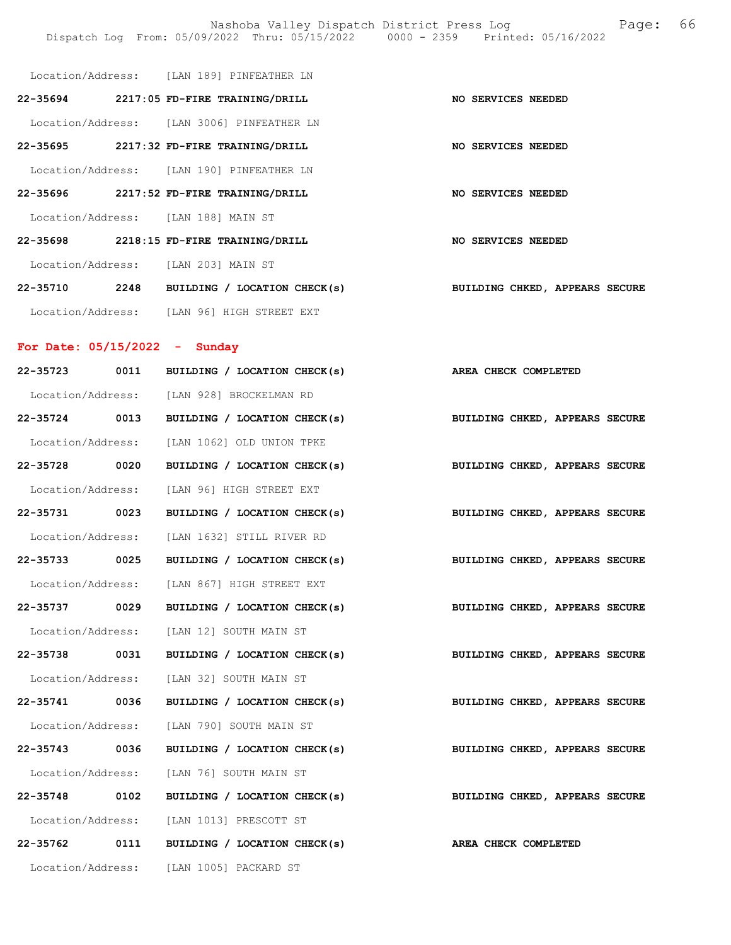|                                     | Location/Address: [LAN 189] PINFEATHER LN  |                                |
|-------------------------------------|--------------------------------------------|--------------------------------|
|                                     | 22-35694 2217:05 FD-FIRE TRAINING/DRILL    | NO SERVICES NEEDED             |
|                                     | Location/Address: [LAN 3006] PINFEATHER LN |                                |
|                                     | 22-35695 2217:32 FD-FIRE TRAINING/DRILL    | NO SERVICES NEEDED             |
|                                     | Location/Address: [LAN 190] PINFEATHER LN  |                                |
|                                     | 22-35696 2217:52 FD-FIRE TRAINING/DRILL    | NO SERVICES NEEDED             |
| Location/Address: [LAN 188] MAIN ST |                                            |                                |
|                                     | 22-35698 2218:15 FD-FIRE TRAINING/DRILL    | NO SERVICES NEEDED             |
| Location/Address: [LAN 203] MAIN ST |                                            |                                |
| 2248<br>22-35710                    | BUILDING / LOCATION CHECK(s)               | BUILDING CHKED, APPEARS SECURE |
|                                     | Location/Address: [LAN 96] HIGH STREET EXT |                                |

# For Date: 05/15/2022 - Sunday

| 22-35723      | 0011 | BUILDING / LOCATION CHECK(s)                                    | AREA CHECK COMPLETED           |
|---------------|------|-----------------------------------------------------------------|--------------------------------|
|               |      | Location/Address: [LAN 928] BROCKELMAN RD                       |                                |
| 22-35724 0013 |      | BUILDING / LOCATION CHECK(s)                                    | BUILDING CHKED, APPEARS SECURE |
|               |      | Location/Address: [LAN 1062] OLD UNION TPKE                     |                                |
| 22-35728 0020 |      | BUILDING / LOCATION CHECK(s) BUILDING CHKED, APPEARS SECURE     |                                |
|               |      | Location/Address: [LAN 96] HIGH STREET EXT                      |                                |
| 22-35731 0023 |      | BUILDING / LOCATION CHECK(s)                                    | BUILDING CHKED, APPEARS SECURE |
|               |      | Location/Address: [LAN 1632] STILL RIVER RD                     |                                |
| 22-35733 0025 |      | BUILDING / LOCATION CHECK(s)                                    | BUILDING CHKED, APPEARS SECURE |
|               |      | Location/Address: [LAN 867] HIGH STREET EXT                     |                                |
| 22-35737 0029 |      | BUILDING / LOCATION CHECK(s)                                    | BUILDING CHKED, APPEARS SECURE |
|               |      | Location/Address: [LAN 12] SOUTH MAIN ST                        |                                |
| 22-35738 0031 |      | BUILDING / LOCATION CHECK(s) BUILDING CHKED, APPEARS SECURE     |                                |
|               |      | Location/Address: [LAN 32] SOUTH MAIN ST                        |                                |
| 22-35741 0036 |      | BUILDING / LOCATION CHECK(s)                                    | BUILDING CHKED, APPEARS SECURE |
|               |      | Location/Address: [LAN 790] SOUTH MAIN ST                       |                                |
|               |      | 22-35743 0036 BUILDING / LOCATION CHECK(s)                      | BUILDING CHKED, APPEARS SECURE |
|               |      | Location/Address: [LAN 76] SOUTH MAIN ST                        |                                |
| 22-35748 0102 |      | BUILDING / LOCATION CHECK(s)                                    | BUILDING CHKED, APPEARS SECURE |
|               |      | Location/Address: [LAN 1013] PRESCOTT ST                        |                                |
|               |      | 22-35762 0111 BUILDING / LOCATION CHECK(s) AREA CHECK COMPLETED |                                |
|               |      | Location/Address: [LAN 1005] PACKARD ST                         |                                |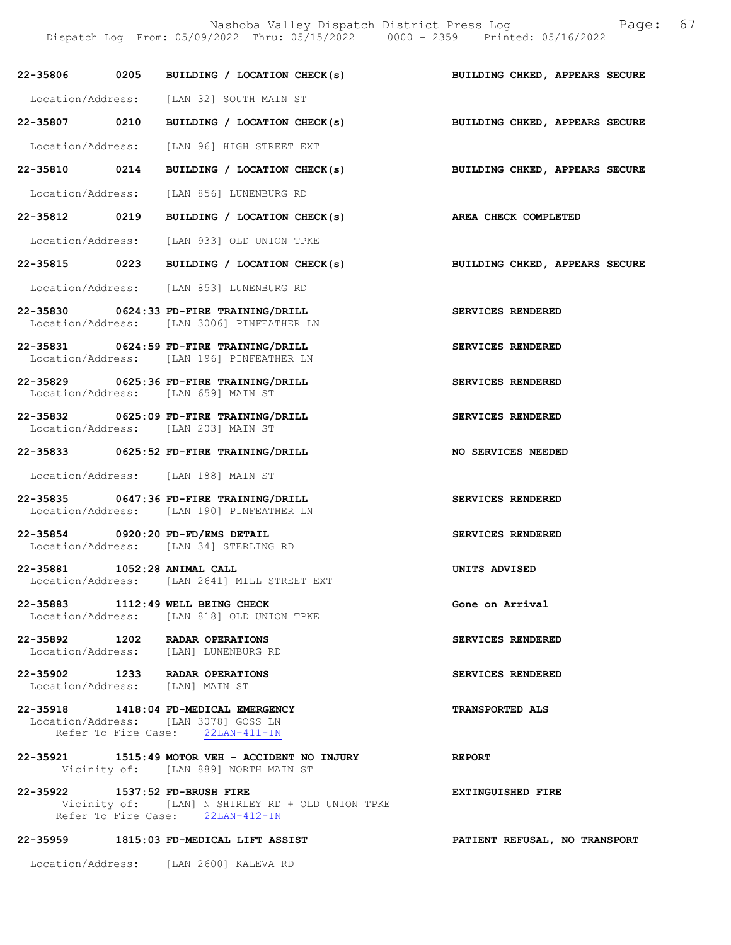Nashoba Valley Dispatch District Press Log Fage: 67

Dispatch Log From: 05/09/2022 Thru: 05/15/2022 0000 - 2359 Printed: 05/16/2022

|                                | 22-35806 0205 BUILDING / LOCATION CHECK(s)                                                                        | BUILDING CHKED, APPEARS SECURE |
|--------------------------------|-------------------------------------------------------------------------------------------------------------------|--------------------------------|
|                                | Location/Address: [LAN 32] SOUTH MAIN ST                                                                          |                                |
| 22-35807 0210                  | BUILDING / LOCATION CHECK(s)                                                                                      | BUILDING CHKED, APPEARS SECURE |
|                                | Location/Address: [LAN 96] HIGH STREET EXT                                                                        |                                |
|                                | 22-35810 0214 BUILDING / LOCATION CHECK(s) BUILDING CHKED, APPEARS SECURE                                         |                                |
|                                | Location/Address: [LAN 856] LUNENBURG RD                                                                          |                                |
| 22-35812 0219                  | BUILDING / LOCATION CHECK(s) AREA CHECK COMPLETED                                                                 |                                |
|                                | Location/Address: [LAN 933] OLD UNION TPKE                                                                        |                                |
|                                | 22-35815 0223 BUILDING / LOCATION CHECK(s)                                                                        | BUILDING CHKED, APPEARS SECURE |
|                                | Location/Address: [LAN 853] LUNENBURG RD                                                                          |                                |
|                                | 22-35830 0624:33 FD-FIRE TRAINING/DRILL<br>Location/Address: [LAN 3006] PINFEATHER LN                             | SERVICES RENDERED              |
|                                | 22-35831 0624:59 FD-FIRE TRAINING/DRILL<br>Location/Address: [LAN 196] PINFEATHER LN                              | SERVICES RENDERED              |
|                                | 22-35829 0625:36 FD-FIRE TRAINING/DRILL<br>Location/Address: [LAN 659] MAIN ST                                    | SERVICES RENDERED              |
|                                | 22-35832 0625:09 FD-FIRE TRAINING/DRILL<br>Location/Address: [LAN 203] MAIN ST                                    | SERVICES RENDERED              |
|                                | 22-35833 0625:52 FD-FIRE TRAINING/DRILL                                                                           | NO SERVICES NEEDED             |
|                                | Location/Address: [LAN 188] MAIN ST                                                                               |                                |
|                                | 22-35835 0647:36 FD-FIRE TRAINING/DRILL<br>Location/Address: [LAN 190] PINFEATHER LN                              | SERVICES RENDERED              |
|                                | 22-35854 0920:20 FD-FD/EMS DETAIL<br>Location/Address: [LAN 34] STERLING RD                                       | SERVICES RENDERED              |
| 22-35881 1052:28 ANIMAL CALL   | Location/Address: [LAN 2641] MILL STREET EXT                                                                      | UNITS ADVISED                  |
|                                | 22-35883 1112:49 WELL BEING CHECK<br>Location/Address: [LAN 818] OLD UNION TPKE                                   | Gone on Arrival                |
|                                | 22-35892 1202 RADAR OPERATIONS<br>Location/Address: [LAN] LUNENBURG RD                                            | SERVICES RENDERED              |
|                                | 22-35902 1233 RADAR OPERATIONS<br>Location/Address: [LAN] MAIN ST                                                 | SERVICES RENDERED              |
|                                | 22-35918 1418:04 FD-MEDICAL EMERGENCY<br>Location/Address: [LAN 3078] GOSS LN<br>Refer To Fire Case: 22LAN-411-IN | <b>TRANSPORTED ALS</b>         |
|                                | 22-35921 1515:49 MOTOR VEH - ACCIDENT NO INJURY<br>Vicinity of: [LAN 889] NORTH MAIN ST                           | <b>REPORT</b>                  |
| 22-35922 1537:52 FD-BRUSH FIRE | Vicinity of: [LAN] N SHIRLEY RD + OLD UNION TPKE<br>Refer To Fire Case: 22LAN-412-IN                              | <b>EXTINGUISHED FIRE</b>       |
|                                | 22-35959 1815:03 FD-MEDICAL LIFT ASSIST                                                                           | PATIENT REFUSAL, NO TRANSPORT  |

Location/Address: [LAN 2600] KALEVA RD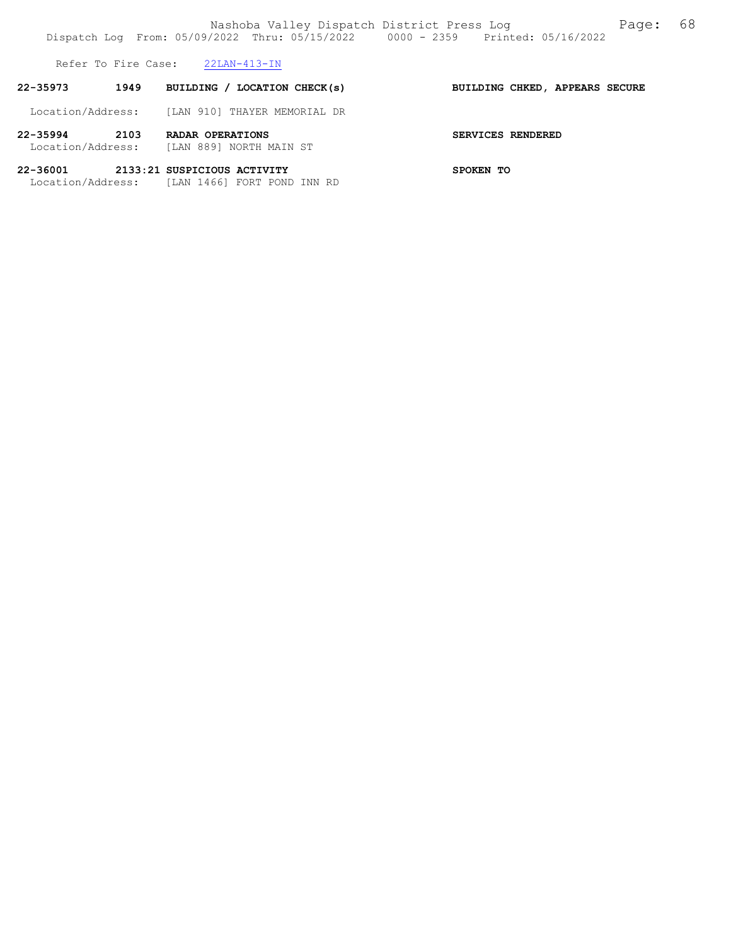Refer To Fire Case: 22LAN-413-IN

| 22-35973                          | 1949 | BUILDING / LOCATION CHECK(s)                               | BUILDING CHKED, APPEARS SECURE |
|-----------------------------------|------|------------------------------------------------------------|--------------------------------|
| Location/Address:                 |      | [LAN 910] THAYER MEMORIAL DR                               |                                |
| $22 - 35994$<br>Location/Address: | 2103 | RADAR OPERATIONS<br>TLAN 8891 NORTH MAIN ST                | SERVICES RENDERED              |
| 22-36001<br>Location/Address:     |      | 2133:21 SUSPICIOUS ACTIVITY<br>[LAN 1466] FORT POND INN RD | SPOKEN TO                      |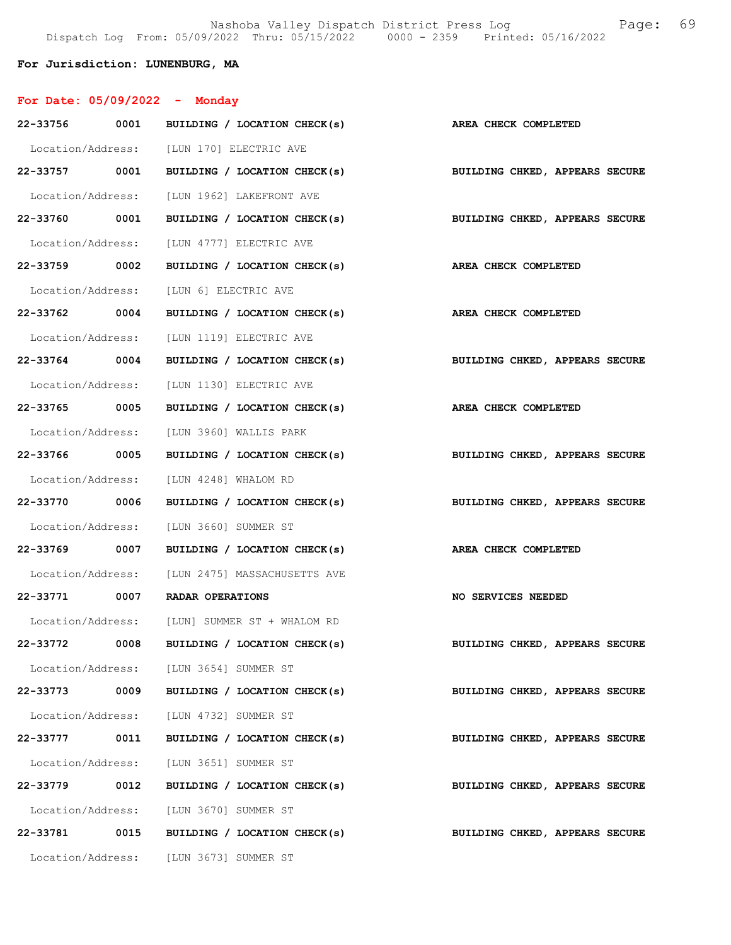Nashoba Valley Dispatch District Press Log Fage: 69 Dispatch Log From: 05/09/2022 Thru: 05/15/2022 0000 - 2359 Printed: 05/16/2022

# For Jurisdiction: LUNENBURG, MA

| For Date: $05/09/2022 -$ Monday |      |                                                             |                                |
|---------------------------------|------|-------------------------------------------------------------|--------------------------------|
| 22-33756 0001                   |      | BUILDING / LOCATION CHECK(s)                                | AREA CHECK COMPLETED           |
|                                 |      | Location/Address: [LUN 170] ELECTRIC AVE                    |                                |
| 22-33757 0001                   |      | BUILDING / LOCATION CHECK(s) BUILDING CHKED, APPEARS SECURE |                                |
|                                 |      | Location/Address: [LUN 1962] LAKEFRONT AVE                  |                                |
| 22-33760 0001                   |      | BUILDING / LOCATION CHECK(s)                                | BUILDING CHKED, APPEARS SECURE |
|                                 |      | Location/Address: [LUN 4777] ELECTRIC AVE                   |                                |
| 22-33759 0002                   |      | BUILDING / LOCATION CHECK(s)                                | AREA CHECK COMPLETED           |
|                                 |      | Location/Address: [LUN 6] ELECTRIC AVE                      |                                |
| 22-33762 0004                   |      | BUILDING / LOCATION CHECK(s)                                | <b>AREA CHECK COMPLETED</b>    |
|                                 |      | Location/Address: [LUN 1119] ELECTRIC AVE                   |                                |
| 22-33764 0004                   |      | BUILDING / LOCATION CHECK(s)                                | BUILDING CHKED, APPEARS SECURE |
| Location/Address:               |      | [LUN 1130] ELECTRIC AVE                                     |                                |
| 22-33765 0005                   |      | BUILDING / LOCATION CHECK(s)                                | AREA CHECK COMPLETED           |
|                                 |      | Location/Address: [LUN 3960] WALLIS PARK                    |                                |
| 22-33766 0005                   |      | BUILDING / LOCATION CHECK(s) BUILDING CHKED, APPEARS SECURE |                                |
|                                 |      | Location/Address: [LUN 4248] WHALOM RD                      |                                |
| 22-33770 0006                   |      | BUILDING / LOCATION CHECK(s)                                | BUILDING CHKED, APPEARS SECURE |
| Location/Address:               |      | [LUN 3660] SUMMER ST                                        |                                |
| 22-33769 0007                   |      | BUILDING / LOCATION CHECK(s)                                | AREA CHECK COMPLETED           |
|                                 |      | Location/Address: [LUN 2475] MASSACHUSETTS AVE              |                                |
| 22-33771 0007                   |      | <b>RADAR OPERATIONS</b>                                     | <b>NO SERVICES NEEDED</b>      |
|                                 |      | Location/Address: [LUN] SUMMER ST + WHALOM RD               |                                |
| 22-33772                        | 0008 | BUILDING / LOCATION CHECK(s)                                | BUILDING CHKED, APPEARS SECURE |
|                                 |      | Location/Address: [LUN 3654] SUMMER ST                      |                                |
| 22-33773                        | 0009 | BUILDING / LOCATION CHECK(s)                                | BUILDING CHKED, APPEARS SECURE |
|                                 |      | Location/Address: [LUN 4732] SUMMER ST                      |                                |
| 22-33777 0011                   |      | BUILDING / LOCATION CHECK(s)                                | BUILDING CHKED, APPEARS SECURE |
|                                 |      | Location/Address: [LUN 3651] SUMMER ST                      |                                |
| 22-33779 0012                   |      | BUILDING / LOCATION CHECK(s)                                | BUILDING CHKED, APPEARS SECURE |
|                                 |      | Location/Address: [LUN 3670] SUMMER ST                      |                                |
| 22-33781                        | 0015 | BUILDING / LOCATION CHECK(s)                                | BUILDING CHKED, APPEARS SECURE |
|                                 |      | Location/Address: [LUN 3673] SUMMER ST                      |                                |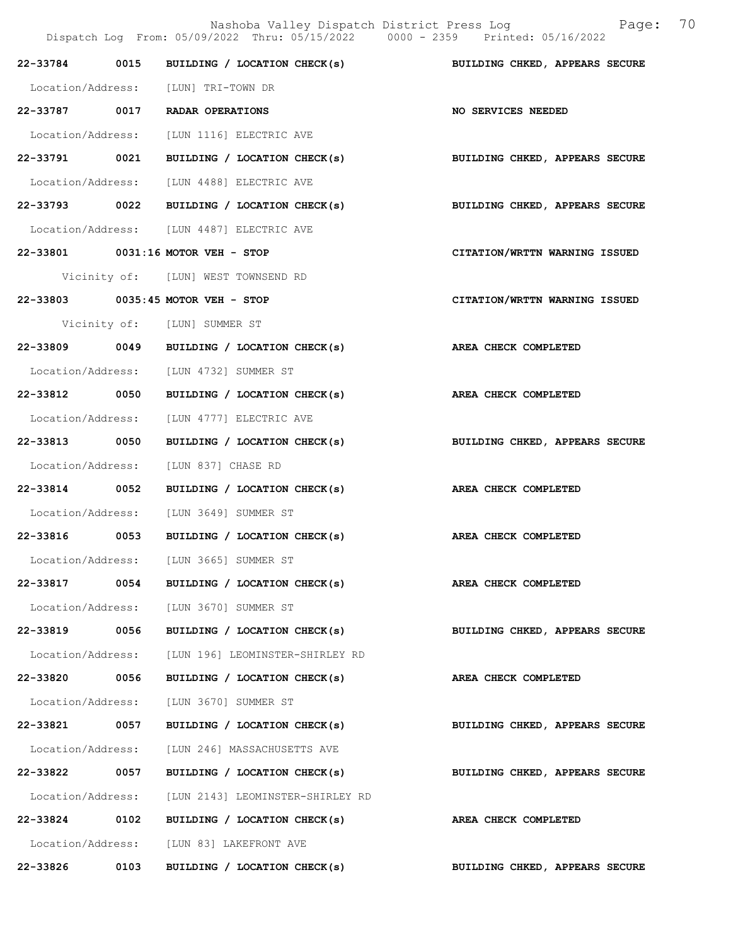|                   |      | Nashoba Valley Dispatch District Press Log<br>Dispatch Log From: 05/09/2022 Thru: 05/15/2022 0000 - 2359 Printed: 05/16/2022 | 70<br>Page:                    |
|-------------------|------|------------------------------------------------------------------------------------------------------------------------------|--------------------------------|
| 22-33784          | 0015 | BUILDING / LOCATION CHECK(s)                                                                                                 | BUILDING CHKED, APPEARS SECURE |
| Location/Address: |      | [LUN] TRI-TOWN DR                                                                                                            |                                |
| 22-33787 0017     |      | RADAR OPERATIONS                                                                                                             | NO SERVICES NEEDED             |
| Location/Address: |      | [LUN 1116] ELECTRIC AVE                                                                                                      |                                |
| 22-33791 0021     |      | BUILDING / LOCATION CHECK(s)                                                                                                 | BUILDING CHKED, APPEARS SECURE |
| Location/Address: |      | [LUN 4488] ELECTRIC AVE                                                                                                      |                                |
| 22-33793 0022     |      | BUILDING / LOCATION CHECK(s)                                                                                                 | BUILDING CHKED, APPEARS SECURE |
|                   |      | Location/Address: [LUN 4487] ELECTRIC AVE                                                                                    |                                |
|                   |      | 22-33801 0031:16 MOTOR VEH - STOP                                                                                            | CITATION/WRTTN WARNING ISSUED  |
|                   |      | Vicinity of: [LUN] WEST TOWNSEND RD                                                                                          |                                |
|                   |      | 22-33803 0035:45 MOTOR VEH - STOP                                                                                            | CITATION/WRTTN WARNING ISSUED  |
|                   |      | Vicinity of: [LUN] SUMMER ST                                                                                                 |                                |
| 22-33809          | 0049 | BUILDING / LOCATION CHECK(s)                                                                                                 | AREA CHECK COMPLETED           |
|                   |      | Location/Address: [LUN 4732] SUMMER ST                                                                                       |                                |
| 22-33812 0050     |      | BUILDING / LOCATION CHECK(s)                                                                                                 | AREA CHECK COMPLETED           |
| Location/Address: |      | [LUN 4777] ELECTRIC AVE                                                                                                      |                                |
| 22-33813 0050     |      | BUILDING / LOCATION CHECK(s)                                                                                                 | BUILDING CHKED, APPEARS SECURE |
| Location/Address: |      | [LUN 837] CHASE RD                                                                                                           |                                |
| 22-33814          | 0052 | BUILDING / LOCATION CHECK(s)                                                                                                 | AREA CHECK COMPLETED           |
| Location/Address: |      | [LUN 3649] SUMMER ST                                                                                                         |                                |
| 22-33816 0053     |      | BUILDING / LOCATION CHECK(s)                                                                                                 | AREA CHECK COMPLETED           |
| Location/Address: |      | [LUN 3665] SUMMER ST                                                                                                         |                                |
| 22-33817          | 0054 | BUILDING / LOCATION CHECK(s)                                                                                                 | AREA CHECK COMPLETED           |
| Location/Address: |      | [LUN 3670] SUMMER ST                                                                                                         |                                |
| 22-33819          | 0056 | BUILDING / LOCATION CHECK(s)                                                                                                 | BUILDING CHKED, APPEARS SECURE |
| Location/Address: |      | [LUN 196] LEOMINSTER-SHIRLEY RD                                                                                              |                                |
| 22-33820 0056     |      | BUILDING / LOCATION CHECK(s)                                                                                                 | AREA CHECK COMPLETED           |
| Location/Address: |      | [LUN 3670] SUMMER ST                                                                                                         |                                |
| 22-33821          | 0057 | BUILDING / LOCATION CHECK(s)                                                                                                 | BUILDING CHKED, APPEARS SECURE |
| Location/Address: |      | [LUN 246] MASSACHUSETTS AVE                                                                                                  |                                |
| 22-33822          | 0057 | BUILDING / LOCATION CHECK(s)                                                                                                 | BUILDING CHKED, APPEARS SECURE |
| Location/Address: |      | [LUN 2143] LEOMINSTER-SHIRLEY RD                                                                                             |                                |
| 22-33824          | 0102 | BUILDING / LOCATION CHECK(s)                                                                                                 | AREA CHECK COMPLETED           |
| Location/Address: |      | [LUN 83] LAKEFRONT AVE                                                                                                       |                                |
| 22-33826          | 0103 | BUILDING / LOCATION CHECK(s)                                                                                                 | BUILDING CHKED, APPEARS SECURE |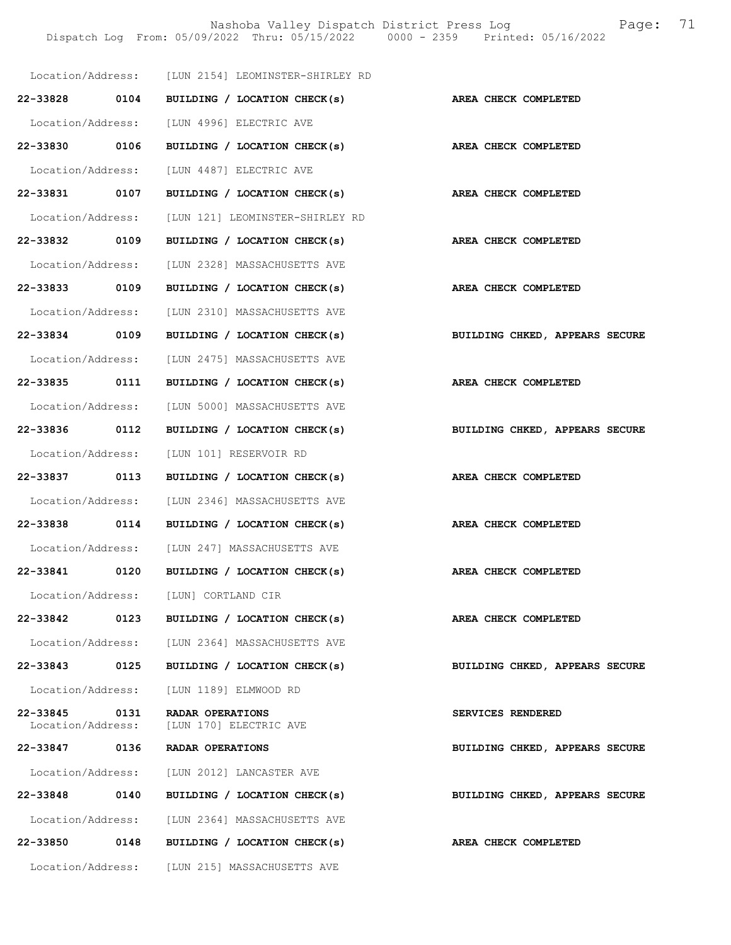Nashoba Valley Dispatch District Press Log Fage: 71 Dispatch Log From: 05/09/2022 Thru: 05/15/2022 0000 - 2359 Printed: 05/16/2022

|                               |      | Location/Address: [LUN 2154] LEOMINSTER-SHIRLEY RD |                                |
|-------------------------------|------|----------------------------------------------------|--------------------------------|
| 22-33828 0104                 |      | BUILDING / LOCATION CHECK(s)                       | AREA CHECK COMPLETED           |
|                               |      | Location/Address: [LUN 4996] ELECTRIC AVE          |                                |
| 22-33830 0106                 |      | BUILDING / LOCATION CHECK(s) AREA CHECK COMPLETED  |                                |
| Location/Address:             |      | [LUN 4487] ELECTRIC AVE                            |                                |
| 22-33831 0107                 |      | BUILDING / LOCATION CHECK(s) AREA CHECK COMPLETED  |                                |
|                               |      | Location/Address: [LUN 121] LEOMINSTER-SHIRLEY RD  |                                |
| 22-33832 0109                 |      | BUILDING / LOCATION CHECK(s)                       | AREA CHECK COMPLETED           |
| Location/Address:             |      | [LUN 2328] MASSACHUSETTS AVE                       |                                |
| 22-33833 0109                 |      | BUILDING / LOCATION CHECK(s)                       | AREA CHECK COMPLETED           |
|                               |      | Location/Address: [LUN 2310] MASSACHUSETTS AVE     |                                |
| 22-33834 0109                 |      | BUILDING / LOCATION CHECK(s)                       | BUILDING CHKED, APPEARS SECURE |
|                               |      | Location/Address: [LUN 2475] MASSACHUSETTS AVE     |                                |
| 22-33835 0111                 |      | BUILDING / LOCATION CHECK(s)                       | AREA CHECK COMPLETED           |
|                               |      | Location/Address: [LUN 5000] MASSACHUSETTS AVE     |                                |
| 22-33836 0112                 |      | BUILDING / LOCATION CHECK(s)                       | BUILDING CHKED, APPEARS SECURE |
|                               |      | Location/Address: [LUN 101] RESERVOIR RD           |                                |
| 22-33837 0113                 |      | BUILDING / LOCATION CHECK(s)                       | AREA CHECK COMPLETED           |
|                               |      | Location/Address: [LUN 2346] MASSACHUSETTS AVE     |                                |
| 22-33838 0114                 |      | BUILDING / LOCATION CHECK(s)                       | AREA CHECK COMPLETED           |
|                               |      | Location/Address: [LUN 247] MASSACHUSETTS AVE      |                                |
| 22-33841                      | 0120 | BUILDING / LOCATION CHECK(s)                       | AREA CHECK COMPLETED           |
| Location/Address:             |      | [LUN] CORTLAND CIR                                 |                                |
| 22-33842                      | 0123 | BUILDING / LOCATION CHECK(s)                       | AREA CHECK COMPLETED           |
|                               |      | Location/Address: [LUN 2364] MASSACHUSETTS AVE     |                                |
| 22-33843                      | 0125 | BUILDING / LOCATION CHECK(s)                       | BUILDING CHKED, APPEARS SECURE |
|                               |      | Location/Address: [LUN 1189] ELMWOOD RD            |                                |
| 22-33845<br>Location/Address: | 0131 | RADAR OPERATIONS<br>[LUN 170] ELECTRIC AVE         | SERVICES RENDERED              |
| 22-33847                      | 0136 | RADAR OPERATIONS                                   | BUILDING CHKED, APPEARS SECURE |
|                               |      | Location/Address: [LUN 2012] LANCASTER AVE         |                                |
| 22-33848                      | 0140 | BUILDING / LOCATION CHECK(s)                       | BUILDING CHKED, APPEARS SECURE |
|                               |      | Location/Address: [LUN 2364] MASSACHUSETTS AVE     |                                |
| 22-33850                      | 0148 | BUILDING / LOCATION CHECK(s)                       | AREA CHECK COMPLETED           |
|                               |      | Location/Address: [LUN 215] MASSACHUSETTS AVE      |                                |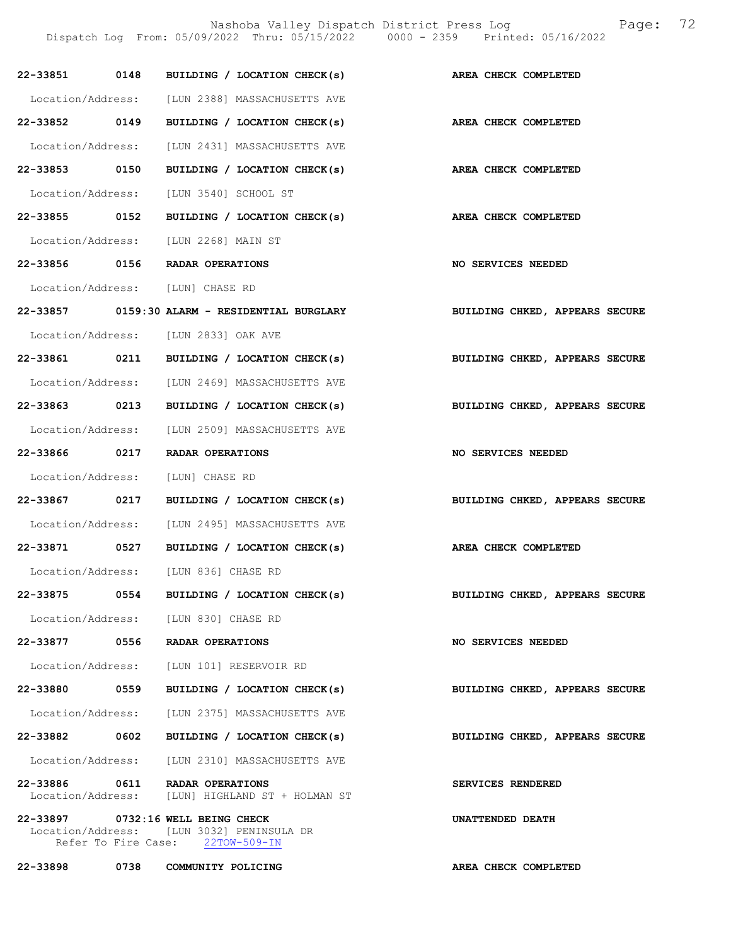Nashoba Valley Dispatch District Press Log Fage: 72

Dispatch Log From: 05/09/2022 Thru: 05/15/2022 0000 - 2359 Printed: 05/16/2022

|               |      | 22-33851 0148 BUILDING / LOCATION CHECK(s)                                                                         | AREA CHECK COMPLETED           |
|---------------|------|--------------------------------------------------------------------------------------------------------------------|--------------------------------|
|               |      | Location/Address: [LUN 2388] MASSACHUSETTS AVE                                                                     |                                |
| 22-33852 0149 |      | BUILDING / LOCATION CHECK(s)                                                                                       | AREA CHECK COMPLETED           |
|               |      | Location/Address: [LUN 2431] MASSACHUSETTS AVE                                                                     |                                |
| 22-33853 0150 |      | BUILDING / LOCATION CHECK(s)                                                                                       | AREA CHECK COMPLETED           |
|               |      | Location/Address: [LUN 3540] SCHOOL ST                                                                             |                                |
| 22-33855 0152 |      | BUILDING / LOCATION CHECK(s)                                                                                       | AREA CHECK COMPLETED           |
|               |      | Location/Address: [LUN 2268] MAIN ST                                                                               |                                |
|               |      | 22-33856 0156 RADAR OPERATIONS                                                                                     | NO SERVICES NEEDED             |
|               |      | Location/Address: [LUN] CHASE RD                                                                                   |                                |
|               |      | 22-33857 0159:30 ALARM - RESIDENTIAL BURGLARY                                                                      | BUILDING CHKED, APPEARS SECURE |
|               |      | Location/Address: [LUN 2833] OAK AVE                                                                               |                                |
|               |      | 22-33861 0211 BUILDING / LOCATION CHECK(s)                                                                         | BUILDING CHKED, APPEARS SECURE |
|               |      | Location/Address: [LUN 2469] MASSACHUSETTS AVE                                                                     |                                |
| 22-33863 0213 |      | BUILDING / LOCATION CHECK(s)                                                                                       | BUILDING CHKED, APPEARS SECURE |
|               |      | Location/Address: [LUN 2509] MASSACHUSETTS AVE                                                                     |                                |
|               |      | 22-33866 0217 RADAR OPERATIONS                                                                                     | NO SERVICES NEEDED             |
|               |      | Location/Address: [LUN] CHASE RD                                                                                   |                                |
| 22-33867 0217 |      | BUILDING / LOCATION CHECK(s)                                                                                       | BUILDING CHKED, APPEARS SECURE |
|               |      | Location/Address: [LUN 2495] MASSACHUSETTS AVE                                                                     |                                |
|               |      | 22-33871 0527 BUILDING / LOCATION CHECK(s)                                                                         | AREA CHECK COMPLETED           |
|               |      | Location/Address: [LUN 836] CHASE RD                                                                               |                                |
| 22-33875      | 0554 | BUILDING / LOCATION CHECK(s)                                                                                       | BUILDING CHKED, APPEARS SECURE |
|               |      | Location/Address: [LUN 830] CHASE RD                                                                               |                                |
| 22-33877      | 0556 | RADAR OPERATIONS                                                                                                   | NO SERVICES NEEDED             |
|               |      | Location/Address: [LUN 101] RESERVOIR RD                                                                           |                                |
| 22-33880      | 0559 | BUILDING / LOCATION CHECK(s)                                                                                       | BUILDING CHKED, APPEARS SECURE |
|               |      | Location/Address: [LUN 2375] MASSACHUSETTS AVE                                                                     |                                |
| 22-33882 0602 |      | BUILDING / LOCATION CHECK(s)                                                                                       | BUILDING CHKED, APPEARS SECURE |
|               |      | Location/Address: [LUN 2310] MASSACHUSETTS AVE                                                                     |                                |
| 22-33886      | 0611 | RADAR OPERATIONS<br>Location/Address: [LUN] HIGHLAND ST + HOLMAN ST                                                | SERVICES RENDERED              |
|               |      | 22-33897 0732:16 WELL BEING CHECK<br>Location/Address: [LUN 3032] PENINSULA DR<br>Refer To Fire Case: 22TOW-509-IN | UNATTENDED DEATH               |
| 22-33898 0738 |      | COMMUNITY POLICING                                                                                                 | AREA CHECK COMPLETED           |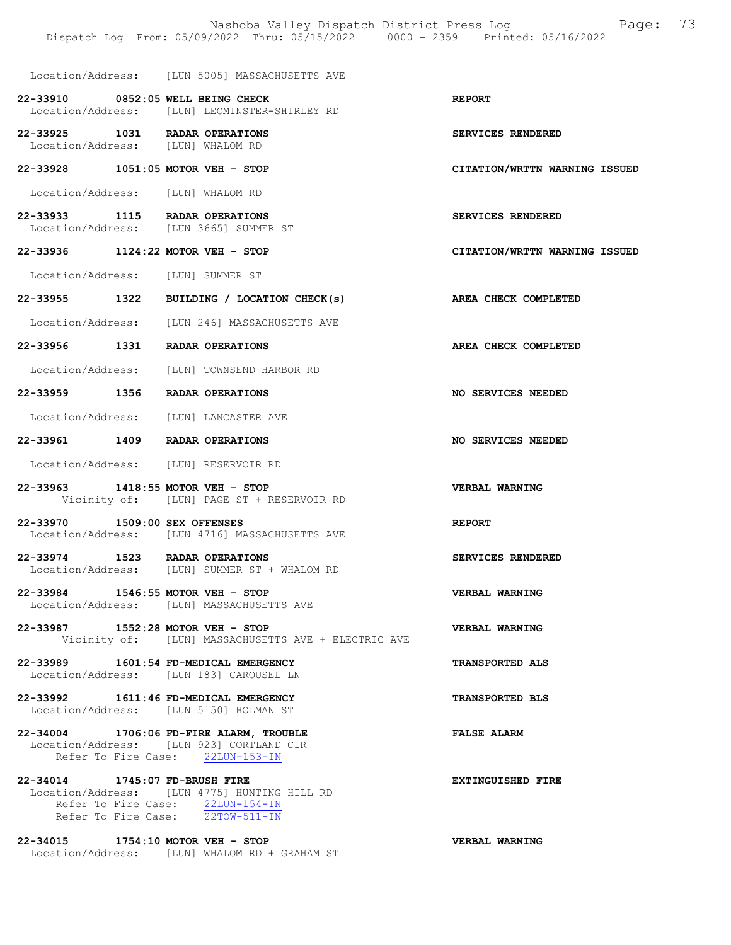Location/Address: [LUN 5005] MASSACHUSETTS AVE

- 22-33910 0852:05 WELL BEING CHECK REPORT Location/Address: [LUN] LEOMINSTER-SHIRLEY RD
- 22-33925 1031 RADAR OPERATIONS SERVICES RENDERED Location/Address: [LUN] WHALOM RD
- 22-33928 1051:05 MOTOR VEH STOP CITATION/WRTTN WARNING ISSUED
- Location/Address: [LUN] WHALOM RD
- 22-33933 1115 RADAR OPERATIONS SERVICES RENDERED<br>Location/Address: [LUN 3665] SUMMER ST [LUN 3665] SUMMER ST
- 22-33936 1124:22 MOTOR VEH STOP CITATION/WRTTN WARNING ISSUED
- Location/Address: [LUN] SUMMER ST
- 22-33955 1322 BUILDING / LOCATION CHECK(s) AREA CHECK COMPLETED
- Location/Address: [LUN 246] MASSACHUSETTS AVE
- 22-33956 1331 RADAR OPERATIONS AREA CHECK COMPLETED
- Location/Address: [LUN] TOWNSEND HARBOR RD
- 22-33959 1356 RADAR OPERATIONS NO SERVICES NEEDED
- Location/Address: [LUN] LANCASTER AVE
- 22-33961 1409 RADAR OPERATIONS NO SERVICES NEEDED
- Location/Address: [LUN] RESERVOIR RD
- 22-33963 1418:55 MOTOR VEH STOP VERBAL WARNING Vicinity of: [LUN] PAGE ST + RESERVOIR RD
- 22-33970 1509:00 SEX OFFENSES REPORT Location/Address: [LUN 4716] MASSACHUSETTS AVE
- 22-33974 1523 RADAR OPERATIONS<br>
Location/Address: [LUN] SUMMER ST + WHALOM RD<br>
SERVICES RENDERED [LUN] SUMMER ST + WHALOM RD
- 22-33984 1546:55 MOTOR VEH STOP VERBAL WARNING Location/Address: [LUN] MASSACHUSETTS AVE
- 22-33987 1552:28 MOTOR VEH STOP VERBAL WARNING Vicinity of: [LUN] MASSACHUSETTS AVE + ELECTRIC AVE
- 22-33989 1601:54 FD-MEDICAL EMERGENCY TRANSPORTED ALS Location/Address: [LUN 183] CAROUSEL LN
- 22-33992 1611:46 FD-MEDICAL EMERGENCY TRANSPORTED BLS Location/Address: [LUN 5150] HOLMAN ST
- 22-34004 1706:06 FD-FIRE ALARM, TROUBLE FALSE ALARM Location/Address: [LUN 923] CORTLAND CIR Refer To Fire Case: 22LUN-153-IN
- 22-34014 1745:07 FD-BRUSH FIRE **EXTINGUISHED** FIRE Location/Address: [LUN 4775] HUNTING HILL RD Refer To Fire Case: 22LUN-154-IN Refer To Fire Case: 22TOW-511-IN
- 22-34015 1754:10 MOTOR VEH STOP VERBAL WARNING Location/Address: [LUN] WHALOM RD + GRAHAM ST
	-
- 
- 
- 
- 
- 
- 
-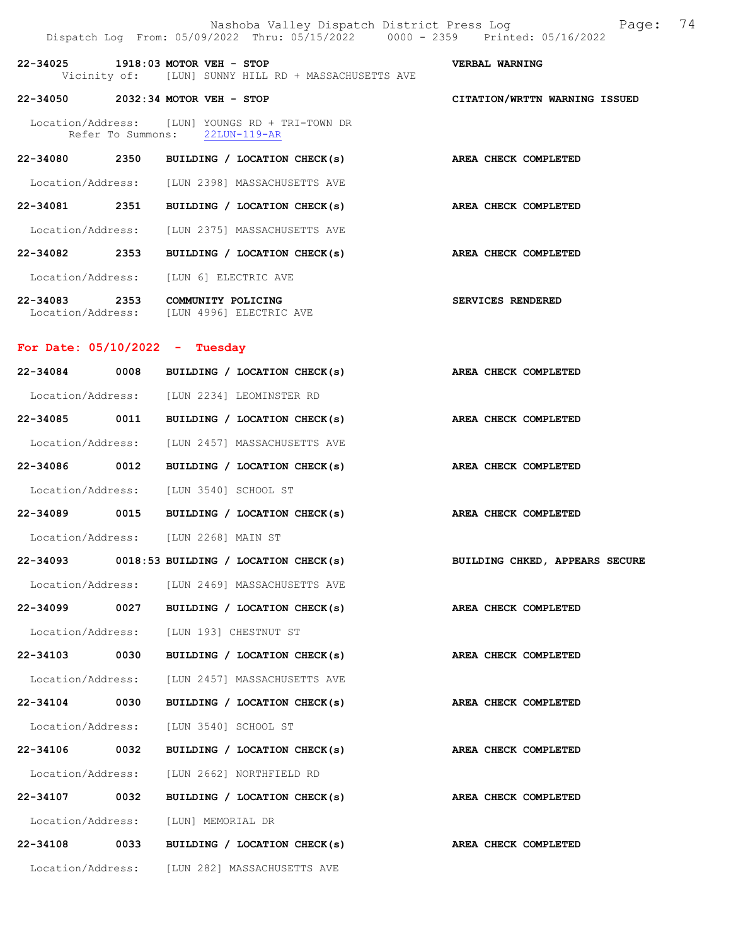|                                  |      | Nashoba Valley Dispatch District Press Log<br>Dispatch Log From: 05/09/2022 Thru: 05/15/2022 0000 - 2359 Printed: 05/16/2022 | 74<br>Page:                    |
|----------------------------------|------|------------------------------------------------------------------------------------------------------------------------------|--------------------------------|
|                                  |      | 22-34025 1918:03 MOTOR VEH - STOP<br>Vicinity of: [LUN] SUNNY HILL RD + MASSACHUSETTS AVE                                    | VERBAL WARNING                 |
|                                  |      | 22-34050 2032:34 MOTOR VEH - STOP                                                                                            | CITATION/WRTTN WARNING ISSUED  |
|                                  |      | Location/Address: [LUN] YOUNGS RD + TRI-TOWN DR<br>Refer To Summons: 22LUN-119-AR                                            |                                |
|                                  |      | 22-34080 2350 BUILDING / LOCATION CHECK(s)                                                                                   | AREA CHECK COMPLETED           |
|                                  |      | Location/Address: [LUN 2398] MASSACHUSETTS AVE                                                                               |                                |
| 22-34081                         | 2351 | BUILDING / LOCATION CHECK(s)                                                                                                 | AREA CHECK COMPLETED           |
|                                  |      | Location/Address: [LUN 2375] MASSACHUSETTS AVE                                                                               |                                |
|                                  |      | 22-34082 2353 BUILDING / LOCATION CHECK(s)                                                                                   | AREA CHECK COMPLETED           |
| Location/Address:                |      | [LUN 6] ELECTRIC AVE                                                                                                         |                                |
|                                  |      | 22-34083 2353 COMMUNITY POLICING<br>Location/Address: [LUN 4996] ELECTRIC AVE                                                | SERVICES RENDERED              |
| For Date: $05/10/2022 - Tuesday$ |      |                                                                                                                              |                                |
| 22-34084 0008                    |      | BUILDING / LOCATION CHECK(s)                                                                                                 | AREA CHECK COMPLETED           |
|                                  |      | Location/Address: [LUN 2234] LEOMINSTER RD                                                                                   |                                |
| 22-34085                         | 0011 | BUILDING / LOCATION CHECK(s)                                                                                                 | AREA CHECK COMPLETED           |
| Location/Address:                |      | [LUN 2457] MASSACHUSETTS AVE                                                                                                 |                                |
| 22-34086 0012                    |      | BUILDING / LOCATION CHECK(s)                                                                                                 | AREA CHECK COMPLETED           |
|                                  |      | Location/Address: [LUN 3540] SCHOOL ST                                                                                       |                                |
|                                  |      | 22-34089 0015 BUILDING / LOCATION CHECK(s)                                                                                   | AREA CHECK COMPLETED           |
|                                  |      | Location/Address: [LUN 2268] MAIN ST                                                                                         |                                |
| 22-34093                         |      | $0018:53$ BUILDING / LOCATION CHECK(s)                                                                                       | BUILDING CHKED, APPEARS SECURE |
|                                  |      | Location/Address: [LUN 2469] MASSACHUSETTS AVE                                                                               |                                |
| 22-34099 0027                    |      | BUILDING / LOCATION CHECK(s)                                                                                                 | AREA CHECK COMPLETED           |
|                                  |      | Location/Address: [LUN 193] CHESTNUT ST                                                                                      |                                |
| 22-34103                         | 0030 | BUILDING / LOCATION CHECK(s)                                                                                                 | AREA CHECK COMPLETED           |
| Location/Address:                |      | [LUN 2457] MASSACHUSETTS AVE                                                                                                 |                                |
| 22-34104                         | 0030 | BUILDING / LOCATION CHECK(s)                                                                                                 | AREA CHECK COMPLETED           |
| Location/Address:                |      | [LUN 3540] SCHOOL ST                                                                                                         |                                |
| 22-34106 0032                    |      | BUILDING / LOCATION CHECK(s)                                                                                                 | AREA CHECK COMPLETED           |
| Location/Address:                |      | [LUN 2662] NORTHFIELD RD                                                                                                     |                                |
| 22-34107                         | 0032 | BUILDING / LOCATION CHECK(s)                                                                                                 | AREA CHECK COMPLETED           |
| Location/Address:                |      | [LUN] MEMORIAL DR                                                                                                            |                                |
| 22-34108                         | 0033 | BUILDING / LOCATION CHECK(s)                                                                                                 | AREA CHECK COMPLETED           |
|                                  |      | Location/Address: [LUN 282] MASSACHUSETTS AVE                                                                                |                                |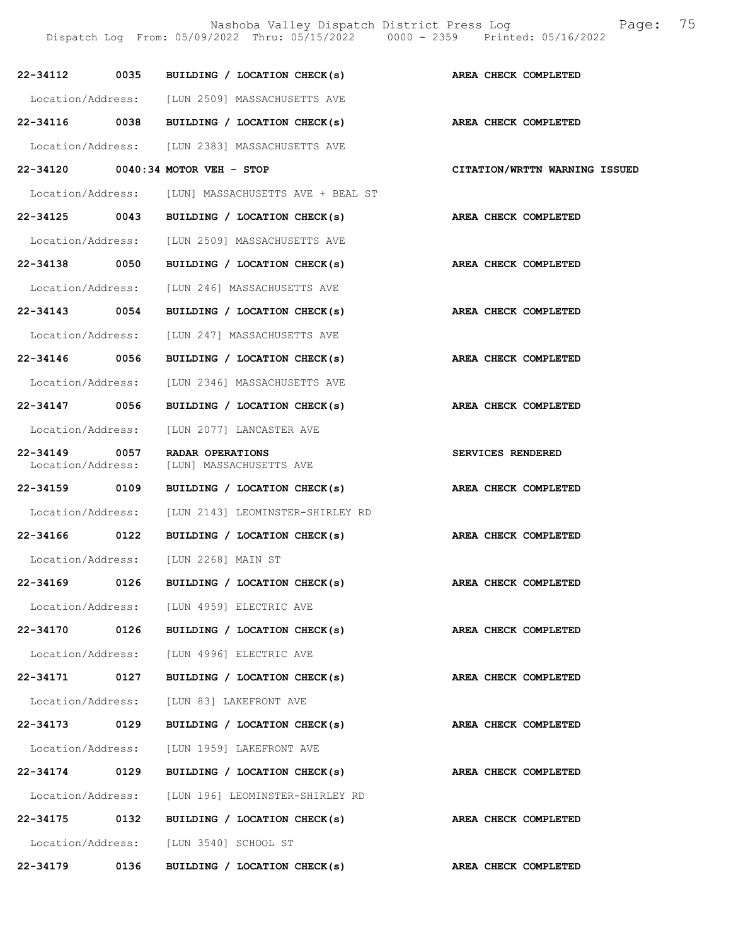|                               |      | Dispatch Log From: 05/09/2022 Thru: 05/15/2022 0000 - 2359 Printed: 05/16/2022 |                               |
|-------------------------------|------|--------------------------------------------------------------------------------|-------------------------------|
| $22 - 34112$                  | 0035 | BUILDING / LOCATION CHECK(s)                                                   | AREA CHECK COMPLETED          |
|                               |      | Location/Address: [LUN 2509] MASSACHUSETTS AVE                                 |                               |
|                               |      | 22-34116 0038 BUILDING / LOCATION CHECK(s)                                     | AREA CHECK COMPLETED          |
|                               |      | Location/Address: [LUN 2383] MASSACHUSETTS AVE                                 |                               |
|                               |      | 22-34120 0040:34 MOTOR VEH - STOP                                              | CITATION/WRTTN WARNING ISSUED |
|                               |      | Location/Address: [LUN] MASSACHUSETTS AVE + BEAL ST                            |                               |
| 22-34125 0043                 |      | BUILDING / LOCATION CHECK(s)                                                   | AREA CHECK COMPLETED          |
|                               |      | Location/Address: [LUN 2509] MASSACHUSETTS AVE                                 |                               |
| 22-34138 0050                 |      | BUILDING / LOCATION CHECK(s)                                                   | AREA CHECK COMPLETED          |
| Location/Address:             |      | [LUN 246] MASSACHUSETTS AVE                                                    |                               |
| 22-34143 0054                 |      | BUILDING / LOCATION CHECK(s)                                                   | AREA CHECK COMPLETED          |
| Location/Address:             |      | [LUN 247] MASSACHUSETTS AVE                                                    |                               |
| 22-34146 0056                 |      | BUILDING / LOCATION CHECK(s)                                                   | AREA CHECK COMPLETED          |
| Location/Address:             |      | [LUN 2346] MASSACHUSETTS AVE                                                   |                               |
| 22-34147 0056                 |      | BUILDING / LOCATION CHECK(s)                                                   | AREA CHECK COMPLETED          |
| Location/Address:             |      | [LUN 2077] LANCASTER AVE                                                       |                               |
| 22-34149<br>Location/Address: | 0057 | RADAR OPERATIONS<br>[LUN] MASSACHUSETTS AVE                                    | SERVICES RENDERED             |
| 22-34159 0109                 |      | BUILDING / LOCATION CHECK(s)                                                   | AREA CHECK COMPLETED          |
| Location/Address:             |      | [LUN 2143] LEOMINSTER-SHIRLEY RD                                               |                               |
| 22-34166 0122                 |      | BUILDING / LOCATION CHECK(s)                                                   | AREA CHECK COMPLETED          |
| Location/Address:             |      | [LUN 2268] MAIN ST                                                             |                               |
|                               |      | 22-34169 0126 BUILDING / LOCATION CHECK(s)                                     | AREA CHECK COMPLETED          |
|                               |      | Location/Address: [LUN 4959] ELECTRIC AVE                                      |                               |
| 22-34170 0126                 |      | BUILDING / LOCATION CHECK(s)                                                   | AREA CHECK COMPLETED          |
|                               |      | Location/Address: [LUN 4996] ELECTRIC AVE                                      |                               |
| 22-34171 0127                 |      | BUILDING / LOCATION CHECK(s)                                                   | AREA CHECK COMPLETED          |
|                               |      | Location/Address: [LUN 83] LAKEFRONT AVE                                       |                               |
| 22-34173 0129                 |      | BUILDING / LOCATION CHECK(s)                                                   | AREA CHECK COMPLETED          |
|                               |      | Location/Address: [LUN 1959] LAKEFRONT AVE                                     |                               |
| 22-34174 0129                 |      | BUILDING / LOCATION CHECK(s)                                                   | AREA CHECK COMPLETED          |
|                               |      | Location/Address: [LUN 196] LEOMINSTER-SHIRLEY RD                              |                               |
|                               |      | 22-34175 0132 BUILDING / LOCATION CHECK(s)                                     | AREA CHECK COMPLETED          |
|                               |      | Location/Address: [LUN 3540] SCHOOL ST                                         |                               |
| 22-34179 0136                 |      | BUILDING / LOCATION CHECK(s)                                                   | AREA CHECK COMPLETED          |

Nashoba Valley Dispatch District Press Log Fage: 75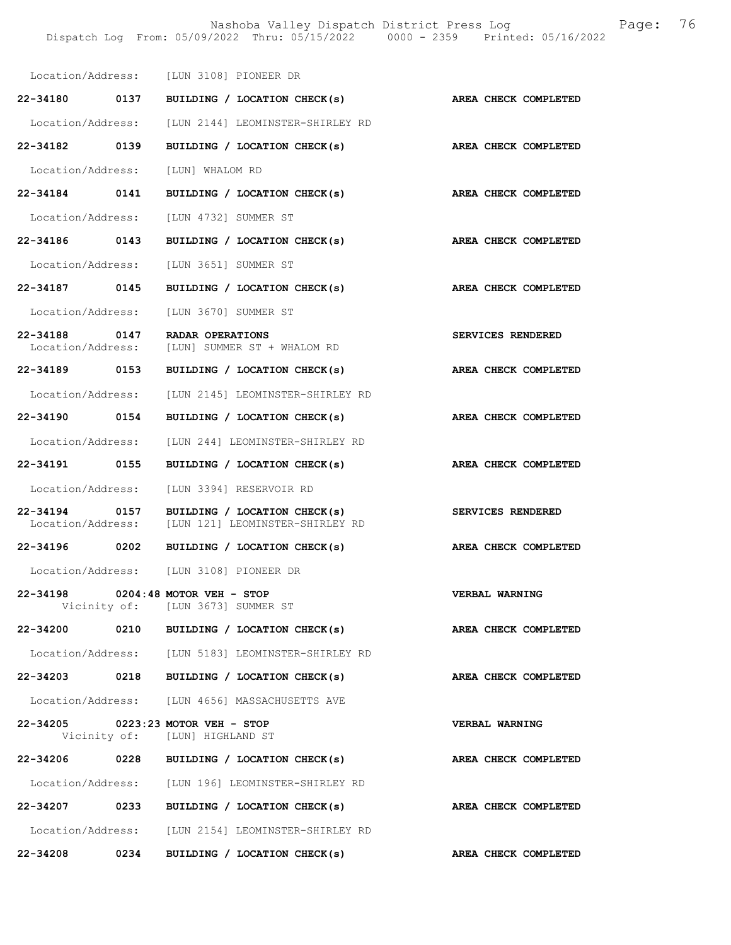Nashoba Valley Dispatch District Press Log Fage: 76 Dispatch Log From: 05/09/2022 Thru: 05/15/2022 0000 - 2359 Printed: 05/16/2022

|                                    |      | Location/Address: [LUN 3108] PIONEER DR                             |                       |
|------------------------------------|------|---------------------------------------------------------------------|-----------------------|
| 22-34180 0137                      |      | BUILDING / LOCATION CHECK(s)                                        | AREA CHECK COMPLETED  |
| Location/Address:                  |      | [LUN 2144] LEOMINSTER-SHIRLEY RD                                    |                       |
| 22-34182 0139                      |      | BUILDING / LOCATION CHECK(s)                                        | AREA CHECK COMPLETED  |
| Location/Address:                  |      | [LUN] WHALOM RD                                                     |                       |
| 22-34184 0141                      |      | BUILDING / LOCATION CHECK(s)                                        | AREA CHECK COMPLETED  |
|                                    |      | Location/Address: [LUN 4732] SUMMER ST                              |                       |
| 22-34186 0143                      |      | BUILDING / LOCATION CHECK(s)                                        | AREA CHECK COMPLETED  |
|                                    |      | Location/Address: [LUN 3651] SUMMER ST                              |                       |
| 22-34187 0145                      |      | BUILDING / LOCATION CHECK(s)                                        | AREA CHECK COMPLETED  |
| Location/Address:                  |      | TLUN 36701 SUMMER ST                                                |                       |
| 22-34188 0147<br>Location/Address: |      | <b>RADAR OPERATIONS</b><br>[LUN] SUMMER ST + WHALOM RD              | SERVICES RENDERED     |
| 22-34189 0153                      |      | BUILDING / LOCATION CHECK(s)                                        | AREA CHECK COMPLETED  |
|                                    |      | Location/Address: [LUN 2145] LEOMINSTER-SHIRLEY RD                  |                       |
| 22-34190 0154                      |      | BUILDING / LOCATION CHECK(s)                                        | AREA CHECK COMPLETED  |
| Location/Address:                  |      | [LUN 244] LEOMINSTER-SHIRLEY RD                                     |                       |
| 22-34191 0155                      |      | BUILDING / LOCATION CHECK(s)                                        | AREA CHECK COMPLETED  |
| Location/Address:                  |      | [LUN 3394] RESERVOIR RD                                             |                       |
| 22-34194 0157<br>Location/Address: |      | BUILDING / LOCATION CHECK(s)<br>[LUN 121] LEOMINSTER-SHIRLEY RD     | SERVICES RENDERED     |
| 22-34196 0202                      |      | BUILDING / LOCATION CHECK(s)                                        | AREA CHECK COMPLETED  |
|                                    |      | Location/Address: [LUN 3108] PIONEER DR                             |                       |
| 22-34198                           |      | $0204:48$ MOTOR VEH - STOP<br>Vicinity of: [LUN 3673] SUMMER ST     | <b>VERBAL WARNING</b> |
|                                    |      | 22-34200 0210 BUILDING / LOCATION CHECK(s)                          | AREA CHECK COMPLETED  |
|                                    |      | Location/Address: [LUN 5183] LEOMINSTER-SHIRLEY RD                  |                       |
| 22-34203 0218                      |      | BUILDING / LOCATION CHECK(s)                                        | AREA CHECK COMPLETED  |
|                                    |      | Location/Address: [LUN 4656] MASSACHUSETTS AVE                      |                       |
|                                    |      | 22-34205 0223:23 MOTOR VEH - STOP<br>Vicinity of: [LUN] HIGHLAND ST | <b>VERBAL WARNING</b> |
|                                    |      | 22-34206 0228 BUILDING / LOCATION CHECK(s)                          | AREA CHECK COMPLETED  |
|                                    |      | Location/Address: [LUN 196] LEOMINSTER-SHIRLEY RD                   |                       |
| 22-34207                           | 0233 | BUILDING / LOCATION CHECK(s)                                        | AREA CHECK COMPLETED  |
|                                    |      | Location/Address: [LUN 2154] LEOMINSTER-SHIRLEY RD                  |                       |
| 22-34208 0234                      |      | BUILDING / LOCATION CHECK(s)                                        | AREA CHECK COMPLETED  |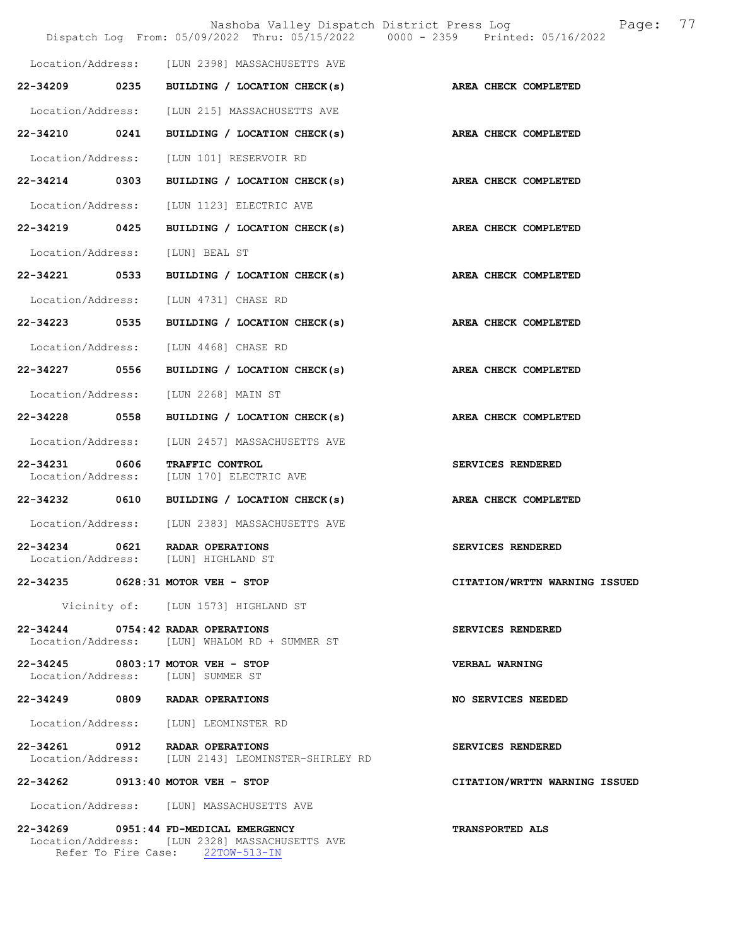|                               |      | Nashoba Valley Dispatch District Press Log<br>Dispatch Log From: 05/09/2022 Thru: 05/15/2022 0000 - 2359 Printed: 05/16/2022 |                               | Page: | 77 |
|-------------------------------|------|------------------------------------------------------------------------------------------------------------------------------|-------------------------------|-------|----|
|                               |      | Location/Address: [LUN 2398] MASSACHUSETTS AVE                                                                               |                               |       |    |
| 22-34209                      | 0235 | BUILDING / LOCATION CHECK(s)                                                                                                 | AREA CHECK COMPLETED          |       |    |
| Location/Address:             |      | [LUN 215] MASSACHUSETTS AVE                                                                                                  |                               |       |    |
| 22-34210 0241                 |      | BUILDING / LOCATION CHECK(s)                                                                                                 | AREA CHECK COMPLETED          |       |    |
| Location/Address:             |      | [LUN 101] RESERVOIR RD                                                                                                       |                               |       |    |
| 22-34214 0303                 |      | BUILDING / LOCATION CHECK(s)                                                                                                 | <b>AREA CHECK COMPLETED</b>   |       |    |
| Location/Address:             |      | [LUN 1123] ELECTRIC AVE                                                                                                      |                               |       |    |
| 22-34219                      | 0425 | BUILDING / LOCATION CHECK(s)                                                                                                 | AREA CHECK COMPLETED          |       |    |
| Location/Address:             |      | [LUN] BEAL ST                                                                                                                |                               |       |    |
| 22-34221                      | 0533 | BUILDING / LOCATION CHECK(s)                                                                                                 | AREA CHECK COMPLETED          |       |    |
| Location/Address:             |      | [LUN 4731] CHASE RD                                                                                                          |                               |       |    |
| 22-34223 0535                 |      | BUILDING / LOCATION CHECK(s)                                                                                                 | AREA CHECK COMPLETED          |       |    |
| Location/Address:             |      | [LUN 4468] CHASE RD                                                                                                          |                               |       |    |
| 22-34227                      | 0556 | BUILDING / LOCATION CHECK(s)                                                                                                 | AREA CHECK COMPLETED          |       |    |
| Location/Address:             |      | [LUN 2268] MAIN ST                                                                                                           |                               |       |    |
| 22-34228                      | 0558 | BUILDING / LOCATION CHECK(s)                                                                                                 | AREA CHECK COMPLETED          |       |    |
| Location/Address:             |      | [LUN 2457] MASSACHUSETTS AVE                                                                                                 |                               |       |    |
| 22-34231<br>Location/Address: | 0606 | TRAFFIC CONTROL<br>[LUN 170] ELECTRIC AVE                                                                                    | SERVICES RENDERED             |       |    |
| 22-34232                      | 0610 | BUILDING / LOCATION CHECK(s)                                                                                                 | AREA CHECK COMPLETED          |       |    |
|                               |      | Location/Address: [LUN 2383] MASSACHUSETTS AVE                                                                               |                               |       |    |
| 22-34234                      | 0621 | RADAR OPERATIONS<br>Location/Address: [LUN] HIGHLAND ST                                                                      | SERVICES RENDERED             |       |    |
|                               |      | 22-34235 0628:31 MOTOR VEH - STOP                                                                                            | CITATION/WRTTN WARNING ISSUED |       |    |
|                               |      | Vicinity of: [LUN 1573] HIGHLAND ST                                                                                          |                               |       |    |
| $22 - 34244$                  |      | 0754:42 RADAR OPERATIONS<br>Location/Address: [LUN] WHALOM RD + SUMMER ST                                                    | SERVICES RENDERED             |       |    |
|                               |      | 22-34245 0803:17 MOTOR VEH - STOP<br>Location/Address: [LUN] SUMMER ST                                                       | <b>VERBAL WARNING</b>         |       |    |
|                               |      | 22-34249 0809 RADAR OPERATIONS                                                                                               | NO SERVICES NEEDED            |       |    |
|                               |      | Location/Address: [LUN] LEOMINSTER RD                                                                                        |                               |       |    |
|                               |      | 22-34261 0912 RADAR OPERATIONS<br>Location/Address: [LUN 2143] LEOMINSTER-SHIRLEY RD                                         | SERVICES RENDERED             |       |    |
| 22-34262                      |      | $0913:40$ MOTOR VEH - STOP                                                                                                   | CITATION/WRTTN WARNING ISSUED |       |    |
|                               |      | Location/Address: [LUN] MASSACHUSETTS AVE                                                                                    |                               |       |    |
|                               |      | 22-34269 0951:44 FD-MEDICAL EMERGENCY<br>Location/Address: [LUN 2328] MASSACHUSETTS AVE                                      | <b>TRANSPORTED ALS</b>        |       |    |

Refer To Fire Case: 22TOW-513-IN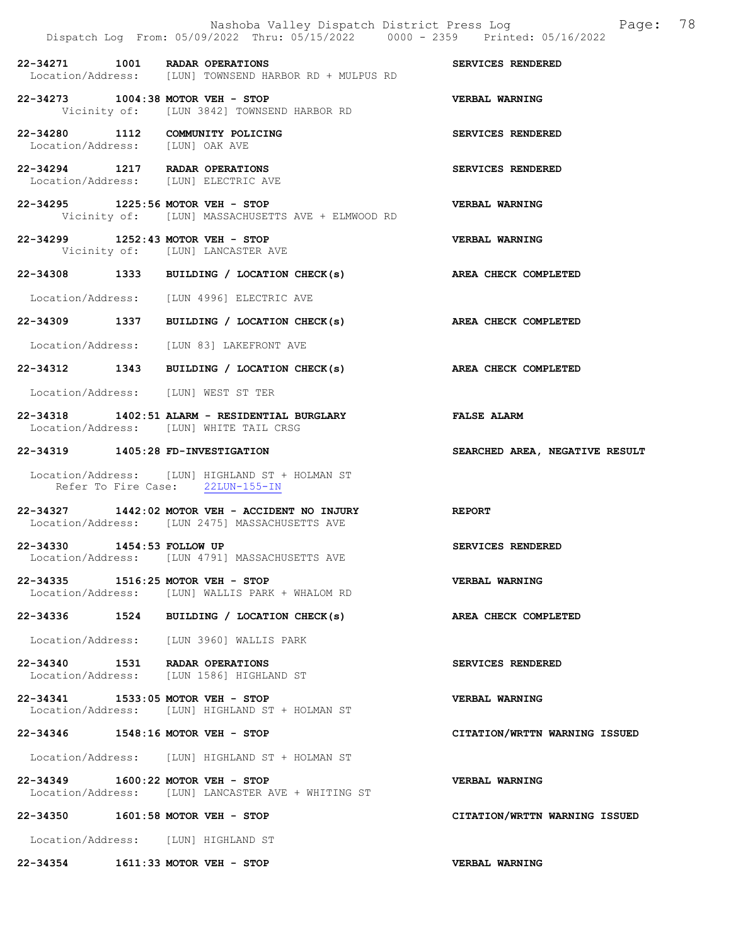|                                   | Nashoba Valley Dispatch District Press Log<br>Dispatch Log From: 05/09/2022 Thru: 05/15/2022 0000 - 2359 Printed: 05/16/2022 | Page: 78                       |
|-----------------------------------|------------------------------------------------------------------------------------------------------------------------------|--------------------------------|
|                                   | 22-34271 1001 RADAR OPERATIONS<br>Location/Address: [LUN] TOWNSEND HARBOR RD + MULPUS RD                                     | SERVICES RENDERED              |
|                                   | 22-34273 1004:38 MOTOR VEH - STOP<br>Vicinity of: [LUN 3842] TOWNSEND HARBOR RD                                              | VERBAL WARNING                 |
| Location/Address: [LUN] OAK AVE   | 22-34280 1112 COMMUNITY POLICING                                                                                             | SERVICES RENDERED              |
|                                   | 22-34294 1217 RADAR OPERATIONS<br>Location/Address: [LUN] ELECTRIC AVE                                                       | SERVICES RENDERED              |
|                                   | 22-34295 1225:56 MOTOR VEH - STOP<br>Vicinity of: [LUN] MASSACHUSETTS AVE + ELMWOOD RD                                       | VERBAL WARNING                 |
|                                   | 22-34299 1252:43 MOTOR VEH - STOP<br>Vicinity of: [LUN] LANCASTER AVE                                                        | <b>VERBAL WARNING</b>          |
|                                   | 22-34308 1333 BUILDING / LOCATION CHECK(s)                                                                                   | AREA CHECK COMPLETED           |
|                                   | Location/Address: [LUN 4996] ELECTRIC AVE                                                                                    |                                |
|                                   | 22-34309 1337 BUILDING / LOCATION CHECK(s)                                                                                   | AREA CHECK COMPLETED           |
|                                   | Location/Address: [LUN 83] LAKEFRONT AVE                                                                                     |                                |
|                                   | 22-34312 1343 BUILDING / LOCATION CHECK(s)                                                                                   | AREA CHECK COMPLETED           |
|                                   | Location/Address: [LUN] WEST ST TER                                                                                          |                                |
|                                   | 22-34318 1402:51 ALARM - RESIDENTIAL BURGLARY<br>Location/Address: [LUN] WHITE TAIL CRSG                                     | <b>FALSE ALARM</b>             |
|                                   |                                                                                                                              |                                |
| 22-34319 1405:28 FD-INVESTIGATION |                                                                                                                              | SEARCHED AREA, NEGATIVE RESULT |
|                                   | Location/Address: [LUN] HIGHLAND ST + HOLMAN ST<br>Refer To Fire Case: 22LUN-155-IN                                          |                                |
|                                   | 22-34327 1442:02 MOTOR VEH - ACCIDENT NO INJURY<br>Location/Address: [LUN 2475] MASSACHUSETTS AVE                            | <b>REPORT</b>                  |
| 22-34330 1454:53 FOLLOW UP        | Location/Address: [LUN 4791] MASSACHUSETTS AVE                                                                               | SERVICES RENDERED              |
|                                   | 22-34335 1516:25 MOTOR VEH - STOP<br>Location/Address: [LUN] WALLIS PARK + WHALOM RD                                         | <b>VERBAL WARNING</b>          |
|                                   | 22-34336 1524 BUILDING / LOCATION CHECK(s)                                                                                   | AREA CHECK COMPLETED           |
|                                   | Location/Address: [LUN 3960] WALLIS PARK                                                                                     |                                |
|                                   | 22-34340 1531 RADAR OPERATIONS<br>Location/Address: [LUN 1586] HIGHLAND ST                                                   | SERVICES RENDERED              |
|                                   | 22-34341 1533:05 MOTOR VEH - STOP<br>Location/Address: [LUN] HIGHLAND ST + HOLMAN ST                                         | <b>VERBAL WARNING</b>          |
|                                   | 22-34346 1548:16 MOTOR VEH - STOP                                                                                            | CITATION/WRTTN WARNING ISSUED  |
|                                   | Location/Address: [LUN] HIGHLAND ST + HOLMAN ST                                                                              |                                |
|                                   | 22-34349 1600:22 MOTOR VEH - STOP<br>Location/Address: [LUN] LANCASTER AVE + WHITING ST                                      | <b>VERBAL WARNING</b>          |
|                                   | 22-34350 1601:58 MOTOR VEH - STOP                                                                                            | CITATION/WRTTN WARNING ISSUED  |
|                                   | Location/Address: [LUN] HIGHLAND ST                                                                                          |                                |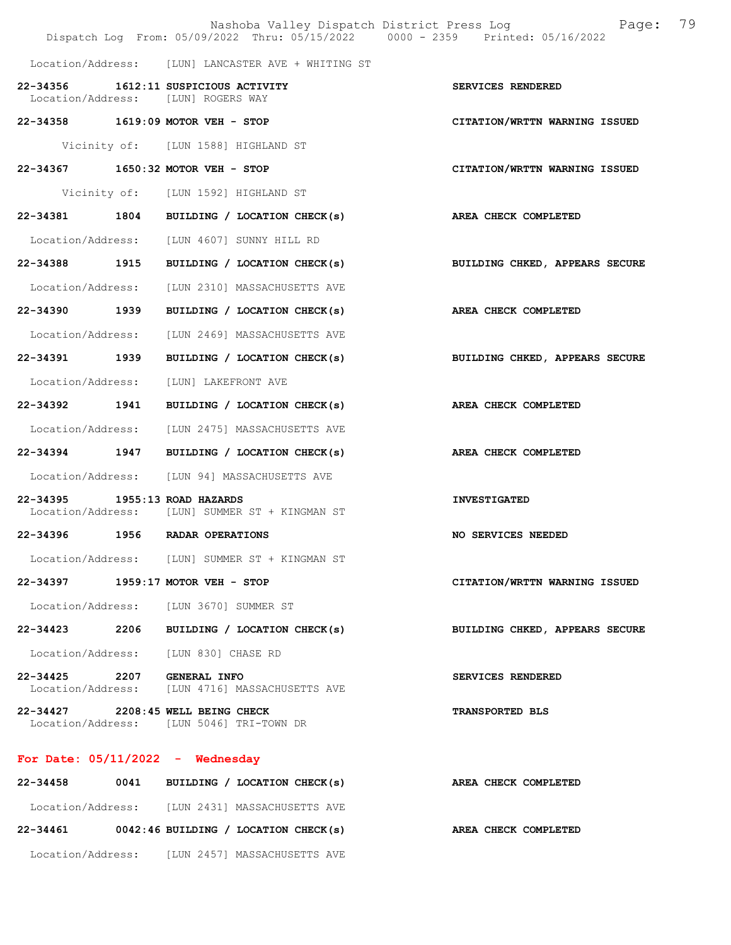|                            | Nashoba Valley Dispatch District Press Log<br>Dispatch Log From: 05/09/2022 Thru: 05/15/2022 0000 - 2359 Printed: 05/16/2022 | 79<br>Page:                    |
|----------------------------|------------------------------------------------------------------------------------------------------------------------------|--------------------------------|
|                            | Location/Address: [LUN] LANCASTER AVE + WHITING ST                                                                           |                                |
|                            | 22-34356 1612:11 SUSPICIOUS ACTIVITY<br>Location/Address: [LUN] ROGERS WAY                                                   | SERVICES RENDERED              |
|                            | 22-34358 1619:09 MOTOR VEH - STOP                                                                                            | CITATION/WRTTN WARNING ISSUED  |
|                            | Vicinity of: [LUN 1588] HIGHLAND ST                                                                                          |                                |
|                            | 22-34367 1650:32 MOTOR VEH - STOP                                                                                            | CITATION/WRTTN WARNING ISSUED  |
|                            | Vicinity of: [LUN 1592] HIGHLAND ST                                                                                          |                                |
|                            | 22-34381 1804 BUILDING / LOCATION CHECK(s)                                                                                   | AREA CHECK COMPLETED           |
|                            | Location/Address: [LUN 4607] SUNNY HILL RD                                                                                   |                                |
|                            | 22-34388 1915 BUILDING / LOCATION CHECK(s)                                                                                   | BUILDING CHKED, APPEARS SECURE |
| Location/Address:          | [LUN 2310] MASSACHUSETTS AVE                                                                                                 |                                |
| 22-34390 1939              | BUILDING / LOCATION CHECK(s)                                                                                                 | AREA CHECK COMPLETED           |
| Location/Address:          | [LUN 2469] MASSACHUSETTS AVE                                                                                                 |                                |
| 22-34391 1939              | BUILDING / LOCATION CHECK(s)                                                                                                 | BUILDING CHKED, APPEARS SECURE |
| Location/Address:          | [LUN] LAKEFRONT AVE                                                                                                          |                                |
| 22-34392 1941              | BUILDING / LOCATION CHECK(s)                                                                                                 | AREA CHECK COMPLETED           |
|                            | Location/Address: [LUN 2475] MASSACHUSETTS AVE                                                                               |                                |
|                            | 22-34394 1947 BUILDING / LOCATION CHECK(s)                                                                                   | AREA CHECK COMPLETED           |
|                            | Location/Address: [LUN 94] MASSACHUSETTS AVE                                                                                 |                                |
| 22-34395                   | $1955:13$ ROAD HAZARDS<br>Location/Address: [LUN] SUMMER ST + KINGMAN ST                                                     | <b>INVESTIGATED</b>            |
|                            | 22-34396 1956 RADAR OPERATIONS                                                                                               | NO SERVICES NEEDED             |
|                            | Location/Address: [LUN] SUMMER ST + KINGMAN ST                                                                               |                                |
| 22-34397                   | $1959:17$ MOTOR VEH - STOP                                                                                                   | CITATION/WRTTN WARNING ISSUED  |
|                            | Location/Address: [LUN 3670] SUMMER ST                                                                                       |                                |
|                            | 22-34423 2206 BUILDING / LOCATION CHECK(s)                                                                                   | BUILDING CHKED, APPEARS SECURE |
|                            | Location/Address: [LUN 830] CHASE RD                                                                                         |                                |
| 22-34425 2207 GENERAL INFO | Location/Address: [LUN 4716] MASSACHUSETTS AVE                                                                               | SERVICES RENDERED              |
|                            | 22-34427 2208:45 WELL BEING CHECK<br>Location/Address: [LUN 5046] TRI-TOWN DR                                                | <b>TRANSPORTED BLS</b>         |
|                            | For Date: $05/11/2022 -$ Wednesday                                                                                           |                                |
| 22-34458                   | 0041 BUILDING / LOCATION CHECK(s)                                                                                            | AREA CHECK COMPLETED           |

 Location/Address: [LUN 2431] MASSACHUSETTS AVE 22-34461 0042:46 BUILDING / LOCATION CHECK(s) AREA CHECK COMPLETED Location/Address: [LUN 2457] MASSACHUSETTS AVE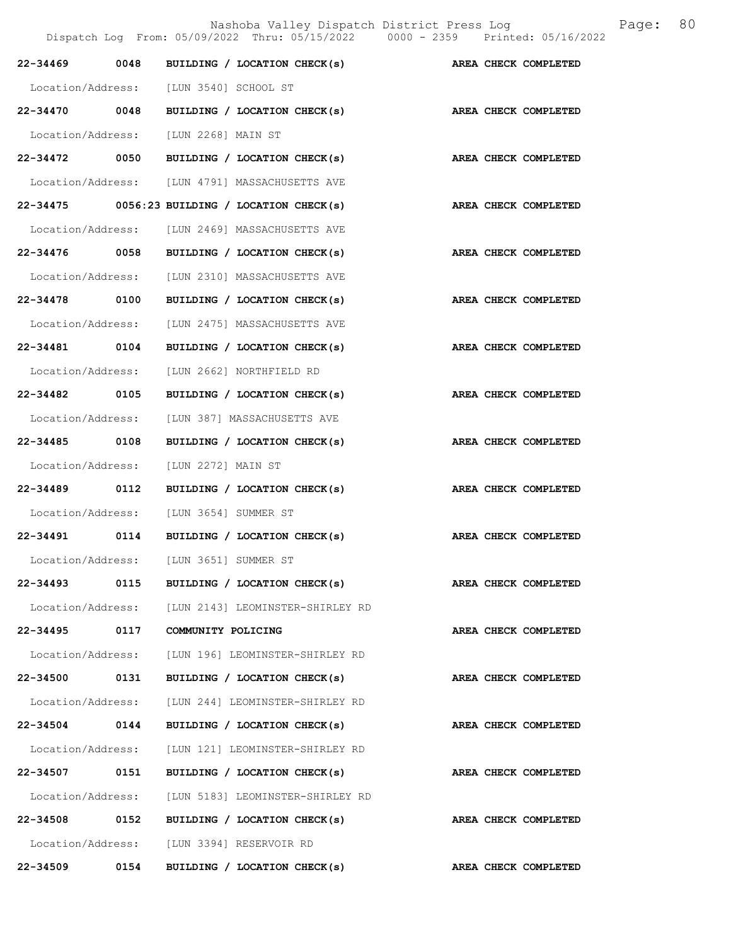Nashoba Valley Dispatch District Press Log Fage: 80

|                   | Dispatch Log From: 05/09/2022 Thru: 05/15/2022 0000 - 2359 Printed: 05/16/2022 |                      |                             |
|-------------------|--------------------------------------------------------------------------------|----------------------|-----------------------------|
|                   | 22-34469 0048 BUILDING / LOCATION CHECK(s)                                     |                      | AREA CHECK COMPLETED        |
|                   | Location/Address: [LUN 3540] SCHOOL ST                                         |                      |                             |
|                   | 22-34470 0048 BUILDING / LOCATION CHECK(s)                                     | AREA CHECK COMPLETED |                             |
|                   | Location/Address: [LUN 2268] MAIN ST                                           |                      |                             |
|                   | 22-34472 0050 BUILDING / LOCATION CHECK(s)                                     |                      | AREA CHECK COMPLETED        |
|                   | Location/Address: [LUN 4791] MASSACHUSETTS AVE                                 |                      |                             |
|                   | $22-34475$ 0056:23 BUILDING / LOCATION CHECK(s)                                |                      | AREA CHECK COMPLETED        |
|                   | Location/Address: [LUN 2469] MASSACHUSETTS AVE                                 |                      |                             |
|                   | 22-34476 0058 BUILDING / LOCATION CHECK(s)                                     |                      | AREA CHECK COMPLETED        |
|                   | Location/Address: [LUN 2310] MASSACHUSETTS AVE                                 |                      |                             |
| 22-34478 0100     | BUILDING / LOCATION CHECK(s)                                                   |                      | AREA CHECK COMPLETED        |
|                   | Location/Address: [LUN 2475] MASSACHUSETTS AVE                                 |                      |                             |
|                   | 22-34481 0104 BUILDING / LOCATION CHECK(s)                                     |                      | AREA CHECK COMPLETED        |
|                   | Location/Address: [LUN 2662] NORTHFIELD RD                                     |                      |                             |
| 22-34482 0105     | BUILDING / LOCATION CHECK(s)                                                   |                      | AREA CHECK COMPLETED        |
|                   | Location/Address: [LUN 387] MASSACHUSETTS AVE                                  |                      |                             |
| 22-34485 0108     | BUILDING / LOCATION CHECK(s)                                                   |                      | AREA CHECK COMPLETED        |
| Location/Address: | [LUN 2272] MAIN ST                                                             |                      |                             |
| 22-34489 0112     | BUILDING / LOCATION CHECK(s)                                                   |                      | AREA CHECK COMPLETED        |
|                   | Location/Address: [LUN 3654] SUMMER ST                                         |                      |                             |
|                   | 22-34491 0114 BUILDING / LOCATION CHECK(s)                                     |                      | <b>AREA CHECK COMPLETED</b> |
|                   | Location/Address: [LUN 3651] SUMMER ST                                         |                      |                             |
|                   | 22-34493 0115 BUILDING / LOCATION CHECK(s)                                     |                      | AREA CHECK COMPLETED        |
|                   | Location/Address: [LUN 2143] LEOMINSTER-SHIRLEY RD                             |                      |                             |
| 22-34495 0117     | COMMUNITY POLICING                                                             |                      | AREA CHECK COMPLETED        |
|                   | Location/Address: [LUN 196] LEOMINSTER-SHIRLEY RD                              |                      |                             |
| 22-34500 0131     | BUILDING / LOCATION CHECK(s)                                                   |                      | AREA CHECK COMPLETED        |
| Location/Address: | [LUN 244] LEOMINSTER-SHIRLEY RD                                                |                      |                             |
| 22-34504 0144     | BUILDING / LOCATION CHECK(s)                                                   |                      | AREA CHECK COMPLETED        |
|                   | Location/Address: [LUN 121] LEOMINSTER-SHIRLEY RD                              |                      |                             |
| 22-34507 0151     | BUILDING / LOCATION CHECK(s)                                                   |                      | AREA CHECK COMPLETED        |
|                   | Location/Address: [LUN 5183] LEOMINSTER-SHIRLEY RD                             |                      |                             |
|                   | 22-34508 0152 BUILDING / LOCATION CHECK(s)                                     |                      | AREA CHECK COMPLETED        |
|                   | Location/Address: [LUN 3394] RESERVOIR RD                                      |                      |                             |
| 22-34509 0154     | BUILDING / LOCATION CHECK(s)                                                   |                      | AREA CHECK COMPLETED        |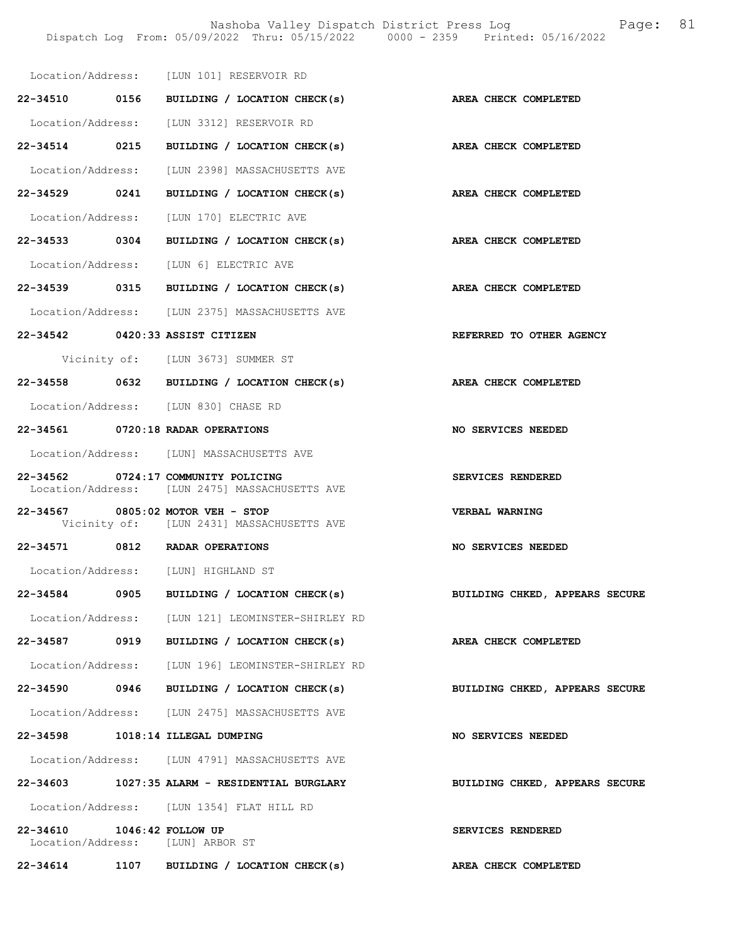|                            | Location/Address: [LUN 101] RESERVOIR RD                                              |                                |
|----------------------------|---------------------------------------------------------------------------------------|--------------------------------|
|                            | 22-34510 0156 BUILDING / LOCATION CHECK(s) AREA CHECK COMPLETED                       |                                |
|                            | Location/Address: [LUN 3312] RESERVOIR RD                                             |                                |
|                            | 22-34514 0215 BUILDING / LOCATION CHECK(s)                                            | AREA CHECK COMPLETED           |
|                            | Location/Address: [LUN 2398] MASSACHUSETTS AVE                                        |                                |
| 22-34529 0241              | BUILDING / LOCATION CHECK(s)                                                          | AREA CHECK COMPLETED           |
|                            | Location/Address: [LUN 170] ELECTRIC AVE                                              |                                |
|                            | 22-34533 0304 BUILDING / LOCATION CHECK(s) AREA CHECK COMPLETED                       |                                |
|                            | Location/Address: [LUN 6] ELECTRIC AVE                                                |                                |
|                            | 22-34539 0315 BUILDING / LOCATION CHECK(s)                                            | AREA CHECK COMPLETED           |
|                            | Location/Address: [LUN 2375] MASSACHUSETTS AVE                                        |                                |
|                            | 22-34542 0420:33 ASSIST CITIZEN                                                       | REFERRED TO OTHER AGENCY       |
|                            | Vicinity of: [LUN 3673] SUMMER ST                                                     |                                |
|                            | 22-34558 0632 BUILDING / LOCATION CHECK(s) AREA CHECK COMPLETED                       |                                |
|                            | Location/Address: [LUN 830] CHASE RD                                                  |                                |
|                            | 22-34561 0720:18 RADAR OPERATIONS                                                     | NO SERVICES NEEDED             |
|                            | Location/Address: [LUN] MASSACHUSETTS AVE                                             |                                |
|                            | 22-34562 0724:17 COMMUNITY POLICING<br>Location/Address: [LUN 2475] MASSACHUSETTS AVE | SERVICES RENDERED              |
|                            | 22-34567 0805:02 MOTOR VEH - STOP<br>Vicinity of: [LUN 2431] MASSACHUSETTS AVE        | <b>VERBAL WARNING</b>          |
|                            | 22-34571 0812 RADAR OPERATIONS                                                        | NO SERVICES NEEDED             |
|                            | Location/Address: [LUN] HIGHLAND ST                                                   |                                |
|                            | 22-34584 0905 BUILDING / LOCATION CHECK(s)                                            | BUILDING CHKED, APPEARS SECURE |
|                            | Location/Address: [LUN 121] LEOMINSTER-SHIRLEY RD                                     |                                |
|                            | 22-34587 0919 BUILDING / LOCATION CHECK(s)                                            | AREA CHECK COMPLETED           |
|                            | Location/Address: [LUN 196] LEOMINSTER-SHIRLEY RD                                     |                                |
|                            | 22-34590 0946 BUILDING / LOCATION CHECK(s)                                            | BUILDING CHKED, APPEARS SECURE |
|                            | Location/Address: [LUN 2475] MASSACHUSETTS AVE                                        |                                |
|                            | 22-34598 1018:14 ILLEGAL DUMPING                                                      | <b>NO SERVICES NEEDED</b>      |
|                            | Location/Address: [LUN 4791] MASSACHUSETTS AVE                                        |                                |
|                            | 22-34603 1027:35 ALARM - RESIDENTIAL BURGLARY                                         | BUILDING CHKED, APPEARS SECURE |
|                            | Location/Address: [LUN 1354] FLAT HILL RD                                             |                                |
| 22-34610 1046:42 FOLLOW UP | Location/Address: [LUN] ARBOR ST                                                      | SERVICES RENDERED              |
|                            | 22-34614 1107 BUILDING / LOCATION CHECK(s)                                            | AREA CHECK COMPLETED           |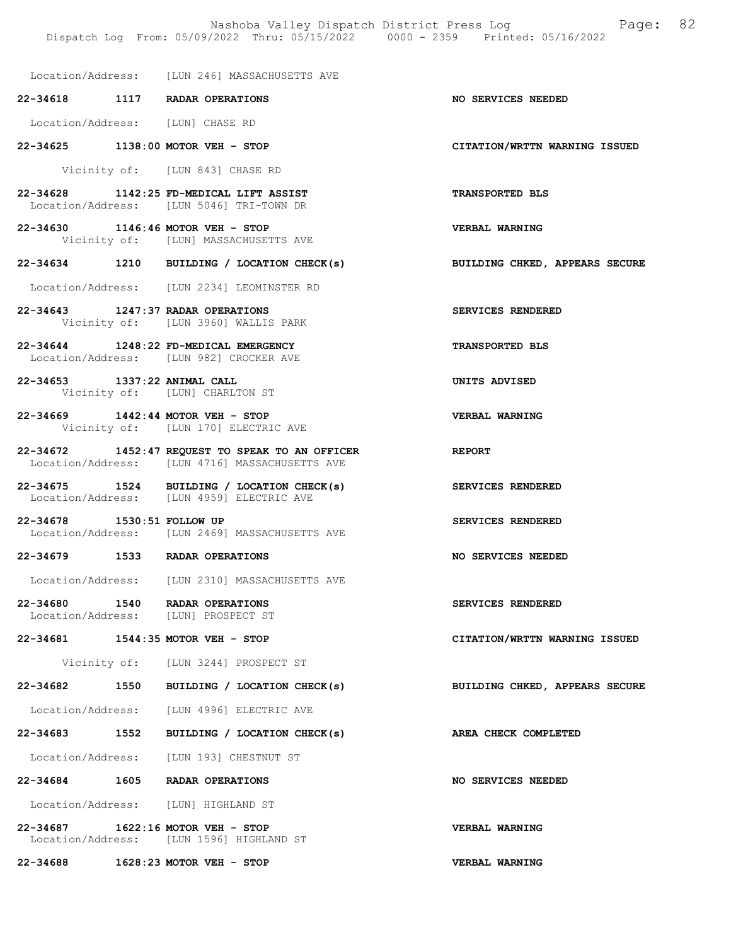Location/Address: [LUN 246] MASSACHUSETTS AVE

22-34618 1117 RADAR OPERATIONS NO SERVICES NEEDED

Location/Address: [LUN] CHASE RD

22-34625 1138:00 MOTOR VEH - STOP CITATION/WRTTN WARNING ISSUED

Vicinity of: [LUN 843] CHASE RD

- 22-34628 1142:25 FD-MEDICAL LIFT ASSIST TRANSPORTED BLS Location/Address: [LUN 5046] TRI-TOWN DR
- 22-34630 1146:46 MOTOR VEH STOP VERBAL WARNING Vicinity of: [LUN] MASSACHUSETTS AVE
- 22-34634 1210 BUILDING / LOCATION CHECK(s) BUILDING CHKED, APPEARS SECURE
- Location/Address: [LUN 2234] LEOMINSTER RD
- 22-34643 1247:37 RADAR OPERATIONS SERVICES RENDERED Vicinity of: [LUN 3960] WALLIS PARK
- 22-34644 1248:22 FD-MEDICAL EMERGENCY TRANSPORTED BLS Location/Address: [LUN 982] CROCKER AVE
- 22-34653 1337:22 ANIMAL CALL UNITS ADVISED Vicinity of: [LUN] CHARLTON ST
- 22-34669 1442:44 MOTOR VEH STOP VERBAL WARNING Vicinity of: [LUN 170] ELECTRIC AVE
- 22-34672 1452:47 REQUEST TO SPEAK TO AN OFFICER<br>Location/Address: [LUN 4716] MASSACHUSETTS AVE [LUN 4716] MASSACHUSETTS AVE
- 22-34675 1524 BUILDING / LOCATION CHECK(s) SERVICES RENDERED Location/Address: [LUN 4959] ELECTRIC AVE
- 22-34678 1530:51 FOLLOW UP SERVICES RENDERED Location/Address: [LUN 2469] MASSACHUSETTS AVE
- 22-34679 1533 RADAR OPERATIONS NO SERVICES NEEDED
- Location/Address: [LUN 2310] MASSACHUSETTS AVE
- 22-34680 1540 RADAR OPERATIONS SERVICES RENDERED<br>Location/Address: [LUN] PROSPECT ST Location/Address:
- 22-34681 1544:35 MOTOR VEH STOP CITATION/WRTTN WARNING ISSUED

Vicinity of: [LUN 3244] PROSPECT ST

- 22-34682 1550 BUILDING / LOCATION CHECK(s) BUILDING CHKED, APPEARS SECURE
- Location/Address: [LUN 4996] ELECTRIC AVE
- 22-34683 1552 BUILDING / LOCATION CHECK(s) AREA CHECK COMPLETED
- Location/Address: [LUN 193] CHESTNUT ST
- 22-34684 1605 RADAR OPERATIONS NO SERVICES NEEDED
- Location/Address: [LUN] HIGHLAND ST
- 22-34687 1622:16 MOTOR VEH STOP VERBAL WARNING Location/Address: [LUN 1596] HIGHLAND ST

22-34688 1628:23 MOTOR VEH - STOP VERBAL WARNING

- 
- 

- 
- 
-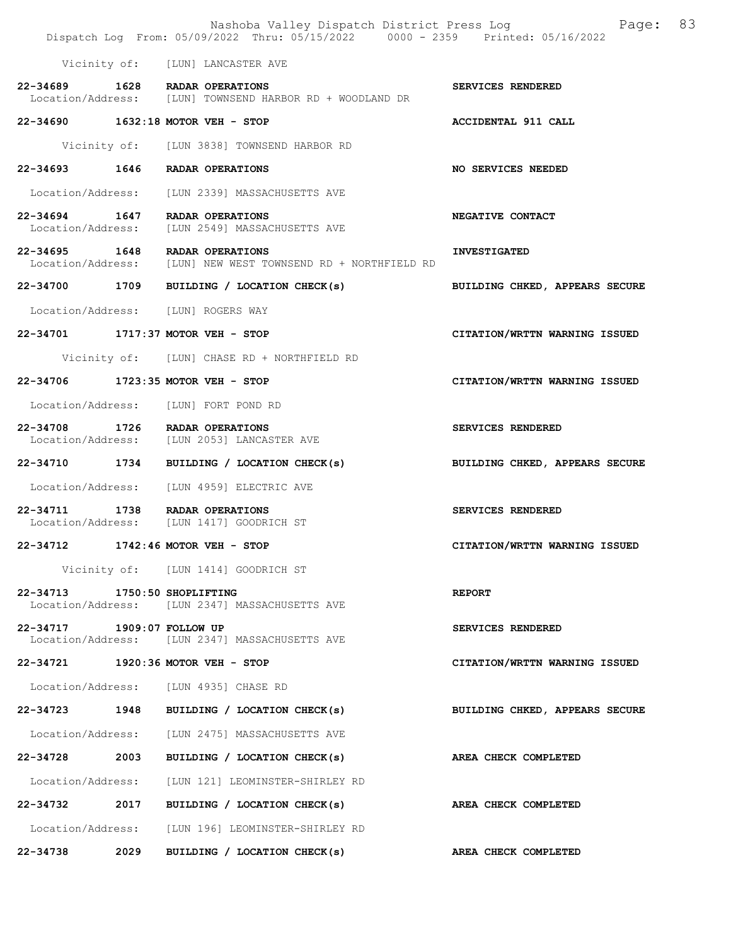|                              |      | Nashoba Valley Dispatch District Press Log<br>Dispatch Log From: 05/09/2022 Thru: 05/15/2022 0000 - 2359 Printed: 05/16/2022 | 83<br>Page:                    |
|------------------------------|------|------------------------------------------------------------------------------------------------------------------------------|--------------------------------|
|                              |      | Vicinity of: [LUN] LANCASTER AVE                                                                                             |                                |
|                              |      | 22-34689 1628 RADAR OPERATIONS<br>Location/Address: [LUN] TOWNSEND HARBOR RD + WOODLAND DR                                   | SERVICES RENDERED              |
|                              |      | 22-34690 1632:18 MOTOR VEH - STOP                                                                                            | ACCIDENTAL 911 CALL            |
|                              |      | Vicinity of: [LUN 3838] TOWNSEND HARBOR RD                                                                                   |                                |
|                              |      | 22-34693 1646 RADAR OPERATIONS                                                                                               | <b>NO SERVICES NEEDED</b>      |
|                              |      | Location/Address: [LUN 2339] MASSACHUSETTS AVE                                                                               |                                |
|                              |      | 22-34694 1647 RADAR OPERATIONS<br>Location/Address: [LUN 2549] MASSACHUSETTS AVE                                             | NEGATIVE CONTACT               |
| 22-34695 1648                |      | RADAR OPERATIONS<br>Location/Address: [LUN] NEW WEST TOWNSEND RD + NORTHFIELD RD                                             | <b>INVESTIGATED</b>            |
| 22-34700 1709                |      | BUILDING / LOCATION CHECK(s)                                                                                                 | BUILDING CHKED, APPEARS SECURE |
|                              |      | Location/Address: [LUN] ROGERS WAY                                                                                           |                                |
|                              |      | 22-34701 1717:37 MOTOR VEH - STOP                                                                                            | CITATION/WRTTN WARNING ISSUED  |
|                              |      | Vicinity of: [LUN] CHASE RD + NORTHFIELD RD                                                                                  |                                |
|                              |      | 22-34706 1723:35 MOTOR VEH - STOP                                                                                            | CITATION/WRTTN WARNING ISSUED  |
|                              |      | Location/Address: [LUN] FORT POND RD                                                                                         |                                |
| 22-34708 1726                |      | RADAR OPERATIONS<br>Location/Address: [LUN 2053] LANCASTER AVE                                                               | SERVICES RENDERED              |
| 22-34710 1734                |      | BUILDING / LOCATION CHECK(s)                                                                                                 | BUILDING CHKED, APPEARS SECURE |
|                              |      | Location/Address: [LUN 4959] ELECTRIC AVE                                                                                    |                                |
|                              |      | 22-34711 1738 RADAR OPERATIONS<br>Location/Address: [LUN 1417] GOODRICH ST                                                   | SERVICES RENDERED              |
| 22-34712                     |      | 1742:46 MOTOR VEH - STOP                                                                                                     | CITATION/WRTTN WARNING ISSUED  |
|                              |      | Vicinity of: [LUN 1414] GOODRICH ST                                                                                          |                                |
| 22-34713 1750:50 SHOPLIFTING |      | Location/Address: [LUN 2347] MASSACHUSETTS AVE                                                                               | <b>REPORT</b>                  |
| 22-34717 1909:07 FOLLOW UP   |      | Location/Address: [LUN 2347] MASSACHUSETTS AVE                                                                               | SERVICES RENDERED              |
|                              |      | 22-34721 1920:36 MOTOR VEH - STOP                                                                                            | CITATION/WRTTN WARNING ISSUED  |
|                              |      | Location/Address: [LUN 4935] CHASE RD                                                                                        |                                |
| 22-34723                     | 1948 | BUILDING / LOCATION CHECK(s)                                                                                                 | BUILDING CHKED, APPEARS SECURE |
|                              |      | Location/Address: [LUN 2475] MASSACHUSETTS AVE                                                                               |                                |
| 22-34728 2003                |      | BUILDING / LOCATION CHECK(s)                                                                                                 | AREA CHECK COMPLETED           |
| Location/Address:            |      | [LUN 121] LEOMINSTER-SHIRLEY RD                                                                                              |                                |
| 22-34732 2017                |      | BUILDING / LOCATION CHECK(s)                                                                                                 | AREA CHECK COMPLETED           |
|                              |      | Location/Address: [LUN 196] LEOMINSTER-SHIRLEY RD                                                                            |                                |
| 22-34738                     | 2029 | BUILDING / LOCATION CHECK(s)                                                                                                 | AREA CHECK COMPLETED           |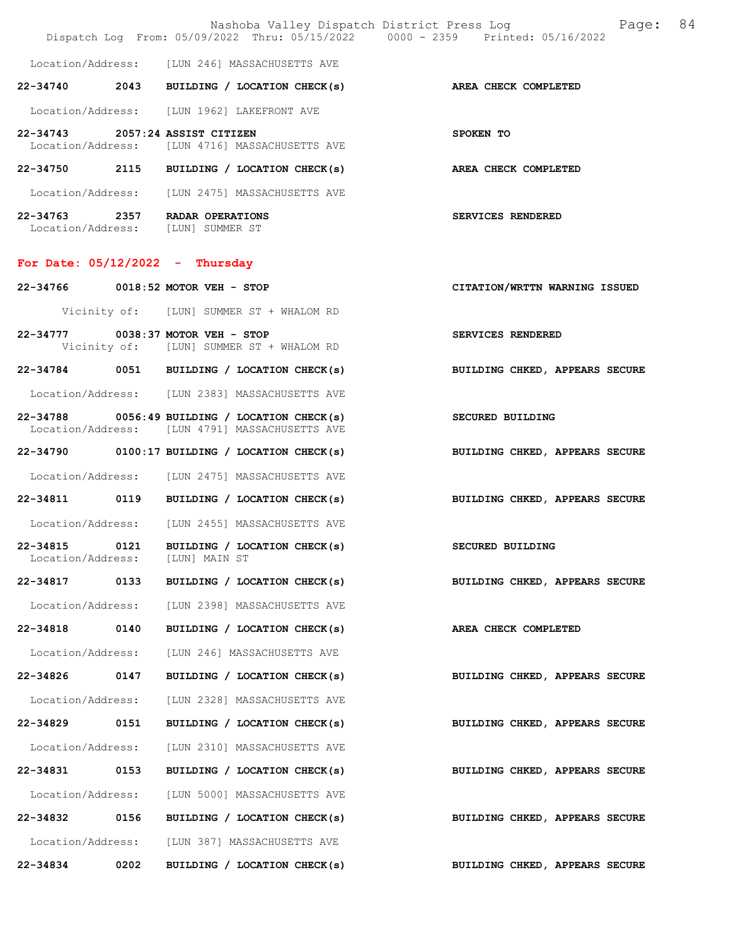|                                    |      |                                                                                                 | 84<br>Nashoba Valley Dispatch District Press Log<br>Page:<br>Dispatch Log From: 05/09/2022 Thru: 05/15/2022 0000 - 2359 Printed: 05/16/2022 |
|------------------------------------|------|-------------------------------------------------------------------------------------------------|---------------------------------------------------------------------------------------------------------------------------------------------|
|                                    |      | Location/Address: [LUN 246] MASSACHUSETTS AVE                                                   |                                                                                                                                             |
|                                    |      | $22-34740$ 2043 BUILDING / LOCATION CHECK(s)                                                    | AREA CHECK COMPLETED                                                                                                                        |
|                                    |      | Location/Address: [LUN 1962] LAKEFRONT AVE                                                      |                                                                                                                                             |
|                                    |      | 22-34743 2057:24 ASSIST CITIZEN<br>Location/Address: [LUN 4716] MASSACHUSETTS AVE               | SPOKEN TO                                                                                                                                   |
|                                    |      | 22-34750 2115 BUILDING / LOCATION CHECK(s)                                                      | <b>AREA CHECK COMPLETED</b>                                                                                                                 |
|                                    |      | Location/Address: [LUN 2475] MASSACHUSETTS AVE                                                  |                                                                                                                                             |
|                                    |      | 22-34763 2357 RADAR OPERATIONS<br>Location/Address: [LUN] SUMMER ST                             | SERVICES RENDERED                                                                                                                           |
|                                    |      | For Date: $05/12/2022 - Thursday$                                                               |                                                                                                                                             |
|                                    |      | 22-34766 0018:52 MOTOR VEH - STOP                                                               | CITATION/WRTTN WARNING ISSUED                                                                                                               |
|                                    |      | Vicinity of: [LUN] SUMMER ST + WHALOM RD                                                        |                                                                                                                                             |
|                                    |      | 22-34777 0038:37 MOTOR VEH - STOP<br>Vicinity of: [LUN] SUMMER ST + WHALOM RD                   | SERVICES RENDERED                                                                                                                           |
|                                    |      | 22-34784 0051 BUILDING / LOCATION CHECK(s)                                                      | BUILDING CHKED, APPEARS SECURE                                                                                                              |
|                                    |      | Location/Address: [LUN 2383] MASSACHUSETTS AVE                                                  |                                                                                                                                             |
|                                    |      | 22-34788 0056:49 BUILDING / LOCATION CHECK(s)<br>Location/Address: [LUN 4791] MASSACHUSETTS AVE | <b>SECURED BUILDING</b>                                                                                                                     |
|                                    |      | $22-34790$ 0100:17 BUILDING / LOCATION CHECK(s)                                                 | BUILDING CHKED, APPEARS SECURE                                                                                                              |
|                                    |      | Location/Address: [LUN 2475] MASSACHUSETTS AVE                                                  |                                                                                                                                             |
|                                    |      | 22-34811 0119 BUILDING / LOCATION CHECK(s)                                                      | BUILDING CHKED, APPEARS SECURE                                                                                                              |
|                                    |      | Location/Address: [LUN 2455] MASSACHUSETTS AVE                                                  |                                                                                                                                             |
| 22-34815 0121<br>Location/Address: |      | BUILDING / LOCATION CHECK(s)<br>[LUN] MAIN ST                                                   | SECURED BUILDING                                                                                                                            |
| 22-34817 0133                      |      | BUILDING / LOCATION CHECK(s)                                                                    | BUILDING CHKED, APPEARS SECURE                                                                                                              |
| Location/Address:                  |      | [LUN 2398] MASSACHUSETTS AVE                                                                    |                                                                                                                                             |
| 22-34818                           | 0140 | BUILDING / LOCATION CHECK(s)                                                                    | AREA CHECK COMPLETED                                                                                                                        |
| Location/Address:                  |      | [LUN 246] MASSACHUSETTS AVE                                                                     |                                                                                                                                             |
| 22-34826 0147                      |      | BUILDING / LOCATION CHECK(s)                                                                    | BUILDING CHKED, APPEARS SECURE                                                                                                              |
| Location/Address:                  |      | [LUN 2328] MASSACHUSETTS AVE                                                                    |                                                                                                                                             |
| 22-34829 0151                      |      | BUILDING / LOCATION CHECK(s)                                                                    | BUILDING CHKED, APPEARS SECURE                                                                                                              |
| Location/Address:                  |      | [LUN 2310] MASSACHUSETTS AVE                                                                    |                                                                                                                                             |
| 22-34831                           | 0153 | BUILDING / LOCATION CHECK(s)                                                                    | BUILDING CHKED, APPEARS SECURE                                                                                                              |
| Location/Address:                  |      | [LUN 5000] MASSACHUSETTS AVE                                                                    |                                                                                                                                             |
| 22-34832 0156                      |      | BUILDING / LOCATION CHECK(s)                                                                    | BUILDING CHKED, APPEARS SECURE                                                                                                              |
| Location/Address:                  |      | [LUN 387] MASSACHUSETTS AVE                                                                     |                                                                                                                                             |
| 22-34834                           | 0202 | BUILDING / LOCATION CHECK(s)                                                                    | BUILDING CHKED, APPEARS SECURE                                                                                                              |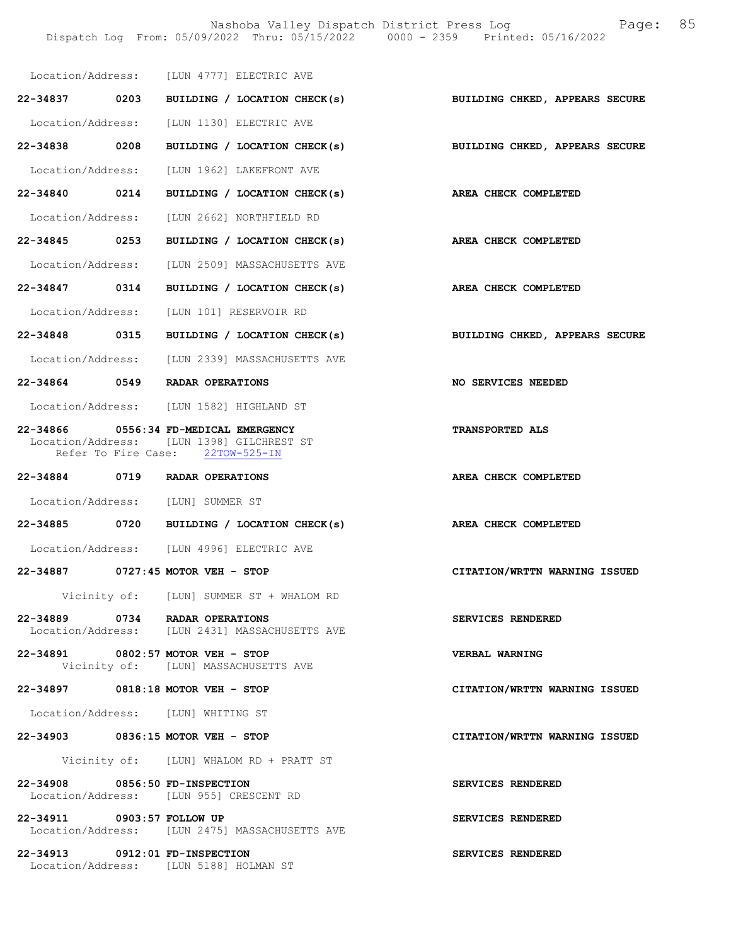Nashoba Valley Dispatch District Press Log Fage: 85 Dispatch Log From: 05/09/2022 Thru: 05/15/2022 0000 - 2359 Printed: 05/16/2022

|                                | Location/Address: [LUN 4777] ELECTRIC AVE                                                                              |                                |
|--------------------------------|------------------------------------------------------------------------------------------------------------------------|--------------------------------|
|                                | 22-34837 0203 BUILDING / LOCATION CHECK(s) BUILDING CHKED, APPEARS SECURE                                              |                                |
|                                | Location/Address: [LUN 1130] ELECTRIC AVE                                                                              |                                |
| 22-34838 0208                  | BUILDING / LOCATION CHECK(s)                                                                                           | BUILDING CHKED, APPEARS SECURE |
|                                | Location/Address: [LUN 1962] LAKEFRONT AVE                                                                             |                                |
| 22-34840 0214                  | BUILDING / LOCATION CHECK(s)                                                                                           | AREA CHECK COMPLETED           |
| Location/Address:              | [LUN 2662] NORTHFIELD RD                                                                                               |                                |
| 22-34845 0253                  | BUILDING / LOCATION CHECK(s)                                                                                           | AREA CHECK COMPLETED           |
|                                | Location/Address: [LUN 2509] MASSACHUSETTS AVE                                                                         |                                |
| 22-34847 0314                  | BUILDING / LOCATION CHECK(s)                                                                                           | AREA CHECK COMPLETED           |
|                                | Location/Address: [LUN 101] RESERVOIR RD                                                                               |                                |
|                                | 22-34848 0315 BUILDING / LOCATION CHECK(s)                                                                             | BUILDING CHKED, APPEARS SECURE |
|                                | Location/Address: [LUN 2339] MASSACHUSETTS AVE                                                                         |                                |
|                                | 22-34864 0549 RADAR OPERATIONS                                                                                         | NO SERVICES NEEDED             |
|                                | Location/Address: [LUN 1582] HIGHLAND ST                                                                               |                                |
|                                | 22-34866 0556:34 FD-MEDICAL EMERGENCY<br>Location/Address: [LUN 1398] GILCHREST ST<br>Refer To Fire Case: 22TOW-525-IN | TRANSPORTED ALS                |
|                                |                                                                                                                        |                                |
|                                | 22-34884 0719 RADAR OPERATIONS                                                                                         | AREA CHECK COMPLETED           |
|                                | Location/Address: [LUN] SUMMER ST                                                                                      |                                |
|                                | 22-34885 0720 BUILDING / LOCATION CHECK(s)                                                                             | AREA CHECK COMPLETED           |
|                                | Location/Address: [LUN 4996] ELECTRIC AVE                                                                              |                                |
|                                | 22-34887 0727:45 MOTOR VEH - STOP                                                                                      | CITATION/WRTTN WARNING ISSUED  |
|                                | Vicinity of: [LUN] SUMMER ST + WHALOM RD                                                                               |                                |
|                                | 22-34889 0734 RADAR OPERATIONS<br>Location/Address: [LUN 2431] MASSACHUSETTS AVE                                       | SERVICES RENDERED              |
|                                | 22-34891 0802:57 MOTOR VEH - STOP<br>Vicinity of: [LUN] MASSACHUSETTS AVE                                              | VERBAL WARNING                 |
|                                | 22-34897 0818:18 MOTOR VEH - STOP                                                                                      | CITATION/WRTTN WARNING ISSUED  |
|                                | Location/Address: [LUN] WHITING ST                                                                                     |                                |
|                                | 22-34903 0836:15 MOTOR VEH - STOP                                                                                      | CITATION/WRTTN WARNING ISSUED  |
|                                | Vicinity of: [LUN] WHALOM RD + PRATT ST                                                                                |                                |
| 22-34908 0856:50 FD-INSPECTION | Location/Address: [LUN 955] CRESCENT RD                                                                                | SERVICES RENDERED              |
| 22-34911 0903:57 FOLLOW UP     | Location/Address: [LUN 2475] MASSACHUSETTS AVE                                                                         | SERVICES RENDERED              |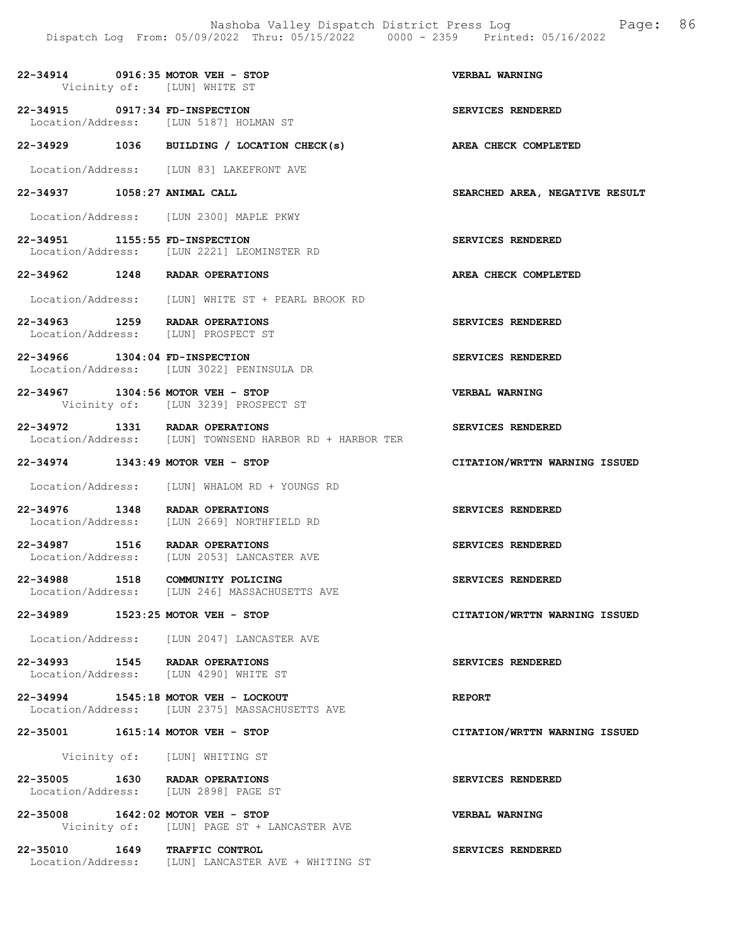22-34914 0916:35 MOTOR VEH - STOP VERBAL WARNING Vicinity of: [LUN] WHITE ST 22-34915 0917:34 FD-INSPECTION SERVICES RENDERED<br>
Location/Address: [LUN 5187] HOLMAN ST Location/Address: [LUN 5187] HOLMAN ST 22-34929 1036 BUILDING / LOCATION CHECK(s) AREA CHECK COMPLETED Location/Address: [LUN 83] LAKEFRONT AVE 22-34937 1058:27 ANIMAL CALL SEARCHED AREA, NEGATIVE RESULT Location/Address: [LUN 2300] MAPLE PKWY 22-34951 1155:55 FD-INSPECTION SERVICES RENDERED Location/Address: [LUN 2221] LEOMINSTER RD 22-34962 1248 RADAR OPERATIONS AREA CHECK COMPLETED Location/Address: [LUN] WHITE ST + PEARL BROOK RD 22-34963 1259 RADAR OPERATIONS SERVICES RENDERED Location/Address: [LUN] PROSPECT ST 22-34966 1304:04 FD-INSPECTION SERVICES RENDERED<br>Location/Address: [LUN 3022] PENINSULA DR Location/Address: [LUN 3022] PENINSULA DR 22-34967 1304:56 MOTOR VEH - STOP VERBAL WARNING Vicinity of: [LUN 3239] PROSPECT ST 22-34972 1331 RADAR OPERATIONS SERVICES RENDERED Location/Address: [LUN] TOWNSEND HARBOR RD + HARBOR TER 22-34974 1343:49 MOTOR VEH - STOP CITATION/WRTTN WARNING ISSUED Location/Address: [LUN] WHALOM RD + YOUNGS RD 22-34976 1348 RADAR OPERATIONS SERVICES RENDERED Location/Address: [LUN 2669] NORTHFIELD RD 22-34987 1516 RADAR OPERATIONS SERVICES RENDERED Location/Address: [LUN 2053] LANCASTER AVE 22-34988 1518 COMMUNITY POLICING<br>
Location/Address: [LUN 246] MASSACHUSETTS AVE [LUN 246] MASSACHUSETTS AVE 22-34989 1523:25 MOTOR VEH - STOP CITATION/WRTTN WARNING ISSUED Location/Address: [LUN 2047] LANCASTER AVE 22-34993 1545 RADAR OPERATIONS SERVICES RENDERED<br>Location/Address: [LUN 4290] WHITE ST Location/Address: [LUN 4290] WHITE ST 22-34994 1545:18 MOTOR VEH - LOCKOUT REPORT Location/Address: [LUN 2375] MASSACHUSETTS AVE 22-35001 1615:14 MOTOR VEH - STOP CITATION/WRTTN WARNING ISSUED Vicinity of: [LUN] WHITING ST 22-35005 1630 RADAR OPERATIONS SERVICES RENDERED<br>Location/Address: [LUN 2898] PAGE ST [LUN 2898] PAGE ST 22-35008 1642:02 MOTOR VEH - STOP VERBAL WARNING Vicinity of: [LUN] PAGE ST + LANCASTER AVE 22-35010 1649 TRAFFIC CONTROL SERVICES RENDERED Location/Address: [LUN] LANCASTER AVE + WHITING ST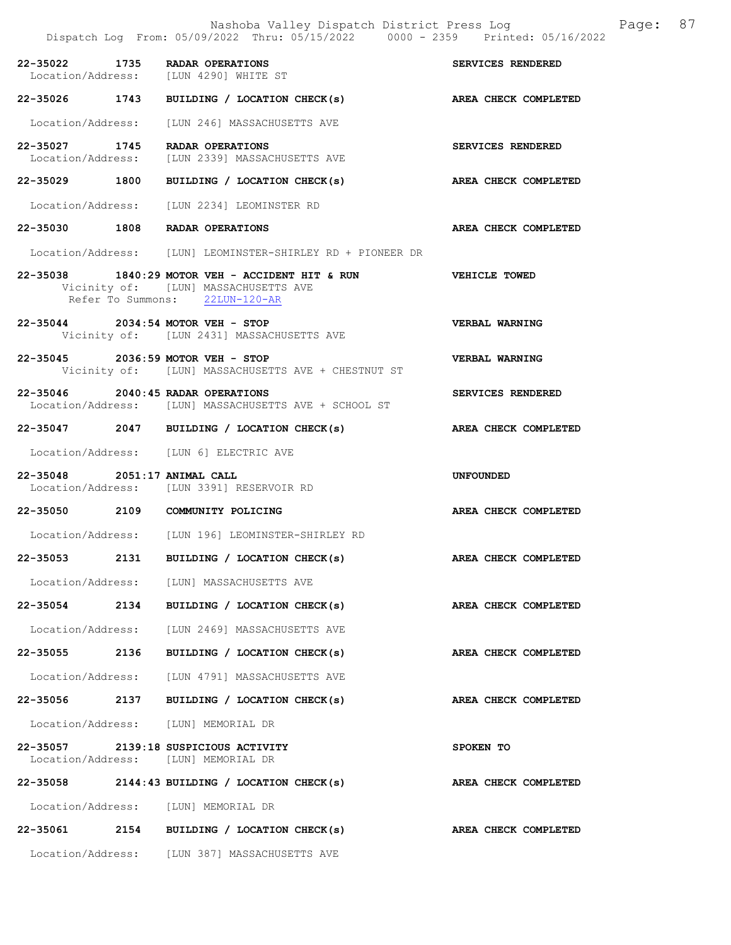|                              | Nashoba Valley Dispatch District Press Log Fage: 87<br>Dispatch Log From: 05/09/2022 Thru: 05/15/2022 0000 - 2359 Printed: 05/16/2022   |                             |  |
|------------------------------|-----------------------------------------------------------------------------------------------------------------------------------------|-----------------------------|--|
|                              | 22-35022 1735 RADAR OPERATIONS<br>Location/Address: [LUN 4290] WHITE ST                                                                 | SERVICES RENDERED           |  |
|                              | 22-35026 1743 BUILDING / LOCATION CHECK(s) AREA CHECK COMPLETED                                                                         |                             |  |
|                              | Location/Address: [LUN 246] MASSACHUSETTS AVE                                                                                           |                             |  |
|                              | 22-35027 1745 RADAR OPERATIONS<br>Location/Address: [LUN 2339] MASSACHUSETTS AVE                                                        | SERVICES RENDERED           |  |
|                              | 22-35029 1800 BUILDING / LOCATION CHECK(s) AREA CHECK COMPLETED                                                                         |                             |  |
|                              | Location/Address: [LUN 2234] LEOMINSTER RD                                                                                              |                             |  |
|                              | 22-35030 1808 RADAR OPERATIONS                                                                                                          | <b>AREA CHECK COMPLETED</b> |  |
|                              | Location/Address: [LUN] LEOMINSTER-SHIRLEY RD + PIONEER DR                                                                              |                             |  |
|                              | 22-35038 1840:29 MOTOR VEH - ACCIDENT HIT & RUN VEHICLE TOWED<br>Vicinity of: [LUN] MASSACHUSETTS AVE<br>Refer To Summons: 22LUN-120-AR |                             |  |
|                              | 22-35044 2034:54 MOTOR VEH - STOP<br>Vicinity of: [LUN 2431] MASSACHUSETTS AVE                                                          | <b>VERBAL WARNING</b>       |  |
|                              | 22-35045 2036:59 MOTOR VEH - STOP<br>Vicinity of: [LUN] MASSACHUSETTS AVE + CHESTNUT ST                                                 | VERBAL WARNING              |  |
|                              | 22-35046 2040:45 RADAR OPERATIONS<br>Location/Address: [LUN] MASSACHUSETTS AVE + SCHOOL ST                                              | SERVICES RENDERED           |  |
|                              | 22-35047 2047 BUILDING / LOCATION CHECK(s) AREA CHECK COMPLETED                                                                         |                             |  |
|                              | Location/Address: [LUN 6] ELECTRIC AVE                                                                                                  |                             |  |
| 22-35048 2051:17 ANIMAL CALL | Location/Address: [LUN 3391] RESERVOIR RD                                                                                               | <b>UNFOUNDED</b>            |  |
|                              | 22-35050 2109 COMMUNITY POLICING                                                                                                        | AREA CHECK COMPLETED        |  |
|                              | Location/Address: [LUN 196] LEOMINSTER-SHIRLEY RD                                                                                       |                             |  |
|                              | 22-35053 2131 BUILDING / LOCATION CHECK(s)                                                                                              | AREA CHECK COMPLETED        |  |
|                              | Location/Address: [LUN] MASSACHUSETTS AVE                                                                                               |                             |  |
|                              | 22-35054 2134 BUILDING / LOCATION CHECK(s)                                                                                              | AREA CHECK COMPLETED        |  |
|                              | Location/Address: [LUN 2469] MASSACHUSETTS AVE                                                                                          |                             |  |
|                              | 22-35055 2136 BUILDING / LOCATION CHECK(s)                                                                                              | AREA CHECK COMPLETED        |  |
|                              | Location/Address: [LUN 4791] MASSACHUSETTS AVE                                                                                          |                             |  |
|                              | 22-35056 2137 BUILDING / LOCATION CHECK(s)                                                                                              | AREA CHECK COMPLETED        |  |
|                              | Location/Address: [LUN] MEMORIAL DR                                                                                                     |                             |  |
|                              | 22-35057 2139:18 SUSPICIOUS ACTIVITY<br>Location/Address: [LUN] MEMORIAL DR                                                             | SPOKEN TO                   |  |
|                              | 22-35058 2144:43 BUILDING / LOCATION CHECK(s)                                                                                           | AREA CHECK COMPLETED        |  |
|                              | Location/Address: [LUN] MEMORIAL DR                                                                                                     |                             |  |
|                              | 22-35061 2154 BUILDING / LOCATION CHECK(s)                                                                                              | AREA CHECK COMPLETED        |  |
|                              | Location/Address: [LUN 387] MASSACHUSETTS AVE                                                                                           |                             |  |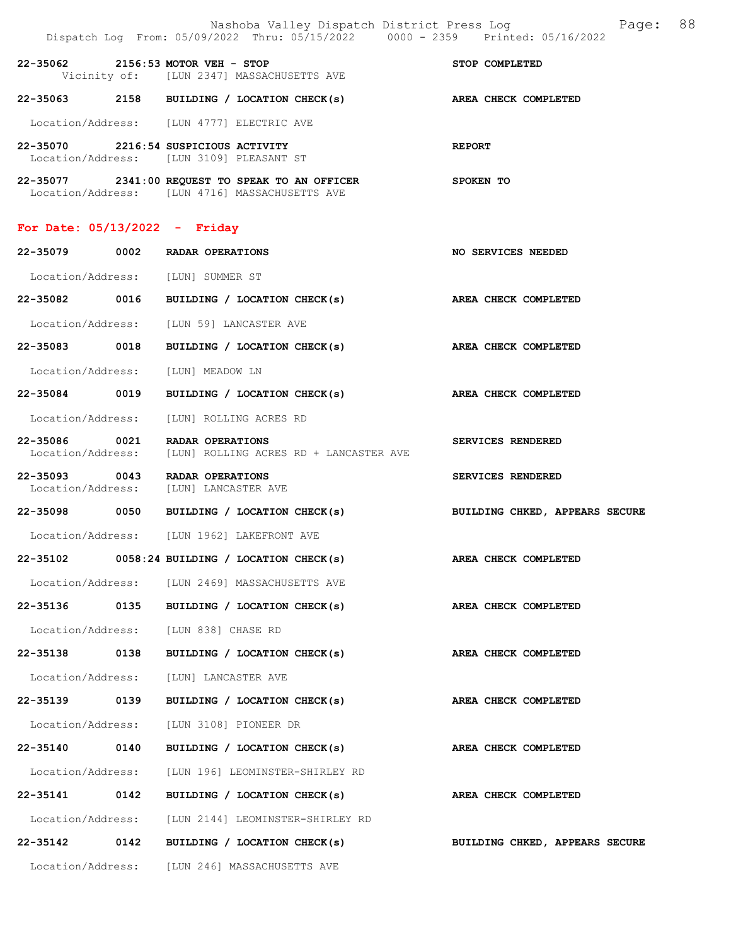|                                    |      | Nashoba Valley Dispatch District Press Log<br>Dispatch Log From: 05/09/2022 Thru: 05/15/2022 0000 - 2359 Printed: 05/16/2022 | 88<br>Page:                    |
|------------------------------------|------|------------------------------------------------------------------------------------------------------------------------------|--------------------------------|
|                                    |      | 22-35062 2156:53 MOTOR VEH - STOP<br>Vicinity of: [LUN 2347] MASSACHUSETTS AVE                                               | STOP COMPLETED                 |
|                                    |      | 22-35063 2158 BUILDING / LOCATION CHECK(s) AREA CHECK COMPLETED                                                              |                                |
|                                    |      | Location/Address: [LUN 4777] ELECTRIC AVE                                                                                    |                                |
|                                    |      | 22-35070 2216:54 SUSPICIOUS ACTIVITY<br>Location/Address: [LUN 3109] PLEASANT ST                                             | <b>REPORT</b>                  |
|                                    |      | 22-35077 2341:00 REQUEST TO SPEAK TO AN OFFICER<br>Location/Address: [LUN 4716] MASSACHUSETTS AVE                            | SPOKEN TO                      |
| For Date: $05/13/2022 -$ Friday    |      |                                                                                                                              |                                |
|                                    |      | 22-35079 0002 RADAR OPERATIONS                                                                                               | NO SERVICES NEEDED             |
|                                    |      | Location/Address: [LUN] SUMMER ST                                                                                            |                                |
|                                    |      | 22-35082 0016 BUILDING / LOCATION CHECK(s)                                                                                   | AREA CHECK COMPLETED           |
|                                    |      | Location/Address: [LUN 59] LANCASTER AVE                                                                                     |                                |
| 22-35083 0018                      |      | BUILDING / LOCATION CHECK(s)                                                                                                 | AREA CHECK COMPLETED           |
| Location/Address:                  |      | [LUN] MEADOW LN                                                                                                              |                                |
| 22-35084 0019                      |      | BUILDING / LOCATION CHECK(s)                                                                                                 | AREA CHECK COMPLETED           |
|                                    |      | Location/Address: [LUN] ROLLING ACRES RD                                                                                     |                                |
| 22-35086 0021<br>Location/Address: |      | RADAR OPERATIONS<br>[LUN] ROLLING ACRES RD + LANCASTER AVE                                                                   | SERVICES RENDERED              |
| 22-35093 0043                      |      | RADAR OPERATIONS<br>Location/Address: [LUN] LANCASTER AVE                                                                    | SERVICES RENDERED              |
|                                    |      | 22-35098 0050 BUILDING / LOCATION CHECK(s)                                                                                   | BUILDING CHKED, APPEARS SECURE |
|                                    |      | Location/Address: [LUN 1962] LAKEFRONT AVE                                                                                   |                                |
| 22-35102                           |      | 0058:24 BUILDING / LOCATION CHECK(s)                                                                                         | AREA CHECK COMPLETED           |
|                                    |      | Location/Address: [LUN 2469] MASSACHUSETTS AVE                                                                               |                                |
| 22-35136 0135                      |      | BUILDING / LOCATION CHECK(s)                                                                                                 | AREA CHECK COMPLETED           |
|                                    |      | Location/Address: [LUN 838] CHASE RD                                                                                         |                                |
| 22-35138 0138                      |      | BUILDING / LOCATION CHECK(s)                                                                                                 | AREA CHECK COMPLETED           |
| Location/Address:                  |      | [LUN] LANCASTER AVE                                                                                                          |                                |
| 22-35139                           | 0139 | BUILDING / LOCATION CHECK(s)                                                                                                 | AREA CHECK COMPLETED           |
|                                    |      | Location/Address: [LUN 3108] PIONEER DR                                                                                      |                                |
| 22-35140 0140                      |      | BUILDING / LOCATION CHECK(s)                                                                                                 | <b>AREA CHECK COMPLETED</b>    |
| Location/Address:                  |      | [LUN 196] LEOMINSTER-SHIRLEY RD                                                                                              |                                |
| 22-35141 0142                      |      | BUILDING / LOCATION CHECK(s)                                                                                                 | AREA CHECK COMPLETED           |
|                                    |      | Location/Address: [LUN 2144] LEOMINSTER-SHIRLEY RD                                                                           |                                |
| 22-35142                           | 0142 | BUILDING / LOCATION CHECK(s)                                                                                                 | BUILDING CHKED, APPEARS SECURE |
|                                    |      | Location/Address: [LUN 246] MASSACHUSETTS AVE                                                                                |                                |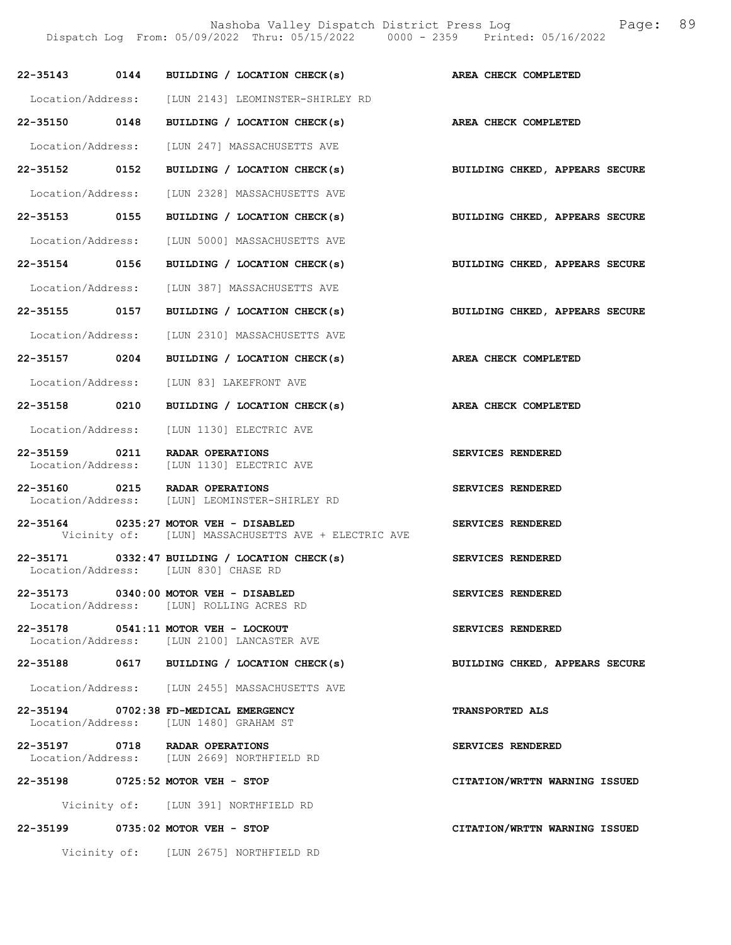| 22-35143          | 0144 BUILDING / LOCATION CHECK(s)                                                            | AREA CHECK COMPLETED                  |
|-------------------|----------------------------------------------------------------------------------------------|---------------------------------------|
|                   | Location/Address: [LUN 2143] LEOMINSTER-SHIRLEY RD                                           |                                       |
| 22-35150 0148     | BUILDING / LOCATION CHECK(s) AREA CHECK COMPLETED                                            |                                       |
| Location/Address: | [LUN 247] MASSACHUSETTS AVE                                                                  |                                       |
| 22-35152 0152     | BUILDING / LOCATION CHECK(s)                                                                 | BUILDING CHKED, APPEARS SECURE        |
|                   | Location/Address: [LUN 2328] MASSACHUSETTS AVE                                               |                                       |
| 22-35153 0155     | BUILDING / LOCATION CHECK(s)                                                                 | BUILDING CHKED, APPEARS SECURE        |
|                   | Location/Address: [LUN 5000] MASSACHUSETTS AVE                                               |                                       |
| 22-35154 0156     | BUILDING / LOCATION CHECK(s)                                                                 | <b>BUILDING CHKED, APPEARS SECURE</b> |
|                   | Location/Address: [LUN 387] MASSACHUSETTS AVE                                                |                                       |
| 22-35155 0157     | BUILDING / LOCATION CHECK(s)                                                                 | BUILDING CHKED, APPEARS SECURE        |
|                   | Location/Address: [LUN 2310] MASSACHUSETTS AVE                                               |                                       |
| 22-35157 0204     | BUILDING / LOCATION CHECK(s)                                                                 | AREA CHECK COMPLETED                  |
| Location/Address: | [LUN 83] LAKEFRONT AVE                                                                       |                                       |
| 22-35158 0210     | BUILDING / LOCATION CHECK(s)                                                                 | AREA CHECK COMPLETED                  |
|                   | Location/Address: [LUN 1130] ELECTRIC AVE                                                    |                                       |
| 22-35159 0211     | RADAR OPERATIONS<br>Location/Address: [LUN 1130] ELECTRIC AVE                                | SERVICES RENDERED                     |
|                   | 22-35160 0215 RADAR OPERATIONS<br>Location/Address: [LUN] LEOMINSTER-SHIRLEY RD              | SERVICES RENDERED                     |
|                   | 22-35164 0235:27 MOTOR VEH - DISABLED<br>Vicinity of: [LUN] MASSACHUSETTS AVE + ELECTRIC AVE | SERVICES RENDERED                     |
|                   | $22-35171$ 0332:47 BUILDING / LOCATION CHECK(s)<br>Location/Address: [LUN 830] CHASE RD      | <b>SERVICES RENDERED</b>              |
|                   | 22-35173 0340:00 MOTOR VEH - DISABLED<br>Location/Address: [LUN] ROLLING ACRES RD            | SERVICES RENDERED                     |
|                   | 22-35178 0541:11 MOTOR VEH - LOCKOUT<br>Location/Address: [LUN 2100] LANCASTER AVE           | SERVICES RENDERED                     |
|                   | 22-35188 0617 BUILDING / LOCATION CHECK(s)                                                   | BUILDING CHKED, APPEARS SECURE        |
|                   | Location/Address: [LUN 2455] MASSACHUSETTS AVE                                               |                                       |
|                   | 22-35194 0702:38 FD-MEDICAL EMERGENCY<br>Location/Address: [LUN 1480] GRAHAM ST              | <b>TRANSPORTED ALS</b>                |
|                   | 22-35197 0718 RADAR OPERATIONS<br>Location/Address: [LUN 2669] NORTHFIELD RD                 | SERVICES RENDERED                     |
|                   | 22-35198 0725:52 MOTOR VEH - STOP                                                            | CITATION/WRTTN WARNING ISSUED         |
|                   | Vicinity of: [LUN 391] NORTHFIELD RD                                                         |                                       |
|                   | 22-35199 0735:02 MOTOR VEH - STOP                                                            | CITATION/WRTTN WARNING ISSUED         |
|                   | Vicinity of: [LUN 2675] NORTHFIELD RD                                                        |                                       |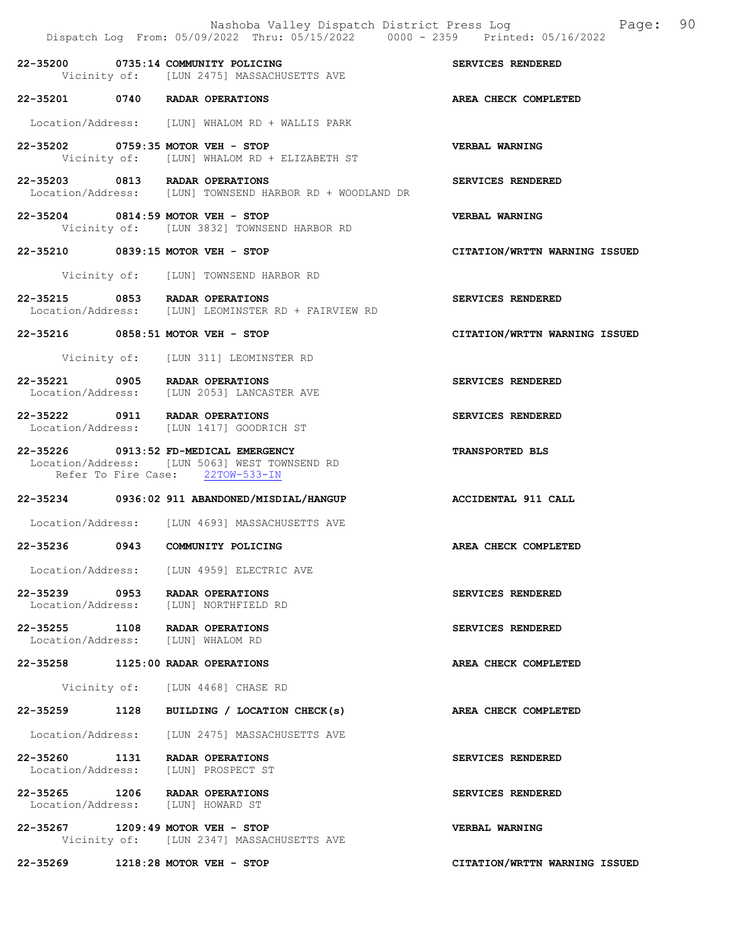|               | Nashoba Valley Dispatch District Press Log<br>Dispatch Log From: 05/09/2022 Thru: 05/15/2022 0000 - 2359 Printed: 05/16/2022 | 90<br>Page:                   |
|---------------|------------------------------------------------------------------------------------------------------------------------------|-------------------------------|
|               | 22-35200 0735:14 COMMUNITY POLICING<br>Vicinity of: [LUN 2475] MASSACHUSETTS AVE                                             | SERVICES RENDERED             |
|               | 22-35201 0740 RADAR OPERATIONS                                                                                               | AREA CHECK COMPLETED          |
|               | Location/Address: [LUN] WHALOM RD + WALLIS PARK                                                                              |                               |
|               | 22-35202 0759:35 MOTOR VEH - STOP<br>Vicinity of: [LUN] WHALOM RD + ELIZABETH ST                                             | VERBAL WARNING                |
|               | 22-35203 0813 RADAR OPERATIONS<br>Location/Address: [LUN] TOWNSEND HARBOR RD + WOODLAND DR                                   | SERVICES RENDERED             |
|               | 22-35204 0814:59 MOTOR VEH - STOP<br>Vicinity of: [LUN 3832] TOWNSEND HARBOR RD                                              | VERBAL WARNING                |
|               | 22-35210 0839:15 MOTOR VEH - STOP                                                                                            | CITATION/WRTTN WARNING ISSUED |
|               | Vicinity of: [LUN] TOWNSEND HARBOR RD                                                                                        |                               |
|               | 22-35215 0853 RADAR OPERATIONS<br>Location/Address: [LUN] LEOMINSTER RD + FAIRVIEW RD                                        | SERVICES RENDERED             |
|               | 22-35216 0858:51 MOTOR VEH - STOP                                                                                            | CITATION/WRTTN WARNING ISSUED |
|               | Vicinity of: [LUN 311] LEOMINSTER RD                                                                                         |                               |
|               | 22-35221 0905 RADAR OPERATIONS<br>Location/Address: [LUN 2053] LANCASTER AVE                                                 | SERVICES RENDERED             |
|               | 22-35222 0911 RADAR OPERATIONS<br>Location/Address: [LUN 1417] GOODRICH ST                                                   | SERVICES RENDERED             |
|               | 22-35226 0913:52 FD-MEDICAL EMERGENCY<br>Location/Address: [LUN 5063] WEST TOWNSEND RD<br>Refer To Fire Case: 22TOW-533-IN   | <b>TRANSPORTED BLS</b>        |
|               | 22-35234 0936:02 911 ABANDONED/MISDIAL/HANGUP                                                                                | ACCIDENTAL 911 CALL           |
|               | Location/Address: [LUN 4693] MASSACHUSETTS AVE                                                                               |                               |
|               | 22-35236 0943 COMMUNITY POLICING                                                                                             | AREA CHECK COMPLETED          |
|               | Location/Address: [LUN 4959] ELECTRIC AVE                                                                                    |                               |
| 22-35239 0953 | <b>RADAR OPERATIONS</b><br>Location/Address: [LUN] NORTHFIELD RD                                                             | SERVICES RENDERED             |
|               | 22-35255 1108 RADAR OPERATIONS<br>Location/Address: [LUN] WHALOM RD                                                          | SERVICES RENDERED             |
|               | 22-35258 1125:00 RADAR OPERATIONS                                                                                            | AREA CHECK COMPLETED          |
|               | Vicinity of: [LUN 4468] CHASE RD                                                                                             |                               |
|               | 22-35259 1128 BUILDING / LOCATION CHECK(s)                                                                                   | AREA CHECK COMPLETED          |
|               | Location/Address: [LUN 2475] MASSACHUSETTS AVE                                                                               |                               |
|               | 22-35260 1131 RADAR OPERATIONS<br>Location/Address: [LUN] PROSPECT ST                                                        | SERVICES RENDERED             |
|               | 22-35265 1206 RADAR OPERATIONS<br>Location/Address: [LUN] HOWARD ST                                                          | SERVICES RENDERED             |
|               | 22-35267 1209:49 MOTOR VEH - STOP<br>Vicinity of: [LUN 2347] MASSACHUSETTS AVE                                               | VERBAL WARNING                |
|               | 22-35269 1218:28 MOTOR VEH - STOP                                                                                            | CITATION/WRTTN WARNING ISSUED |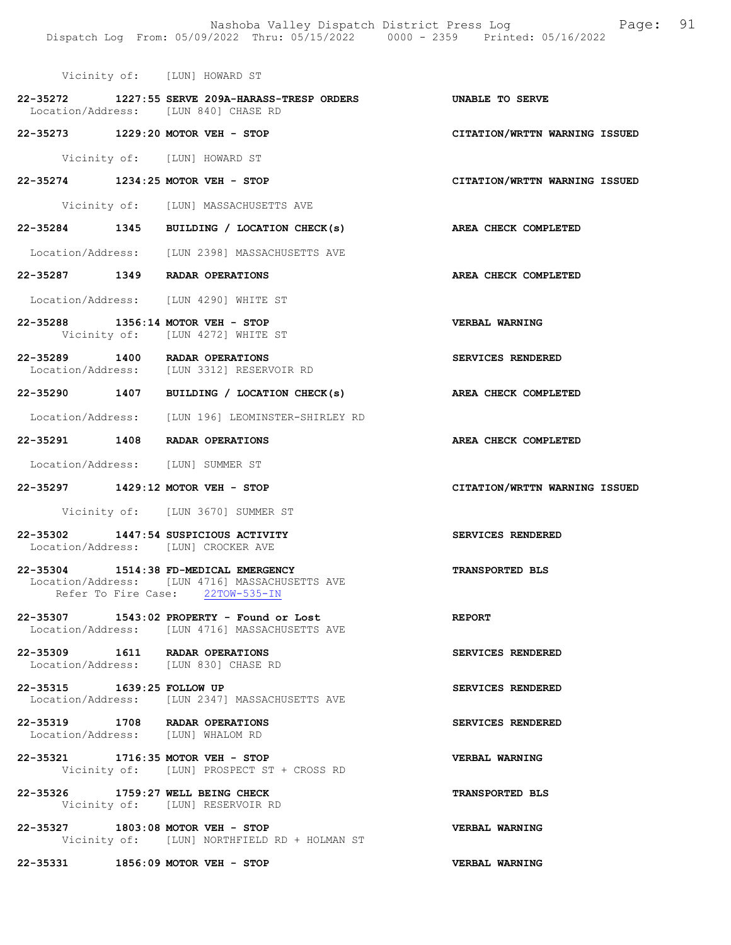Nashoba Valley Dispatch District Press Log Fage: 91 Dispatch Log From: 05/09/2022 Thru: 05/15/2022 0000 - 2359 Printed: 05/16/2022

|                            | Vicinity of: [LUN] HOWARD ST                                                                                                |                               |
|----------------------------|-----------------------------------------------------------------------------------------------------------------------------|-------------------------------|
|                            | 22-35272 1227:55 SERVE 209A-HARASS-TRESP ORDERS<br>Location/Address: [LUN 840] CHASE RD                                     | UNABLE TO SERVE               |
|                            | 22-35273 1229:20 MOTOR VEH - STOP                                                                                           | CITATION/WRTTN WARNING ISSUED |
|                            | Vicinity of: [LUN] HOWARD ST                                                                                                |                               |
|                            | 22-35274 1234:25 MOTOR VEH - STOP                                                                                           | CITATION/WRTTN WARNING ISSUED |
|                            | Vicinity of: [LUN] MASSACHUSETTS AVE                                                                                        |                               |
|                            | 22-35284 1345 BUILDING / LOCATION CHECK(s)                                                                                  | AREA CHECK COMPLETED          |
|                            | Location/Address: [LUN 2398] MASSACHUSETTS AVE                                                                              |                               |
|                            | 22-35287 1349 RADAR OPERATIONS                                                                                              | AREA CHECK COMPLETED          |
|                            | Location/Address: [LUN 4290] WHITE ST                                                                                       |                               |
|                            | 22-35288 1356:14 MOTOR VEH - STOP<br>Vicinity of: [LUN 4272] WHITE ST                                                       | VERBAL WARNING                |
|                            | 22-35289 1400 RADAR OPERATIONS<br>Location/Address: [LUN 3312] RESERVOIR RD                                                 | SERVICES RENDERED             |
|                            | 22-35290 1407 BUILDING / LOCATION CHECK(s)                                                                                  | AREA CHECK COMPLETED          |
|                            | Location/Address: [LUN 196] LEOMINSTER-SHIRLEY RD                                                                           |                               |
|                            | 22-35291 1408 RADAR OPERATIONS                                                                                              | AREA CHECK COMPLETED          |
|                            | Location/Address: [LUN] SUMMER ST                                                                                           |                               |
|                            | 22-35297 1429:12 MOTOR VEH - STOP                                                                                           | CITATION/WRTTN WARNING ISSUED |
|                            | Vicinity of: [LUN 3670] SUMMER ST                                                                                           |                               |
|                            | 22-35302 1447:54 SUSPICIOUS ACTIVITY<br>Location/Address: [LUN] CROCKER AVE                                                 | SERVICES RENDERED             |
|                            | 22-35304 1514:38 FD-MEDICAL EMERGENCY<br>Location/Address: [LUN 4716] MASSACHUSETTS AVE<br>Refer To Fire Case: 22TOW-535-IN | <b>TRANSPORTED BLS</b>        |
|                            | 22-35307 1543:02 PROPERTY - Found or Lost<br>Location/Address: [LUN 4716] MASSACHUSETTS AVE                                 | <b>REPORT</b>                 |
|                            | 22-35309 1611 RADAR OPERATIONS<br>Location/Address: [LUN 830] CHASE RD                                                      | SERVICES RENDERED             |
| 22-35315 1639:25 FOLLOW UP | Location/Address: [LUN 2347] MASSACHUSETTS AVE                                                                              | SERVICES RENDERED             |
|                            | 22-35319 1708 RADAR OPERATIONS<br>Location/Address: [LUN] WHALOM RD                                                         | SERVICES RENDERED             |
|                            | 22-35321 1716:35 MOTOR VEH - STOP<br>Vicinity of: [LUN] PROSPECT ST + CROSS RD                                              | VERBAL WARNING                |
|                            | 22-35326 1759:27 WELL BEING CHECK<br>Vicinity of: [LUN] RESERVOIR RD                                                        | <b>TRANSPORTED BLS</b>        |
|                            | 22-35327 1803:08 MOTOR VEH - STOP<br>Vicinity of: [LUN] NORTHFIELD RD + HOLMAN ST                                           | VERBAL WARNING                |
|                            | 22-35331 1856:09 MOTOR VEH - STOP                                                                                           | <b>VERBAL WARNING</b>         |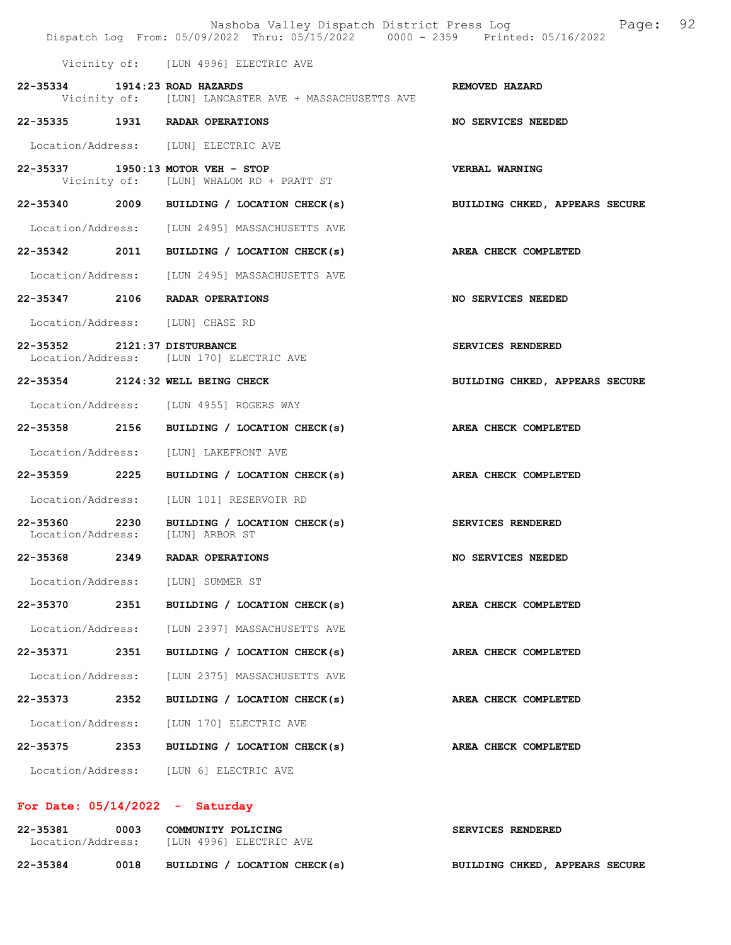|                                  |      | Nashoba Valley Dispatch District Press Log<br>Dispatch Log From: 05/09/2022 Thru: 05/15/2022 0000 - 2359 Printed: 05/16/2022 | 92<br>Page:                    |
|----------------------------------|------|------------------------------------------------------------------------------------------------------------------------------|--------------------------------|
|                                  |      | Vicinity of: [LUN 4996] ELECTRIC AVE                                                                                         |                                |
| 22-35334 1914:23 ROAD HAZARDS    |      | Vicinity of: [LUN] LANCASTER AVE + MASSACHUSETTS AVE                                                                         | REMOVED HAZARD                 |
|                                  |      | 22-35335 1931 RADAR OPERATIONS                                                                                               | <b>NO SERVICES NEEDED</b>      |
|                                  |      | Location/Address: [LUN] ELECTRIC AVE                                                                                         |                                |
|                                  |      | 22-35337 1950:13 MOTOR VEH - STOP<br>Vicinity of: [LUN] WHALOM RD + PRATT ST                                                 | <b>VERBAL WARNING</b>          |
|                                  |      | 22-35340 2009 BUILDING / LOCATION CHECK(s)                                                                                   | BUILDING CHKED, APPEARS SECURE |
|                                  |      | Location/Address: [LUN 2495] MASSACHUSETTS AVE                                                                               |                                |
|                                  |      | 22-35342 2011 BUILDING / LOCATION CHECK(s)                                                                                   | AREA CHECK COMPLETED           |
|                                  |      | Location/Address: [LUN 2495] MASSACHUSETTS AVE                                                                               |                                |
|                                  |      | 22-35347 2106 RADAR OPERATIONS                                                                                               | NO SERVICES NEEDED             |
| Location/Address: [LUN] CHASE RD |      |                                                                                                                              |                                |
| 22-35352 2121:37 DISTURBANCE     |      | Location/Address: [LUN 170] ELECTRIC AVE                                                                                     | SERVICES RENDERED              |
|                                  |      | 22-35354 2124:32 WELL BEING CHECK                                                                                            | BUILDING CHKED, APPEARS SECURE |
|                                  |      | Location/Address: [LUN 4955] ROGERS WAY                                                                                      |                                |
|                                  |      | 22-35358 2156 BUILDING / LOCATION CHECK(s)                                                                                   | AREA CHECK COMPLETED           |
|                                  |      | Location/Address: [LUN] LAKEFRONT AVE                                                                                        |                                |
|                                  |      | 22-35359 2225 BUILDING / LOCATION CHECK(s) AREA CHECK COMPLETED                                                              |                                |
|                                  |      | Location/Address: [LUN 101] RESERVOIR RD                                                                                     |                                |
| Location/Address: [LUN] ARBOR ST |      | 22-35360 2230 BUILDING / LOCATION CHECK(s)                                                                                   | SERVICES RENDERED              |
| 22-35368                         | 2349 | RADAR OPERATIONS                                                                                                             | <b>NO SERVICES NEEDED</b>      |
|                                  |      | Location/Address: [LUN] SUMMER ST                                                                                            |                                |
|                                  |      | 22-35370 2351 BUILDING / LOCATION CHECK(s)                                                                                   | AREA CHECK COMPLETED           |
|                                  |      | Location/Address: [LUN 2397] MASSACHUSETTS AVE                                                                               |                                |
|                                  |      | 22-35371 2351 BUILDING / LOCATION CHECK(s)                                                                                   | AREA CHECK COMPLETED           |
|                                  |      | Location/Address: [LUN 2375] MASSACHUSETTS AVE                                                                               |                                |
| 22-35373                         | 2352 | BUILDING / LOCATION CHECK(s)                                                                                                 | AREA CHECK COMPLETED           |
|                                  |      | Location/Address: [LUN 170] ELECTRIC AVE                                                                                     |                                |
|                                  |      | 22-35375 2353 BUILDING / LOCATION CHECK(s)                                                                                   | AREA CHECK COMPLETED           |
|                                  |      | Location/Address: [LUN 6] ELECTRIC AVE                                                                                       |                                |

# For Date: 05/14/2022 - Saturday

| 22-35381<br>Location/Address: | 0003 | COMMUNITY POLICING<br>[LUN 4996] ELECTRIC AVE | <b>SERVICES RENDERED</b>       |  |
|-------------------------------|------|-----------------------------------------------|--------------------------------|--|
| 22-35384                      | 0018 | BUILDING / LOCATION CHECK(s)                  | BUILDING CHKED, APPEARS SECURE |  |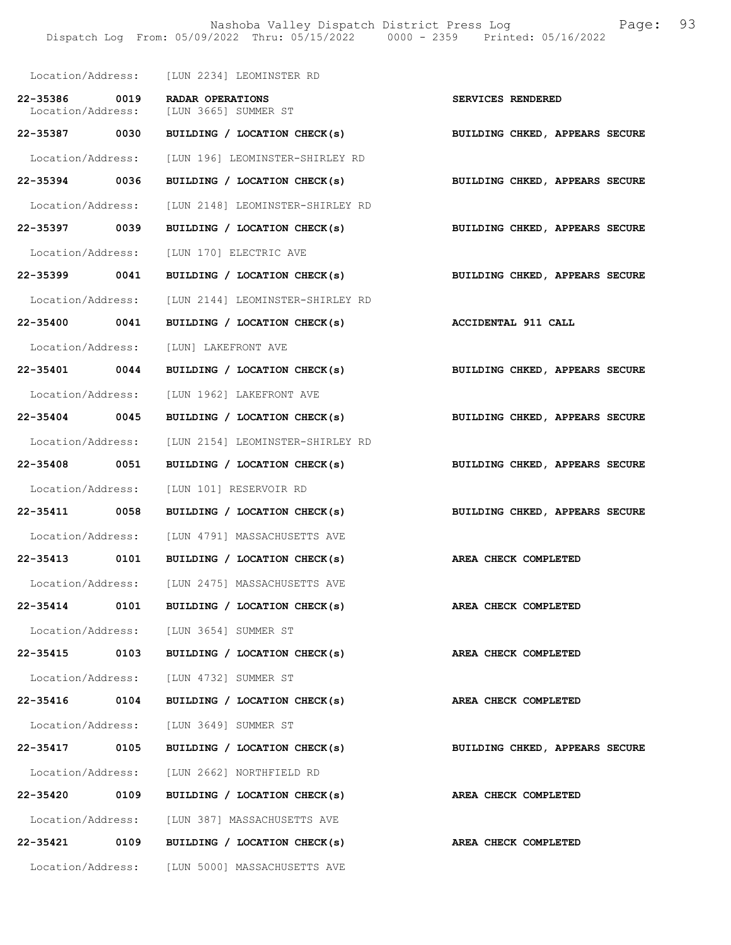Nashoba Valley Dispatch District Press Log Fage: 93 Dispatch Log From: 05/09/2022 Thru: 05/15/2022 0000 - 2359 Printed: 05/16/2022

|                   | Location/Address: [LUN 2234] LEOMINSTER RD                  |                                |
|-------------------|-------------------------------------------------------------|--------------------------------|
| 22-35386 0019     | RADAR OPERATIONS                                            | SERVICES RENDERED              |
|                   | Location/Address: [LUN 3665] SUMMER ST                      |                                |
| 22-35387 0030     | BUILDING / LOCATION CHECK(s) BUILDING CHKED, APPEARS SECURE |                                |
|                   | Location/Address: [LUN 196] LEOMINSTER-SHIRLEY RD           |                                |
| 22-35394 0036     | BUILDING / LOCATION CHECK(s)                                | BUILDING CHKED, APPEARS SECURE |
|                   | Location/Address: [LUN 2148] LEOMINSTER-SHIRLEY RD          |                                |
| 22-35397 0039     | BUILDING / LOCATION CHECK(s)                                | BUILDING CHKED, APPEARS SECURE |
|                   | Location/Address: [LUN 170] ELECTRIC AVE                    |                                |
| 22-35399 0041     | BUILDING / LOCATION CHECK(s) BUILDING CHKED, APPEARS SECURE |                                |
|                   | Location/Address: [LUN 2144] LEOMINSTER-SHIRLEY RD          |                                |
| 22-35400 0041     | BUILDING / LOCATION CHECK(s)                                | <b>ACCIDENTAL 911 CALL</b>     |
|                   | Location/Address: [LUN] LAKEFRONT AVE                       |                                |
| 22-35401 0044     | BUILDING / LOCATION CHECK(s)                                | BUILDING CHKED, APPEARS SECURE |
|                   | Location/Address: [LUN 1962] LAKEFRONT AVE                  |                                |
| 22-35404 0045     | BUILDING / LOCATION CHECK(s) BUILDING CHKED, APPEARS SECURE |                                |
|                   | Location/Address: [LUN 2154] LEOMINSTER-SHIRLEY RD          |                                |
| 22-35408 0051     | BUILDING / LOCATION CHECK(s)                                | BUILDING CHKED, APPEARS SECURE |
|                   | Location/Address: [LUN 101] RESERVOIR RD                    |                                |
| 22-35411 0058     | BUILDING / LOCATION CHECK(s)                                | BUILDING CHKED, APPEARS SECURE |
|                   | Location/Address: [LUN 4791] MASSACHUSETTS AVE              |                                |
|                   | 22-35413 0101 BUILDING / LOCATION CHECK(s)                  | AREA CHECK COMPLETED           |
|                   | Location/Address: [LUN 2475] MASSACHUSETTS AVE              |                                |
| 22-35414          | 0101 BUILDING / LOCATION CHECK(s)                           | AREA CHECK COMPLETED           |
|                   | Location/Address: [LUN 3654] SUMMER ST                      |                                |
| 22-35415 0103     | BUILDING / LOCATION CHECK(s)                                | AREA CHECK COMPLETED           |
|                   | Location/Address: [LUN 4732] SUMMER ST                      |                                |
| 22-35416 0104     | BUILDING / LOCATION CHECK(s)                                | AREA CHECK COMPLETED           |
|                   | Location/Address: [LUN 3649] SUMMER ST                      |                                |
| 22-35417 0105     | BUILDING / LOCATION CHECK(s)                                | BUILDING CHKED, APPEARS SECURE |
|                   | Location/Address: [LUN 2662] NORTHFIELD RD                  |                                |
| 22-35420 0109     | BUILDING / LOCATION CHECK(s)                                | AREA CHECK COMPLETED           |
|                   | Location/Address: [LUN 387] MASSACHUSETTS AVE               |                                |
|                   | 22-35421 0109 BUILDING / LOCATION CHECK(s)                  | AREA CHECK COMPLETED           |
| Location/Address: | [LUN 5000] MASSACHUSETTS AVE                                |                                |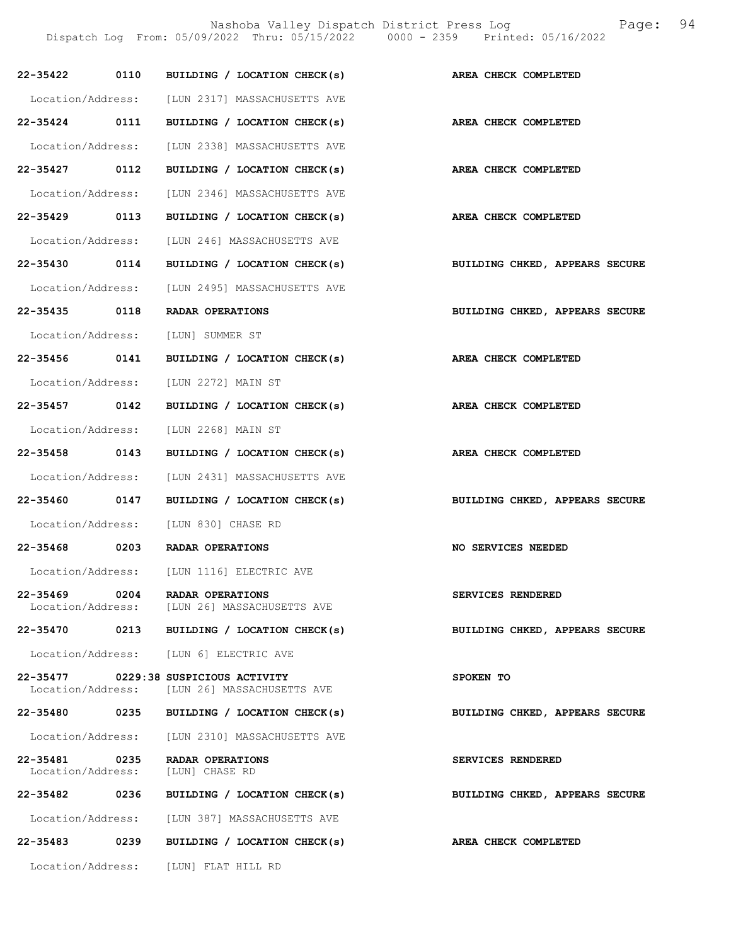Nashoba Valley Dispatch District Press Log Fage: 94

Dispatch Log From: 05/09/2022 Thru: 05/15/2022 0000 - 2359 Printed: 05/16/2022

|                   |      | 22-35422 0110 BUILDING / LOCATION CHECK(s)                                             | AREA CHECK COMPLETED           |
|-------------------|------|----------------------------------------------------------------------------------------|--------------------------------|
|                   |      | Location/Address: [LUN 2317] MASSACHUSETTS AVE                                         |                                |
|                   |      | 22-35424 0111 BUILDING / LOCATION CHECK(s)                                             | AREA CHECK COMPLETED           |
|                   |      | Location/Address: [LUN 2338] MASSACHUSETTS AVE                                         |                                |
| 22-35427 0112     |      | BUILDING / LOCATION CHECK(s)                                                           | AREA CHECK COMPLETED           |
|                   |      | Location/Address: [LUN 2346] MASSACHUSETTS AVE                                         |                                |
| 22-35429 0113     |      | BUILDING / LOCATION CHECK(s)                                                           | AREA CHECK COMPLETED           |
|                   |      | Location/Address: [LUN 246] MASSACHUSETTS AVE                                          |                                |
|                   |      | 22-35430 0114 BUILDING / LOCATION CHECK(s)                                             | BUILDING CHKED, APPEARS SECURE |
|                   |      | Location/Address: [LUN 2495] MASSACHUSETTS AVE                                         |                                |
|                   |      | 22-35435 0118 RADAR OPERATIONS                                                         | BUILDING CHKED, APPEARS SECURE |
|                   |      | Location/Address: [LUN] SUMMER ST                                                      |                                |
|                   |      | 22-35456 0141 BUILDING / LOCATION CHECK(s)                                             | AREA CHECK COMPLETED           |
|                   |      | Location/Address: [LUN 2272] MAIN ST                                                   |                                |
| 22-35457 0142     |      | BUILDING / LOCATION CHECK(s)                                                           | AREA CHECK COMPLETED           |
|                   |      | Location/Address: [LUN 2268] MAIN ST                                                   |                                |
| 22-35458 0143     |      | BUILDING / LOCATION CHECK(s)                                                           | AREA CHECK COMPLETED           |
|                   |      | Location/Address: [LUN 2431] MASSACHUSETTS AVE                                         |                                |
|                   |      | 22-35460 0147 BUILDING / LOCATION CHECK(s)                                             | BUILDING CHKED, APPEARS SECURE |
|                   |      | Location/Address: [LUN 830] CHASE RD                                                   |                                |
|                   |      | 22-35468 0203 RADAR OPERATIONS                                                         | NO SERVICES NEEDED             |
|                   |      | Location/Address: [LUN 1116] ELECTRIC AVE                                              |                                |
| 22-35469          | 0204 | <b>RADAR OPERATIONS</b><br>Location/Address: [LUN 26] MASSACHUSETTS AVE                | SERVICES RENDERED              |
| 22-35470          |      | 0213 BUILDING / LOCATION CHECK(s)                                                      | BUILDING CHKED, APPEARS SECURE |
|                   |      | Location/Address: [LUN 6] ELECTRIC AVE                                                 |                                |
|                   |      | $22-35477$ 0229:38 SUSPICIOUS ACTIVITY<br>Location/Address: [LUN 26] MASSACHUSETTS AVE | SPOKEN TO                      |
| 22-35480 0235     |      | BUILDING / LOCATION CHECK(s)                                                           | BUILDING CHKED, APPEARS SECURE |
|                   |      | Location/Address: [LUN 2310] MASSACHUSETTS AVE                                         |                                |
| 22-35481          | 0235 | RADAR OPERATIONS<br>Location/Address: [LUN] CHASE RD                                   | SERVICES RENDERED              |
| 22-35482 0236     |      | BUILDING / LOCATION CHECK(s)                                                           | BUILDING CHKED, APPEARS SECURE |
|                   |      | Location/Address: [LUN 387] MASSACHUSETTS AVE                                          |                                |
| 22-35483          | 0239 | BUILDING / LOCATION CHECK(s)                                                           | AREA CHECK COMPLETED           |
| Location/Address: |      | [LUN] FLAT HILL RD                                                                     |                                |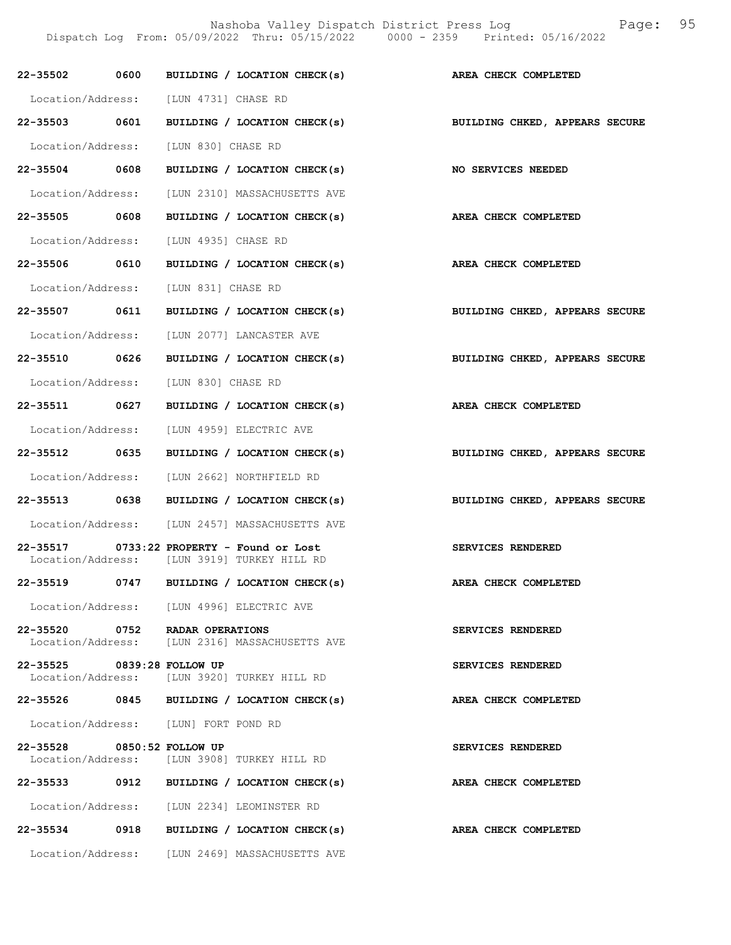|                                            |  | 22-35502 0600 BUILDING / LOCATION CHECK(s)                                               | AREA CHECK COMPLETED                                                      |
|--------------------------------------------|--|------------------------------------------------------------------------------------------|---------------------------------------------------------------------------|
| Location/Address: [LUN 4731] CHASE RD      |  |                                                                                          |                                                                           |
|                                            |  |                                                                                          | 22-35503 0601 BUILDING / LOCATION CHECK(s) BUILDING CHKED, APPEARS SECURE |
| Location/Address: [LUN 830] CHASE RD       |  |                                                                                          |                                                                           |
|                                            |  |                                                                                          | 22-35504 0608 BUILDING / LOCATION CHECK(s) NO SERVICES NEEDED             |
|                                            |  | Location/Address: [LUN 2310] MASSACHUSETTS AVE                                           |                                                                           |
| 22-35505 0608                              |  | BUILDING / LOCATION CHECK(s)                                                             | AREA CHECK COMPLETED                                                      |
| Location/Address: [LUN 4935] CHASE RD      |  |                                                                                          |                                                                           |
|                                            |  |                                                                                          | 22-35506 0610 BUILDING / LOCATION CHECK(s) AREA CHECK COMPLETED           |
| Location/Address: [LUN 831] CHASE RD       |  |                                                                                          |                                                                           |
|                                            |  | 22-35507 0611 BUILDING / LOCATION CHECK(s)                                               | BUILDING CHKED, APPEARS SECURE                                            |
|                                            |  | Location/Address: [LUN 2077] LANCASTER AVE                                               |                                                                           |
|                                            |  |                                                                                          | 22-35510 0626 BUILDING / LOCATION CHECK(s) BUILDING CHKED, APPEARS SECURE |
| Location/Address: [LUN 830] CHASE RD       |  |                                                                                          |                                                                           |
|                                            |  |                                                                                          | 22-35511 0627 BUILDING / LOCATION CHECK(s) AREA CHECK COMPLETED           |
| Location/Address: [LUN 4959] ELECTRIC AVE  |  |                                                                                          |                                                                           |
|                                            |  | 22-35512 0635 BUILDING / LOCATION CHECK(s)                                               | BUILDING CHKED, APPEARS SECURE                                            |
| Location/Address: [LUN 2662] NORTHFIELD RD |  |                                                                                          |                                                                           |
|                                            |  | 22-35513 0638 BUILDING / LOCATION CHECK(s)                                               | BUILDING CHKED, APPEARS SECURE                                            |
|                                            |  | Location/Address: [LUN 2457] MASSACHUSETTS AVE                                           |                                                                           |
|                                            |  | 22-35517 0733:22 PROPERTY - Found or Lost<br>Location/Address: [LUN 3919] TURKEY HILL RD | SERVICES RENDERED                                                         |
|                                            |  |                                                                                          | 22-35519 0747 BUILDING / LOCATION CHECK(s) AREA CHECK COMPLETED           |
|                                            |  | Location/Address: [LUN 4996] ELECTRIC AVE                                                |                                                                           |
| 22-35520 0752 RADAR OPERATIONS             |  | Location/Address: [LUN 2316] MASSACHUSETTS AVE                                           | SERVICES RENDERED                                                         |
| 22-35525 0839:28 FOLLOW UP                 |  | Location/Address: [LUN 3920] TURKEY HILL RD                                              | SERVICES RENDERED                                                         |
|                                            |  | 22-35526 0845 BUILDING / LOCATION CHECK(s)                                               | AREA CHECK COMPLETED                                                      |
| Location/Address: [LUN] FORT POND RD       |  |                                                                                          |                                                                           |
| 22-35528 0850:52 FOLLOW UP                 |  | Location/Address: [LUN 3908] TURKEY HILL RD                                              | <b>SERVICES RENDERED</b>                                                  |
| 22-35533                                   |  | 0912 BUILDING / LOCATION CHECK(s)                                                        | AREA CHECK COMPLETED                                                      |
| Location/Address: [LUN 2234] LEOMINSTER RD |  |                                                                                          |                                                                           |
|                                            |  | 22-35534 0918 BUILDING / LOCATION CHECK(s)                                               | AREA CHECK COMPLETED                                                      |
|                                            |  | Location/Address: [LUN 2469] MASSACHUSETTS AVE                                           |                                                                           |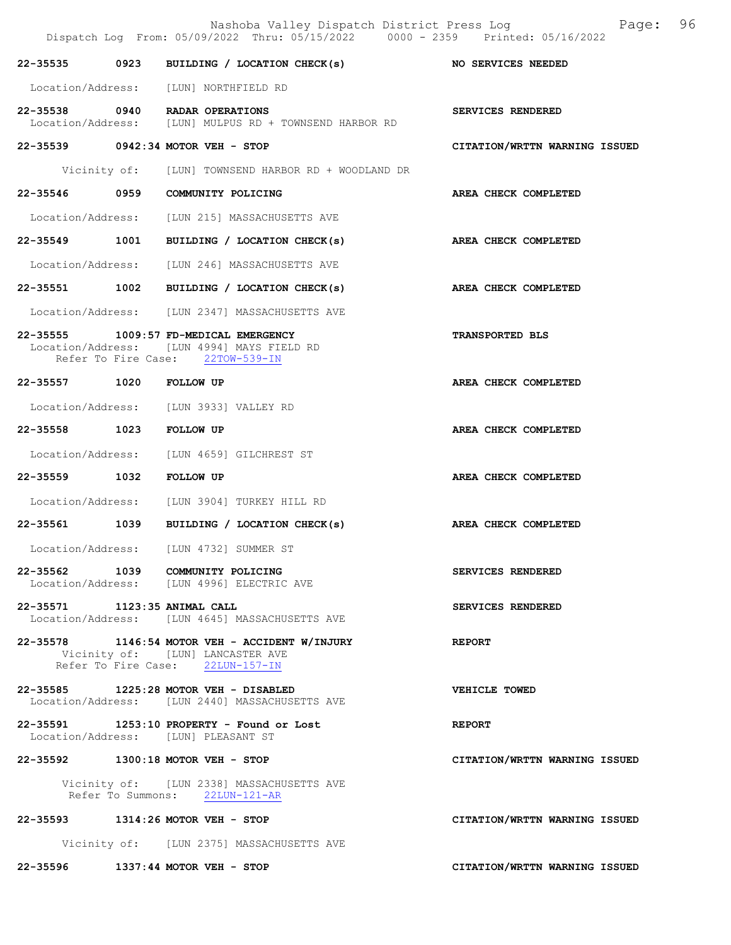|                                   |      | Nashoba Valley Dispatch District Press Log<br>Dispatch Log From: 05/09/2022 Thru: 05/15/2022 0000 - 2359 Printed: 05/16/2022 | 96<br>Page:                   |
|-----------------------------------|------|------------------------------------------------------------------------------------------------------------------------------|-------------------------------|
| 22-35535                          | 0923 | BUILDING / LOCATION CHECK(s)                                                                                                 | <b>NO SERVICES NEEDED</b>     |
|                                   |      | Location/Address: [LUN] NORTHFIELD RD                                                                                        |                               |
| 22-35538 0940 RADAR OPERATIONS    |      | Location/Address: [LUN] MULPUS RD + TOWNSEND HARBOR RD                                                                       | SERVICES RENDERED             |
| 22-35539 0942:34 MOTOR VEH - STOP |      |                                                                                                                              | CITATION/WRTTN WARNING ISSUED |
|                                   |      | Vicinity of: [LUN] TOWNSEND HARBOR RD + WOODLAND DR                                                                          |                               |
| 22-35546                          | 0959 | COMMUNITY POLICING                                                                                                           | AREA CHECK COMPLETED          |
|                                   |      | Location/Address: [LUN 215] MASSACHUSETTS AVE                                                                                |                               |
| 22-35549 1001                     |      | BUILDING / LOCATION CHECK(s)                                                                                                 | AREA CHECK COMPLETED          |
|                                   |      | Location/Address: [LUN 246] MASSACHUSETTS AVE                                                                                |                               |
| 22-35551                          |      | 1002 BUILDING / LOCATION CHECK(s)                                                                                            | AREA CHECK COMPLETED          |
|                                   |      | Location/Address: [LUN 2347] MASSACHUSETTS AVE                                                                               |                               |
|                                   |      | 22-35555 1009:57 FD-MEDICAL EMERGENCY<br>Location/Address: [LUN 4994] MAYS FIELD RD<br>Refer To Fire Case: 22TOW-539-IN      | <b>TRANSPORTED BLS</b>        |
| 22-35557 1020                     |      | <b>FOLLOW UP</b>                                                                                                             | AREA CHECK COMPLETED          |
|                                   |      | Location/Address: [LUN 3933] VALLEY RD                                                                                       |                               |
| 22-35558                          | 1023 | FOLLOW UP                                                                                                                    | AREA CHECK COMPLETED          |
|                                   |      | Location/Address: [LUN 4659] GILCHREST ST                                                                                    |                               |
| 22-35559                          | 1032 | FOLLOW UP                                                                                                                    | AREA CHECK COMPLETED          |
| Location/Address:                 |      | [LUN 3904] TURKEY HILL RD                                                                                                    |                               |
| 22-35561                          | 1039 | BUILDING / LOCATION CHECK(s)                                                                                                 | AREA CHECK COMPLETED          |
| Location/Address:                 |      | [LUN 4732] SUMMER ST                                                                                                         |                               |
|                                   |      | 22-35562 1039 COMMUNITY POLICING<br>Location/Address: [LUN 4996] ELECTRIC AVE                                                | SERVICES RENDERED             |
| 22-35571 1123:35 ANIMAL CALL      |      | Location/Address: [LUN 4645] MASSACHUSETTS AVE                                                                               | SERVICES RENDERED             |
|                                   |      | $22 - 35578$ 1146:54 MOTOR VEH - ACCIDENT W/INJURY<br>Vicinity of: [LUN] LANCASTER AVE<br>Refer To Fire Case: 22LUN-157-IN   | <b>REPORT</b>                 |
|                                   |      | 22-35585 1225:28 MOTOR VEH - DISABLED<br>Location/Address: [LUN 2440] MASSACHUSETTS AVE                                      | VEHICLE TOWED                 |
|                                   |      | 22-35591 1253:10 PROPERTY - Found or Lost<br>Location/Address: [LUN] PLEASANT ST                                             | <b>REPORT</b>                 |
| 22-35592 1300:18 MOTOR VEH - STOP |      |                                                                                                                              | CITATION/WRTTN WARNING ISSUED |
|                                   |      | Vicinity of: [LUN 2338] MASSACHUSETTS AVE<br>Refer To Summons: 22LUN-121-AR                                                  |                               |
| 22-35593 1314:26 MOTOR VEH - STOP |      |                                                                                                                              | CITATION/WRTTN WARNING ISSUED |
|                                   |      | Vicinity of: [LUN 2375] MASSACHUSETTS AVE                                                                                    |                               |
| 22-35596                          |      | $1337:44$ MOTOR VEH - STOP                                                                                                   | CITATION/WRTTN WARNING ISSUED |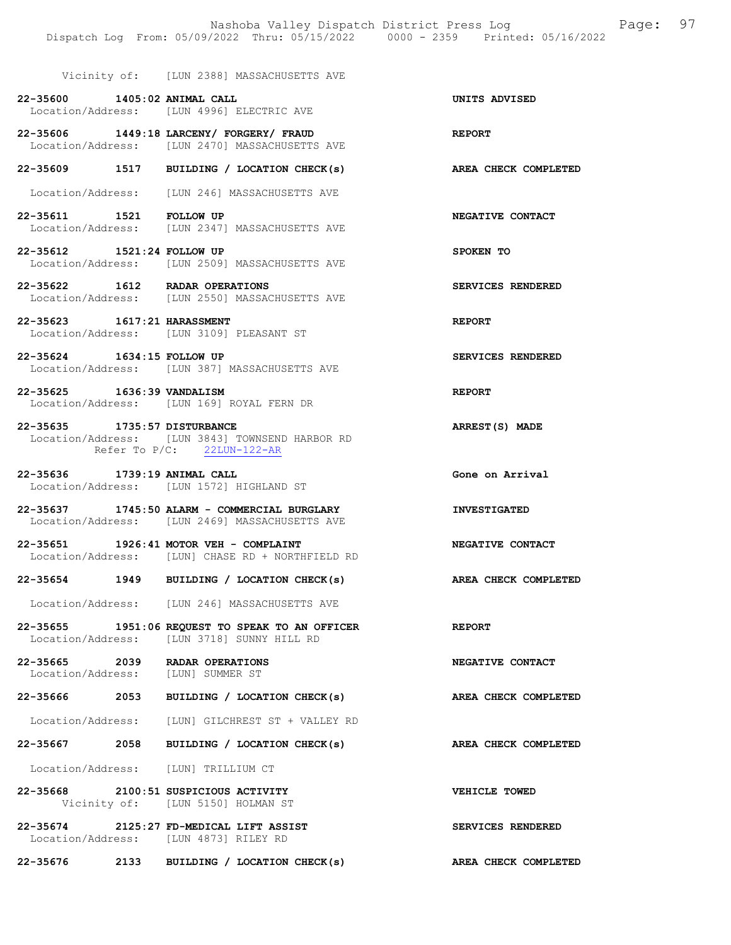Vicinity of: [LUN 2388] MASSACHUSETTS AVE

- 22-35600 1405:02 ANIMAL CALL UNITS ADVISED Location/Address: [LUN 4996] ELECTRIC AVE
- 22-35606 1449:18 LARCENY/ FORGERY/ FRAUD REPORT Location/Address: [LUN 2470] MASSACHUSETTS AVE
- 22-35609 1517 BUILDING / LOCATION CHECK(s) AREA CHECK COMPLETED
- Location/Address: [LUN 246] MASSACHUSETTS AVE
- 22-35611 1521 FOLLOW UP NEGATIVE CONTACT [LUN 2347] MASSACHUSETTS AVE
- 22-35612 1521:24 FOLLOW UP SPOKEN TO Location/Address: [LUN 2509] MASSACHUSETTS AVE
- 22-35622 1612 RADAR OPERATIONS SERVICES RENDERED Location/Address: [LUN 2550] MASSACHUSETTS AVE
- 22-35623 1617:21 HARASSMENT REPORT Location/Address: [LUN 3109] PLEASANT ST
- 22-35624 1634:15 FOLLOW UP SERVICES RENDERED Location/Address: [LUN 387] MASSACHUSETTS AVE
- 22-35625 1636:39 VANDALISM REPORT Location/Address: [LUN 169] ROYAL FERN DR
- 22-35635 1735:57 DISTURBANCE ARREST(S) MADE Location/Address: [LUN 3843] TOWNSEND HARBOR RD<br>Refer To P/C: 22LUN-122-AR Refer To  $P/C$ :
- 22-35636 1739:19 ANIMAL CALL **GONE OF ALL CALL** Gone on Arrival Location/Address: [LUN 1572] HIGHLAND ST
- 22-35637 1745:50 ALARM COMMERCIAL BURGLARY INVESTIGATED<br>Location/Address: [LUN 2469] MASSACHUSETTS AVE [LUN 2469] MASSACHUSETTS AVE
- 22-35651 1926:41 MOTOR VEH COMPLAINT NEGATIVE CONTACT Location/Address: [LUN] CHASE RD + NORTHFIELD RD
- 22-35654 1949 BUILDING / LOCATION CHECK(s) AREA CHECK COMPLETED
- Location/Address: [LUN 246] MASSACHUSETTS AVE
- 22-35655 1951:06 REQUEST TO SPEAK TO AN OFFICER REPORT Location/Address: [LUN 3718] SUNNY HILL RD
- 22-35665 2039 RADAR OPERATIONS NEGATIVE CONTACT Location/Address: [LUN] SUMMER ST
- 22-35666 2053 BUILDING / LOCATION CHECK(s) AREA CHECK COMPLETED
- Location/Address: [LUN] GILCHREST ST + VALLEY RD
- 22-35667 2058 BUILDING / LOCATION CHECK(s) AREA CHECK COMPLETED
- Location/Address: [LUN] TRILLIUM CT
- 22-35668 2100:51 SUSPICIOUS ACTIVITY VEHICLE TOWED Vicinity of: [LUN 5150] HOLMAN ST
- 22-35674 2125:27 FD-MEDICAL LIFT ASSIST SERVICES RENDERED Location/Address: [LUN 4873] RILEY RD
- 22-35676 2133 BUILDING / LOCATION CHECK(s) AREA CHECK COMPLETED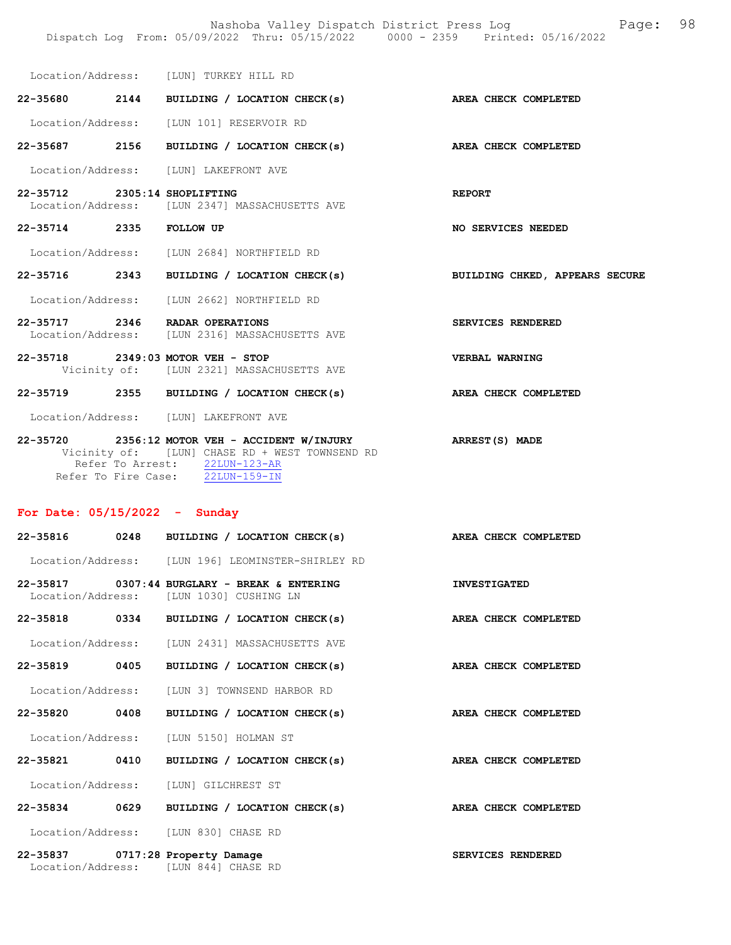Nashoba Valley Dispatch District Press Log Page: 98 Dispatch Log From: 05/09/2022 Thru: 05/15/2022 0000 - 2359 Printed: 05/16/2022

| Location/Address: | [LUN] TURKEY HILL RD |  |
|-------------------|----------------------|--|
|                   |                      |  |

22-35680 2144 BUILDING / LOCATION CHECK(s) AREA CHECK COMPLETED Location/Address: [LUN 101] RESERVOIR RD

22-35714 2335 FOLLOW UP NO SERVICES NEEDED

22-35687 2156 BUILDING / LOCATION CHECK(s) AREA CHECK COMPLETED Location/Address: [LUN] LAKEFRONT AVE

- 22-35712 2305:14 SHOPLIFTING Location/Address: [LUN 2347] MASSACHUSETTS AVE [LUN 2347] MASSACHUSETTS AVE
- Location/Address: [LUN 2684] NORTHFIELD RD
- 22-35716 2343 BUILDING / LOCATION CHECK(s) BUILDING CHKED, APPEARS SECURE
- Location/Address: [LUN 2662] NORTHFIELD RD
- 22-35717 2346 RADAR OPERATIONS SERVICES RENDERED Location/Address: [LUN 2316] MASSACHUSETTS AVE
- 22-35718 2349:03 MOTOR VEH STOP VERBAL WARNING Vicinity of: [LUN 2321] MASSACHUSETTS AVE
- 22-35719 2355 BUILDING / LOCATION CHECK(s) AREA CHECK COMPLETED

Location/Address: [LUN] LAKEFRONT AVE

22-35720 2356:12 MOTOR VEH - ACCIDENT W/INJURY ARREST(S) MADE Vicinity of: [LUN] CHASE RD + WEST TOWNSEND RD Refer To Arrest: 22LUN-123-AR Refer To Fire Case: 22LUN-159-IN

### For Date: 05/15/2022 - Sunday

| 22-35816 0248     | BUILDING / LOCATION CHECK(s)                                                              | AREA CHECK COMPLETED |  |
|-------------------|-------------------------------------------------------------------------------------------|----------------------|--|
|                   | Location/Address: [LUN 196] LEOMINSTER-SHIRLEY RD                                         |                      |  |
|                   | $22-35817$ 0307:44 BURGLARY - BREAK & ENTERING<br>Location/Address: [LUN 1030] CUSHING LN | <b>INVESTIGATED</b>  |  |
|                   | 22-35818 0334 BUILDING / LOCATION CHECK(s)                                                | AREA CHECK COMPLETED |  |
|                   | Location/Address: [LUN 2431] MASSACHUSETTS AVE                                            |                      |  |
| 22-35819 0405     | BUILDING / LOCATION CHECK(s)                                                              | AREA CHECK COMPLETED |  |
|                   | Location/Address: [LUN 3] TOWNSEND HARBOR RD                                              |                      |  |
| 22-35820 0408     | BUILDING / LOCATION CHECK(s)                                                              | AREA CHECK COMPLETED |  |
|                   | Location/Address: [LUN 5150] HOLMAN ST                                                    |                      |  |
| 22-35821 0410     | BUILDING / LOCATION CHECK(s)                                                              | AREA CHECK COMPLETED |  |
|                   | Location/Address: [LUN] GILCHREST ST                                                      |                      |  |
| 22-35834 0629     | BUILDING / LOCATION CHECK(s)                                                              | AREA CHECK COMPLETED |  |
|                   | Location/Address: [LUN 830] CHASE RD                                                      |                      |  |
| Location/Address: | 22-35837 0717:28 Property Damage<br><b>ILUN 8441 CHASE RD</b>                             | SERVICES RENDERED    |  |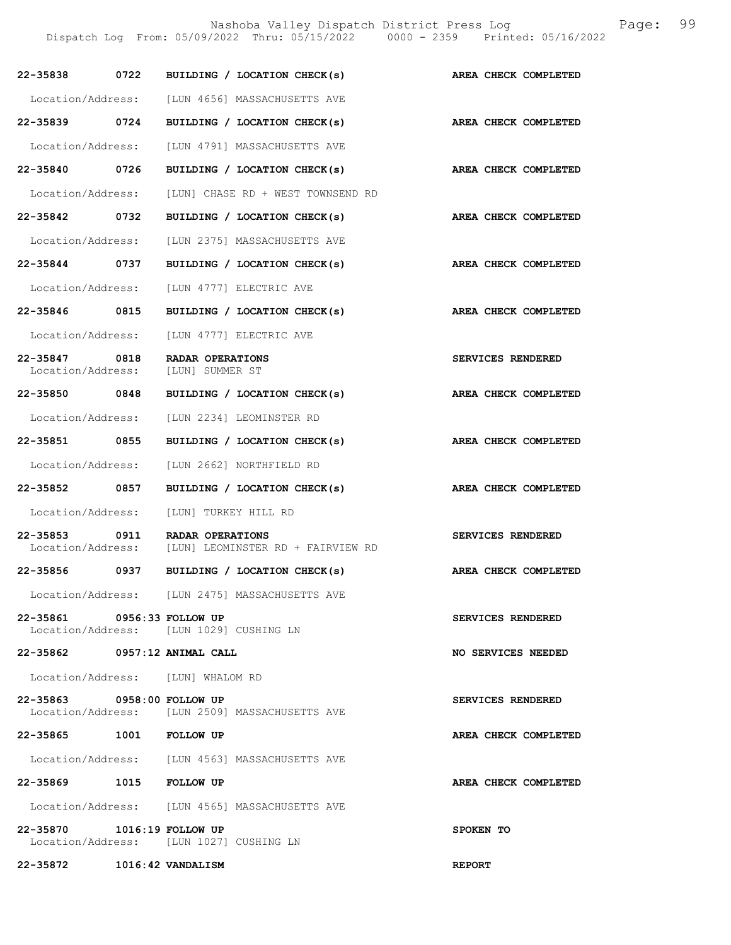Nashoba Valley Dispatch District Press Log Fage: 99

Dispatch Log From: 05/09/2022 Thru: 05/15/2022 0000 - 2359 Printed: 05/16/2022

| 22-35838 0722                      | BUILDING / LOCATION CHECK(s)                                 | AREA CHECK COMPLETED |
|------------------------------------|--------------------------------------------------------------|----------------------|
|                                    | Location/Address: [LUN 4656] MASSACHUSETTS AVE               |                      |
| 22-35839 0724                      | BUILDING / LOCATION CHECK(s)                                 | AREA CHECK COMPLETED |
| Location/Address:                  | [LUN 4791] MASSACHUSETTS AVE                                 |                      |
| 22-35840 0726                      | BUILDING / LOCATION CHECK(s)                                 | AREA CHECK COMPLETED |
| Location/Address:                  | [LUN] CHASE RD + WEST TOWNSEND RD                            |                      |
| 22-35842 0732                      | BUILDING / LOCATION CHECK(s)                                 | AREA CHECK COMPLETED |
| Location/Address:                  | [LUN 2375] MASSACHUSETTS AVE                                 |                      |
| 22-35844 0737                      | BUILDING / LOCATION CHECK(s)                                 | AREA CHECK COMPLETED |
| Location/Address:                  | [LUN 4777] ELECTRIC AVE                                      |                      |
| 22-35846 0815                      | BUILDING / LOCATION CHECK(s)                                 | AREA CHECK COMPLETED |
| Location/Address:                  | [LUN 4777] ELECTRIC AVE                                      |                      |
| 22-35847 0818                      | <b>RADAR OPERATIONS</b><br>Location/Address: [LUN] SUMMER ST | SERVICES RENDERED    |
| 22-35850 0848                      | BUILDING / LOCATION CHECK(s)                                 | AREA CHECK COMPLETED |
| Location/Address:                  | [LUN 2234] LEOMINSTER RD                                     |                      |
| 22-35851 0855                      | BUILDING / LOCATION CHECK(s)                                 | AREA CHECK COMPLETED |
| Location/Address:                  | [LUN 2662] NORTHFIELD RD                                     |                      |
| 22-35852 0857                      | BUILDING / LOCATION CHECK(s)                                 | AREA CHECK COMPLETED |
| Location/Address:                  | [LUN] TURKEY HILL RD                                         |                      |
| 22-35853 0911<br>Location/Address: | RADAR OPERATIONS<br>[LUN] LEOMINSTER RD + FAIRVIEW RD        | SERVICES RENDERED    |
| 22-35856 0937                      | BUILDING / LOCATION CHECK(s)                                 | AREA CHECK COMPLETED |
|                                    | Location/Address: [LUN 2475] MASSACHUSETTS AVE               |                      |
| 22-35861 0956:33 FOLLOW UP         | Location/Address: [LUN 1029] CUSHING LN                      | SERVICES RENDERED    |
| 22-35862 0957:12 ANIMAL CALL       |                                                              | NO SERVICES NEEDED   |
|                                    | Location/Address: [LUN] WHALOM RD                            |                      |
| 22-35863 0958:00 FOLLOW UP         | Location/Address: [LUN 2509] MASSACHUSETTS AVE               | SERVICES RENDERED    |
| 22-35865 1001 FOLLOW UP            |                                                              | AREA CHECK COMPLETED |
|                                    | Location/Address: [LUN 4563] MASSACHUSETTS AVE               |                      |
| 22-35869 1015 FOLLOW UP            |                                                              | AREA CHECK COMPLETED |
|                                    | Location/Address: [LUN 4565] MASSACHUSETTS AVE               |                      |
| 22-35870 1016:19 FOLLOW UP         | Location/Address: [LUN 1027] CUSHING LN                      | SPOKEN TO            |
| 22-35872 1016:42 VANDALISM         |                                                              | <b>REPORT</b>        |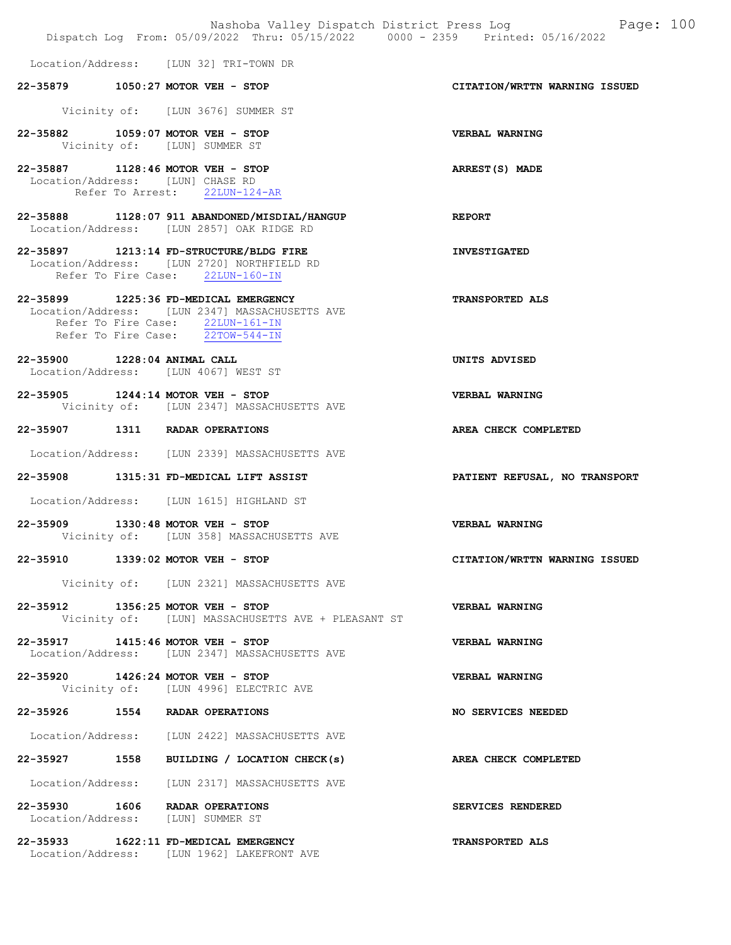|                                                                       | Nashoba Valley Dispatch District Press Log<br>Dispatch Log From: 05/09/2022 Thru: 05/15/2022 0000 - 2359 Printed: 05/16/2022 | Page: 100                     |
|-----------------------------------------------------------------------|------------------------------------------------------------------------------------------------------------------------------|-------------------------------|
|                                                                       | Location/Address: [LUN 32] TRI-TOWN DR                                                                                       |                               |
| 22-35879 1050:27 MOTOR VEH - STOP                                     |                                                                                                                              | CITATION/WRTTN WARNING ISSUED |
|                                                                       | Vicinity of: [LUN 3676] SUMMER ST                                                                                            |                               |
| 22-35882 1059:07 MOTOR VEH - STOP                                     | Vicinity of: [LUN] SUMMER ST                                                                                                 | VERBAL WARNING                |
| 22-35887 1128:46 MOTOR VEH - STOP<br>Location/Address: [LUN] CHASE RD | Refer To Arrest: 22LUN-124-AR                                                                                                | ARREST(S) MADE                |
|                                                                       | 22-35888 1128:07 911 ABANDONED/MISDIAL/HANGUP<br>Location/Address: [LUN 2857] OAK RIDGE RD                                   | <b>REPORT</b>                 |
|                                                                       | 22-35897 1213:14 FD-STRUCTURE/BLDG FIRE<br>Location/Address: [LUN 2720] NORTHFIELD RD<br>Refer To Fire Case: 22LUN-160-IN    | <b>INVESTIGATED</b>           |
| 22-35899 1225:36 FD-MEDICAL EMERGENCY                                 | Location/Address: [LUN 2347] MASSACHUSETTS AVE<br>Refer To Fire Case: 22LUN-161-IN<br>Refer To Fire Case: 22TOW-544-IN       | <b>TRANSPORTED ALS</b>        |
| 22-35900 1228:04 ANIMAL CALL<br>Location/Address: [LUN 4067] WEST ST  |                                                                                                                              | UNITS ADVISED                 |
| 22-35905 1244:14 MOTOR VEH - STOP                                     | Vicinity of: [LUN 2347] MASSACHUSETTS AVE                                                                                    | VERBAL WARNING                |
| 22-35907 1311 RADAR OPERATIONS                                        |                                                                                                                              | AREA CHECK COMPLETED          |
|                                                                       | Location/Address: [LUN 2339] MASSACHUSETTS AVE                                                                               |                               |
|                                                                       | 22-35908 1315:31 FD-MEDICAL LIFT ASSIST                                                                                      | PATIENT REFUSAL, NO TRANSPORT |
|                                                                       | Location/Address: [LUN 1615] HIGHLAND ST                                                                                     |                               |
| 22-35909 1330:48 MOTOR VEH - STOP                                     | Vicinity of: [LUN 358] MASSACHUSETTS AVE                                                                                     | VERBAL WARNING                |
| 22-35910 1339:02 MOTOR VEH - STOP                                     |                                                                                                                              | CITATION/WRTTN WARNING ISSUED |
|                                                                       | Vicinity of: [LUN 2321] MASSACHUSETTS AVE                                                                                    |                               |
| 22-35912 1356:25 MOTOR VEH - STOP                                     | Vicinity of: [LUN] MASSACHUSETTS AVE + PLEASANT ST                                                                           | VERBAL WARNING                |
| 22-35917 1415:46 MOTOR VEH - STOP                                     | Location/Address: [LUN 2347] MASSACHUSETTS AVE                                                                               | VERBAL WARNING                |
| 22-35920 1426:24 MOTOR VEH - STOP                                     | Vicinity of: [LUN 4996] ELECTRIC AVE                                                                                         | <b>VERBAL WARNING</b>         |
| 22-35926 1554 RADAR OPERATIONS                                        |                                                                                                                              | <b>NO SERVICES NEEDED</b>     |
|                                                                       | Location/Address: [LUN 2422] MASSACHUSETTS AVE                                                                               |                               |
|                                                                       | 22-35927 1558 BUILDING / LOCATION CHECK(s)                                                                                   | AREA CHECK COMPLETED          |
|                                                                       | Location/Address: [LUN 2317] MASSACHUSETTS AVE                                                                               |                               |
| 22-35930 1606 RADAR OPERATIONS<br>Location/Address: [LUN] SUMMER ST   |                                                                                                                              | SERVICES RENDERED             |
| $22 - 35933$ 1622:11 FD-MEDICAL EMERGENCY                             | Location/Address: [LUN 1962] LAKEFRONT AVE                                                                                   | <b>TRANSPORTED ALS</b>        |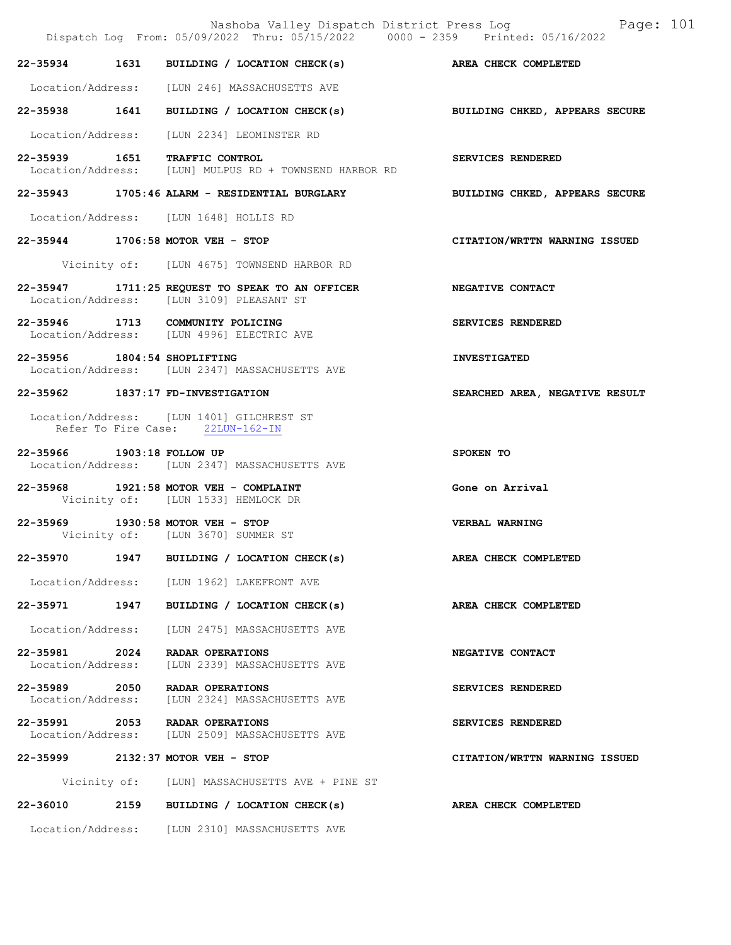|                                    |      | Dispatch Log From: 05/09/2022 Thru: 05/15/2022 0000 - 2359 Printed: 05/16/2022                               | Nashoba Valley Dispatch District Press Log Fage: 101 |
|------------------------------------|------|--------------------------------------------------------------------------------------------------------------|------------------------------------------------------|
|                                    |      | 22-35934 1631 BUILDING / LOCATION CHECK(s) AREA CHECK COMPLETED                                              |                                                      |
|                                    |      | Location/Address: [LUN 246] MASSACHUSETTS AVE                                                                |                                                      |
|                                    |      | 22-35938 1641 BUILDING / LOCATION CHECK(s) BUILDING CHKED, APPEARS SECURE                                    |                                                      |
|                                    |      | Location/Address: [LUN 2234] LEOMINSTER RD                                                                   |                                                      |
|                                    |      | 22-35939 1651 TRAFFIC CONTROL<br>Location/Address: [LUN] MULPUS RD + TOWNSEND HARBOR RD                      | SERVICES RENDERED                                    |
|                                    |      | 22-35943 1705:46 ALARM - RESIDENTIAL BURGLARY                                                                | BUILDING CHKED, APPEARS SECURE                       |
|                                    |      | Location/Address: [LUN 1648] HOLLIS RD                                                                       |                                                      |
|                                    |      | 22-35944 1706:58 MOTOR VEH - STOP                                                                            | CITATION/WRTTN WARNING ISSUED                        |
|                                    |      | Vicinity of: [LUN 4675] TOWNSEND HARBOR RD                                                                   |                                                      |
|                                    |      | 22-35947 1711:25 REQUEST TO SPEAK TO AN OFFICER NEGATIVE CONTACT<br>Location/Address: [LUN 3109] PLEASANT ST |                                                      |
|                                    |      | 22-35946 1713 COMMUNITY POLICING<br>Location/Address: [LUN 4996] ELECTRIC AVE                                | SERVICES RENDERED                                    |
| 22-35956 1804:54 SHOPLIFTING       |      | Location/Address: [LUN 2347] MASSACHUSETTS AVE                                                               | <b>INVESTIGATED</b>                                  |
|                                    |      | 22-35962 1837:17 FD-INVESTIGATION                                                                            | SEARCHED AREA, NEGATIVE RESULT                       |
|                                    |      | Location/Address: [LUN 1401] GILCHREST ST<br>Refer To Fire Case: 22LUN-162-IN                                |                                                      |
| 22-35966 1903:18 FOLLOW UP         |      | Location/Address: [LUN 2347] MASSACHUSETTS AVE                                                               | SPOKEN TO                                            |
|                                    |      | 22-35968 1921:58 MOTOR VEH - COMPLAINT<br>Vicinity of: [LUN 1533] HEMLOCK DR                                 | Gone on Arrival                                      |
|                                    |      | 22-35969 1930:58 MOTOR VEH - STOP<br>Vicinity of: [LUN 3670] SUMMER ST                                       | VERBAL WARNING                                       |
| 22-35970                           | 1947 | BUILDING / LOCATION CHECK(s)                                                                                 | AREA CHECK COMPLETED                                 |
|                                    |      | Location/Address: [LUN 1962] LAKEFRONT AVE                                                                   |                                                      |
| 22-35971 1947                      |      | BUILDING / LOCATION CHECK(s)                                                                                 | AREA CHECK COMPLETED                                 |
| Location/Address:                  |      | [LUN 2475] MASSACHUSETTS AVE                                                                                 |                                                      |
| 22-35981 2024<br>Location/Address: |      | RADAR OPERATIONS<br>[LUN 2339] MASSACHUSETTS AVE                                                             | NEGATIVE CONTACT                                     |
| 22-35989 2050<br>Location/Address: |      | RADAR OPERATIONS<br>[LUN 2324] MASSACHUSETTS AVE                                                             | SERVICES RENDERED                                    |
|                                    |      | 22-35991 2053 RADAR OPERATIONS<br>Location/Address: [LUN 2509] MASSACHUSETTS AVE                             | SERVICES RENDERED                                    |
|                                    |      | 22-35999 2132:37 MOTOR VEH - STOP                                                                            | CITATION/WRTTN WARNING ISSUED                        |
|                                    |      | Vicinity of: [LUN] MASSACHUSETTS AVE + PINE ST                                                               |                                                      |
|                                    |      | 22-36010 2159 BUILDING / LOCATION CHECK(s)                                                                   | AREA CHECK COMPLETED                                 |
|                                    |      | Location/Address: [LUN 2310] MASSACHUSETTS AVE                                                               |                                                      |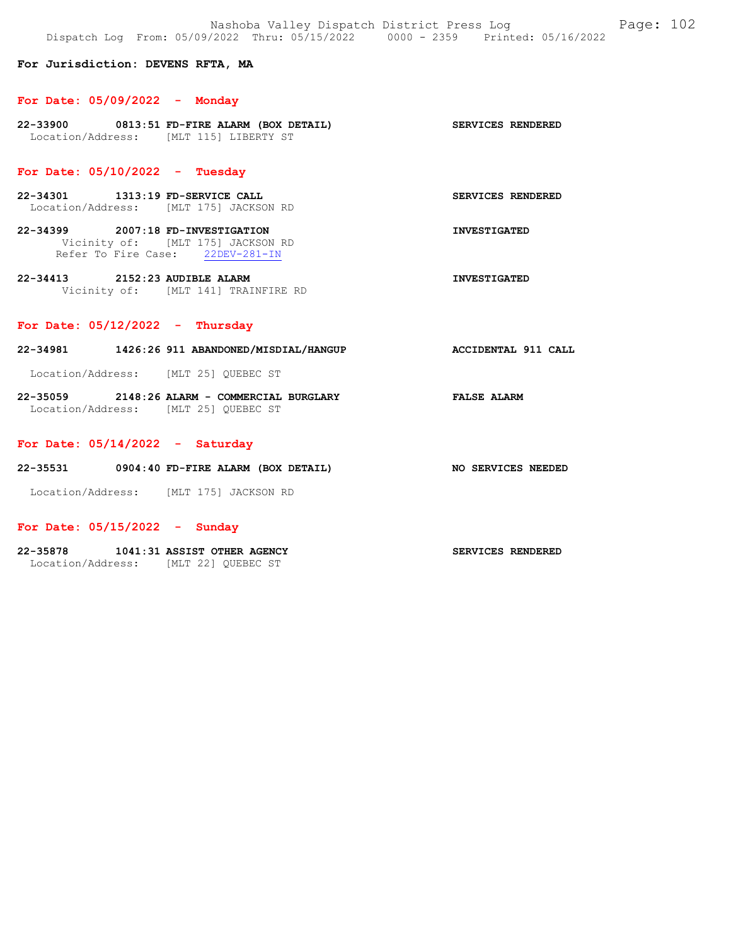## For Jurisdiction: DEVENS RFTA, MA

#### For Date: 05/09/2022 - Monday

22-33900 0813:51 FD-FIRE ALARM (BOX DETAIL) SERVICES RENDERED Location/Address: [MLT 115] LIBERTY ST

# For Date: 05/10/2022 - Tuesday

- 22-34301 1313:19 FD-SERVICE CALL SERVICES RENDERED Location/Address: [MLT 175] JACKSON RD
- 22-34399 2007:18 FD-INVESTIGATION INVESTIGATED Vicinity of: [MLT 175] JACKSON RD Refer To Fire Case: 22DEV-281-IN
- 22-34413 2152:23 AUDIBLE ALARM INVESTIGATED Vicinity of: [MLT 141] TRAINFIRE RD

## For Date: 05/12/2022 - Thursday

22-34981 1426:26 911 ABANDONED/MISDIAL/HANGUP ACCIDENTAL 911 CALL

Location/Address: [MLT 25] QUEBEC ST

22-35059 2148:26 ALARM - COMMERCIAL BURGLARY FALSE ALARM Location/Address: [MLT 25] QUEBEC ST

#### For Date: 05/14/2022 - Saturday

22-35531 0904:40 FD-FIRE ALARM (BOX DETAIL) NO SERVICES NEEDED

Location/Address: [MLT 175] JACKSON RD

### For Date: 05/15/2022 - Sunday

#### 22-35878 1041:31 ASSIST OTHER AGENCY SERVICES RENDERED

Location/Address: [MLT 22] QUEBEC ST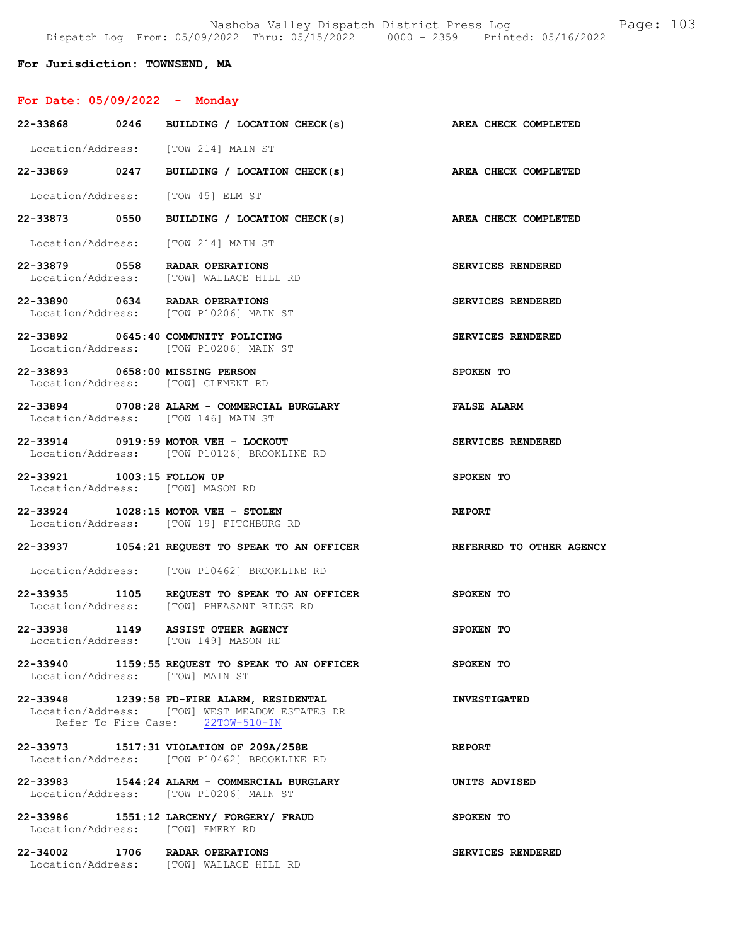# For Jurisdiction: TOWNSEND, MA

# For Date: 05/09/2022 - Monday

|                            | 22-33868 0246 BUILDING / LOCATION CHECK(s)                                                                                       | AREA CHECK COMPLETED |
|----------------------------|----------------------------------------------------------------------------------------------------------------------------------|----------------------|
|                            | Location/Address: [TOW 214] MAIN ST                                                                                              |                      |
|                            | 22-33869 0247 BUILDING / LOCATION CHECK(s)                                                                                       | AREA CHECK COMPLETED |
|                            | Location/Address: [TOW 45] ELM ST                                                                                                |                      |
|                            | 22-33873 0550 BUILDING / LOCATION CHECK(s)                                                                                       | AREA CHECK COMPLETED |
|                            | Location/Address: [TOW 214] MAIN ST                                                                                              |                      |
|                            | 22-33879 0558 RADAR OPERATIONS<br>Location/Address: [TOW] WALLACE HILL RD                                                        | SERVICES RENDERED    |
|                            | 22-33890 0634 RADAR OPERATIONS<br>Location/Address: [TOW P10206] MAIN ST                                                         | SERVICES RENDERED    |
|                            | 22-33892 0645:40 COMMUNITY POLICING<br>Location/Address: [TOW P10206] MAIN ST                                                    | SERVICES RENDERED    |
|                            | 22-33893 0658:00 MISSING PERSON<br>Location/Address: [TOW] CLEMENT RD                                                            | SPOKEN TO            |
|                            | 22-33894 0708:28 ALARM - COMMERCIAL BURGLARY<br>Location/Address: [TOW 146] MAIN ST                                              | <b>FALSE ALARM</b>   |
|                            | 22-33914 0919:59 MOTOR VEH - LOCKOUT<br>Location/Address: [TOW P10126] BROOKLINE RD                                              | SERVICES RENDERED    |
| 22-33921 1003:15 FOLLOW UP | Location/Address: [TOW] MASON RD                                                                                                 | SPOKEN TO            |
|                            |                                                                                                                                  |                      |
|                            | 22-33924 1028:15 MOTOR VEH - STOLEN<br>Location/Address: [TOW 19] FITCHBURG RD                                                   | <b>REPORT</b>        |
|                            | 22-33937 1054:21 REQUEST TO SPEAK TO AN OFFICER REFERRED TO OTHER AGENCY                                                         |                      |
|                            | Location/Address: [TOW P10462] BROOKLINE RD                                                                                      |                      |
|                            | 22-33935 1105 REQUEST TO SPEAK TO AN OFFICER<br>Location/Address: [TOW] PHEASANT RIDGE RD                                        | SPOKEN TO            |
|                            | 22-33938 1149 ASSIST OTHER AGENCY<br>Location/Address: [TOW 149] MASON RD                                                        | SPOKEN TO            |
|                            | 22-33940 1159:55 REQUEST TO SPEAK TO AN OFFICER<br>Location/Address: [TOW] MAIN ST                                               | SPOKEN TO            |
|                            | 22-33948 1239:58 FD-FIRE ALARM, RESIDENTAL<br>Location/Address: [TOW] WEST MEADOW ESTATES DR<br>Refer To Fire Case: 22TOW-510-IN | <b>INVESTIGATED</b>  |
|                            | 22-33973 1517:31 VIOLATION OF 209A/258E<br>Location/Address: [TOW P10462] BROOKLINE RD                                           | <b>REPORT</b>        |
|                            | 22-33983 1544:24 ALARM - COMMERCIAL BURGLARY<br>Location/Address: [TOW P10206] MAIN ST                                           | UNITS ADVISED        |
|                            | 22-33986 1551:12 LARCENY/ FORGERY/ FRAUD<br>Location/Address: [TOW] EMERY RD                                                     | SPOKEN TO            |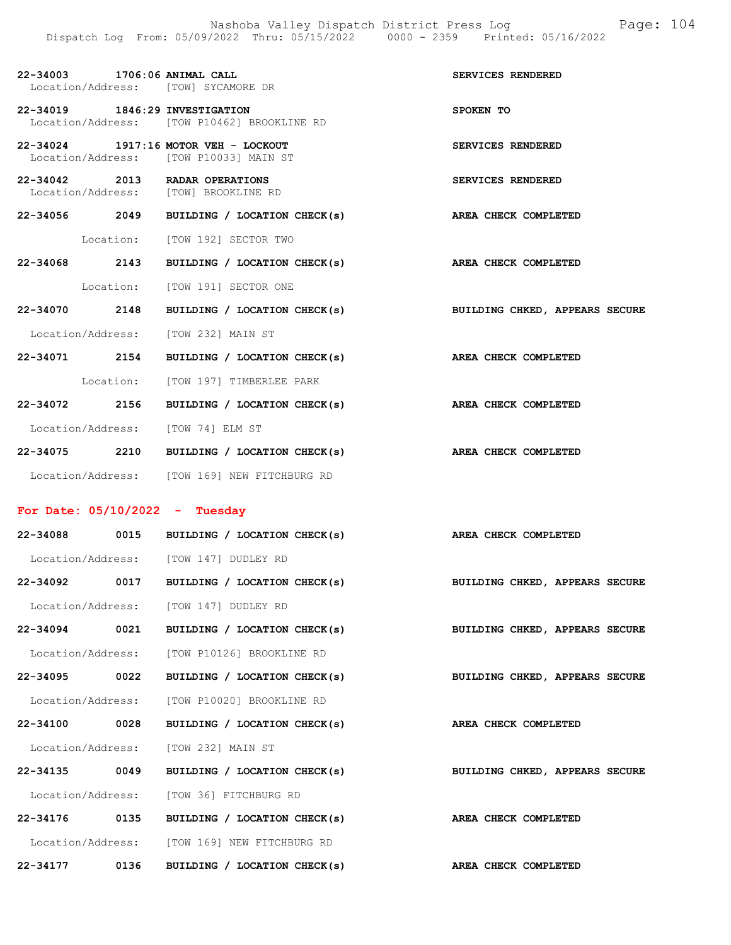| 22-34003 1706:06 ANIMAL CALL<br>Location/Address: [TOW] SYCAMORE DR    |                                              | SERVICES RENDERED              |
|------------------------------------------------------------------------|----------------------------------------------|--------------------------------|
|                                                                        |                                              |                                |
| 22-34019 1846:29 INVESTIGATION                                         | Location/Address: [TOW P10462] BROOKLINE RD  | SPOKEN TO                      |
| 22-34024 1917:16 MOTOR VEH - LOCKOUT                                   |                                              | SERVICES RENDERED              |
| Location/Address: [TOW P10033] MAIN ST                                 |                                              |                                |
| 22-34042 2013 RADAR OPERATIONS<br>Location/Address: [TOW] BROOKLINE RD |                                              | SERVICES RENDERED              |
|                                                                        | $22-34056$ 2049 BUILDING / LOCATION CHECK(s) | AREA CHECK COMPLETED           |
|                                                                        | Location: [TOW 192] SECTOR TWO               |                                |
| 22-34068 2143                                                          | BUILDING / LOCATION CHECK(s)                 | AREA CHECK COMPLETED           |
|                                                                        | Location: [TOW 191] SECTOR ONE               |                                |
| 22-34070 2148                                                          | BUILDING / LOCATION CHECK(s)                 | BUILDING CHKED, APPEARS SECURE |
| Location/Address: [TOW 232] MAIN ST                                    |                                              |                                |
| 22-34071 2154                                                          | BUILDING / LOCATION CHECK(s)                 | AREA CHECK COMPLETED           |
|                                                                        | Location: [TOW 197] TIMBERLEE PARK           |                                |
| 22-34072 2156                                                          | BUILDING / LOCATION CHECK(s)                 | AREA CHECK COMPLETED           |
| Location/Address: [TOW 74] ELM ST                                      |                                              |                                |
|                                                                        | 22-34075 2210 BUILDING / LOCATION CHECK(s)   | AREA CHECK COMPLETED           |
|                                                                        | Location/Address: [TOW 169] NEW FITCHBURG RD |                                |
| For Date: $05/10/2022 - Tuesday$                                       |                                              |                                |
|                                                                        |                                              |                                |
|                                                                        | 22-34088 0015 BUILDING / LOCATION CHECK(s)   | AREA CHECK COMPLETED           |
| Location/Address: [TOW 147] DUDLEY RD                                  |                                              |                                |
|                                                                        | 22-34092 0017 BUILDING / LOCATION CHECK(s)   | BUILDING CHKED, APPEARS SECURE |
| Location/Address: [TOW 147] DUDLEY RD                                  |                                              |                                |
| 22-34094 0021                                                          | BUILDING / LOCATION CHECK(s)                 | BUILDING CHKED, APPEARS SECURE |
| Location/Address:                                                      | [TOW P10126] BROOKLINE RD                    |                                |

Location/Address: [TOW P10020] BROOKLINE RD

Location/Address: [TOW 232] MAIN ST

Location/Address: [TOW 36] FITCHBURG RD

Location/Address: [TOW 169] NEW FITCHBURG RD

22-34095 0022 BUILDING / LOCATION CHECK(s) BUILDING CHKED, APPEARS SECURE

22-34100 0028 BUILDING / LOCATION CHECK(s) AREA CHECK COMPLETED

22-34135 0049 BUILDING / LOCATION CHECK(s) BUILDING CHKED, APPEARS SECURE

22-34176 0135 BUILDING / LOCATION CHECK(s) AREA CHECK COMPLETED

22-34177 0136 BUILDING / LOCATION CHECK(s) AREA CHECK COMPLETED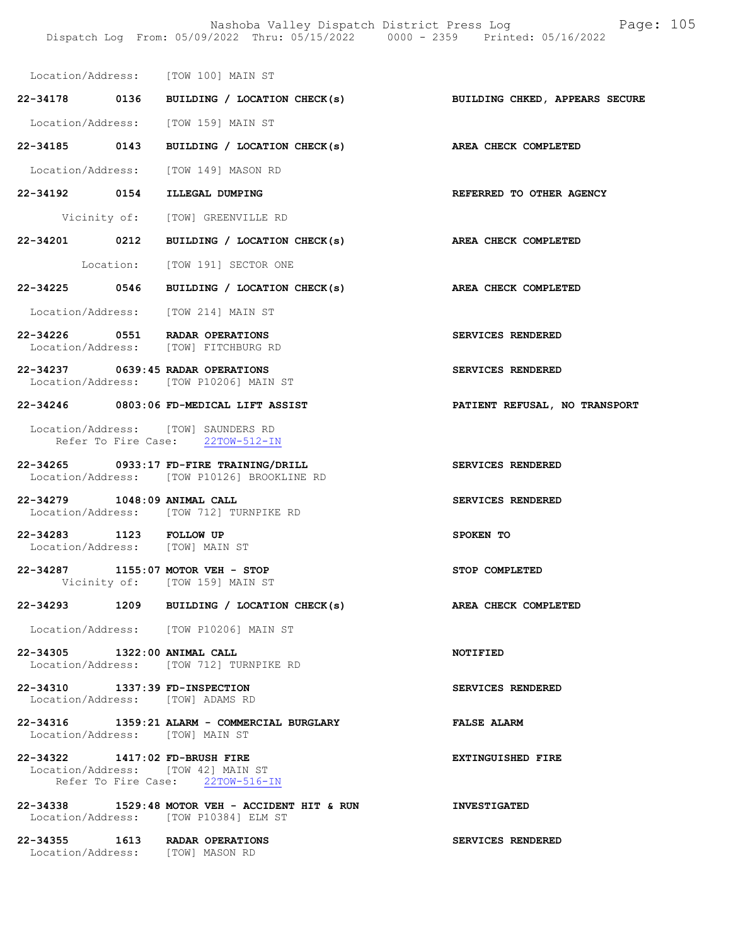Location/Address: [TOW 100] MAIN ST

22-34178 0136 BUILDING / LOCATION CHECK(s) BUILDING CHKED, APPEARS SECURE Location/Address: [TOW 159] MAIN ST

22-34185 0143 BUILDING / LOCATION CHECK(s) AREA CHECK COMPLETED Location/Address: [TOW 149] MASON RD

22-34192 0154 ILLEGAL DUMPING REFERRED TO OTHER AGENCY

Vicinity of: [TOW] GREENVILLE RD

22-34201 0212 BUILDING / LOCATION CHECK(s) AREA CHECK COMPLETED

Location: [TOW 191] SECTOR ONE

22-34225 0546 BUILDING / LOCATION CHECK(s) AREA CHECK COMPLETED

Location/Address: [TOW 214] MAIN ST

22-34226 0551 RADAR OPERATIONS SERVICES RENDERED Location/Address: [TOW] FITCHBURG RD

22-34237 0639:45 RADAR OPERATIONS SERVICES RENDERED Location/Address: [TOW P10206] MAIN ST

#### 22-34246 0803:06 FD-MEDICAL LIFT ASSIST PATIENT REFUSAL, NO TRANSPORT

 Location/Address: [TOW] SAUNDERS RD Refer To Fire Case: 22TOW-512-IN

- 22-34265 0933:17 FD-FIRE TRAINING/DRILL SERVICES RENDERED Location/Address: [TOW P10126] BROOKLINE RD
- 22-34279 1048:09 ANIMAL CALL SERVICES RENDERED Location/Address: [TOW 712] TURNPIKE RD
- 22-34283 1123 FOLLOW UP SPOKEN TO Location/Address: [TOW] MAIN ST
- 22-34287 1155:07 MOTOR VEH STOP STOP STOP COMPLETED<br>Vicinity of: [TOW 159] MAIN ST Vicinity of: [TOW 159] MAIN ST

22-34293 1209 BUILDING / LOCATION CHECK(s) AREA CHECK COMPLETED

Location/Address: [TOW P10206] MAIN ST

22-34305 1322:00 ANIMAL CALL NOTIFIED Location/Address: [TOW 712] TURNPIKE RD

22-34310 1337:39 FD-INSPECTION SERVICES RENDERED Location/Address: [TOW] ADAMS RD

22-34316 1359:21 ALARM - COMMERCIAL BURGLARY FALSE ALARM Location/Address: [TOW] MAIN ST

22-34322 1417:02 FD-BRUSH FIRE EXTINGUISHED FIRE Location/Address: [TOW 42] MAIN ST Refer To Fire Case: 22TOW-516-IN

22-34338 1529:48 MOTOR VEH - ACCIDENT HIT & RUN INVESTIGATED Location/Address: [TOW P10384] ELM ST

22-34355 1613 RADAR OPERATIONS SERVICES RENDERED Location/Address: [TOW] MASON RD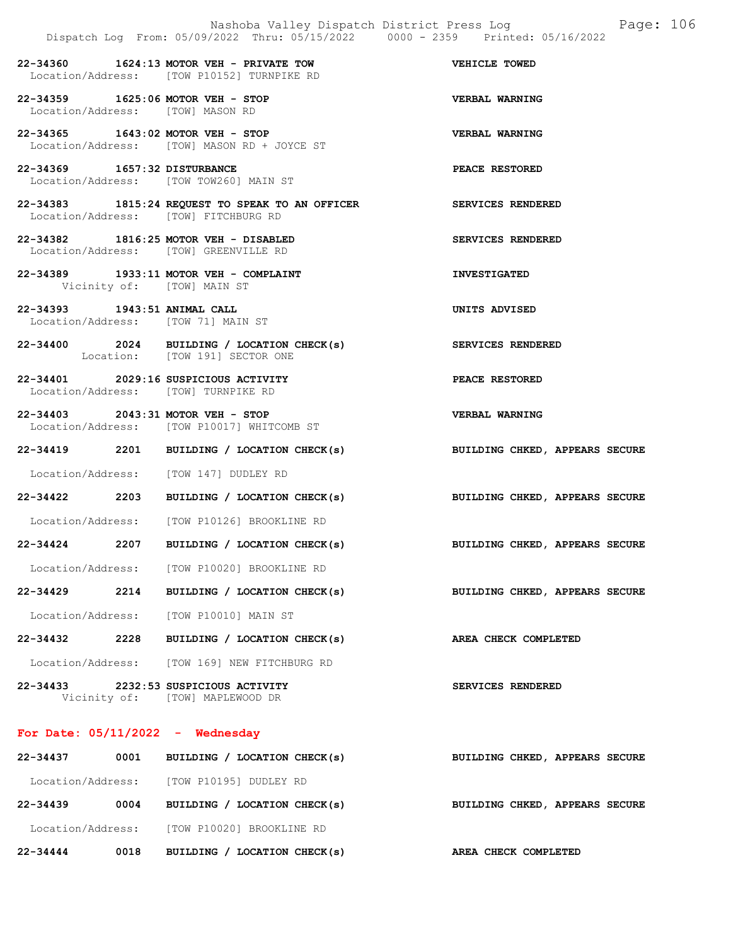22-34360 1624:13 MOTOR VEH - PRIVATE TOW VEHICLE TOWED Location/Address: [TOW P10152] TURNPIKE RD

- 22-34359 1625:06 MOTOR VEH STOP VERBAL WARNING Location/Address: [TOW] MASON RD
- 22-34365 1643:02 MOTOR VEH STOP VERBAL WARNING Location/Address: [TOW] MASON RD + JOYCE ST
- 22-34369 1657:32 DISTURBANCE PEACE RESTORED Location/Address: [TOW TOW260] MAIN ST
- 22-34383 1815:24 REQUEST TO SPEAK TO AN OFFICER SERVICES RENDERED Location/Address: [TOW] FITCHBURG RD
- 22-34382 1816:25 MOTOR VEH DISABLED SERVICES RENDERED Location/Address: [TOW] GREENVILLE RD
- 22-34389 1933:11 MOTOR VEH COMPLAINT **INVESTIGATED** Vicinity of: [TOW] MAIN ST
- 22-34393 1943:51 ANIMAL CALL UNITS ADVISED Location/Address: [TOW 71] MAIN ST
- 22-34400 2024 BUILDING / LOCATION CHECK(s) SERVICES RENDERED Location: [TOW 191] SECTOR ONE
- 22-34401 2029:16 SUSPICIOUS ACTIVITY PEACE RESTORED Location/Address: [TOW] TURNPIKE RD
- 22-34403 2043:31 MOTOR VEH STOP VERBAL WARNING Location/Address: [TOW P10017] WHITCOMB ST
- 22-34419 2201 BUILDING / LOCATION CHECK(s) BUILDING CHKED, APPEARS SECURE
- Location/Address: [TOW 147] DUDLEY RD
- 22-34422 2203 BUILDING / LOCATION CHECK(s) BUILDING CHKED, APPEARS SECURE
- Location/Address: [TOW P10126] BROOKLINE RD
- 22-34424 2207 BUILDING / LOCATION CHECK(s) BUILDING CHKED, APPEARS SECURE
- Location/Address: [TOW P10020] BROOKLINE RD
- 22-34429 2214 BUILDING / LOCATION CHECK(s) BUILDING CHKED, APPEARS SECURE
- Location/Address: [TOW P10010] MAIN ST
- 22-34432 2228 BUILDING / LOCATION CHECK(s) AREA CHECK COMPLETED
- Location/Address: [TOW 169] NEW FITCHBURG RD
- 22-34433 2232:53 SUSPICIOUS ACTIVITY SERVICES RENDERED Vicinity of: [TOW] MAPLEWOOD DR
- For Date: 05/11/2022 Wednesday

| $22 - 34437$      | 0001 | BUILDING / LOCATION CHECK(s)         | BUILDING CHKED, APPEARS SECURE |  |  |
|-------------------|------|--------------------------------------|--------------------------------|--|--|
| Location/Address: |      | [TOW P10195] DUDLEY RD               |                                |  |  |
| $22 - 34439$      | 0004 | BUILDING / LOCATION CHECK(s)         | BUILDING CHKED, APPEARS SECURE |  |  |
| Location/Address: |      | [TOW P10020] BROOKLINE RD            |                                |  |  |
| $22 - 34444$      | 0018 | LOCATION CHECK(s)<br><b>BUILDING</b> | AREA CHECK COMPLETED           |  |  |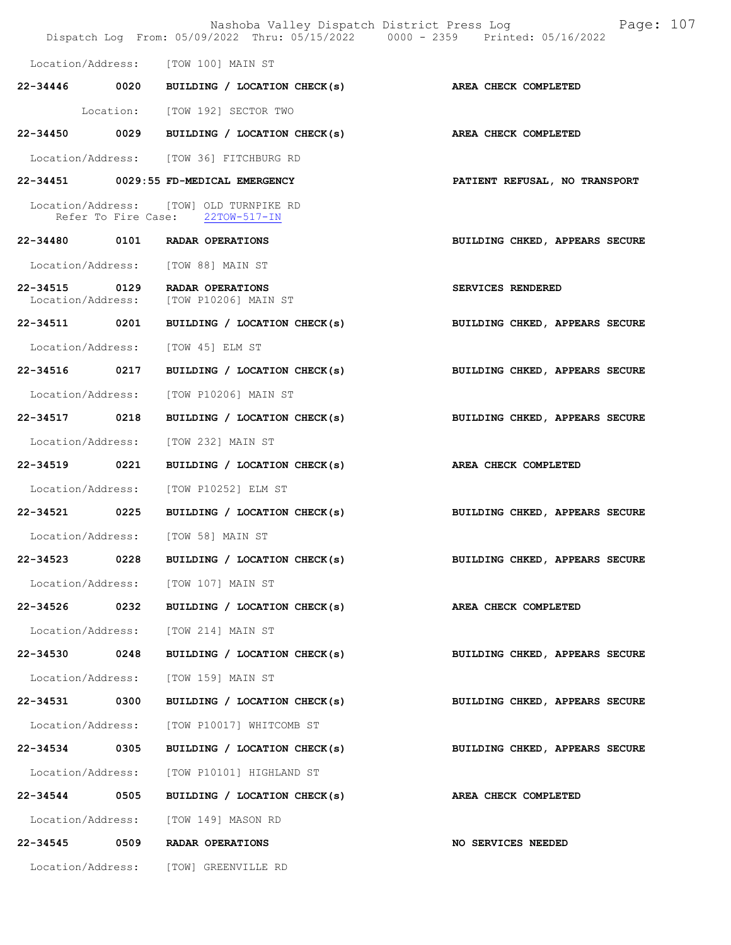|                                    |      | Dispatch Log From: 05/09/2022 Thru: 05/15/2022 0000 - 2359 Printed: 05/16/2022 | Nashoba Valley Dispatch District Press Log<br>Page: 107 |
|------------------------------------|------|--------------------------------------------------------------------------------|---------------------------------------------------------|
|                                    |      | Location/Address: [TOW 100] MAIN ST                                            |                                                         |
|                                    |      | $22-34446$ 0020 BUILDING / LOCATION CHECK(s)                                   | AREA CHECK COMPLETED                                    |
|                                    |      | Location: [TOW 192] SECTOR TWO                                                 |                                                         |
| 22-34450                           |      | 0029 BUILDING / LOCATION CHECK(s)                                              | AREA CHECK COMPLETED                                    |
|                                    |      | Location/Address: [TOW 36] FITCHBURG RD                                        |                                                         |
|                                    |      | 22-34451 0029:55 FD-MEDICAL EMERGENCY                                          | PATIENT REFUSAL, NO TRANSPORT                           |
|                                    |      | Location/Address: [TOW] OLD TURNPIKE RD<br>Refer To Fire Case: 22TOW-517-IN    |                                                         |
|                                    |      | 22-34480 0101 RADAR OPERATIONS                                                 | BUILDING CHKED, APPEARS SECURE                          |
|                                    |      | Location/Address: [TOW 88] MAIN ST                                             |                                                         |
| 22-34515 0129<br>Location/Address: |      | RADAR OPERATIONS<br>[TOW P10206] MAIN ST                                       | SERVICES RENDERED                                       |
| 22-34511 0201                      |      | BUILDING / LOCATION CHECK(s)                                                   | BUILDING CHKED, APPEARS SECURE                          |
| Location/Address:                  |      | [TOW 45] ELM ST                                                                |                                                         |
| 22-34516 0217                      |      | BUILDING / LOCATION CHECK(s)                                                   | BUILDING CHKED, APPEARS SECURE                          |
| Location/Address:                  |      | [TOW P10206] MAIN ST                                                           |                                                         |
| 22-34517 0218                      |      | BUILDING / LOCATION CHECK(s)                                                   | BUILDING CHKED, APPEARS SECURE                          |
| Location/Address:                  |      | [TOW 232] MAIN ST                                                              |                                                         |
| 22-34519                           | 0221 | BUILDING / LOCATION CHECK(s)                                                   | AREA CHECK COMPLETED                                    |
|                                    |      | Location/Address: [TOW P10252] ELM ST                                          |                                                         |
|                                    |      | 22-34521 0225 BUILDING / LOCATION CHECK(s)                                     | BUILDING CHKED, APPEARS SECURE                          |
|                                    |      | Location/Address: [TOW 58] MAIN ST                                             |                                                         |
| 22-34523                           | 0228 | BUILDING / LOCATION CHECK(s)                                                   | BUILDING CHKED, APPEARS SECURE                          |
|                                    |      | Location/Address: [TOW 107] MAIN ST                                            |                                                         |
| 22-34526 0232                      |      | BUILDING / LOCATION CHECK(s)                                                   | AREA CHECK COMPLETED                                    |
| Location/Address:                  |      | [TOW 214] MAIN ST                                                              |                                                         |
| 22-34530                           | 0248 | BUILDING / LOCATION CHECK(s)                                                   | BUILDING CHKED, APPEARS SECURE                          |
| Location/Address:                  |      | [TOW 159] MAIN ST                                                              |                                                         |
| 22-34531                           | 0300 | BUILDING / LOCATION CHECK(s)                                                   | BUILDING CHKED, APPEARS SECURE                          |
| Location/Address:                  |      | [TOW P10017] WHITCOMB ST                                                       |                                                         |
| 22-34534 0305                      |      | BUILDING / LOCATION CHECK(s)                                                   | BUILDING CHKED, APPEARS SECURE                          |
| Location/Address:                  |      | [TOW P10101] HIGHLAND ST                                                       |                                                         |
| 22-34544                           | 0505 | BUILDING / LOCATION CHECK(s)                                                   | AREA CHECK COMPLETED                                    |
| Location/Address:                  |      | [TOW 149] MASON RD                                                             |                                                         |
| 22-34545                           | 0509 | RADAR OPERATIONS                                                               | <b>NO SERVICES NEEDED</b>                               |
|                                    |      | Location/Address: [TOW] GREENVILLE RD                                          |                                                         |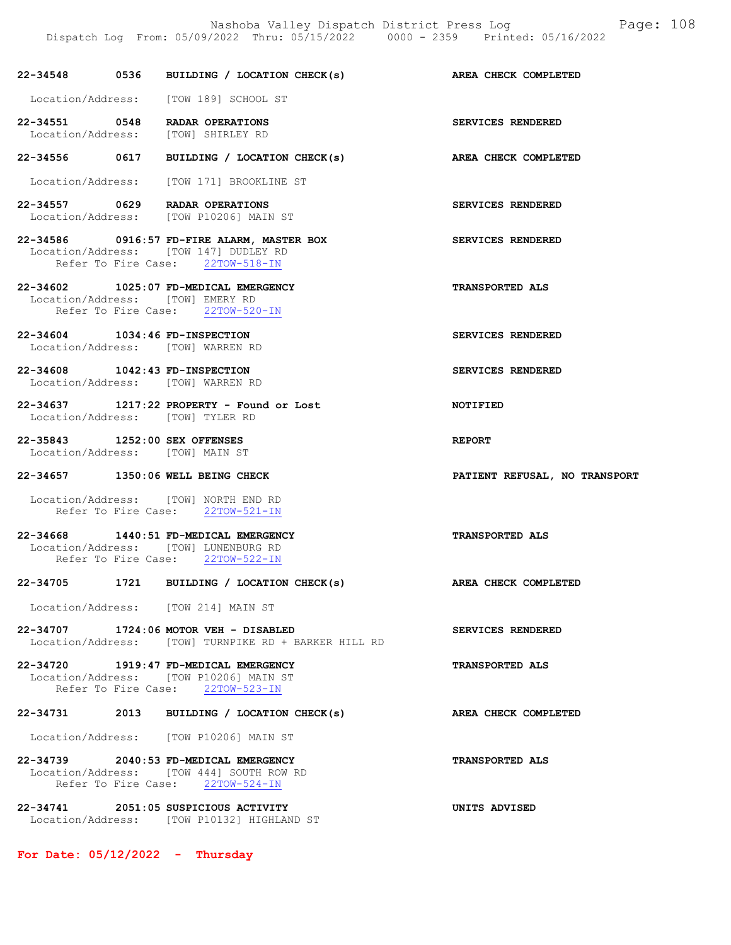Dispatch Log From: 05/09/2022 Thru: 05/15/2022 0000 - 2359 Printed: 05/16/2022

|  | 22-34548 0536 BUILDING / LOCATION CHECK(s) AREA CHECK COMPLETED                                                         |                               |
|--|-------------------------------------------------------------------------------------------------------------------------|-------------------------------|
|  | Location/Address: [TOW 189] SCHOOL ST                                                                                   |                               |
|  | 22-34551 0548 RADAR OPERATIONS<br>Location/Address: [TOW] SHIRLEY RD                                                    | SERVICES RENDERED             |
|  | 22-34556 0617 BUILDING / LOCATION CHECK(s)                                                                              | AREA CHECK COMPLETED          |
|  | Location/Address: [TOW 171] BROOKLINE ST                                                                                |                               |
|  | 22-34557 0629 RADAR OPERATIONS<br>Location/Address: [TOW P10206] MAIN ST                                                | SERVICES RENDERED             |
|  | 22-34586 0916:57 FD-FIRE ALARM, MASTER BOX<br>Location/Address: [TOW 147] DUDLEY RD<br>Refer To Fire Case: 22TOW-518-IN | SERVICES RENDERED             |
|  | 22-34602 1025:07 FD-MEDICAL EMERGENCY<br>Location/Address: [TOW] EMERY RD<br>Refer To Fire Case: 22TOW-520-IN           | <b>TRANSPORTED ALS</b>        |
|  | 22-34604 1034:46 FD-INSPECTION<br>Location/Address: [TOW] WARREN RD                                                     | SERVICES RENDERED             |
|  | 22-34608 1042:43 FD-INSPECTION<br>Location/Address: [TOW] WARREN RD                                                     | SERVICES RENDERED             |
|  | 22-34637 1217:22 PROPERTY - Found or Lost<br>Location/Address: [TOW] TYLER RD                                           | NOTIFIED                      |
|  | 22-35843 1252:00 SEX OFFENSES<br>Location/Address: [TOW] MAIN ST                                                        | REPORT                        |
|  | 22-34657 1350:06 WELL BEING CHECK                                                                                       | PATIENT REFUSAL, NO TRANSPORT |
|  | Location/Address: [TOW] NORTH END RD<br>Refer To Fire Case: 22TOW-521-IN                                                |                               |
|  | 22-34668 1440:51 FD-MEDICAL EMERGENCY<br>Location/Address: [TOW] LUNENBURG RD<br>Refer To Fire Case: 22TOW-522-IN       | <b>TRANSPORTED ALS</b>        |
|  | 22-34705 1721 BUILDING / LOCATION CHECK(s)                                                                              | AREA CHECK COMPLETED          |
|  | Location/Address: [TOW 214] MAIN ST                                                                                     |                               |
|  | 22-34707 1724:06 MOTOR VEH - DISABLED<br>Location/Address: [TOW] TURNPIKE RD + BARKER HILL RD                           | SERVICES RENDERED             |
|  | 22-34720 1919:47 FD-MEDICAL EMERGENCY<br>Location/Address: [TOW P10206] MAIN ST<br>Refer To Fire Case: 22TOW-523-IN     | <b>TRANSPORTED ALS</b>        |
|  | 22-34731 2013 BUILDING / LOCATION CHECK(s)                                                                              | AREA CHECK COMPLETED          |
|  | Location/Address: [TOW P10206] MAIN ST                                                                                  |                               |
|  | 22-34739 2040:53 FD-MEDICAL EMERGENCY<br>Location/Address: [TOW 444] SOUTH ROW RD<br>Refer To Fire Case: 22TOW-524-IN   | <b>TRANSPORTED ALS</b>        |
|  | 22-34741 2051:05 SUSPICIOUS ACTIVITY<br>Location/Address: [TOW P10132] HIGHLAND ST                                      | UNITS ADVISED                 |

For Date: 05/12/2022 - Thursday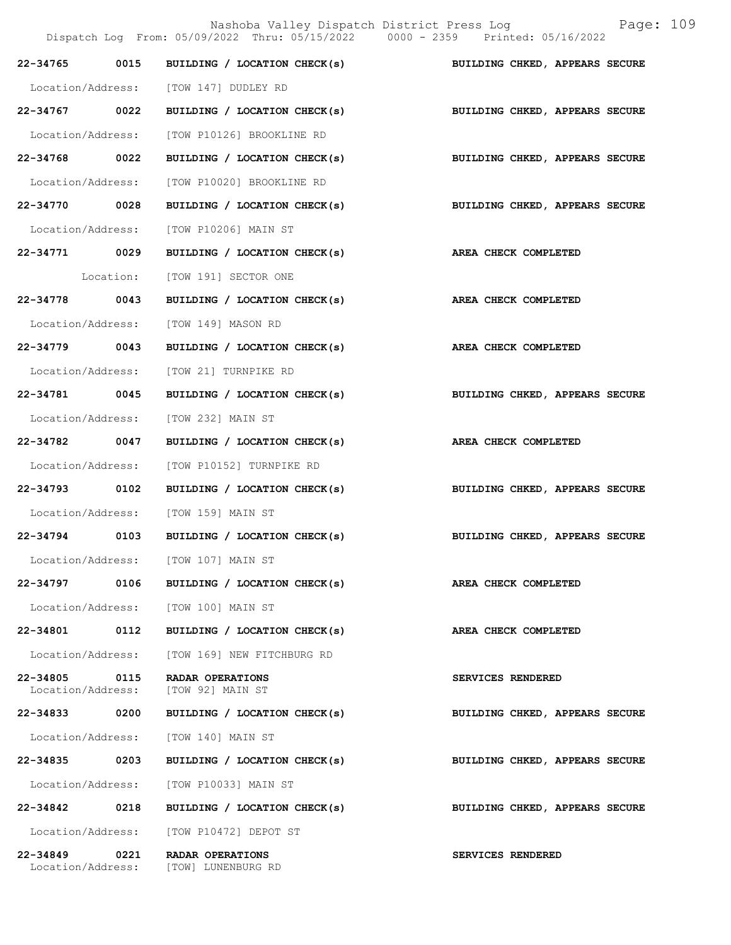Nashoba Valley Dispatch District Press Log Bage:  $109$ <br> $(2022$  Thru:  $05/15/2022$  0000 - 2359 Printed:  $05/16/2022$ Dispatch Log From:  $05/09/2022$  Thru:  $05/15/2022$  0000 - 2359 22-34765 0015 BUILDING / LOCATION CHECK(s) BUILDING CHKED, APPEARS SECURE Location/Address: [TOW 147] DUDLEY RD 22-34767 0022 BUILDING / LOCATION CHECK(s) BUILDING CHKED, APPEARS SECURE Location/Address: [TOW P10126] BROOKLINE RD 22-34768 0022 BUILDING / LOCATION CHECK(s) BUILDING CHKED, APPEARS SECURE Location/Address: [TOW P10020] BROOKLINE RD 22-34770 0028 BUILDING / LOCATION CHECK(s) BUILDING CHKED, APPEARS SECURE Location/Address: [TOW P10206] MAIN ST 22-34771 0029 BUILDING / LOCATION CHECK(s) AREA CHECK COMPLETED Location: [TOW 191] SECTOR ONE 22-34778 0043 BUILDING / LOCATION CHECK(s) AREA CHECK COMPLETED Location/Address: [TOW 149] MASON RD 22-34779 0043 BUILDING / LOCATION CHECK(s) AREA CHECK COMPLETED Location/Address: [TOW 21] TURNPIKE RD 22-34781 0045 BUILDING / LOCATION CHECK(s) BUILDING CHKED, APPEARS SECURE Location/Address: [TOW 232] MAIN ST 22-34782 0047 BUILDING / LOCATION CHECK(s) AREA CHECK COMPLETED Location/Address: [TOW P10152] TURNPIKE RD 22-34793 0102 BUILDING / LOCATION CHECK(s) BUILDING CHKED, APPEARS SECURE Location/Address: [TOW 159] MAIN ST 22-34794 0103 BUILDING / LOCATION CHECK(s) BUILDING CHKED, APPEARS SECURE Location/Address: [TOW 107] MAIN ST 22-34797 0106 BUILDING / LOCATION CHECK(s) AREA CHECK COMPLETED Location/Address: [TOW 100] MAIN ST 22-34801 0112 BUILDING / LOCATION CHECK(s) AREA CHECK COMPLETED Location/Address: [TOW 169] NEW FITCHBURG RD 22-34805 0115 RADAR OPERATIONS SERVICES RENDERED Location/Address: [TOW 92] MAIN ST 22-34833 0200 BUILDING / LOCATION CHECK(s) BUILDING CHKED, APPEARS SECURE Location/Address: [TOW 140] MAIN ST 22-34835 0203 BUILDING / LOCATION CHECK(s) BUILDING CHKED, APPEARS SECURE Location/Address: [TOW P10033] MAIN ST 22-34842 0218 BUILDING / LOCATION CHECK(s) BUILDING CHKED, APPEARS SECURE Location/Address: [TOW P10472] DEPOT ST 22-34849 0221 RADAR OPERATIONS SERVICES RENDERED<br>
Location/Address: [TOW] LUNENBURG RD

[TOW] LUNENBURG RD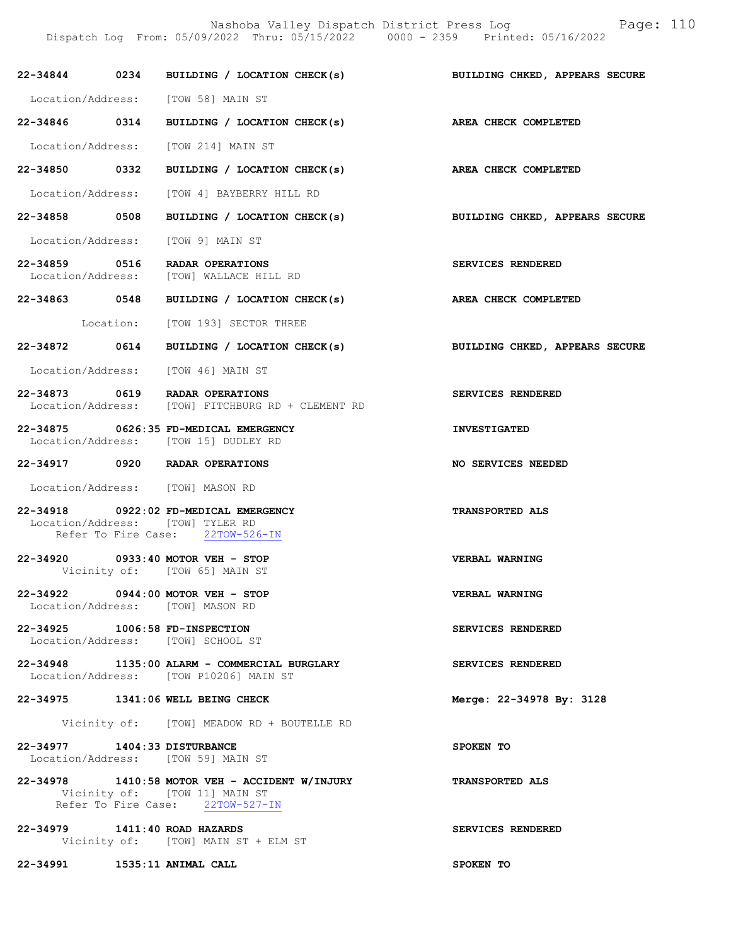Nashoba Valley Dispatch District Press Log Fage: 110

Dispatch Log From: 05/09/2022 Thru: 05/15/2022 0000 - 2359 Printed: 05/16/2022

|                               | 22-34844 0234 BUILDING / LOCATION CHECK(s)                                                                          | BUILDING CHKED, APPEARS SECURE |
|-------------------------------|---------------------------------------------------------------------------------------------------------------------|--------------------------------|
|                               | Location/Address: [TOW 58] MAIN ST                                                                                  |                                |
|                               | 22-34846 0314 BUILDING / LOCATION CHECK(s)                                                                          | AREA CHECK COMPLETED           |
|                               | Location/Address: [TOW 214] MAIN ST                                                                                 |                                |
|                               | 22-34850 0332 BUILDING / LOCATION CHECK(s) AREA CHECK COMPLETED                                                     |                                |
|                               | Location/Address: [TOW 4] BAYBERRY HILL RD                                                                          |                                |
|                               | 22-34858 0508 BUILDING / LOCATION CHECK(s)                                                                          | BUILDING CHKED, APPEARS SECURE |
|                               | Location/Address: [TOW 9] MAIN ST                                                                                   |                                |
|                               | 22-34859 0516 RADAR OPERATIONS<br>Location/Address: [TOW] WALLACE HILL RD                                           | SERVICES RENDERED              |
|                               | 22-34863 0548 BUILDING / LOCATION CHECK(s) AREA CHECK COMPLETED                                                     |                                |
|                               | Location: [TOW 193] SECTOR THREE                                                                                    |                                |
|                               | 22-34872 0614 BUILDING / LOCATION CHECK(s)                                                                          | BUILDING CHKED, APPEARS SECURE |
|                               | Location/Address: [TOW 46] MAIN ST                                                                                  |                                |
|                               | 22-34873 0619 RADAR OPERATIONS<br>Location/Address: [TOW] FITCHBURG RD + CLEMENT RD                                 | SERVICES RENDERED              |
|                               | 22-34875 0626:35 FD-MEDICAL EMERGENCY<br>Location/Address: [TOW 15] DUDLEY RD                                       | <b>INVESTIGATED</b>            |
|                               | 22-34917 0920 RADAR OPERATIONS                                                                                      | NO SERVICES NEEDED             |
|                               | Location/Address: [TOW] MASON RD                                                                                    |                                |
|                               | 22-34918 0922:02 FD-MEDICAL EMERGENCY<br>Location/Address: [TOW] TYLER RD<br>Refer To Fire Case: 22TOW-526-IN       | TRANSPORTED ALS                |
|                               | 22-34920 0933:40 MOTOR VEH - STOP<br>Vicinity of: [TOW 65] MAIN ST                                                  | VERBAL WARNING                 |
|                               | 22-34922 0944:00 MOTOR VEH - STOP<br>Location/Address: [TOW] MASON RD                                               | <b>VERBAL WARNING</b>          |
|                               | 22-34925 1006:58 FD-INSPECTION<br>Location/Address: [TOW] SCHOOL ST                                                 | SERVICES RENDERED              |
|                               | 22-34948 1135:00 ALARM - COMMERCIAL BURGLARY<br>Location/Address: [TOW P10206] MAIN ST                              | SERVICES RENDERED              |
|                               | 22-34975 1341:06 WELL BEING CHECK                                                                                   | Merge: 22-34978 By: 3128       |
|                               | Vicinity of: [TOW] MEADOW RD + BOUTELLE RD                                                                          |                                |
| 22-34977 1404:33 DISTURBANCE  | Location/Address: [TOW 59] MAIN ST                                                                                  | SPOKEN TO                      |
|                               | 22-34978 1410:58 MOTOR VEH - ACCIDENT W/INJURY<br>Vicinity of: [TOW 11] MAIN ST<br>Refer To Fire Case: 22TOW-527-IN | TRANSPORTED ALS                |
|                               |                                                                                                                     |                                |
| 22-34979 1411:40 ROAD HAZARDS | Vicinity of: [TOW] MAIN ST + ELM ST                                                                                 | SERVICES RENDERED              |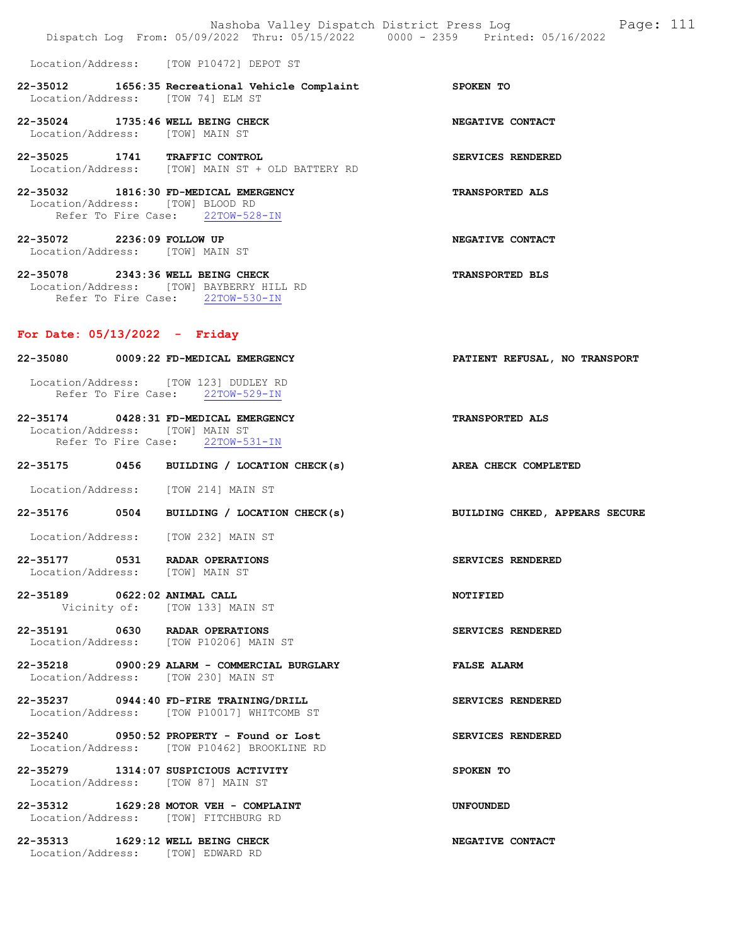|                                                                            | Nashoba Valley Dispatch District Press Log<br>Dispatch Log From: 05/09/2022 Thru: 05/15/2022 0000 - 2359 Printed: 05/16/2022 | Page: 111                      |
|----------------------------------------------------------------------------|------------------------------------------------------------------------------------------------------------------------------|--------------------------------|
|                                                                            | Location/Address: [TOW P10472] DEPOT ST                                                                                      |                                |
| Location/Address: [TOW 74] ELM ST                                          | 22-35012 1656:35 Recreational Vehicle Complaint SPOKEN TO                                                                    |                                |
| 22-35024 1735:46 WELL BEING CHECK<br>Location/Address: [TOW] MAIN ST       |                                                                                                                              | NEGATIVE CONTACT               |
| 22-35025 1741 TRAFFIC CONTROL                                              | Location/Address: [TOW] MAIN ST + OLD BATTERY RD                                                                             | SERVICES RENDERED              |
| 22-35032 1816:30 FD-MEDICAL EMERGENCY<br>Location/Address: [TOW] BLOOD RD  | Refer To Fire Case: 22TOW-528-IN                                                                                             | <b>TRANSPORTED ALS</b>         |
| 22-35072 2236:09 FOLLOW UP<br>Location/Address: [TOW] MAIN ST              |                                                                                                                              | NEGATIVE CONTACT               |
| 22-35078 2343:36 WELL BEING CHECK                                          | Location/Address: [TOW] BAYBERRY HILL RD<br>Refer To Fire Case: 22TOW-530-IN                                                 | TRANSPORTED BLS                |
| For Date: $05/13/2022 -$ Friday                                            |                                                                                                                              |                                |
| 22-35080 0009:22 FD-MEDICAL EMERGENCY                                      |                                                                                                                              | PATIENT REFUSAL, NO TRANSPORT  |
| Location/Address: [TOW 123] DUDLEY RD                                      | Refer To Fire Case: 22TOW-529-IN                                                                                             |                                |
| 22-35174 0428:31 FD-MEDICAL EMERGENCY<br>Location/Address: [TOW] MAIN ST   | Refer To Fire Case: 22TOW-531-IN                                                                                             | <b>TRANSPORTED ALS</b>         |
|                                                                            | 22-35175 0456 BUILDING / LOCATION CHECK(s)                                                                                   | AREA CHECK COMPLETED           |
| Location/Address: [TOW 214] MAIN ST                                        |                                                                                                                              |                                |
|                                                                            | 22-35176 0504 BUILDING / LOCATION CHECK(s)                                                                                   | BUILDING CHKED, APPEARS SECURE |
| Location/Address: [TOW 232] MAIN ST                                        |                                                                                                                              |                                |
| 22-35177 0531 RADAR OPERATIONS<br>Location/Address: [TOW] MAIN ST          |                                                                                                                              | SERVICES RENDERED              |
| 22-35189 0622:02 ANIMAL CALL                                               | Vicinity of: [TOW 133] MAIN ST                                                                                               | NOTIFIED                       |
| 22-35191 0630 RADAR OPERATIONS                                             | Location/Address: [TOW P10206] MAIN ST                                                                                       | SERVICES RENDERED              |
| Location/Address: [TOW 230] MAIN ST                                        | $22 - 35218$ 0900:29 ALARM - COMMERCIAL BURGLARY                                                                             | <b>FALSE ALARM</b>             |
|                                                                            | 22-35237 0944:40 FD-FIRE TRAINING/DRILL<br>Location/Address: [TOW P10017] WHITCOMB ST                                        | SERVICES RENDERED              |
|                                                                            | 22-35240 0950:52 PROPERTY - Found or Lost<br>Location/Address: [TOW P10462] BROOKLINE RD                                     | SERVICES RENDERED              |
| 22-35279 1314:07 SUSPICIOUS ACTIVITY<br>Location/Address: [TOW 87] MAIN ST |                                                                                                                              | SPOKEN TO                      |
| Location/Address: [TOW] FITCHBURG RD                                       | 22-35312 1629:28 MOTOR VEH - COMPLAINT                                                                                       | <b>UNFOUNDED</b>               |
| 22-35313 1629:12 WELL BEING CHECK<br>Location/Address: [TOW] EDWARD RD     |                                                                                                                              | NEGATIVE CONTACT               |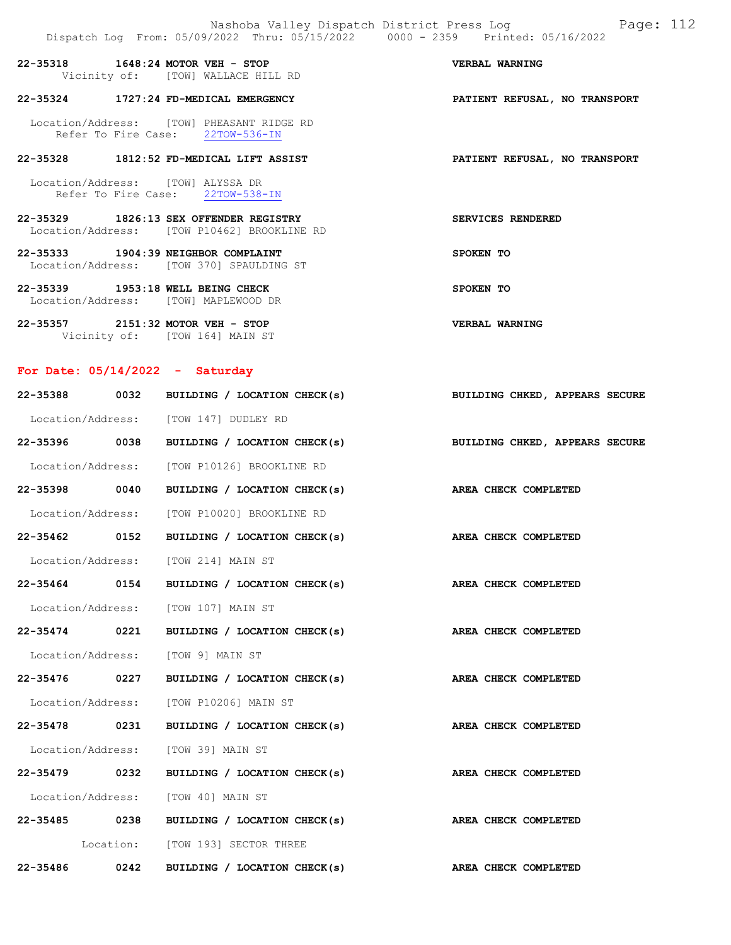22-35318 1648:24 MOTOR VEH - STOP VERBAL WARNING Vicinity of: [TOW] WALLACE HILL RD

## 22-35324 1727:24 FD-MEDICAL EMERGENCY PATIENT REFUSAL, NO TRANSPORT

 Location/Address: [TOW] PHEASANT RIDGE RD Refer To Fire Case: 22TOW-536-IN

## 22-35328 1812:52 FD-MEDICAL LIFT ASSIST PATIENT REFUSAL, NO TRANSPORT

 Location/Address: [TOW] ALYSSA DR Refer To Fire Case: 22TOW-538-IN

- 22-35329 1826:13 SEX OFFENDER REGISTRY SERVICES RENDERED Location/Address: [TOW P10462] BROOKLINE RD
- 22-35333 1904:39 NEIGHBOR COMPLAINT SPOKEN TO Location/Address: [TOW 370] SPAULDING ST
- 22-35339 1953:18 WELL BEING CHECK SPOKEN TO Location/Address: [TOW] MAPLEWOOD DR
- 22-35357 2151:32 MOTOR VEH STOP VERBAL WARNING Vicinity of: [TOW 164] MAIN ST

## For Date: 05/14/2022 - Saturday

|               | 22-35388 0032 BUILDING / LOCATION CHECK(s)                                | BUILDING CHKED, APPEARS SECURE |
|---------------|---------------------------------------------------------------------------|--------------------------------|
|               | Location/Address: [TOW 147] DUDLEY RD                                     |                                |
|               | 22-35396 0038 BUILDING / LOCATION CHECK(s) BUILDING CHKED, APPEARS SECURE |                                |
|               | Location/Address: [TOW P10126] BROOKLINE RD                               |                                |
| 22-35398 0040 | BUILDING / LOCATION CHECK(s)                                              | AREA CHECK COMPLETED           |
|               | Location/Address: [TOW P10020] BROOKLINE RD                               |                                |
|               | 22-35462 0152 BUILDING / LOCATION CHECK(s) AREA CHECK COMPLETED           |                                |
|               | Location/Address: [TOW 214] MAIN ST                                       |                                |
|               | 22-35464 0154 BUILDING / LOCATION CHECK(s) AREA CHECK COMPLETED           |                                |
|               | Location/Address: [TOW 107] MAIN ST                                       |                                |
| 22-35474 0221 | BUILDING / LOCATION CHECK(s) AREA CHECK COMPLETED                         |                                |
|               | Location/Address: [TOW 9] MAIN ST                                         |                                |
|               | 22-35476 0227 BUILDING / LOCATION CHECK(s) AREA CHECK COMPLETED           |                                |
|               | Location/Address: [TOW P10206] MAIN ST                                    |                                |
| 22-35478 0231 | BUILDING / LOCATION CHECK(s) AREA CHECK COMPLETED                         |                                |
|               | Location/Address: [TOW 39] MAIN ST                                        |                                |
|               | 22-35479 0232 BUILDING / LOCATION CHECK(s) AREA CHECK COMPLETED           |                                |
|               | Location/Address: [TOW 40] MAIN ST                                        |                                |
|               | 22-35485 0238 BUILDING / LOCATION CHECK(s) AREA CHECK COMPLETED           |                                |
|               | Location: [TOW 193] SECTOR THREE                                          |                                |
|               | 22-35486 0242 BUILDING / LOCATION CHECK(s) AREA CHECK COMPLETED           |                                |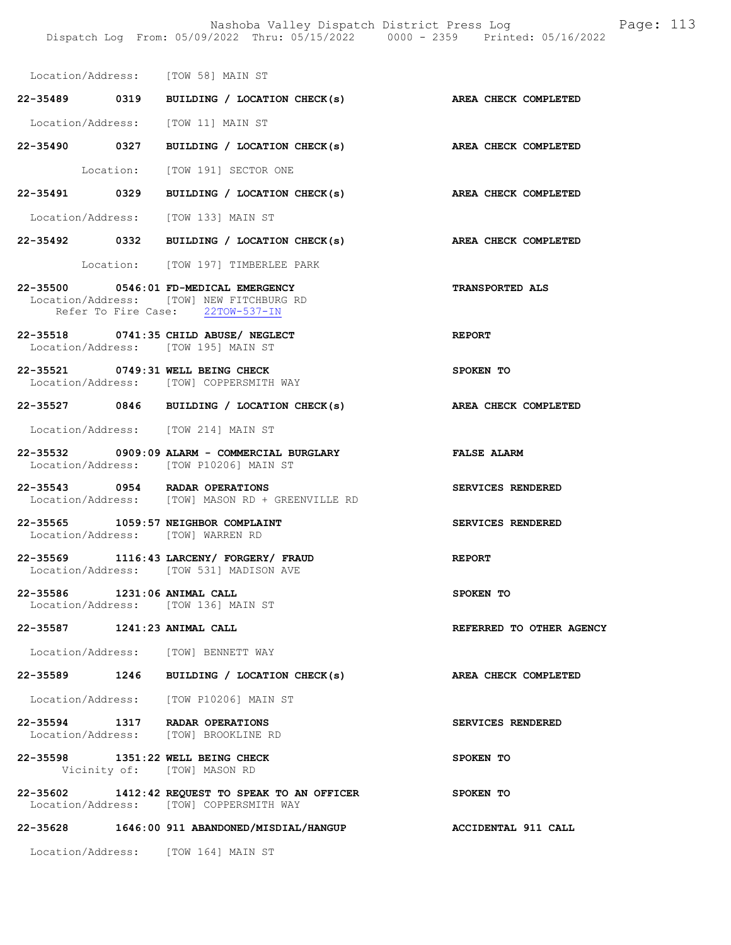SERVICES RENDERED

Location/Address: [TOW 58] MAIN ST 22-35489 0319 BUILDING / LOCATION CHECK(s) AREA CHECK COMPLETED

Location/Address: [TOW 11] MAIN ST

22-35490 0327 BUILDING / LOCATION CHECK(s) AREA CHECK COMPLETED Location: [TOW 191] SECTOR ONE

22-35491 0329 BUILDING / LOCATION CHECK(s) AREA CHECK COMPLETED

Location/Address: [TOW 133] MAIN ST

22-35492 0332 BUILDING / LOCATION CHECK(s) AREA CHECK COMPLETED

Location: [TOW 197] TIMBERLEE PARK

22-35500 0546:01 FD-MEDICAL EMERGENCY TRANSPORTED ALS Location/Address: [TOW] NEW FITCHBURG RD Refer To Fire Case: 22TOW-537-IN

22-35518 0741:35 CHILD ABUSE/ NEGLECT REPORT Location/Address: [TOW 195] MAIN ST

22-35521 0749:31 WELL BEING CHECK SPOKEN TO Location/Address: [TOW] COPPERSMITH WAY

22-35527 0846 BUILDING / LOCATION CHECK(s) AREA CHECK COMPLETED

Location/Address: [TOW 214] MAIN ST

22-35532 0909:09 ALARM - COMMERCIAL BURGLARY FALSE ALARM Location/Address: [TOW P10206] MAIN ST

22-35543 0954 RADAR OPERATIONS SERVICES RENDERED Location/Address: [TOW] MASON RD + GREENVILLE RD

22-35565 1059:57 NEIGHBOR COMPLAINT SERVICES RENDERED Location/Address: [TOW] WARREN RD

22-35569 1116:43 LARCENY/ FORGERY/ FRAUD REPORT Location/Address: [TOW 531] MADISON AVE

22-35586 1231:06 ANIMAL CALL SPOKEN TO Location/Address: [TOW 136] MAIN ST

22-35587 1241:23 ANIMAL CALL REFERRED TO OTHER AGENCY

Location/Address: [TOW] BENNETT WAY

22-35589 1246 BUILDING / LOCATION CHECK(s) AREA CHECK COMPLETED

Location/Address: [TOW P10206] MAIN ST

| $22 - 35594$      | 1317 | RADAR OPERATIONS   |  |
|-------------------|------|--------------------|--|
| Location/Address: |      | [TOW] BROOKLINE RD |  |

22-35598 1351:22 WELL BEING CHECK SPOKEN TO Vicinity of: [TOW] MASON RD

22-35602 1412:42 REQUEST TO SPEAK TO AN OFFICER SPOKEN TO Location/Address: [TOW] COPPERSMITH WAY

22-35628 1646:00 911 ABANDONED/MISDIAL/HANGUP ACCIDENTAL 911 CALL

Location/Address: [TOW 164] MAIN ST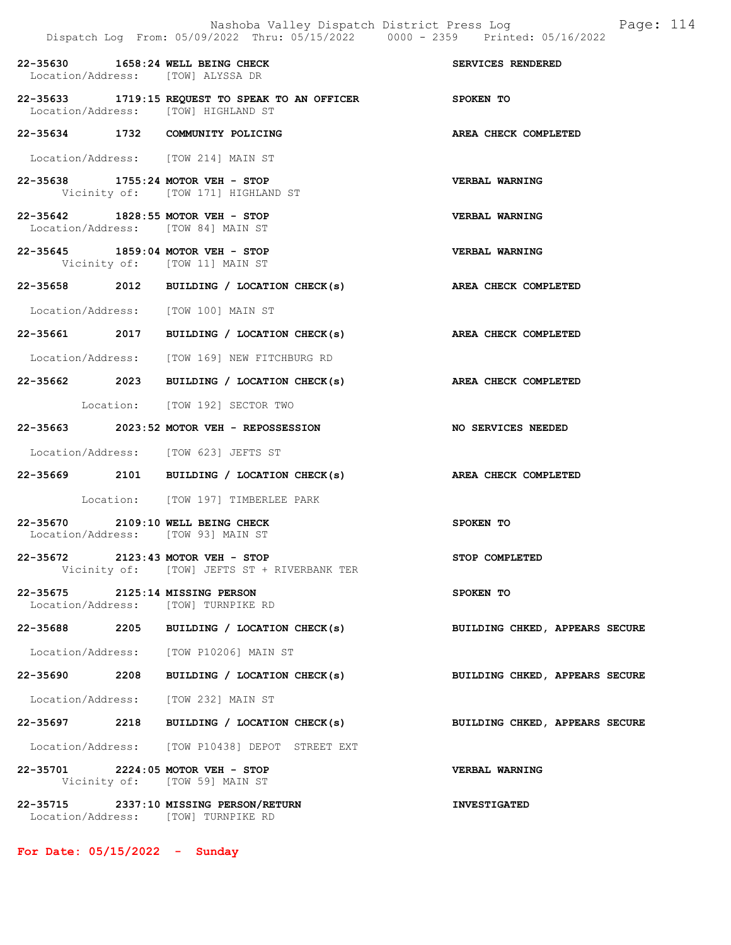|                                                                               | Dispatch Log From: 05/09/2022 Thru: 05/15/2022 0000 - 2359 Printed: 05/16/2022 |                                |
|-------------------------------------------------------------------------------|--------------------------------------------------------------------------------|--------------------------------|
| 22-35630 1658:24 WELL BEING CHECK<br>Location/Address: [TOW] ALYSSA DR        |                                                                                | SERVICES RENDERED              |
| Location/Address: [TOW] HIGHLAND ST                                           | 22-35633 1719:15 REQUEST TO SPEAK TO AN OFFICER<br>SPOKEN TO                   |                                |
| 22-35634 1732 COMMUNITY POLICING                                              |                                                                                | AREA CHECK COMPLETED           |
| Location/Address: [TOW 214] MAIN ST                                           |                                                                                |                                |
| 22-35638 1755:24 MOTOR VEH - STOP                                             | Vicinity of: [TOW 171] HIGHLAND ST                                             | <b>VERBAL WARNING</b>          |
| 22-35642 1828:55 MOTOR VEH - STOP<br>Location/Address: [TOW 84] MAIN ST       |                                                                                | <b>VERBAL WARNING</b>          |
| 22-35645 1859:04 MOTOR VEH - STOP<br>Vicinity of: [TOW 11] MAIN ST            |                                                                                | <b>VERBAL WARNING</b>          |
|                                                                               | 22-35658 2012 BUILDING / LOCATION CHECK(s) AREA CHECK COMPLETED                |                                |
| Location/Address: [TOW 100] MAIN ST                                           |                                                                                |                                |
|                                                                               | 22-35661 2017 BUILDING / LOCATION CHECK(s)                                     | AREA CHECK COMPLETED           |
|                                                                               | Location/Address: [TOW 169] NEW FITCHBURG RD                                   |                                |
|                                                                               | 22-35662 2023 BUILDING / LOCATION CHECK(s)                                     | AREA CHECK COMPLETED           |
|                                                                               | Location: [TOW 192] SECTOR TWO                                                 |                                |
|                                                                               | 22-35663 2023:52 MOTOR VEH - REPOSSESSION                                      | <b>NO SERVICES NEEDED</b>      |
| Location/Address: [TOW 623] JEFTS ST                                          |                                                                                |                                |
|                                                                               | 22-35669 2101 BUILDING / LOCATION CHECK(s)                                     | AREA CHECK COMPLETED           |
|                                                                               | Location: [TOW 197] TIMBERLEE PARK                                             |                                |
| 22-35670 2109:10 WELL BEING CHECK<br>Location/Address: [TOW 93] MAIN ST       |                                                                                | SPOKEN TO                      |
| 22-35672 2123:43 MOTOR VEH - STOP                                             | Vicinity of: [TOW] JEFTS ST + RIVERBANK TER                                    | STOP COMPLETED                 |
| 22-35675 2125:14 MISSING PERSON<br>Location/Address: [TOW] TURNPIKE RD        |                                                                                | SPOKEN TO                      |
|                                                                               | 22-35688 2205 BUILDING / LOCATION CHECK(s)                                     | BUILDING CHKED, APPEARS SECURE |
| Location/Address: [TOW P10206] MAIN ST                                        |                                                                                |                                |
|                                                                               | 22-35690 2208 BUILDING / LOCATION CHECK(s)                                     | BUILDING CHKED, APPEARS SECURE |
| Location/Address: [TOW 232] MAIN ST                                           |                                                                                |                                |
|                                                                               | 22-35697 2218 BUILDING / LOCATION CHECK(s)                                     | BUILDING CHKED, APPEARS SECURE |
|                                                                               | Location/Address: [TOW P10438] DEPOT STREET EXT                                |                                |
| 22-35701 2224:05 MOTOR VEH - STOP                                             | Vicinity of: [TOW 59] MAIN ST                                                  | VERBAL WARNING                 |
| 22-35715 2337:10 MISSING PERSON/RETURN<br>Location/Address: [TOW] TURNPIKE RD |                                                                                | <b>INVESTIGATED</b>            |

For Date: 05/15/2022 - Sunday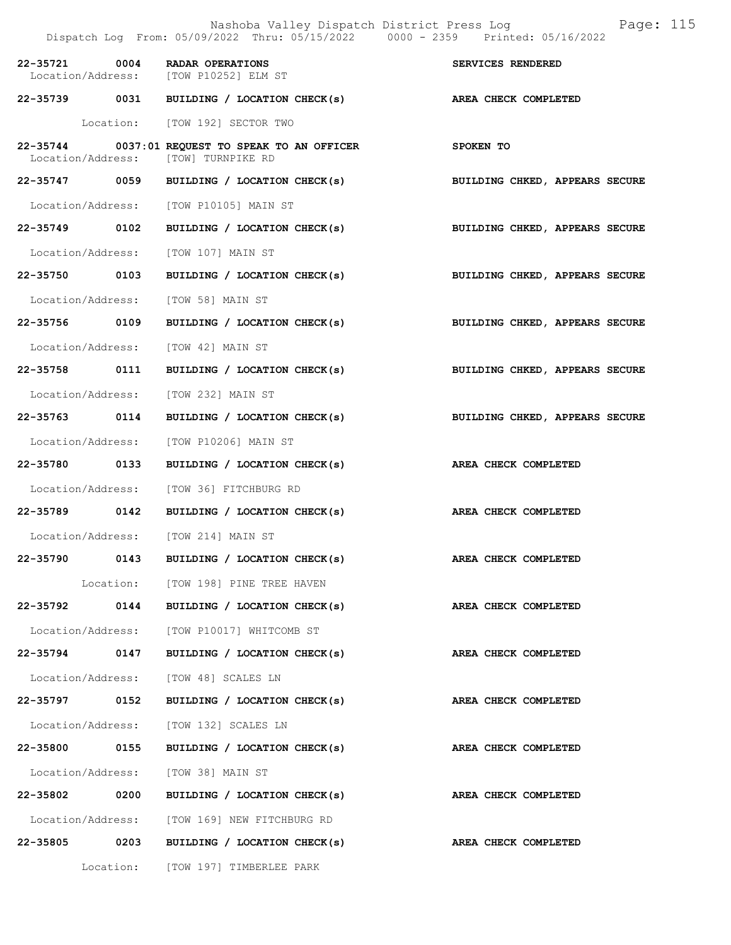Nashoba Valley Dispatch District Press Log Page: 115 Dispatch Log From: 05/09/2022 Thru: 05/15/2022 0000 - 2359 Printed: 05/16/2022 22-35721 0004 RADAR OPERATIONS<br>
Location/Address: [TOW P10252] ELM ST Location/Address: 22-35739 0031 BUILDING / LOCATION CHECK(s) AREA CHECK COMPLETED Location: [TOW 192] SECTOR TWO 22-35744 0037:01 REQUEST TO SPEAK TO AN OFFICER SPOKEN TO<br>Location/Address: [TOW] TURNPIKE RD Location/Address: 22-35747 0059 BUILDING / LOCATION CHECK(s) BUILDING CHKED, APPEARS SECURE Location/Address: [TOW P10105] MAIN ST 22-35749 0102 BUILDING / LOCATION CHECK(s) BUILDING CHKED, APPEARS SECURE Location/Address: [TOW 107] MAIN ST 22-35750 0103 BUILDING / LOCATION CHECK(s) BUILDING CHKED, APPEARS SECURE Location/Address: [TOW 58] MAIN ST 22-35756 0109 BUILDING / LOCATION CHECK(s) BUILDING CHKED, APPEARS SECURE Location/Address: [TOW 42] MAIN ST 22-35758 0111 BUILDING / LOCATION CHECK(s) BUILDING CHKED, APPEARS SECURE Location/Address: [TOW 232] MAIN ST 22-35763 0114 BUILDING / LOCATION CHECK(s) BUILDING CHKED, APPEARS SECURE Location/Address: [TOW P10206] MAIN ST 22-35780 0133 BUILDING / LOCATION CHECK(s) AREA CHECK COMPLETED Location/Address: [TOW 36] FITCHBURG RD 22-35789 0142 BUILDING / LOCATION CHECK(s) AREA CHECK COMPLETED Location/Address: [TOW 214] MAIN ST 22-35790 0143 BUILDING / LOCATION CHECK(s) AREA CHECK COMPLETED Location: [TOW 198] PINE TREE HAVEN 22-35792 0144 BUILDING / LOCATION CHECK(s) AREA CHECK COMPLETED Location/Address: [TOW P10017] WHITCOMB ST 22-35794 0147 BUILDING / LOCATION CHECK(s) AREA CHECK COMPLETED Location/Address: [TOW 48] SCALES LN 22-35797 0152 BUILDING / LOCATION CHECK(s) AREA CHECK COMPLETED Location/Address: [TOW 132] SCALES LN 22-35800 0155 BUILDING / LOCATION CHECK(s) AREA CHECK COMPLETED Location/Address: [TOW 38] MAIN ST 22-35802 0200 BUILDING / LOCATION CHECK(s) AREA CHECK COMPLETED Location/Address: [TOW 169] NEW FITCHBURG RD 22-35805 0203 BUILDING / LOCATION CHECK(s) AREA CHECK COMPLETED Location: [TOW 197] TIMBERLEE PARK